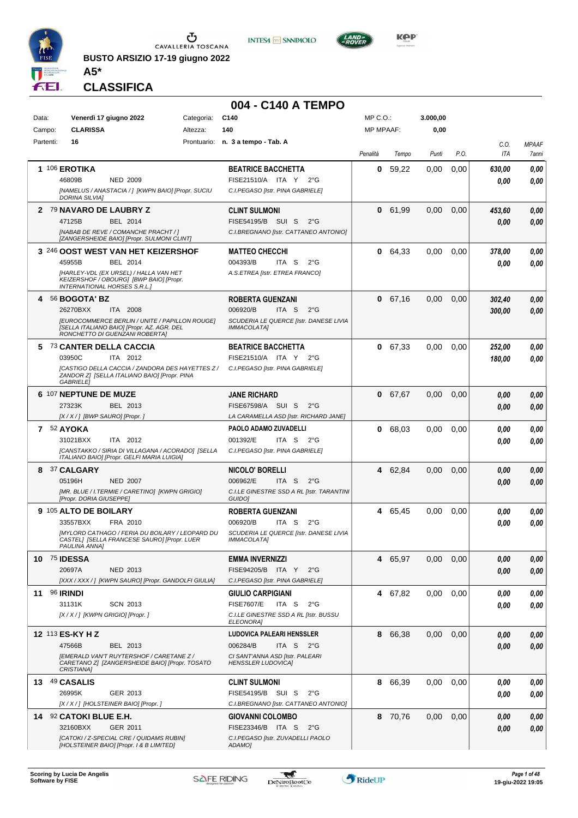

**BUSTO ARSIZIO 17-19 giugno 2022 A5\***





**KOP** 

## **CLASSIFICA**

|           |                                                                                                                                       |            | 004 - C140 A TEMPO                                                                  |                  |         |          |      |            |              |
|-----------|---------------------------------------------------------------------------------------------------------------------------------------|------------|-------------------------------------------------------------------------------------|------------------|---------|----------|------|------------|--------------|
| Data:     | Venerdì 17 giugno 2022                                                                                                                | Categoria: | C140                                                                                | $MP C. O.$ :     |         | 3.000,00 |      |            |              |
| Campo:    | <b>CLARISSA</b>                                                                                                                       | Altezza:   | 140                                                                                 | <b>MP MPAAF:</b> |         | 0,00     |      |            |              |
| Partenti: | 16                                                                                                                                    |            | Prontuario: n. 3 a tempo - Tab. A                                                   |                  |         |          |      | C.O.       | <b>MPAAF</b> |
|           |                                                                                                                                       |            |                                                                                     | Penalità         | Tempo   | Punti    | P.O. | <b>ITA</b> | 7anni        |
|           | 1 106 EROTIKA                                                                                                                         |            | <b>BEATRICE BACCHETTA</b>                                                           | 0                | 59,22   | 0,00     | 0,00 | 630,00     | 0,00         |
|           | 46809B<br><b>NED 2009</b>                                                                                                             |            | FISE21510/A ITA Y<br>$2^{\circ}G$                                                   |                  |         |          |      | 0.00       | 0.00         |
|           | [NAMELUS / ANASTACIA / ] [KWPN BAIO] [Propr. SUCIU<br>DORINA SILVIA]                                                                  |            | C.I.PEGASO [Istr. PINA GABRIELE]                                                    |                  |         |          |      |            |              |
|           | 2 79 NAVARO DE LAUBRY Z                                                                                                               |            | <b>CLINT SULMONI</b>                                                                | $\mathbf 0$      | 61,99   | 0,00     | 0,00 | 453,60     | 0,00         |
|           | 47125B<br>BEL 2014                                                                                                                    |            | FISE54195/B SUI S<br>$2^{\circ}G$                                                   |                  |         |          |      | 0.00       | 0,00         |
|           | <b>INABAB DE REVE / COMANCHE PRACHT / 1</b><br>[ZANGERSHEIDE BAIO] [Propr. SULMONI CLINT]                                             |            | C.I.BREGNANO [Istr. CATTANEO ANTONIO]                                               |                  |         |          |      |            |              |
|           | 3 246 OOST WEST VAN HET KEIZERSHOF                                                                                                    |            | <b>MATTEO CHECCHI</b>                                                               |                  | 0 64,33 | 0,00     | 0,00 | 378,00     | 0,00         |
|           | 45955B<br>BEL 2014                                                                                                                    |            | 004393/B<br>ITA S<br>$2^{\circ}$ G                                                  |                  |         |          |      | 0.00       | 0,00         |
|           | [HARLEY-VDL (EX URSEL) / HALLA VAN HET<br>KEIZERSHOF / OBOURG] [BWP BAIO] [Propr.<br><b>INTERNATIONAL HORSES S.R.L.]</b>              |            | A.S.ETREA [Istr. ETREA FRANCO]                                                      |                  |         |          |      |            |              |
|           | 4 56 BOGOTA' BZ                                                                                                                       |            | <b>ROBERTA GUENZANI</b>                                                             |                  | 0 67,16 | 0,00     | 0,00 | 302,40     | 0,00         |
|           | 26270BXX<br>ITA 2008                                                                                                                  |            | 006920/B<br>ITA S<br>$2^{\circ}$ G                                                  |                  |         |          |      | 300,00     | 0,00         |
|           | <b>[EUROCOMMERCE BERLIN / UNITE / PAPILLON ROUGE]</b><br>[SELLA ITALIANO BAIO] [Propr. AZ. AGR. DEL<br>RONCHETTO DI GUENZANI ROBERTA] |            | SCUDERIA LE QUERCE [Istr. DANESE LIVIA<br>IMMACOLATA]                               |                  |         |          |      |            |              |
|           | 5 73 CANTER DELLA CACCIA                                                                                                              |            | <b>BEATRICE BACCHETTA</b>                                                           |                  | 0 67,33 | 0.00     | 0,00 | 252,00     | 0,00         |
|           | 03950C<br>ITA 2012                                                                                                                    |            | FISE21510/A ITA Y<br>2°G                                                            |                  |         |          |      | 180,00     | 0.00         |
|           | [CASTIGO DELLA CACCIA / ZANDORA DES HAYETTES Z /<br>ZANDOR Z] [SELLA ITALIANO BAIO] [Propr. PINA<br><b>GABRIELEI</b>                  |            | C.I.PEGASO [Istr. PINA GABRIELE]                                                    |                  |         |          |      |            |              |
|           | 6 107 NEPTUNE DE MUZE                                                                                                                 |            | <b>JANE RICHARD</b>                                                                 |                  | 0 67,67 | 0.00     | 0,00 | 0.00       | 0,00         |
|           | BEL 2013<br>27323K                                                                                                                    |            | FISE67598/A SUI S<br>$2^{\circ}G$                                                   |                  |         |          |      | 0.00       | 0.00         |
|           | [X / X / ] [BWP SAURO] [Propr. ]                                                                                                      |            | LA CARAMELLA ASD [Istr. RICHARD JANE]                                               |                  |         |          |      |            |              |
|           | 7 52 AYOKA                                                                                                                            |            | PAOLO ADAMO ZUVADELLI                                                               |                  | 0 68,03 | $0.00\,$ | 0,00 | 0.00       | 0,00         |
|           | 31021BXX<br>ITA 2012                                                                                                                  |            | 001392/E<br>ITA S<br>$2^{\circ}$ G                                                  |                  |         |          |      | 0.00       | 0.00         |
|           | [CANSTAKKO / SIRIA DI VILLAGANA / ACORADO] [SELLA<br>ITALIANO BAIO] [Propr. GELFI MARIA LUIGIA]                                       |            | C.I.PEGASO [Istr. PINA GABRIELE]                                                    |                  |         |          |      |            |              |
|           | 8 37 CALGARY                                                                                                                          |            | <b>NICOLO' BORELLI</b>                                                              |                  | 4 62,84 | 0.00     | 0,00 | 0.00       | 0,00         |
|           | 05196H<br><b>NED 2007</b>                                                                                                             |            | 006962/E<br>ITA <sub>S</sub><br>$2^{\circ}$ G                                       |                  |         |          |      | 0.00       | 0,00         |
|           | [MR. BLUE / I.TERMIE / CARETINO] [KWPN GRIGIO]<br>[Propr. DORIA GIUSEPPE]                                                             |            | C.I.LE GINESTRE SSD A RL [Istr. TARANTINI<br>GUIDO]                                 |                  |         |          |      |            |              |
|           | 9 105 ALTO DE BOILARY                                                                                                                 |            | <b>ROBERTA GUENZANI</b>                                                             | 4                | 65,45   | 0.00     | 0,00 | 0.00       | 0,00         |
|           | 33557BXX<br>FRA 2010                                                                                                                  |            | 006920/B<br>ITA S<br>$2^{\circ}$ G                                                  |                  |         |          |      | 0.00       | 0.00         |
|           | [MYLORD CATHAGO / FERIA DU BOILARY / LEOPARD DU<br>CASTEL] [SELLA FRANCESE SAURO] [Propr. LUER<br>PAULINA ANNA]                       |            | SCUDERIA LE QUERCE [Istr. DANESE LIVIA<br><b>IMMACOLATA]</b>                        |                  |         |          |      |            |              |
|           | <b>10 75 IDESSA</b>                                                                                                                   |            | <b>EMMA INVERNIZZI</b>                                                              |                  | 4 65,97 | 0.00     | 0,00 | 0.00       | 0,00         |
|           | 20697A<br>NED 2013                                                                                                                    |            | FISE94205/B ITA Y 2°G                                                               |                  |         |          |      | 0.00       | 0.00         |
|           | [XXX / XXX / ] [KWPN SAURO] [Propr. GANDOLFI GIULIA]                                                                                  |            | C.I.PEGASO [Istr. PINA GABRIELE]                                                    |                  |         |          |      |            |              |
|           | <b>11 96 IRINDI</b>                                                                                                                   |            | <b>GIULIO CARPIGIANI</b>                                                            |                  | 4 67,82 | $0.00\,$ | 0,00 | 0.00       | 0,00         |
|           | 31131K<br><b>SCN 2013</b><br>[X / X / ] [KWPN GRIGIO] [Propr. ]                                                                       |            | <b>FISE7607/E</b><br>ITA S<br>$2^{\circ}G$<br>C.I.LE GINESTRE SSD A RL [Istr. BUSSU |                  |         |          |      | 0.00       | 0,00         |
|           |                                                                                                                                       |            | <b>ELEONORA]</b>                                                                    |                  |         |          |      |            |              |
|           | 12 <sup>113</sup> ES-KY H Z                                                                                                           |            | <b>LUDOVICA PALEARI HENSSLER</b>                                                    |                  | 8 66,38 | $0.00\,$ | 0,00 | 0.00       | 0,00         |
|           | 47566B<br>BEL 2013                                                                                                                    |            | 006284/B<br>ITA S<br>2°G                                                            |                  |         |          |      | 0.00       | 0,00         |
|           | IEMERALD VAN'T RUYTERSHOF / CARETANE Z /<br>CARETANO Z] [ZANGERSHEIDE BAIO] [Propr. TOSATO<br>CRISTIANA]                              |            | CI SANT'ANNA ASD [Istr. PALEARI<br><b>HENSSLER LUDOVICA]</b>                        |                  |         |          |      |            |              |
|           | 13 49 CASALIS                                                                                                                         |            | <b>CLINT SULMONI</b>                                                                | 8                | 66,39   | 0.00     | 0,00 | 0.00       | 0,00         |
|           | 26995K<br>GER 2013                                                                                                                    |            | FISE54195/B SUI S<br>$2^{\circ}G$                                                   |                  |         |          |      | 0.00       | 0.00         |
|           | [X / X / ] [HOLSTEINER BAIO] [Propr. ]                                                                                                |            | C.I.BREGNANO [Istr. CATTANEO ANTONIO]                                               |                  |         |          |      |            |              |
|           | 14 92 CATOKI BLUE E.H.                                                                                                                |            | <b>GIOVANNI COLOMBO</b>                                                             |                  | 8 70,76 | $0.00\,$ | 0,00 | 0.00       | 0,00         |
|           | 32160BXX<br>GER 2011                                                                                                                  |            | FISE23346/B ITA S<br>$2^{\circ}$ G                                                  |                  |         |          |      | 0.00       | 0,00         |
|           | [CATOKI / Z-SPECIAL CRE / QUIDAMS RUBIN]<br>[HOLSTEINER BAIO] [Propr. 1 & B LIMITED]                                                  |            | C.I.PEGASO [Istr. ZUVADELLI PAOLO<br>ADAMOI                                         |                  |         |          |      |            |              |

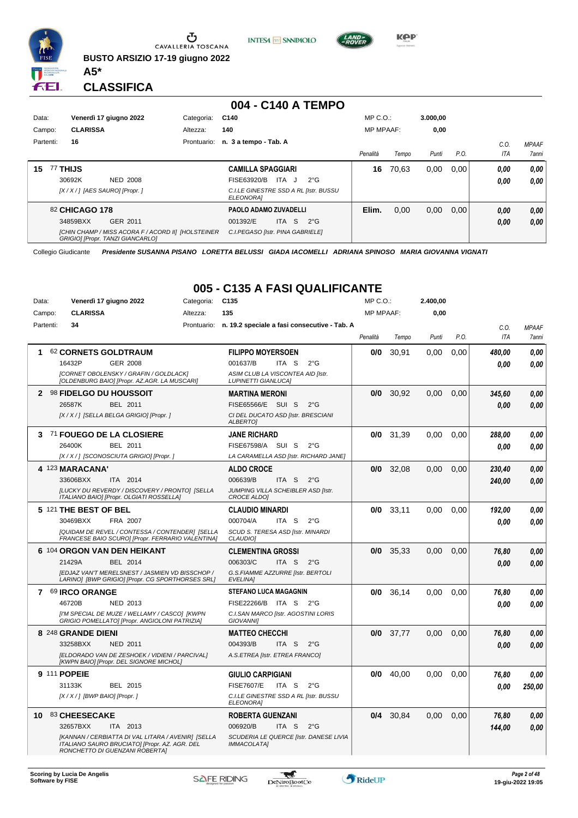

Ū CAVALLERIA TOSCANA

**BUSTO ARSIZIO 17-19 giugno 2022**





**CLASSIFICA**

**A5\***

GER 2011

*GRIGIO] [Propr. TANZI GIANCARLO]*

*[CHIN CHAMP / MISS ACORA F / ACORD II] [HOLSTEINER*

#### **004 - C140 A TEMPO** Data: Venerdì 17 giugno 2022 Categoria: C140 Prontuario: **n. 3 a tempo - Tab. A** Campo: **CLARISSA** Partenti: **16** Altezza: **140** MP C.O.: MP MPAAF: **3.000,00 0,00** *Penalità Tempo Punti P.O. C.O. ITA MPAAF 7anni* **15** 77 **THIJS** NED 2008 **CAMILLA SPAGGIARI** *[X / X / ] [AES SAURO] [Propr. ] C.I.LE GINESTRE SSD A RL [Istr. BUSSU ELEONORA]* 30692K NED 2008 FISE63920/B ITA J 2°G **0,00 0,00 16** 70,63 0,00 0,00 *0,00 0,00 0,00* 82 **CHICAGO 178 PAOLO ADAMO ZUVADELLI Elim.** 0,00 0,00 0,00 *0,00 0,00*

ITA S 2°G

34859BXX GER\_2011 001392/E ITA S 2°G <mark> 0,00 0,00</mark>

Collegio Giudicante *Presidente SUSANNA PISANO LORETTA BELUSSI GIADA IACOMELLI ADRIANA SPINOSO MARIA GIOVANNA VIGNATI*

*C.I.PEGASO [Istr. PINA GABRIELE]*

## **005 - C135 A FASI QUALIFICANTE**

| Data:        | Venerdì 17 giugno 2022                                                                                                                | Categoria: | C <sub>135</sub>                                                | MP C.O.:         |       | 2.400,00 |      |        |              |
|--------------|---------------------------------------------------------------------------------------------------------------------------------------|------------|-----------------------------------------------------------------|------------------|-------|----------|------|--------|--------------|
| Campo:       | <b>CLARISSA</b>                                                                                                                       | Altezza:   | 135                                                             | <b>MP MPAAF:</b> |       | 0,00     |      |        |              |
| Partenti:    | 34                                                                                                                                    |            | Prontuario: n. 19.2 speciale a fasi consecutive - Tab. A        |                  |       |          |      | C.O.   | <b>MPAAF</b> |
|              |                                                                                                                                       |            |                                                                 | Penalità         | Tempo | Punti    | P.O. | ITA    | 7anni        |
| 1            | 62 CORNETS GOLDTRAUM                                                                                                                  |            | <b>FILIPPO MOYERSOEN</b>                                        | 0/0              | 30.91 | 0.00     | 0.00 | 480,00 | 0.00         |
|              | 16432P<br><b>GER 2008</b>                                                                                                             |            | 001637/B<br>ITA S<br>$2^{\circ}$ G                              |                  |       |          |      | 0.00   | 0.00         |
|              | [CORNET OBOLENSKY / GRAFIN / GOLDLACK]<br>[OLDENBURG BAIO] [Propr. AZ.AGR. LA MUSCARI]                                                |            | ASIM CLUB LA VISCONTEA AID [Istr.<br><b>LUPINETTI GIANLUCAI</b> |                  |       |          |      |        |              |
| $\mathbf{2}$ | 98 FIDELGO DU HOUSSOIT                                                                                                                |            | <b>MARTINA MERONI</b>                                           | 0/0              | 30,92 | 0.00     | 0.00 | 345,60 | 0.00         |
|              | 26587K<br><b>BEL 2011</b>                                                                                                             |            | FISE65566/E SUI S<br>$2^{\circ}G$                               |                  |       |          |      | 0.00   | 0.00         |
|              | [X / X / ] [SELLA BELGA GRIGIO] [Propr. ]                                                                                             |            | CI DEL DUCATO ASD [Istr. BRESCIANI<br>ALBERTO]                  |                  |       |          |      |        |              |
| 3            | 71 FOUEGO DE LA CLOSIERE                                                                                                              |            | <b>JANE RICHARD</b>                                             | 0/0              | 31,39 | 0,00     | 0,00 | 288,00 | 0,00         |
|              | 26400K<br>BEL 2011                                                                                                                    |            | FISE67598/A SUI S<br>$2^{\circ}G$                               |                  |       |          |      | 0.00   | 0.00         |
|              | [X / X / ] [SCONOSCIUTA GRIGIO] [Propr. ]                                                                                             |            | LA CARAMELLA ASD [Istr. RICHARD JANE]                           |                  |       |          |      |        |              |
|              | 4 123 MARACANA'                                                                                                                       |            | <b>ALDO CROCE</b>                                               | 0/0              | 32,08 | 0,00     | 0,00 | 230,40 | 0,00         |
|              | 33606BXX<br>ITA 2014                                                                                                                  |            | 006639/B<br>ITA S<br>$2^{\circ}$ G                              |                  |       |          |      | 240,00 | 0.00         |
|              | [LUCKY DU REVERDY / DISCOVERY / PRONTO] [SELLA<br>ITALIANO BAIO] [Propr. OLGIATI ROSSELLA]                                            |            | JUMPING VILLA SCHEIBLER ASD [Istr.<br><b>CROCE ALDOI</b>        |                  |       |          |      |        |              |
|              | 5 121 THE BEST OF BEL                                                                                                                 |            | <b>CLAUDIO MINARDI</b>                                          | 0/0              | 33.11 | 0.00     | 0.00 | 192.00 | 0,00         |
|              | 30469BXX<br>FRA 2007                                                                                                                  |            | 000704/A<br>ITA S<br>$2^{\circ}$ G                              |                  |       |          |      | 0.00   | 0.00         |
|              | [QUIDAM DE REVEL / CONTESSA / CONTENDER] [SELLA<br>FRANCESE BAIO SCURO] [Propr. FERRARIO VALENTINA]                                   |            | SCUD S. TERESA ASD [Istr. MINARDI<br>CLAUDIO]                   |                  |       |          |      |        |              |
|              | 6 104 ORGON VAN DEN HEIKANT                                                                                                           |            | <b>CLEMENTINA GROSSI</b>                                        | 0/0              | 35,33 | 0.00     | 0,00 | 76,80  | 0,00         |
|              | 21429A<br>BEL 2014                                                                                                                    |            | 006303/C<br>ITA <sub>S</sub><br>$2^{\circ}G$                    |                  |       |          |      | 0.00   | 0.00         |
|              | [EDJAZ VAN'T MERELSNEST / JASMIEN VD BISSCHOP /<br>LARINO] [BWP GRIGIO] [Propr. CG SPORTHORSES SRL]                                   |            | G.S.FIAMME AZZURRE [Istr. BERTOLI<br><b>EVELINA1</b>            |                  |       |          |      |        |              |
|              | 7 69 IRCO ORANGE                                                                                                                      |            | <b>STEFANO LUCA MAGAGNIN</b>                                    | 0/0              | 36,14 | 0.00     | 0.00 | 76,80  | 0.00         |
|              | 46720B<br><b>NED 2013</b>                                                                                                             |            | FISE22266/B ITA S<br>$2^{\circ}$ G                              |                  |       |          |      | 0.00   | 0.00         |
|              | [I'M SPECIAL DE MUZE / WELLAMY / CASCO] [KWPN<br>GRIGIO POMELLATO] [Propr. ANGIOLONI PATRIZIA]                                        |            | C.I.SAN MARCO [Istr. AGOSTINI LORIS<br><b>GIOVANNII</b>         |                  |       |          |      |        |              |
|              | 8 248 GRANDE DIENI                                                                                                                    |            | <b>MATTEO CHECCHI</b>                                           | 0/0              | 37,77 | 0,00     | 0,00 | 76,80  | 0,00         |
|              | 33258BXX<br>NED 2011                                                                                                                  |            | 004393/B<br>ITA <sub>S</sub><br>$2^{\circ}$ G                   |                  |       |          |      | 0.00   | 0.00         |
|              | [ELDORADO VAN DE ZESHOEK / VIDIENI / PARCIVAL]<br>[KWPN BAIO] [Propr. DEL SIGNORE MICHOL]                                             |            | A.S.ETREA [Istr. ETREA FRANCO]                                  |                  |       |          |      |        |              |
|              | 9 111 POPEIE                                                                                                                          |            | <b>GIULIO CARPIGIANI</b>                                        | 0/0              | 40,00 | 0,00     | 0,00 | 76,80  | 0,00         |
|              | 31133K<br>BEL 2015                                                                                                                    |            | <b>FISE7607/E</b><br>ITA S<br>$2^{\circ}$ G                     |                  |       |          |      | 0.00   | 250,00       |
|              | [X / X / ] [BWP BAIO] [Propr. ]                                                                                                       |            | C.I.LE GINESTRE SSD A RL [Istr. BUSSU<br><b>ELEONORAI</b>       |                  |       |          |      |        |              |
| 10           | 83 CHEESECAKE                                                                                                                         |            | <b>ROBERTA GUENZANI</b>                                         | 0/4              | 30,84 | 0.00     | 0,00 | 76,80  | 0,00         |
|              | 32657BXX<br>ITA 2013                                                                                                                  |            | 006920/B<br>ITA S<br>$2^{\circ}$ G                              |                  |       |          |      | 144,00 | 0.00         |
|              | [KANNAN / CERBIATTA DI VAL LITARA / AVENIR] [SELLA<br>ITALIANO SAURO BRUCIATO] [Propr. AZ. AGR. DEL<br>RONCHETTO DI GUENZANI ROBERTA] |            | SCUDERIA LE QUERCE [Istr. DANESE LIVIA<br>IMMACOLATA]           |                  |       |          |      |        |              |

 $\mathcal{L}$ 



*0,00*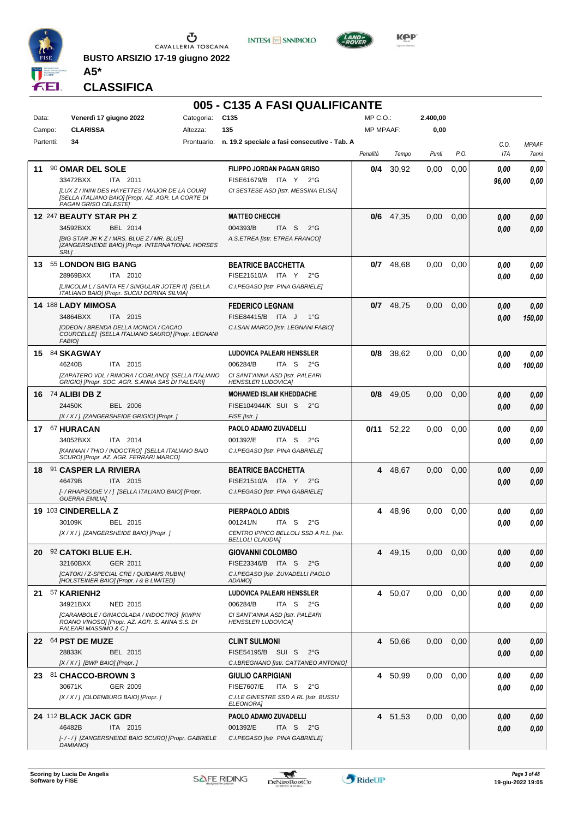

**BUSTO ARSIZIO 17-19 giugno 2022 A5\***





**CLASSIFICA**

## **005 - C135 A FASI QUALIFICANTE**

| Data:     | Venerdì 17 giugno 2022                                                                                                                                                           | Categoria: | C <sub>135</sub>                                                                                                                                 | $MP C. O.$ :     |             | 2.400,00 |      |               |                       |
|-----------|----------------------------------------------------------------------------------------------------------------------------------------------------------------------------------|------------|--------------------------------------------------------------------------------------------------------------------------------------------------|------------------|-------------|----------|------|---------------|-----------------------|
| Campo:    | <b>CLARISSA</b>                                                                                                                                                                  | Altezza:   | 135                                                                                                                                              | <b>MP MPAAF:</b> |             | 0,00     |      |               |                       |
| Partenti: | 34                                                                                                                                                                               |            | Prontuario: n. 19.2 speciale a fasi consecutive - Tab. A                                                                                         | Penalità         | Tempo       | Punti    | P.O. | C.O.<br>ITA   | <b>MPAAF</b><br>7anni |
| 11        | 90 OMAR DEL SOLE<br>33472BXX<br>ITA 2011<br>[LUX Z / ININI DES HAYETTES / MAJOR DE LA COUR]<br>[SELLA ITALIANO BAIO] [Propr. AZ. AGR. LA CORTE DI                                |            | FILIPPO JORDAN PAGAN GRISO<br>FISE61679/B ITA Y<br>$2^{\circ}G$<br>CI SESTESE ASD [Istr. MESSINA ELISA]                                          | 0/4              | 30,92       | 0,00     | 0,00 | 0.00<br>96,00 | 0,00<br>0.00          |
|           | PAGAN GRISO CELESTE]<br>12 247 BEAUTY STAR PH Z<br>34592BXX<br>BEL 2014<br>[BIG STAR JR KZ / MRS. BLUE Z / MR. BLUE]<br>[ZANGERSHEIDE BAIO] [Propr. INTERNATIONAL HORSES<br>SRL] |            | <b>MATTEO CHECCHI</b><br>004393/B<br>ITA S<br>$2^{\circ}$ G<br>A.S.ETREA [Istr. ETREA FRANCO]                                                    |                  | $0/6$ 47,35 | 0,00     | 0,00 | 0.00<br>0.00  | 0,00<br>0,00          |
| 13        | 55 LONDON BIG BANG<br>28969BXX<br>ITA 2010<br>[LINCOLM L / SANTA FE / SINGULAR JOTER II] [SELLA<br>ITALIANO BAIO] [Propr. SUCIU DORINA SILVIA]                                   |            | <b>BEATRICE BACCHETTA</b><br>FISE21510/A ITA Y<br>$2^{\circ}G$<br>C.I.PEGASO [Istr. PINA GABRIELE]                                               | 0/7              | 48,68       | 0,00     | 0,00 | 0.00<br>0.00  | 0,00<br>0.00          |
|           | 14 188 LADY MIMOSA<br>34864BXX<br>ITA 2015<br>[ODEON / BRENDA DELLA MONICA / CACAO<br>COURCELLE] [SELLA ITALIANO SAURO] [Propr. LEGNANI<br><b>FABIO]</b>                         |            | <b>FEDERICO LEGNANI</b><br>FISE84415/B ITA J<br>$1^{\circ}G$<br>C.I.SAN MARCO [Istr. LEGNANI FABIO]                                              | 0/7              | 48,75       | 0,00     | 0,00 | 0.00<br>0.00  | 0,00<br>150,00        |
|           | 15 84 SKAGWAY<br>ITA 2015<br>46240B<br>[ZAPATERO VDL / RIMORA / CORLAND] [SELLA ITALIANO<br>GRIGIO] [Propr. SOC. AGR. S.ANNA SAS DI PALEARI]                                     |            | <b>LUDOVICA PALEARI HENSSLER</b><br>006284/B<br>ITA S<br>$2^{\circ}G$<br>CI SANT'ANNA ASD [Istr. PALEARI<br><b>HENSSLER LUDOVICAI</b>            | 0/8              | 38,62       | 0,00     | 0,00 | 0.00<br>0.00  | 0,00<br>100,00        |
|           | 16 74 ALIBI DB Z<br>24450K<br><b>BEL 2006</b><br>[X / X / ] [ZANGERSHEIDE GRIGIO] [Propr. ]                                                                                      |            | <b>MOHAMED ISLAM KHEDDACHE</b><br>FISE104944/K SUI S<br>$2^{\circ}G$<br>FISE [Istr.]                                                             |                  | $0/8$ 49,05 | 0,00     | 0,00 | 0.00<br>0.00  | 0,00<br>0.00          |
|           | 17 67 HURACAN<br>34052BXX<br>ITA 2014<br>[KANNAN / THIO / INDOCTRO] [SELLA ITALIANO BAIO<br>SCURO] [Propr. AZ. AGR. FERRARI MARCO]                                               |            | PAOLO ADAMO ZUVADELLI<br>001392/E<br>ITA S<br>$2^{\circ}$ G<br>C.I.PEGASO [Istr. PINA GABRIELE]                                                  | 0/11             | 52,22       | 0,00     | 0,00 | 0.00<br>0.00  | 0,00<br>0.00          |
|           | 18 91 CASPER LA RIVIERA<br>46479B<br>ITA 2015<br>[- / RHAPSODIE V / ] [SELLA ITALIANO BAIO] [Propr.<br><b>GUERRA EMILIA]</b>                                                     |            | <b>BEATRICE BACCHETTA</b><br>FISE21510/A ITA Y<br>$2^{\circ}G$<br>C.I.PEGASO [Istr. PINA GABRIELE]                                               |                  | 4 48,67     | 0,00     | 0,00 | 0.00<br>0.00  | 0,00<br>0,00          |
|           | 19 103 CINDERELLA Z<br>30109K<br>BEL 2015<br>[X / X / ] [ZANGERSHEIDE BAIO] [Propr. ]                                                                                            |            | PIERPAOLO ADDIS<br>001241/N<br>ITA S<br>$2^{\circ}$ G<br>CENTRO IPPICO BELLOLI SSD A R.L. [Istr.<br><b>BELLOLI CLAUDIA]</b>                      | 4                | 48,96       | 0,00     | 0,00 | 0.00<br>0.00  | 0,00<br>0,00          |
|           | 20 92 CATOKI BLUE E.H.<br>32160BXX<br>GER 2011<br>[CATOKI / Z-SPECIAL CRE / QUIDAMS RUBIN]<br>[HOLSTEINER BAIO] [Propr. 1 & B LIMITED]                                           |            | <b>GIOVANNI COLOMBO</b><br>FISE23346/B ITA S<br>$2^{\circ}$ G<br>C.I.PEGASO [Istr. ZUVADELLI PAOLO<br>ADAMO]                                     |                  | 4 49,15     | 0,00     | 0.00 | 0,00<br>0.00  | 0,00<br>0,00          |
|           | 21 57 KARIENH2<br>34921BXX<br>NED 2015<br>[CARAMBOLE / GINACOLADA / INDOCTRO] [KWPN<br>ROANO VINOSOI [Propr. AZ. AGR. S. ANNA S.S. DI<br>PALEARI MASSIMO & C.]                   |            | <b>LUDOVICA PALEARI HENSSLER</b><br>ITA <sub>S</sub><br>006284/B<br>$2^{\circ}G$<br>CI SANT'ANNA ASD IIstr. PALEARI<br><b>HENSSLER LUDOVICA]</b> |                  | 4 50,07     | 0.00     | 0,00 | 0.00<br>0.00  | 0,00<br>0,00          |
|           | 22 64 PST DE MUZE<br>28833K<br>BEL 2015<br>$[X/X/]$ [BWP BAIO] [Propr.]                                                                                                          |            | <b>CLINT SULMONI</b><br>FISE54195/B SUI S<br>$2^{\circ}G$<br>C.I.BREGNANO [Istr. CATTANEO ANTONIO]                                               |                  | 4 50,66     | 0.00     | 0,00 | 0.00<br>0.00  | 0,00<br>0,00          |
|           | 23 81 CHACCO-BROWN 3<br>30671K<br>GER 2009<br>[X / X / ] [OLDENBURG BAIO] [Propr. ]                                                                                              |            | GIULIO CARPIGIANI<br><b>FISE7607/E</b><br>ITA S<br>$2^{\circ}$ G<br>C.I.LE GINESTRE SSD A RL [Istr. BUSSU<br><b>ELEONORA]</b>                    |                  | 4 50,99     | 0.00     | 0,00 | 0.00<br>0.00  | 0,00<br>0.00          |
|           | 24 112 BLACK JACK GDR<br>46482B<br>ITA 2015<br>[-/-/] [ZANGERSHEIDE BAIO SCURO] [Propr. GABRIELE<br>DAMIANO]                                                                     |            | PAOLO ADAMO ZUVADELLI<br>001392/E<br>ITA S 2°G<br>C.I.PEGASO [Istr. PINA GABRIELE]                                                               |                  | 4 51,53     | 0.00     | 0,00 | 0.00<br>0.00  | 0,00<br>0,00          |

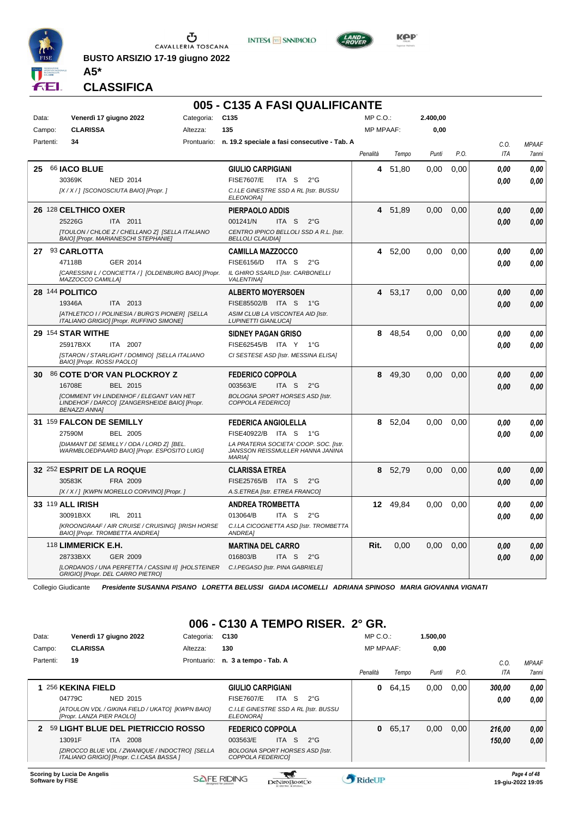

**BUSTO ARSIZIO 17-19 giugno 2022**





**CLASSIFICA**

**A5\***

## **005 - C135 A FASI QUALIFICANTE**

| Data: | Venerdì 17 giugno 2022<br><b>CLARISSA</b><br>Campo:                                                                     | Categoria:<br>Altezza: | C <sub>135</sub><br>135                                                                     | MP C. O.<br><b>MP MPAAF:</b> |          | 2.400,00<br>0,00 |      |             |                              |
|-------|-------------------------------------------------------------------------------------------------------------------------|------------------------|---------------------------------------------------------------------------------------------|------------------------------|----------|------------------|------|-------------|------------------------------|
|       | Partenti:<br>34                                                                                                         |                        | Prontuario: n. 19.2 speciale a fasi consecutive - Tab. A                                    |                              |          |                  |      |             |                              |
|       |                                                                                                                         |                        |                                                                                             | Penalità                     | Tempo    | Punti            | P.O. | C.O.<br>ITA | <b>MPAAF</b><br><b>7anni</b> |
|       |                                                                                                                         |                        |                                                                                             |                              |          |                  |      |             |                              |
| 25    | 66 <b>JACO BLUE</b><br>30369K<br><b>NED 2014</b>                                                                        |                        | <b>GIULIO CARPIGIANI</b><br><b>FISE7607/E</b><br>ITA S<br>$2^{\circ}$ G                     | 4                            | 51,80    | 0,00             | 0,00 | 0.00        | 0,00                         |
|       | [X / X / ] [SCONOSCIUTA BAIO] [Propr. ]                                                                                 |                        | C.I.LE GINESTRE SSD A RL [Istr. BUSSU<br>ELEONORA]                                          |                              |          |                  |      | 0.00        | 0.00                         |
|       | 26 128 CELTHICO OXER                                                                                                    |                        | <b>PIERPAOLO ADDIS</b>                                                                      | 4                            | 51.89    | 0,00             | 0.00 | 0,00        | 0,00                         |
|       | 25226G<br>ITA 2011                                                                                                      |                        | 001241/N<br>ITA <sub>S</sub><br>$2^{\circ}$ G                                               |                              |          |                  |      | 0.00        | 0.00                         |
|       | [TOULON / CHLOE Z / CHELLANO Z] [SELLA ITALIANO<br>BAIO] [Propr. MARIANESCHI STEPHANIE]                                 |                        | CENTRO IPPICO BELLOLI SSD A R.L. [Istr.<br><b>BELLOLI CLAUDIA]</b>                          |                              |          |                  |      |             |                              |
|       | 27 93 CARLOTTA                                                                                                          |                        | <b>CAMILLA MAZZOCCO</b>                                                                     |                              | 4 52,00  | 0.00             | 0,00 | 0.00        | 0.00                         |
|       | 47118B<br>GER 2014                                                                                                      |                        | <b>FISE6156/D</b><br>ITA S<br>$2^{\circ}$ G                                                 |                              |          |                  |      | 0.00        | 0.00                         |
|       | [CARESSINI L / CONCIETTA / ] [OLDENBURG BAIO] [Propr.<br>MAZZOCCO CAMILLA]                                              |                        | IL GHIRO SSARLD [Istr. CARBONELLI<br><b>VALENTINA1</b>                                      |                              |          |                  |      |             |                              |
|       | 28 144 POLITICO                                                                                                         |                        | <b>ALBERTO MOYERSOEN</b>                                                                    | 4                            | 53,17    | 0.00             | 0.00 | 0.00        | 0.00                         |
|       | 19346A<br>ITA 2013                                                                                                      |                        | FISE85502/B ITA S 1°G                                                                       |                              |          |                  |      | 0.00        | 0.00                         |
|       | [ATHLETICO I / POLINESIA / BURG'S PIONER] [SELLA<br>ITALIANO GRIGIO] [Propr. RUFFINO SIMONE]                            |                        | ASIM CLUB LA VISCONTEA AID [Istr.<br><b>LUPINETTI GIANLUCAI</b>                             |                              |          |                  |      |             |                              |
|       | 29 154 STAR WITHE                                                                                                       |                        | <b>SIDNEY PAGAN GRISO</b>                                                                   | 8                            | 48,54    | 0.00             | 0,00 | 0.00        | 0,00                         |
|       | 25917BXX<br>ITA 2007                                                                                                    |                        | FISE62545/B ITA Y 1°G                                                                       |                              |          |                  |      | 0.00        | 0.00                         |
|       | [STARON / STARLIGHT / DOMINO] [SELLA ITALIANO<br>BAIO] [Propr. ROSSI PAOLO]                                             |                        | CI SESTESE ASD [Istr. MESSINA ELISA]                                                        |                              |          |                  |      |             |                              |
| 30    | 86 COTE D'OR VAN PLOCKROY Z                                                                                             |                        | <b>FEDERICO COPPOLA</b>                                                                     | 8                            | 49,30    | 0.00             | 0,00 | 0.00        | 0.00                         |
|       | 16708E<br>BEL 2015                                                                                                      |                        | 003563/E<br>ITA <sub>S</sub><br>$2^{\circ}$ G                                               |                              |          |                  |      | 0,00        | 0,00                         |
|       | <b>ICOMMENT VH LINDENHOF / ELEGANT VAN HET</b><br>LINDEHOF / DARCO] [ZANGERSHEIDE BAIO] [Propr.<br><b>BENAZZI ANNA]</b> |                        | <b>BOLOGNA SPORT HORSES ASD [Istr.</b><br>COPPOLA FEDERICO1                                 |                              |          |                  |      |             |                              |
|       | 31 159 FALCON DE SEMILLY                                                                                                |                        | <b>FEDERICA ANGIOLELLA</b>                                                                  | 8                            | 52,04    | 0.00             | 0.00 | 0.00        | 0,00                         |
|       | 27590M<br><b>BEL 2005</b>                                                                                               |                        | FISE40922/B ITA S<br>1°G                                                                    |                              |          |                  |      | 0.00        | 0.00                         |
|       | [DIAMANT DE SEMILLY / ODA / LORD Z] [BEL.<br>WARMBLOEDPAARD BAIO] [Propr. ESPOSITO LUIGI]                               |                        | LA PRATERIA SOCIETA' COOP. SOC. [Istr.<br>JANSSON REISSMULLER HANNA JANINA<br><b>MARIA1</b> |                              |          |                  |      |             |                              |
|       | 32 252 ESPRIT DE LA ROQUE                                                                                               |                        | <b>CLARISSA ETREA</b>                                                                       | 8                            | 52,79    | 0,00             | 0,00 | 0.00        | 0,00                         |
|       | 30583K<br>FRA 2009                                                                                                      |                        | FISE25765/B ITA S<br>$2^{\circ}$ G                                                          |                              |          |                  |      | 0.00        | 0.00                         |
|       | [X / X / ] [KWPN MORELLO CORVINO] [Propr. ]                                                                             |                        | A.S.ETREA [Istr. ETREA FRANCO]                                                              |                              |          |                  |      |             |                              |
|       | 33 119 ALL IRISH                                                                                                        |                        | <b>ANDREA TROMBETTA</b>                                                                     |                              | 12 49,84 | 0,00             | 0,00 | 0.00        | 0,00                         |
|       | 30091BXX<br>IRL 2011                                                                                                    |                        | 013064/B<br>ITA S<br>$2^{\circ}G$                                                           |                              |          |                  |      | 0.00        | 0.00                         |
|       | [KROONGRAAF / AIR CRUISE / CRUISING] [IRISH HORSE<br>BAIO] [Propr. TROMBETTA ANDREA]                                    |                        | C.I.LA CICOGNETTA ASD [Istr. TROMBETTA<br><b>ANDREA</b>                                     |                              |          |                  |      |             |                              |
|       | 118 LIMMERICK E.H.                                                                                                      |                        | <b>MARTINA DEL CARRO</b>                                                                    | Rit.                         | 0.00     | 0.00             | 0.00 | 0.00        | 0,00                         |
|       | 28733BXX<br>GER 2009                                                                                                    |                        | 016803/B<br>ITA S<br>$2^{\circ}$ G                                                          |                              |          |                  |      | 0.00        | 0,00                         |
|       | [LORDANOS / UNA PERFETTA / CASSINI II] [HOLSTEINER<br>GRIGIO] [Propr. DEL CARRO PIETRO]                                 |                        | C.I.PEGASO [Istr. PINA GABRIELE]                                                            |                              |          |                  |      |             |                              |

Collegio Giudicante *Presidente SUSANNA PISANO LORETTA BELUSSI GIADA IACOMELLI ADRIANA SPINOSO MARIA GIOVANNA VIGNATI*

## **006 - C130 A TEMPO RISER. 2° GR.**

| Data:                   | Venerdì 17 giugno 2022                                                                       | Categoria:  | C <sub>130</sub>                                            |              | $MP C. O.$ :     |       | 1.500.00 |      |        |                                   |
|-------------------------|----------------------------------------------------------------------------------------------|-------------|-------------------------------------------------------------|--------------|------------------|-------|----------|------|--------|-----------------------------------|
| Campo:                  | <b>CLARISSA</b>                                                                              | Altezza:    | 130                                                         |              | <b>MP MPAAF:</b> |       | 0,00     |      |        |                                   |
| Partenti:               | 19                                                                                           | Prontuario: | n. 3 a tempo - Tab. A                                       |              |                  |       |          |      | C.0    | <b>MPAAF</b>                      |
|                         |                                                                                              |             |                                                             |              | Penalità         | Tempo | Punti    | P.O. | ITA    | 7anni                             |
|                         | 256 KEKINA FIELD                                                                             |             | <b>GIULIO CARPIGIANI</b>                                    |              | 0                | 64,15 | 0,00     | 0.00 | 300.00 | 0,00                              |
|                         | 04779C<br><b>NED 2015</b>                                                                    |             | `S<br><b>FISE7607/E</b><br><b>ITA</b>                       | $2^{\circ}G$ |                  |       |          |      | 0.00   | 0,00                              |
|                         | [ATOULON VDL / GIKINA FIELD / UKATO] [KWPN BAIO]<br>[Propr. LANZA PIER PAOLO]                |             | C.I.LE GINESTRE SSD A RL [Istr. BUSSU<br>ELEONORA]          |              |                  |       |          |      |        |                                   |
| 2                       | 59 LIGHT BLUE DEL PIETRICCIO ROSSO                                                           |             | <b>FEDERICO COPPOLA</b>                                     |              | $\mathbf{0}$     | 65,17 | 0,00     | 0.00 | 216.00 | 0,00                              |
|                         | <b>ITA 2008</b><br>13091F                                                                    |             | -S<br>003563/E<br>ITA I                                     | $2^{\circ}G$ |                  |       |          |      | 150,00 | 0.00                              |
|                         | [ZIROCCO BLUE VDL / ZWANIQUE / INDOCTRO] [SELLA<br>ITALIANO GRIGIO] [Propr. C.I.CASA BASSA ] |             | <b>BOLOGNA SPORT HORSES ASD [Istr.</b><br>COPPOLA FEDERICO1 |              |                  |       |          |      |        |                                   |
| <b>Software by FISE</b> | Scoring by Lucia De Angelis                                                                  |             | <b>SAFE RIDING</b><br>DeNiroBootCo                          |              | <b>RideUP</b>    |       |          |      |        | Page 4 of 48<br>19-aiu-2022 19:05 |

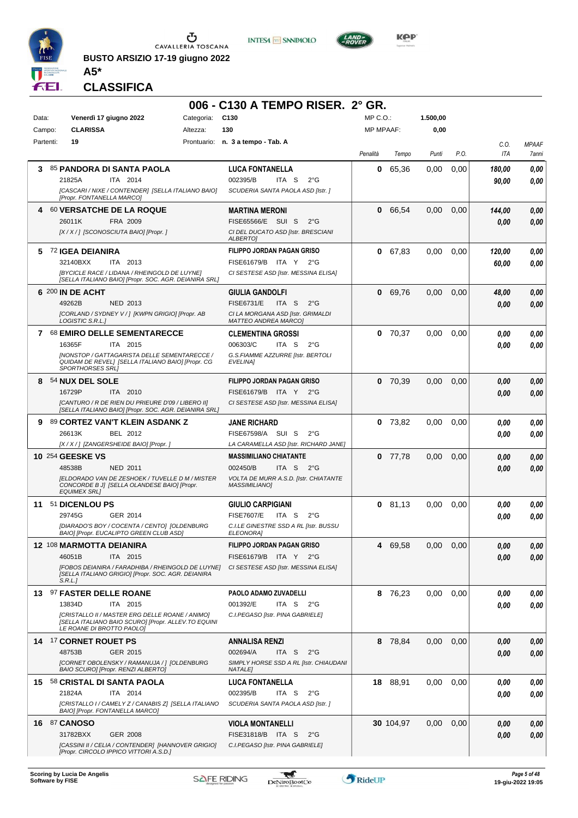

**BUSTO ARSIZIO 17-19 giugno 2022 A5\***





**CLASSIFICA**

|           |                                                                                                                                     |                 | 006 - C130 A TEMPO RISER. 2° GR.                                                     |                  |           |          |      |                    |                       |
|-----------|-------------------------------------------------------------------------------------------------------------------------------------|-----------------|--------------------------------------------------------------------------------------|------------------|-----------|----------|------|--------------------|-----------------------|
| Data:     | Venerdì 17 giugno 2022                                                                                                              | Categoria: C130 |                                                                                      | $MP C. O.$ :     |           | 1.500,00 |      |                    |                       |
| Campo:    | <b>CLARISSA</b>                                                                                                                     | Altezza:        | 130                                                                                  | <b>MP MPAAF:</b> |           | 0,00     |      |                    |                       |
| Partenti: | 19                                                                                                                                  |                 | Prontuario: n. 3 a tempo - Tab. A                                                    | Penalità         | Tempo     | Punti    | P.O. | C.O.<br><b>ITA</b> | <b>MPAAF</b><br>7anni |
| 3         | 85 PANDORA DI SANTA PAOLA                                                                                                           |                 | <b>LUCA FONTANELLA</b>                                                               | 0                | 65,36     | 0,00     | 0,00 | 180,00             | 0.00                  |
|           | 21825A<br>ITA 2014                                                                                                                  |                 | 002395/B<br>ITA <sub>S</sub><br>$2^{\circ}$ G                                        |                  |           |          |      | 90,00              | 0.00                  |
|           | [CASCARI / NIXE / CONTENDER] [SELLA ITALIANO BAIO]<br>[Propr. FONTANELLA MARCO]                                                     |                 | SCUDERIA SANTA PAOLA ASD IIstr. 1                                                    |                  |           |          |      |                    |                       |
| 4         | 60 VERSATCHE DE LA ROQUE                                                                                                            |                 | <b>MARTINA MERONI</b>                                                                | 0                | 66,54     | 0,00     | 0,00 | 144,00             | 0,00                  |
|           | 26011K<br>FRA 2009<br>[X / X / ] [SCONOSCIUTA BAIO] [Propr. ]                                                                       |                 | FISE65566/E SUI S<br>$2^{\circ}$ G<br>CI DEL DUCATO ASD [Istr. BRESCIANI             |                  |           |          |      | 0.00               | 0,00                  |
|           |                                                                                                                                     |                 | <b>ALBERTOI</b>                                                                      |                  |           |          |      |                    |                       |
|           | 5 72 IGEA DEIANIRA                                                                                                                  |                 | FILIPPO JORDAN PAGAN GRISO                                                           | 0                | 67,83     | 0,00     | 0.00 | 120,00             | 0,00                  |
|           | ITA 2013<br>32140BXX<br>[BYCICLE RACE / LIDANA / RHEINGOLD DE LUYNE]                                                                |                 | FISE61679/B ITA Y<br>$2^{\circ}G$<br>CI SESTESE ASD [Istr. MESSINA ELISA]            |                  |           |          |      | 60,00              | 0.00                  |
|           | [SELLA ITALIANO BAIO] [Propr. SOC. AGR. DEIANIRA SRL]                                                                               |                 |                                                                                      |                  |           |          |      |                    |                       |
|           | 6 200 IN DE ACHT                                                                                                                    |                 | <b>GIULIA GANDOLFI</b>                                                               | 0                | 69,76     | 0,00     | 0,00 | 48,00              | 0,00                  |
|           | 49262B<br>NED 2013                                                                                                                  |                 | <b>FISE6731/E</b><br>ITA S<br>$2^{\circ}$ G                                          |                  |           |          |      | 0.00               | 0.00                  |
|           | [CORLAND / SYDNEY V / ] [KWPN GRIGIO] [Propr. AB<br>LOGISTIC S.R.L.1                                                                |                 | CI LA MORGANA ASD [Istr. GRIMALDI<br><b>MATTEO ANDREA MARCOI</b>                     |                  |           |          |      |                    |                       |
|           | 7 68 EMIRO DELLE SEMENTARECCE                                                                                                       |                 | <b>CLEMENTINA GROSSI</b>                                                             |                  | $0$ 70,37 | 0,00     | 0.00 | 0.00               | 0,00                  |
|           | 16365F<br>ITA 2015                                                                                                                  |                 | 006303/C<br>ITA S<br>$2^{\circ}$ G                                                   |                  |           |          |      | 0.00               | 0.00                  |
|           | <b>INONSTOP / GATTAGARISTA DELLE SEMENTARECCE /</b><br>QUIDAM DE REVEL] [SELLA ITALIANO BAIO] [Propr. CG<br><b>SPORTHORSES SRLI</b> |                 | G.S.FIAMME AZZURRE [Istr. BERTOLI<br>EVELINA]                                        |                  |           |          |      |                    |                       |
| 8         | <b>54 NUX DEL SOLE</b>                                                                                                              |                 | <b>FILIPPO JORDAN PAGAN GRISO</b>                                                    | 0                | 70,39     | 0,00     | 0,00 | 0.00               | 0,00                  |
|           | 16729P<br>ITA 2010                                                                                                                  |                 | FISE61679/B ITA Y 2°G                                                                |                  |           |          |      | 0.00               | 0.00                  |
|           | [CANTURO / R DE RIEN DU PRIEURE D'09 / LIBERO II]<br>[SELLA ITALIANO BAIO] [Propr. SOC. AGR. DEIANIRA SRL]                          |                 | CI SESTESE ASD [Istr. MESSINA ELISA]                                                 |                  |           |          |      |                    |                       |
| 9         | 89 CORTEZ VAN'T KLEIN ASDANK Z                                                                                                      |                 | JANE RICHARD                                                                         | 0                | 73,82     | 0,00     | 0,00 | 0.00               | 0.00                  |
|           | 26613K<br>BEL 2012                                                                                                                  |                 | FISE67598/A SUI S<br>$2^{\circ}G$                                                    |                  |           |          |      | 0.00               | 0.00                  |
|           | [X / X / ] [ZANGERSHEIDE BAIO] [Propr. ]                                                                                            |                 | LA CARAMELLA ASD [Istr. RICHARD JANE]                                                |                  |           |          |      |                    |                       |
|           | <b>10 254 GEESKE VS</b><br>48538B<br>NED 2011                                                                                       |                 | <b>MASSIMILIANO CHIATANTE</b><br>002450/B<br>ITA S<br>$2^{\circ}G$                   | 0                | 77,78     | 0,00     | 0,00 | 0.00<br>0.00       | 0,00<br>0,00          |
|           | <b>IELDORADO VAN DE ZESHOEK / TUVELLE D M / MISTER</b>                                                                              |                 | VOLTA DE MURR A.S.D. [Istr. CHIATANTE                                                |                  |           |          |      |                    |                       |
|           | CONCORDE B J] [SELLA OLANDESE BAIO] [Propr.<br><b>EQUIMEX SRL]</b>                                                                  |                 | <b>MASSIMILIANO1</b>                                                                 |                  |           |          |      |                    |                       |
|           | 11 51 DICENLOU PS                                                                                                                   |                 | <b>GIULIO CARPIGIANI</b>                                                             | 0                | 81,13     | 0,00     | 0,00 | 0.00               | 0,00                  |
|           | 29745G<br>GER 2014<br>[DIARADO'S BOY / COCENTA / CENTO] [OLDENBURG                                                                  |                 | <b>FISE7607/E</b><br>ITA S<br>$2^{\circ}$ G<br>C.I.LE GINESTRE SSD A RL [Istr. BUSSU |                  |           |          |      | 0.00               | 0.00                  |
|           | BAIO] [Propr. EUCALIPTO GREEN CLUB ASD]                                                                                             |                 | <i>ELEONORA]</i>                                                                     |                  |           |          |      |                    |                       |
|           | 12 108 MARMOTTA DEIANIRA                                                                                                            |                 | <b>FILIPPO JORDAN PAGAN GRISO</b>                                                    | 4                | 69,58     | 0,00     | 0,00 | 0,00               | 0,00                  |
|           | ITA 2015<br>46051B                                                                                                                  |                 | FISE61679/B ITA Y 2°G                                                                |                  |           |          |      | 0,00               | 0,00                  |
|           | [FOBOS DEIANIRA / FARADHIBA / RHEINGOLD DE LUYNE]<br>[SELLA ITALIANO GRIGIO] [Propr. SOC. AGR. DEIANIRA<br>S.R.L.                   |                 | CI SESTESE ASD [Istr. MESSINA ELISA]                                                 |                  |           |          |      |                    |                       |
|           | 13 97 FASTER DELLE ROANE                                                                                                            |                 | PAOLO ADAMO ZUVADELLI                                                                |                  | 8 76,23   | 0,00     | 0.00 | 0.00               | 0,00                  |
|           | ITA 2015<br>13834D                                                                                                                  |                 | 001392/E<br>ITA S 2°G                                                                |                  |           |          |      | 0.00               | 0,00                  |
|           | [CRISTALLO II / MASTER ERG DELLE ROANE / ANIMO]<br>[SELLA ITALIANO BAIO SCURO] [Propr. ALLEV.TO EQUINI<br>LE ROANE DI BROTTO PAOLO] |                 | C.I.PEGASO [Istr. PINA GABRIELE]                                                     |                  |           |          |      |                    |                       |
|           | 14 17 CORNET ROUET PS                                                                                                               |                 | ANNALISA RENZI                                                                       |                  | 8 78,84   | 0,00     | 0,00 | 0,00               | 0,00                  |
|           | 48753B<br>GER 2015                                                                                                                  |                 | 002694/A<br>ITA S<br>$2^{\circ}$ G                                                   |                  |           |          |      | 0,00               | 0,00                  |
|           | [CORNET OBOLENSKY / RAMANUJA / ] [OLDENBURG<br>BAIO SCURO] [Propr. RENZI ALBERTO]                                                   |                 | SIMPLY HORSE SSD A RL [Istr. CHIAUDANI<br><b>NATALE]</b>                             |                  |           |          |      |                    |                       |
|           | 15 58 CRISTAL DI SANTA PAOLA                                                                                                        |                 | <b>LUCA FONTANELLA</b>                                                               |                  | 18 88,91  | 0,00     | 0,00 | 0,00               | 0,00                  |
|           | 21824A<br>ITA 2014                                                                                                                  |                 | 002395/B<br>ITA S<br>$2^{\circ}$ G                                                   |                  |           |          |      | 0,00               | 0,00                  |
|           | [CRISTALLO I / CAMELY Z / CANABIS Z] [SELLA ITALIANO<br>BAIO] [Propr. FONTANELLA MARCO]                                             |                 | SCUDERIA SANTA PAOLA ASD [Istr. ]                                                    |                  |           |          |      |                    |                       |
|           | 16 87 CANOSO                                                                                                                        |                 | <b>VIOLA MONTANELLI</b>                                                              |                  | 30 104,97 | 0,00     | 0,00 | 0,00               | 0,00                  |
|           | GER 2008<br>31782BXX                                                                                                                |                 | FISE31818/B ITA S<br>$2^{\circ}$ G                                                   |                  |           |          |      | 0,00               | 0,00                  |
|           | [CASSINI II / CELIA / CONTENDER] [HANNOVER GRIGIO]<br>[Propr. CIRCOLO IPPICO VITTORI A.S.D.]                                        |                 | C.I.PEGASO [Istr. PINA GABRIELE]                                                     |                  |           |          |      |                    |                       |

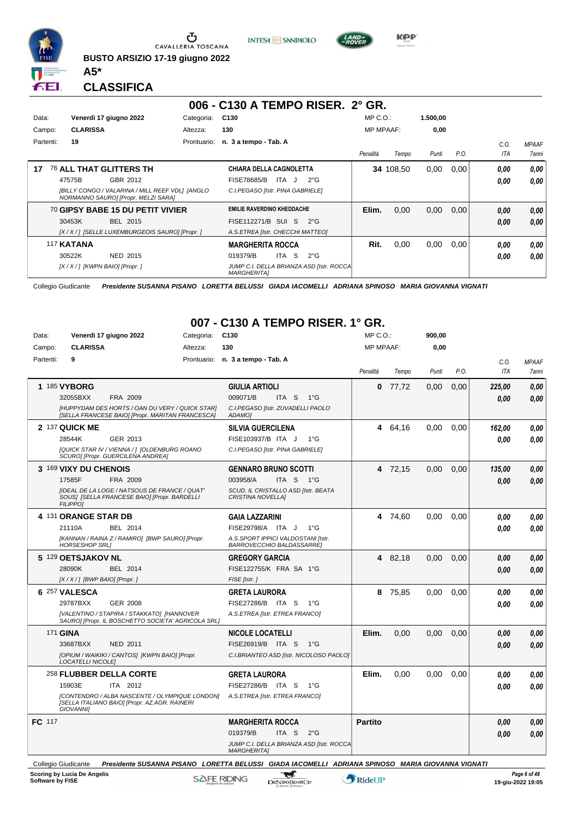

**BUSTO ARSIZIO 17-19 giugno 2022**





**Kep** 

#### **CLASSIFICA**

**A5\***

|           |                                  |                                                                                        |             | 006 - C130 A TEMPO RISER. 2° GR.                                |              |                  |          |      |            |              |
|-----------|----------------------------------|----------------------------------------------------------------------------------------|-------------|-----------------------------------------------------------------|--------------|------------------|----------|------|------------|--------------|
| Data:     |                                  | Venerdì 17 giugno 2022                                                                 | Categoria:  | C <sub>130</sub>                                                | $MP C. O.$ : |                  | 1.500,00 |      |            |              |
| Campo:    | <b>CLARISSA</b>                  |                                                                                        | Altezza:    | 130                                                             |              | <b>MP MPAAF:</b> | 0,00     |      |            |              |
| Partenti: | 19                               |                                                                                        | Prontuario: | n. 3 a tempo - Tab. A                                           |              |                  |          |      | C.O.       | <b>MPAAF</b> |
|           |                                  |                                                                                        |             |                                                                 | Penalità     | Tempo            | Punti    | P.O. | <b>ITA</b> | <b>7anni</b> |
| 17        |                                  | <b>76 ALL THAT GLITTERS TH</b>                                                         |             | <b>CHIARA DELLA CAGNOLETTA</b>                                  |              | 34 108.50        | 0,00     | 0.00 | 0.00       | 0,00         |
|           | 47575B                           | GBR 2012                                                                               |             | <b>FISE78685/B</b><br>$2^{\circ}G$<br>ITA J                     |              |                  |          |      | 0.00       | 0.00         |
|           |                                  | [BILLY CONGO / VALARINA / MILL REEF VDL] [ANGLO<br>NORMANNO SAURO] [Propr. MELZI SARA] |             | C.I.PEGASO [Istr. PINA GABRIELE]                                |              |                  |          |      |            |              |
|           |                                  | <sup>70</sup> GIPSY BABE 15 DU PETIT VIVIER                                            |             | <b>EMILIE RAVERDINO KHEDDACHE</b>                               | Elim.        | 0,00             | 0,00     | 0,00 | 0,00       | 0,00         |
|           | 30453K                           | BEL 2015                                                                               |             | FISE112271/B SUI S<br>$2^{\circ}G$                              |              |                  |          |      | 0.00       | 0,00         |
|           |                                  | [X / X / 1 [SELLE LUXEMBURGEOIS SAURO] [Propr. ]                                       |             | A.S.ETREA [Istr. CHECCHI MATTEO]                                |              |                  |          |      |            |              |
|           | 117 KATANA                       |                                                                                        |             | <b>MARGHERITA ROCCA</b>                                         | Rit.         | 0.00             | 0,00     | 0.00 | 0.00       | 0,00         |
|           | 30522K                           | <b>NED 2015</b>                                                                        |             | ITA S<br>019379/B<br>$2^{\circ}$ G                              |              |                  |          |      | 0.00       | 0.00         |
|           | [X / X / ] [KWPN BAIO] [Propr. ] |                                                                                        |             | JUMP C.I. DELLA BRIANZA ASD [Istr. ROCCA]<br><b>MARGHERITAI</b> |              |                  |          |      |            |              |

Collegio Giudicante *Presidente SUSANNA PISANO LORETTA BELUSSI GIADA IACOMELLI ADRIANA SPINOSO MARIA GIOVANNA VIGNATI*

### **007 - C130 A TEMPO RISER. 1° GR.**

| Data:     | Venerdì 17 giugno 2022                                                                                                     | Categoria: | C <sub>130</sub>                                                                                           | MP C. O.         |         | 900,00 |      |            |              |
|-----------|----------------------------------------------------------------------------------------------------------------------------|------------|------------------------------------------------------------------------------------------------------------|------------------|---------|--------|------|------------|--------------|
| Campo:    | <b>CLARISSA</b>                                                                                                            | Altezza:   | 130                                                                                                        | <b>MP MPAAF:</b> |         | 0.00   |      |            |              |
| Partenti: | 9                                                                                                                          |            | Prontuario: n. 3 a tempo - Tab. A                                                                          |                  |         |        |      | C.0.       | <b>MPAAF</b> |
|           |                                                                                                                            |            |                                                                                                            | Penalità         | Tempo   | Punti  | P.O. | <b>ITA</b> | 7anni        |
|           | 1 185 VYBORG                                                                                                               |            | <b>GIULIA ARTIOLI</b>                                                                                      | 0                | 77,72   | 0,00   | 0,00 | 225,00     | 0.00         |
|           | 32055BXX<br>FRA 2009                                                                                                       |            | 009071/B<br>ITA S<br>$1^{\circ}G$                                                                          |                  |         |        |      | 0.00       | 0.00         |
|           | [HUPPYDAM DES HORTS / OAN DU VERY / QUICK STAR]<br>[SELLA FRANCESE BAIO] [Propr. MARITAN FRANCESCA]                        |            | C.I.PEGASO [Istr. ZUVADELLI PAOLO<br>ADAMO]                                                                |                  |         |        |      |            |              |
|           | 2 137 QUICK ME                                                                                                             |            | <b>SILVIA GUERCILENA</b>                                                                                   |                  | 4 64,16 | 0,00   | 0,00 | 162,00     | 0.00         |
|           | 28544K<br>GER 2013                                                                                                         |            | FISE103937/B ITA J<br>$1^{\circ}$ G                                                                        |                  |         |        |      | 0.00       | 0.00         |
|           | [QUICK STAR IV / VIENNA / ] [OLDENBURG ROANO<br>SCURO] [Propr. GUERCILENA ANDREA]                                          |            | C.I.PEGASO [Istr. PINA GABRIELE]                                                                           |                  |         |        |      |            |              |
|           | 3 169 VIXY DU CHENOIS                                                                                                      |            | <b>GENNARO BRUNO SCOTTI</b>                                                                                |                  | 4 72,15 | 0,00   | 0.00 | 135,00     | 0.00         |
|           | 17585F<br>FRA 2009                                                                                                         |            | 003958/A<br>ITA S 1°G                                                                                      |                  |         |        |      | 0.00       | 0.00         |
|           | <b>IIDEAL DE LA LOGE / NATSOUS DE FRANCE / QUAT'</b><br>SOUS] [SELLA FRANCESE BAIO] [Propr. BARDELLI<br><b>FILIPPOI</b>    |            | SCUD. IL CRISTALLO ASD [Istr. BEATA<br><b>CRISTINA NOVELLAI</b>                                            |                  |         |        |      |            |              |
|           | 4 131 ORANGE STAR DB                                                                                                       |            | <b>GAIA LAZZARINI</b>                                                                                      |                  | 4 74,60 | 0.00   | 0.00 | 0,00       | 0,00         |
|           | 21110A<br>BEL 2014                                                                                                         |            | FISE29798/A ITA J<br>1°G                                                                                   |                  |         |        |      | 0.00       | 0.00         |
|           | [KANNAN / RAINA Z / RAMIRO] [BWP SAURO] [Propr.<br><b>HORSESHOP SRL1</b>                                                   |            | A.S.SPORT IPPICI VALDOSTANI [Istr.<br>BARROVECCHIO BALDASSARRE]                                            |                  |         |        |      |            |              |
|           | 5 129 OETSJAKOV NL                                                                                                         |            | <b>GREGORY GARCIA</b>                                                                                      |                  | 4 82,18 | 0,00   | 0,00 | 0.00       | 0,00         |
|           | 28090K<br>BEL 2014                                                                                                         |            | FISE122755/K FRA SA 1°G                                                                                    |                  |         |        |      | 0.00       | 0.00         |
|           | $[X/X/]$ [BWP BAIO] [Propr.]                                                                                               |            | FISE [Istr.]                                                                                               |                  |         |        |      |            |              |
|           | 6 257 VALESCA                                                                                                              |            | <b>GRETA LAURORA</b>                                                                                       | 8                | 75,85   | 0,00   | 0.00 | 0.00       | 0.00         |
|           | 29787BXX<br><b>GER 2008</b>                                                                                                |            | FISE27286/B ITA S<br>$1^{\circ}G$                                                                          |                  |         |        |      | 0.00       | 0.00         |
|           | [VALENTINO / STAPIRA / STAKKATO] [HANNOVER<br>SAURO] [Propr. IL BOSCHETTO SOCIETA' AGRICOLA SRL]                           |            | A.S.ETREA [Istr. ETREA FRANCO]                                                                             |                  |         |        |      |            |              |
|           | 171 <b>GINA</b>                                                                                                            |            | <b>NICOLE LOCATELLI</b>                                                                                    | Elim.            | 0.00    | 0.00   | 0.00 | 0.00       | 0.00         |
|           | 33687BXX<br><b>NED 2011</b>                                                                                                |            | FISE26919/B ITA S<br>$-1^{\circ}$ G                                                                        |                  |         |        |      | 0.00       | 0.00         |
|           | [OPIUM / WAIKIKI / CANTOS] [KWPN BAIO] [Propr.<br><b>LOCATELLI NICOLE]</b>                                                 |            | C.I.BRIANTEO ASD [Istr. NICOLOSO PAOLO]                                                                    |                  |         |        |      |            |              |
|           | 258 FLUBBER DELLA CORTE                                                                                                    |            | <b>GRETA LAURORA</b>                                                                                       | Elim.            | 0,00    | 0.00   | 0,00 | 0.00       | 0.00         |
|           | 15903E<br>ITA 2012                                                                                                         |            | FISE27286/B ITA S<br>− 1°G                                                                                 |                  |         |        |      | 0.00       | 0,00         |
|           | <b>ICONTENDRO / ALBA NASCENTE / OLYMPIQUE LONDONI</b><br>[SELLA ITALIANO BAIO] [Propr. AZ.AGR. RAINERI<br><b>GIOVANNII</b> |            | A.S.ETREA [Istr. ETREA FRANCO]                                                                             |                  |         |        |      |            |              |
| FC 117    |                                                                                                                            |            | <b>MARGHERITA ROCCA</b>                                                                                    | <b>Partito</b>   |         |        |      | 0.00       | 0,00         |
|           |                                                                                                                            |            | 019379/B<br>ITA <sub>S</sub><br>$2^{\circ}$ G                                                              |                  |         |        |      | 0.00       | 0.00         |
|           |                                                                                                                            |            | JUMP C.I. DELLA BRIANZA ASD [Istr. ROCCA<br><b>MARGHERITAI</b>                                             |                  |         |        |      |            |              |
|           | Collogia Ciudicante                                                                                                        |            | <b>Dreaidente CUCANNA DICANO, LODETTA DELUCCU CIADA IACOMELLI, ADDIANA COINOCO, MADIA CIOVANNA VICNATI</b> |                  |         |        |      |            |              |

Collegio Giudicante *Presidente SUSANNA PISANO LORETTA BELUSSI GIADA IACOMELLI ADRIANA SPINOSO MARIA GIOVANNA VIGNATI*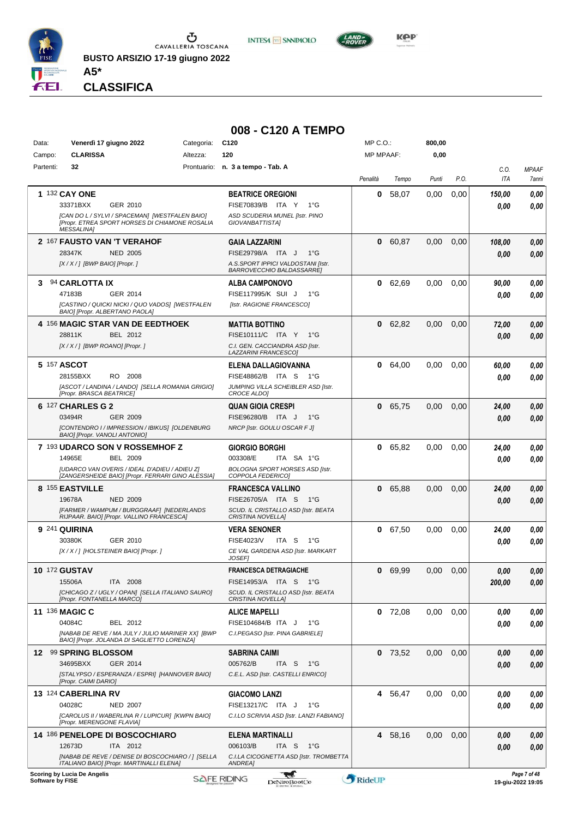

**INTESA M** SANPAOLO



**CLASSIFICA**

**A5\***

#### **008 - C120 A TEMPO**

| Data:     | Venerdì 17 giugno 2022                                                                                                | Categoria: | C <sub>120</sub>                                                | MP C.O.:         |           | 800,00 |      |                    |                       |
|-----------|-----------------------------------------------------------------------------------------------------------------------|------------|-----------------------------------------------------------------|------------------|-----------|--------|------|--------------------|-----------------------|
| Campo:    | <b>CLARISSA</b>                                                                                                       | Altezza:   | 120                                                             | <b>MP MPAAF:</b> |           | 0,00   |      |                    |                       |
| Partenti: | 32                                                                                                                    |            | Prontuario: n. 3 a tempo - Tab. A                               | Penalità         | Tempo     | Punti  | P.O. | C.O.<br><b>ITA</b> | <b>MPAAF</b><br>7anni |
|           | 1 132 CAY ONE                                                                                                         |            | <b>BEATRICE OREGIONI</b>                                        | 0                | 58,07     | 0,00   | 0,00 | 150,00             | 0,00                  |
|           | 33371BXX<br>GER 2010                                                                                                  |            | FISE70839/B ITA Y<br>$1^{\circ}G$                               |                  |           |        |      | 0.00               | 0,00                  |
|           | [CAN DO L / SYLVI / SPACEMAN] [WESTFALEN BAIO]<br>[Propr. ETREA SPORT HORSES DI CHIAMONE ROSALIA<br><b>MESSALINA1</b> |            | ASD SCUDERIA MUNEL [Istr. PINO<br>GIOVANBATTISTA]               |                  |           |        |      |                    |                       |
|           | 2 167 FAUSTO VAN 'T VERAHOF                                                                                           |            | <b>GAIA LAZZARINI</b>                                           | 0                | 60,87     | 0,00   | 0,00 | 108,00             | 0,00                  |
|           | <b>NED 2005</b><br>28347K                                                                                             |            | FISE29798/A ITA J<br>$1^{\circ}G$                               |                  |           |        |      | 0.00               | 0,00                  |
|           | $[X/X/]$ [BWP BAIO] [Propr.]                                                                                          |            | A.S.SPORT IPPICI VALDOSTANI [Istr.<br>BARROVECCHIO BALDASSARRE] |                  |           |        |      |                    |                       |
| 3.        | 94 CARLOTTA IX                                                                                                        |            | <b>ALBA CAMPONOVO</b>                                           | 0                | 62,69     | 0,00   | 0,00 | 90,00              | 0,00                  |
|           | 47183B<br>GER 2014                                                                                                    |            | FISE117995/K SUI J<br>$1^{\circ}G$                              |                  |           |        |      | 0.00               | 0,00                  |
|           | [CASTINO / QUICKI NICKI / QUO VADOS] [WESTFALEN<br>BAIO] [Propr. ALBERTANO PAOLA]                                     |            | [Istr. RAGIONE FRANCESCO]                                       |                  |           |        |      |                    |                       |
|           | 4 156 MAGIC STAR VAN DE EEDTHOEK                                                                                      |            | <b>MATTIA BOTTINO</b>                                           | 0                | 62,82     | 0,00   | 0,00 | 72,00              | 0,00                  |
|           | BEL 2012<br>28811K                                                                                                    |            | FISE10111/C ITA Y<br>1°G                                        |                  |           |        |      | 0.00               | 0,00                  |
|           | $[X/X/$ ] [BWP ROANO] [Propr.]                                                                                        |            | C.I. GEN. CACCIANDRA ASD [Istr.<br><b>LAZZARINI FRANCESCOI</b>  |                  |           |        |      |                    |                       |
|           | 5 157 ASCOT                                                                                                           |            | ELENA DALLAGIOVANNA                                             | 0                | 64.00     | 0,00   | 0,00 | 60.00              | 0,00                  |
|           | 28155BXX<br>RO 2008                                                                                                   |            | FISE48862/B ITA S<br>1°G                                        |                  |           |        |      | 0.00               | 0.00                  |
|           | [ASCOT / LANDINA / LANDO] [SELLA ROMANIA GRIGIO]<br>[Propr. BRASCA BEATRICE]                                          |            | JUMPING VILLA SCHEIBLER ASD [Istr.<br>CROCE ALDO]               |                  |           |        |      |                    |                       |
|           | 6 127 CHARLES G 2                                                                                                     |            | <b>QUAN GIOIA CRESPI</b>                                        | 0                | 65.75     | 0,00   | 0,00 | 24,00              | 0,00                  |
|           | 03494R<br>GER 2009                                                                                                    |            | FISE96280/B ITA J<br>$1^{\circ}G$                               |                  |           |        |      | 0,00               | 0,00                  |
|           | [CONTENDRO I / IMPRESSION / IBIKUS] [OLDENBURG<br>BAIO] [Propr. VANOLI ANTONIO]                                       |            | NRCP [Istr. GOULU OSCAR F J]                                    |                  |           |        |      |                    |                       |
|           | 7 193 UDARCO SON V ROSSEMHOF Z                                                                                        |            | <b>GIORGIO BORGHI</b>                                           | 0                | 65,82     | 0,00   | 0,00 | 24,00              | 0,00                  |
|           | 14965E<br><b>BEL 2009</b>                                                                                             |            | 003308/E<br>ITA SA 1°G                                          |                  |           |        |      | 0.00               | 0,00                  |
|           | [UDARCO VAN OVERIS / IDEAL D'ADIEU / ADIEU Z]<br>[ZANGERSHEIDE BAIO] [Propr. FERRARI GINO ALESSIA]                    |            | BOLOGNA SPORT HORSES ASD [Istr.<br>COPPOLA FEDERICO]            |                  |           |        |      |                    |                       |
|           | 8 155 EASTVILLE                                                                                                       |            | <b>FRANCESCA VALLINO</b>                                        | 0                | 65,88     | 0,00   | 0,00 | 24,00              | 0,00                  |
|           | <b>NED 2009</b><br>19678A                                                                                             |            | FISE26705/A ITA S<br>1°G                                        |                  |           |        |      | 0.00               | 0,00                  |
|           | [FARMER / WAMPUM / BURGGRAAF] [NEDERLANDS<br>RIJPAAR. BAIO] [Propr. VALLINO FRANCESCA]                                |            | SCUD. IL CRISTALLO ASD [Istr. BEATA<br>CRISTINA NOVELLA]        |                  |           |        |      |                    |                       |
|           | <b>9 241 QUIRINA</b>                                                                                                  |            | <b>VERA SENONER</b>                                             |                  | 0 67,50   | 0,00   | 0,00 | 24,00              | 0,00                  |
|           | 30380K<br>GER 2010                                                                                                    |            | <b>FISE4023/V</b><br>ITA S<br>1°G                               |                  |           |        |      | 0.00               | 0.00                  |
|           | [X / X / ] [HOLSTEINER BAIO] [Propr. ]                                                                                |            | CE VAL GARDENA ASD [Istr. MARKART<br>JOSEF]                     |                  |           |        |      |                    |                       |
|           | <b>10 172 GUSTAV</b>                                                                                                  |            | <b>FRANCESCA DETRAGIACHE</b>                                    |                  | 0 69.99   | 0,00   | 0,00 | 0.00               | 0.00                  |
|           | 15506A<br>ITA 2008                                                                                                    |            | FISE14953/A ITA S 1°G                                           |                  |           |        |      | 200,00             | 0,00                  |
|           | [CHICAGO Z / UGLY / OPAN] [SELLA ITALIANO SAURO]<br>[Propr. FONTANELLA MARCO]                                         |            | SCUD. IL CRISTALLO ASD [Istr. BEATA<br>CRISTINA NOVELLAJ        |                  |           |        |      |                    |                       |
|           | <b>11 136 MAGIC C</b>                                                                                                 |            | <b>ALICE MAPELLI</b>                                            |                  | $0$ 72,08 | 0,00   | 0.00 | 0,00               | 0,00                  |
|           | 04084C<br>BEL 2012                                                                                                    |            | FISE104684/B ITA J<br>1°G                                       |                  |           |        |      | 0.00               | 0.00                  |
|           | [NABAB DE REVE / MA JULY / JULIO MARINER XX] [BWP<br>BAIO] [Propr. JOLANDA DI SAGLIETTO LORENZA]                      |            | C.I.PEGASO [Istr. PINA GABRIELE]                                |                  |           |        |      |                    |                       |
|           | 12 99 SPRING BLOSSOM                                                                                                  |            | <b>SABRINA CAIMI</b>                                            |                  | $0$ 73,52 | 0.00   | 0,00 | 0,00               | 0,00                  |
|           | 34695BXX<br>GER 2014                                                                                                  |            | 005762/B<br>ITA <sub>S</sub><br>1°G                             |                  |           |        |      | 0.00               | 0,00                  |
|           | [STALYPSO / ESPERANZA / ESPRI] [HANNOVER BAIO]<br>[Propr. CAIMI DARIO]                                                |            | C.E.L. ASD [Istr. CASTELLI ENRICO]                              |                  |           |        |      |                    |                       |
|           | 13 124 CABERLINA RV                                                                                                   |            | GIACOMO LANZI                                                   |                  | 4 56,47   | 0,00   | 0,00 | 0.00               | 0,00                  |
|           | 04028C<br><b>NED 2007</b>                                                                                             |            | FISE13217/C ITA J<br>1°G                                        |                  |           |        |      | 0.00               | 0.00                  |
|           | [CAROLUS II / WABERLINA R / LUPICUR] [KWPN BAIO]<br>[Propr. MERENGONE FLAVIA]                                         |            | C.I.LO SCRIVIA ASD [Istr. LANZI FABIANO]                        |                  |           |        |      |                    |                       |
|           | 14 186 PENELOPE DI BOSCOCHIARO                                                                                        |            | ELENA MARTINALLI                                                |                  | 4 58,16   | 0,00   | 0,00 | 0,00               | 0,00                  |
|           | 12673D<br>ITA 2012                                                                                                    |            | 006103/B<br>ITA S<br>1°G                                        |                  |           |        |      | 0.00               | 0.00                  |
|           | [NABAB DE REVE / DENISE DI BOSCOCHIARO / ] [SELLA<br>ITALIANO BAIO] [Propr. MARTINALLI ELENA]                         |            | C.I.LA CICOGNETTA ASD [Istr. TROMBETTA<br>ANDREA]               |                  |           |        |      |                    |                       |
|           | Scoring by Lucia De Angelis                                                                                           |            | <b>TELE</b>                                                     |                  |           |        |      |                    | Page 7 of 48          |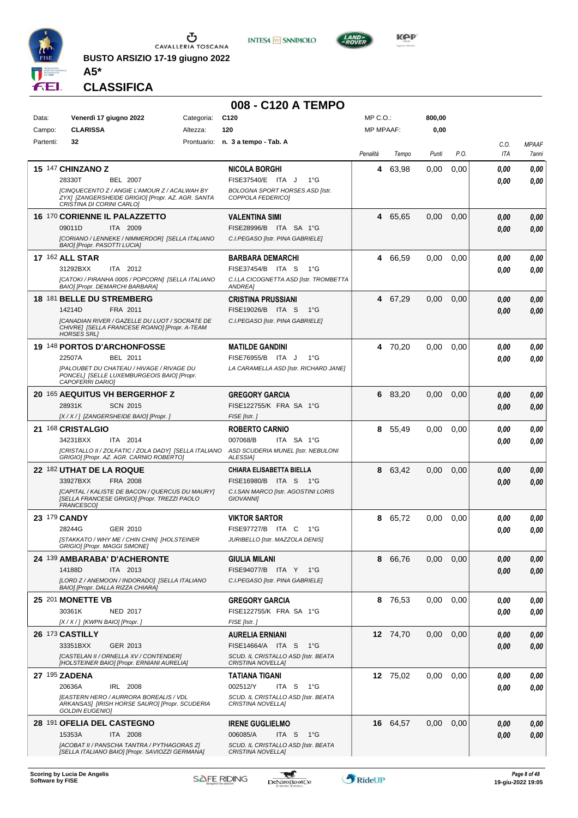

**BUSTO ARSIZIO 17-19 giugno 2022 A5\***





**KOP** 

**CLASSIFICA**

| 008 - C120 A TEMPO |  |
|--------------------|--|
|                    |  |

| Data:     | Venerdì 17 giugno 2022                                                                                                          | Categoria: | C <sub>120</sub>                                                  | MP C. O.         |          | 800,00 |      |              |              |
|-----------|---------------------------------------------------------------------------------------------------------------------------------|------------|-------------------------------------------------------------------|------------------|----------|--------|------|--------------|--------------|
| Campo:    | <b>CLARISSA</b>                                                                                                                 | Altezza:   | 120                                                               | <b>MP MPAAF:</b> |          | 0,00   |      |              |              |
| Partenti: | 32                                                                                                                              |            | Prontuario: n. 3 a tempo - Tab. A                                 |                  |          |        |      | C.O.         | <b>MPAAF</b> |
|           |                                                                                                                                 |            |                                                                   | Penalità         | Tempo    | Punti  | P.O. | ITA          | 7anni        |
|           | 15 147 CHINZANO Z                                                                                                               |            | <b>NICOLA BORGHI</b>                                              | 4                | 63,98    | 0.00   | 0,00 | 0.00         | 0,00         |
|           | 28330T<br><b>BEL 2007</b>                                                                                                       |            | FISE37540/E ITA J<br>$1^{\circ}G$                                 |                  |          |        |      | 0.00         | 0.00         |
|           | [CINQUECENTO Z / ANGIE L'AMOUR Z / ACALWAH BY<br>ZYX] [ZANGERSHEIDE GRIGIO] [Propr. AZ. AGR. SANTA<br>CRISTINA DI CORINI CARLO] |            | <b>BOLOGNA SPORT HORSES ASD [Istr.</b><br>COPPOLA FEDERICO1       |                  |          |        |      |              |              |
|           | <b>16 170 CORIENNE IL PALAZZETTO</b>                                                                                            |            | <b>VALENTINA SIMI</b>                                             | 4                | 65,65    | 0,00   | 0,00 | 0.00         | 0,00         |
|           | 09011D<br>ITA 2009                                                                                                              |            | FISE28996/B ITA SA 1°G                                            |                  |          |        |      | 0,00         | 0,00         |
|           | [CORIANO / LENNEKE / NIMMERDOR] [SELLA ITALIANO<br>BAIO] [Propr. PASOTTI LUCIA]                                                 |            | C.I.PEGASO [Istr. PINA GABRIELE]                                  |                  |          |        |      |              |              |
|           | <b>17 162 ALL STAR</b>                                                                                                          |            | <b>BARBARA DEMARCHI</b>                                           |                  | 4 66,59  | 0.00   | 0,00 | 0.00         | 0,00         |
|           | 31292BXX<br>ITA 2012                                                                                                            |            | FISE37454/B ITA S<br>$1^{\circ}G$                                 |                  |          |        |      | 0.00         | 0.00         |
|           | [CATOKI / PIRANHA 0005 / POPCORN] [SELLA ITALIANO<br>BAIO] [Propr. DEMARCHI BARBARA]                                            |            | C.I.LA CICOGNETTA ASD [Istr. TROMBETTA<br>ANDREA]                 |                  |          |        |      |              |              |
|           | 18 181 BELLE DU STREMBERG                                                                                                       |            | <b>CRISTINA PRUSSIANI</b>                                         | 4                | 67,29    | 0.00   | 0,00 | 0,00         | 0,00         |
|           | 14214D<br>FRA 2011                                                                                                              |            | FISE19026/B ITA S<br>1°G                                          |                  |          |        |      | 0.00         | 0.00         |
|           | [CANADIAN RIVER / GAZELLE DU LUOT / SOCRATE DE                                                                                  |            | C.I.PEGASO [Istr. PINA GABRIELE]                                  |                  |          |        |      |              |              |
|           | CHIVRE] [SELLA FRANCESE ROANO] [Propr. A-TEAM<br><b>HORSES SRL]</b>                                                             |            |                                                                   |                  |          |        |      |              |              |
|           | 19 148 PORTOS D'ARCHONFOSSE                                                                                                     |            | <b>MATILDE GANDINI</b>                                            |                  | 4 70,20  | 0,00   | 0,00 | 0.00         | 0,00         |
|           | 22507A<br>BEL 2011                                                                                                              |            | FISE76955/B ITA J<br>$1^{\circ}G$                                 |                  |          |        |      | 0.00         | 0.00         |
|           | [PALOUBET DU CHATEAU / HIVAGE / RIVAGE DU<br>PONCEL] [SELLE LUXEMBURGEOIS BAIO] [Propr.                                         |            | LA CARAMELLA ASD [Istr. RICHARD JANE]                             |                  |          |        |      |              |              |
|           | CAPOFERRI DARIO]                                                                                                                |            |                                                                   |                  |          |        |      |              |              |
|           | 20 165 AEQUITUS VH BERGERHOF Z                                                                                                  |            | <b>GREGORY GARCIA</b>                                             | 6                | 83,20    | 0,00   | 0,00 | 0.00         | 0,00         |
|           | 28931K<br><b>SCN 2015</b>                                                                                                       |            | FISE122755/K FRA SA 1°G                                           |                  |          |        |      | 0,00         | 0.00         |
|           | [X / X / ] [ZANGERSHEIDE BAIO] [Propr. ]                                                                                        |            | FISE [Istr.]                                                      |                  |          |        |      |              |              |
|           | 21 168 CRISTALGIO                                                                                                               |            | <b>ROBERTO CARNIO</b>                                             | 8                | 55,49    | 0,00   | 0,00 | 0.00         | 0,00         |
|           | 34231BXX<br>ITA 2014<br>[CRISTALLO II / ZOLFATIC / ZOLA DADY] [SELLA ITALIANO                                                   |            | 007068/B<br>ITA SA 1°G<br>ASD SCUDERIA MUNEL [Istr. NEBULONI      |                  |          |        |      | 0.00         | 0.00         |
|           | GRIGIO] [Propr. AZ. AGR. CARNIO ROBERTO]                                                                                        |            | ALESSIA]                                                          |                  |          |        |      |              |              |
|           | 22 182 UTHAT DE LA ROQUE                                                                                                        |            | CHIARA ELISABETTA BIELLA                                          | 8                | 63,42    | 0,00   | 0,00 | 0,00         | 0,00         |
|           | 33927BXX<br>FRA 2008                                                                                                            |            | FISE16980/B ITA S<br>− 1°G<br>C.I.SAN MARCO [Istr. AGOSTINI LORIS |                  |          |        |      | 0.00         | 0,00         |
|           | [CAPITAL / KALISTE DE BACON / QUERCUS DU MAURY]<br>[SELLA FRANCESE GRIGIO] [Propr. TREZZI PAOLO<br>FRANCESCO]                   |            | <b>GIOVANNI</b>                                                   |                  |          |        |      |              |              |
|           | 23 179 CANDY                                                                                                                    |            | <b>VIKTOR SARTOR</b>                                              | 8                | 65,72    | 0,00   | 0,00 | 0.00         | 0,00         |
|           | 28244G<br>GER 2010                                                                                                              |            | FISE97727/B ITA C<br>1°G                                          |                  |          |        |      | 0.00         | 0,00         |
|           | ISTAKKATO / WHY ME / CHIN CHIN] [HOLSTEINER<br>GRIGIO] [Propr. MAGGI SIMONE]                                                    |            | JURIBELLO [Istr. MAZZOLA DENIS]                                   |                  |          |        |      |              |              |
|           | 24 139 AMBARABA' D'ACHERONTE                                                                                                    |            | <b>GIULIA MILANI</b>                                              | 8                | 66,76    | 0,00   | 0,00 | 0,00         | 0,00         |
|           | 14188D<br>ITA 2013                                                                                                              |            | FISE94077/B ITA Y 1°G                                             |                  |          |        |      | 0.00         | 0,00         |
|           | [LORD Z / ANEMOON / INDORADO] [SELLA ITALIANO                                                                                   |            | C.I.PEGASO [Istr. PINA GABRIELE]                                  |                  |          |        |      |              |              |
|           | BAIO] [Propr. DALLA RIZZA CHIARA]<br>25 201 MONETTE VB                                                                          |            | <b>GREGORY GARCIA</b>                                             |                  | 8 76,53  | 0,00   | 0,00 |              | 0,00         |
|           | 30361K<br><b>NED 2017</b>                                                                                                       |            | FISE122755/K FRA SA 1°G                                           |                  |          |        |      | 0.00<br>0.00 | 0,00         |
|           | [X / X / ] [KWPN BAIO] [Propr. ]                                                                                                |            | FISE [Istr.]                                                      |                  |          |        |      |              |              |
|           | 26 173 CASTILLY                                                                                                                 |            | <b>AURELIA ERNIANI</b>                                            |                  | 12 74,70 | 0,00   | 0,00 | 0.00         | 0,00         |
|           | 33351BXX<br>GER 2013                                                                                                            |            | FISE14664/A ITA S 1°G                                             |                  |          |        |      | 0,00         | 0,00         |
|           | [CASTELAN II / ORNELLA XV / CONTENDER]<br>[HOLSTEINER BAIO] [Propr. ERNIANI AURELIA]                                            |            | SCUD. IL CRISTALLO ASD [Istr. BEATA<br>CRISTINA NOVELLAJ          |                  |          |        |      |              |              |
|           | 27 195 ZADENA                                                                                                                   |            | <b>TATIANA TIGANI</b>                                             |                  | 12 75,02 | 0,00   | 0,00 | 0.00         | 0,00         |
|           | 20636A<br>IRL 2008                                                                                                              |            | 002512/Y<br>ITA S<br>1°G                                          |                  |          |        |      | 0.00         | 0,00         |
|           | [EASTERN HERO / AURRORA BOREALIS / VDL                                                                                          |            | SCUD. IL CRISTALLO ASD [Istr. BEATA                               |                  |          |        |      |              |              |
|           | ARKANSAS] [IRISH HORSE SAURO] [Propr. SCUDERIA<br><b>GOLDIN EUGENIO]</b>                                                        |            | CRISTINA NOVELLA]                                                 |                  |          |        |      |              |              |
|           | 28 191 OFELIA DEL CASTEGNO                                                                                                      |            | <b>IRENE GUGLIELMO</b>                                            |                  | 16 64,57 | 0,00   | 0,00 | 0.00         | 0,00         |
|           | ITA 2008<br>15353A                                                                                                              |            | 006085/A<br>ITA S<br>1°G                                          |                  |          |        |      | 0.00         | 0,00         |
|           | [ACOBAT II / PANSCHA TANTRA / PYTHAGORAS Z]<br>[SELLA ITALIANO BAIO] [Propr. SAVIOZZI GERMANA]                                  |            | SCUD. IL CRISTALLO ASD [Istr. BEATA<br>CRISTINA NOVELLA]          |                  |          |        |      |              |              |
|           |                                                                                                                                 |            |                                                                   |                  |          |        |      |              |              |

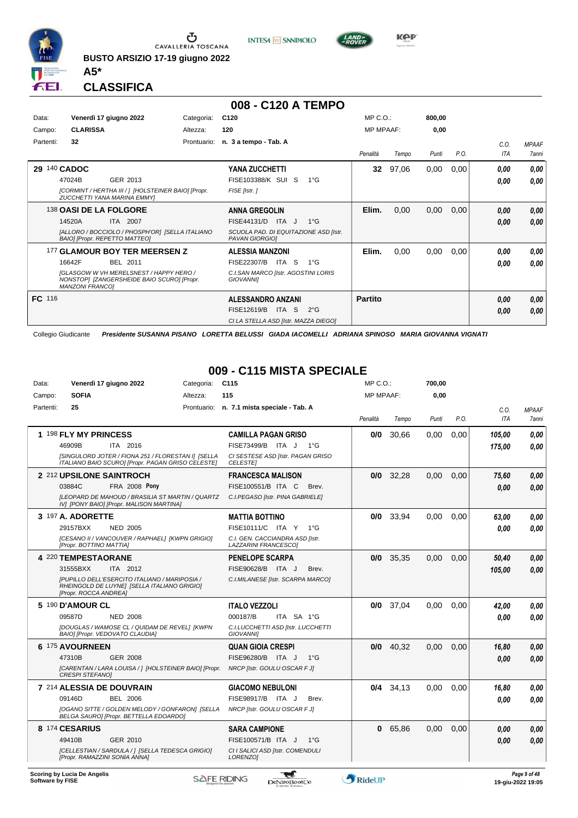

**BUSTO ARSIZIO 17-19 giugno 2022**





**Kep** 

**CLASSIFICA**

**A5\***

|           |                                                                                                                        |             | 008 - C120 A TEMPO                                      |                  |       |        |      |            |              |
|-----------|------------------------------------------------------------------------------------------------------------------------|-------------|---------------------------------------------------------|------------------|-------|--------|------|------------|--------------|
| Data:     | Venerdì 17 giugno 2022                                                                                                 | Categoria:  | C <sub>120</sub>                                        | $MP C. O.$ :     |       | 800.00 |      |            |              |
| Campo:    | <b>CLARISSA</b>                                                                                                        | Altezza:    | 120                                                     | <b>MP MPAAF:</b> |       | 0,00   |      |            |              |
| Partenti: | 32                                                                                                                     | Prontuario: | n. 3 a tempo - Tab. A                                   |                  |       |        |      | C.0.       | <b>MPAAF</b> |
|           |                                                                                                                        |             |                                                         | Penalità         | Tempo | Punti  | P.O. | <b>ITA</b> | <b>7anni</b> |
|           | 29 140 CADOC                                                                                                           |             | <b>YANA ZUCCHETTI</b>                                   | 32 <sub>2</sub>  | 97,06 | 0.00   | 0,00 | 0.00       | 0.00         |
|           | GER 2013<br>47024B                                                                                                     |             | FISE103388/K SUI S<br>$1^{\circ}G$                      |                  |       |        |      | 0.00       | 0.00         |
|           | [CORMINT / HERTHA III / ] [HOLSTEINER BAIO] [Propr.<br>ZUCCHETTI YANA MARINA EMMYI                                     |             | FISE [Istr.]                                            |                  |       |        |      |            |              |
|           | 138 OASI DE LA FOLGORE                                                                                                 |             | <b>ANNA GREGOLIN</b>                                    | Elim.            | 0,00  | 0,00   | 0,00 | 0.00       | 0,00         |
|           | 14520A<br><b>ITA 2007</b>                                                                                              |             | FISE44131/D<br>ITA J<br>$1^{\circ}$ G                   |                  |       |        |      | 0.00       | 0,00         |
|           | [ALLORO / BOCCIOLO / PHOSPH'OR] [SELLA ITALIANO<br><b>BAIOI [Propr. REPETTO MATTEO]</b>                                |             | SCUOLA PAD. DI EQUITAZIONE ASD [Istr.<br>PAVAN GIORGIOI |                  |       |        |      |            |              |
|           | 177 GLAMOUR BOY TER MEERSEN Z                                                                                          |             | <b>ALESSIA MANZONI</b>                                  | Elim.            | 0,00  | 0,00   | 0,00 | 0.00       | 0.00         |
|           | <b>BEL 2011</b><br>16642F                                                                                              |             | FISE22307/B<br>ITA S<br>$1^{\circ}G$                    |                  |       |        |      | 0.00       | 0.00         |
|           | <b>IGLASGOW W VH MERELSNEST / HAPPY HERO /</b><br>NONSTOP1 [ZANGERSHEIDE BAIO SCURO] [Propr.<br><b>MANZONI FRANCO1</b> |             | C.I.SAN MARCO [Istr. AGOSTINI LORIS<br><b>GIOVANNII</b> |                  |       |        |      |            |              |
| FC 116    |                                                                                                                        |             | <b>ALESSANDRO ANZANI</b>                                | <b>Partito</b>   |       |        |      | 0.00       | 0,00         |
|           |                                                                                                                        |             | FISE12619/B<br>ITA S<br>$2^{\circ}G$                    |                  |       |        |      | 0.00       | 0.00         |
|           |                                                                                                                        |             | CI LA STELLA ASD [Istr. MAZZA DIEGO]                    |                  |       |        |      |            |              |

Collegio Giudicante *Presidente SUSANNA PISANO LORETTA BELUSSI GIADA IACOMELLI ADRIANA SPINOSO MARIA GIOVANNA VIGNATI*

### **009 - C115 MISTA SPECIALE**

| Data:     |                          | Venerdì 17 giugno 2022                                                                                  | Categoria: | C <sub>115</sub>                                        | MP C.O.:         |             | 700,00 |      |        |              |
|-----------|--------------------------|---------------------------------------------------------------------------------------------------------|------------|---------------------------------------------------------|------------------|-------------|--------|------|--------|--------------|
| Campo:    | <b>SOFIA</b>             |                                                                                                         | Altezza:   | 115                                                     | <b>MP MPAAF:</b> |             | 0,00   |      |        |              |
| Partenti: | 25                       |                                                                                                         |            | Prontuario: n. 7.1 mista speciale - Tab. A              |                  |             |        |      | C.O.   | <b>MPAAF</b> |
|           |                          |                                                                                                         |            |                                                         | Penalità         | Tempo       | Punti  | P.O. | ITA    | <b>7anni</b> |
|           | 1 198 FLY MY PRINCESS    |                                                                                                         |            | <b>CAMILLA PAGAN GRISO</b>                              | 0/0              | 30.66       | 0.00   | 0.00 | 105,00 | 0.00         |
|           | 46909B                   | ITA 2016                                                                                                |            | FISE73499/B ITA J 1°G                                   |                  |             |        |      | 175,00 | 0.00         |
|           |                          | [SINGULORD JOTER / FIONA 251 / FLORESTAN I] [SELLA<br>ITALIANO BAIO SCURO] [Propr. PAGAN GRISO CELESTE] |            | CI SESTESE ASD [Istr. PAGAN GRISO<br><b>CELESTEI</b>    |                  |             |        |      |        |              |
|           |                          | 2 212 UPSILONE SAINTROCH                                                                                |            | <b>FRANCESCA MALISON</b>                                |                  | $0/0$ 32,28 | 0.00   | 0.00 | 75,60  | 0,00         |
|           | 03884C                   | <b>FRA 2008 Pony</b>                                                                                    |            | FISE100551/B ITA C<br>Brev.                             |                  |             |        |      | 0.00   | 0,00         |
|           |                          | <b>ILEOPARD DE MAHOUD / BRASILIA ST MARTIN / QUARTZ</b><br>IV] [PONY BAIO] [Propr. MALISON MARTINA]     |            | C.I.PEGASO [Istr. PINA GABRIELE]                        |                  |             |        |      |        |              |
|           | <b>3 197 A. ADORETTE</b> |                                                                                                         |            | <b>MATTIA BOTTINO</b>                                   |                  | $0/0$ 33.94 | 0.00   | 0.00 | 63.00  | 0.00         |
|           | 29157BXX                 | <b>NED 2005</b>                                                                                         |            | FISE10111/C ITA Y<br>$1^{\circ}G$                       |                  |             |        |      | 0,00   | 0.00         |
|           | [Propr. BOTTINO MATTIA]  | [CESANO II / VANCOUVER / RAPHAEL] [KWPN GRIGIO]                                                         |            | C.I. GEN. CACCIANDRA ASD [Istr.<br>LAZZARINI FRANCESCO] |                  |             |        |      |        |              |
|           | 4 220 TEMPESTAORANE      |                                                                                                         |            | <b>PENELOPE SCARPA</b>                                  |                  | $0/0$ 35.35 | 0.00   | 0.00 | 50,40  | 0,00         |
|           | 31555BXX                 | ITA 2012                                                                                                |            | FISE90628/B ITA J<br>Brev.                              |                  |             |        |      | 105,00 | 0.00         |
|           | [Propr. ROCCA ANDREA]    | [PUPILLO DELL'ESERCITO ITALIANO / MARIPOSIA /<br>RHEINGOLD DE LUYNE] [SELLA ITALIANO GRIGIO]            |            | C.I.MILANESE [Istr. SCARPA MARCO]                       |                  |             |        |      |        |              |
|           | 5 190 D'AMOUR CL         |                                                                                                         |            | <b>ITALO VEZZOLI</b>                                    |                  | $0/0$ 37,04 | 0.00   | 0.00 | 42.00  | 0.00         |
|           | 09587D                   | <b>NED 2008</b>                                                                                         |            | 000187/B<br>ITA SA 1°G                                  |                  |             |        |      | 0.00   | 0.00         |
|           |                          | IDOUGLAS / WAMOSE CL / QUIDAM DE REVEL] [KWPN<br>BAIO] [Propr. VEDOVATO CLAUDIA]                        |            | C.I.LUCCHETTI ASD [Istr. LUCCHETTI<br><b>GIOVANNII</b>  |                  |             |        |      |        |              |
|           | 6 175 AVOURNEEN          |                                                                                                         |            | <b>QUAN GIOIA CRESPI</b>                                |                  | $0/0$ 40.32 | 0,00   | 0,00 | 16,80  | 0,00         |
|           | 47310B                   | <b>GER 2008</b>                                                                                         |            | FISE96280/B ITA J<br>$1^{\circ}G$                       |                  |             |        |      | 0.00   | 0.00         |
|           | <b>CRESPI STEFANOI</b>   | [CARENTAN / LARA LOUISA / ] [HOLSTEINER BAIO] [Propr.                                                   |            | NRCP [Istr. GOULU OSCAR F J]                            |                  |             |        |      |        |              |
|           |                          | 7 214 ALESSIA DE DOUVRAIN                                                                               |            | <b>GIACOMO NEBULONI</b>                                 |                  | $0/4$ 34.13 | 0.00   | 0.00 | 16,80  | 0.00         |
|           | 09146D                   | <b>BEL 2006</b>                                                                                         |            | FISE98917/B ITA J<br>Brev.                              |                  |             |        |      | 0.00   | 0.00         |
|           |                          | [OGANO SITTE / GOLDEN MELODY / GONFARON] [SELLA<br>BELGA SAUROJ [Propr. BETTELLA EDOARDO]               |            | NRCP [Istr. GOULU OSCAR F J]                            |                  |             |        |      |        |              |
|           | 8 174 CESARIUS           |                                                                                                         |            | <b>SARA CAMPIONE</b>                                    | 0                | 65,86       | 0.00   | 0.00 | 0.00   | 0.00         |
|           | 49410B                   | GER 2010                                                                                                |            | FISE100571/B ITA J<br>$1^{\circ}$ G                     |                  |             |        |      | 0.00   | 0.00         |
|           |                          | [CELLESTIAN / SARDULA / ] [SELLA TEDESCA GRIGIO]<br>[Propr. RAMAZZINI SONIA ANNA]                       |            | CI I SALICI ASD [Istr. COMENDULI<br>LORENZO1            |                  |             |        |      |        |              |
|           |                          |                                                                                                         |            |                                                         |                  |             |        |      |        |              |

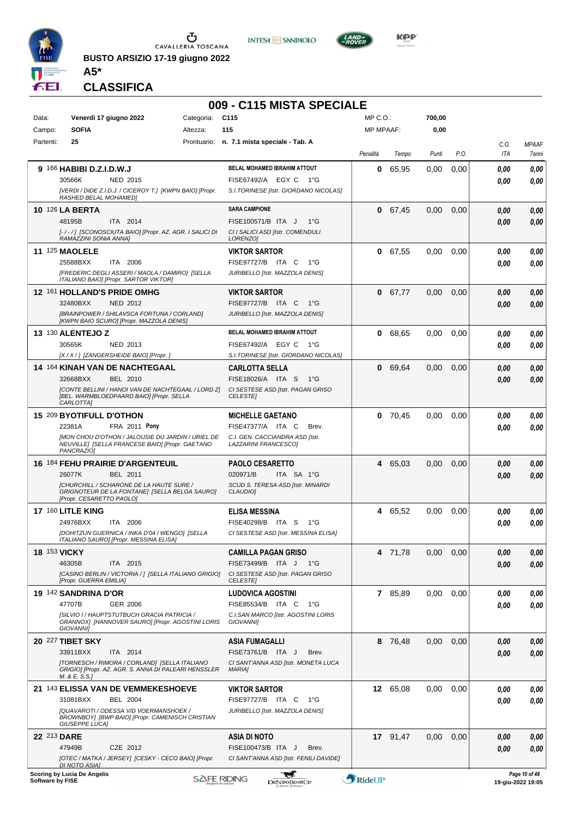

**BUSTO ARSIZIO 17-19 giugno 2022**





 $\frac{LAND}{2}$ 

**CLASSIFICA**

**A5\***

#### **009 - C115 MISTA SPECIALE**

| Data:            | Venerdì 17 giugno 2022                                                                                                       | Categoria: | C <sub>115</sub>                                        | MP C.O.:         |           | 700,00 |      |             |                                    |
|------------------|------------------------------------------------------------------------------------------------------------------------------|------------|---------------------------------------------------------|------------------|-----------|--------|------|-------------|------------------------------------|
| Campo:           | <b>SOFIA</b>                                                                                                                 | Altezza:   | 115                                                     | <b>MP MPAAF:</b> |           | 0,00   |      |             |                                    |
| Partenti:        | 25                                                                                                                           |            | Prontuario: n. 7.1 mista speciale - Tab. A              | Penalità         | Tempo     | Punti  | P.O. | C.O.<br>ITA | <b>MPAAF</b><br>7anni              |
|                  | 9 166 HABIBI D.Z.I.D.W.J                                                                                                     |            | BELAL MOHAMED IBRAHIM ATTOUT                            | 0                | 65,95     | 0,00   | 0,00 | 0.00        | 0,00                               |
|                  | 30566K<br>NED 2015                                                                                                           |            | FISE67492/A EGY C 1°G                                   |                  |           |        |      | 0.00        | 0.00                               |
|                  | [VERDI / DIDE Z.I.D.J. / CICEROY T.] [KWPN BAIO] [Propr.<br>RASHED BELAL MOHAMED)                                            |            | S.I.TORINESE [Istr. GIORDANO NICOLAS]                   |                  |           |        |      |             |                                    |
|                  |                                                                                                                              |            | <b>SARA CAMPIONE</b>                                    |                  |           |        |      |             |                                    |
|                  | <b>10 126 LA BERTA</b><br>48195B<br>ITA 2014                                                                                 |            | FISE100571/B ITA J<br>1°G                               | $\mathbf{0}$     | 67,45     | 0,00   | 0,00 | 0.00        | 0,00                               |
|                  | [-/-/] [SCONOSCIUTA BAIO] [Propr. AZ. AGR. I SALICI DI                                                                       |            | CI I SALICI ASD [Istr. COMENDULI                        |                  |           |        |      | 0.00        | 0,00                               |
|                  | RAMAZZINI SONIA ANNAI                                                                                                        |            | LORENZO]                                                |                  |           |        |      |             |                                    |
|                  | <b>11 125 MAOLELE</b>                                                                                                        |            | <b>VIKTOR SARTOR</b>                                    |                  | 0 67,55   | 0,00   | 0,00 | 0.00        | 0,00                               |
|                  | 25588BXX<br>ITA 2006                                                                                                         |            | FISE97727/B ITA C<br>1°G                                |                  |           |        |      | 0.00        | 0.00                               |
|                  | [FREDERIC DEGLI ASSERI / MAOLA / DAMIRO] [SELLA<br>ITALIANO BAIO] [Propr. SARTOR VIKTOR]                                     |            | JURIBELLO [Istr. MAZZOLA DENIS]                         |                  |           |        |      |             |                                    |
|                  | 12 161 HOLLAND'S PRIDE OMHG                                                                                                  |            | <b>VIKTOR SARTOR</b>                                    |                  | 0 67,77   | 0,00   | 0,00 | 0.00        | 0,00                               |
|                  | 32480BXX<br>NED 2012                                                                                                         |            | FISE97727/B ITA C<br>1°G                                |                  |           |        |      | 0.00        | 0,00                               |
|                  | [BRAINPOWER / SHILAVSCA FORTUNA / CORLAND]                                                                                   |            | JURIBELLO [Istr. MAZZOLA DENIS]                         |                  |           |        |      |             |                                    |
|                  | [KWPN BAIO SCURO] [Propr. MAZZOLA DENIS]                                                                                     |            |                                                         |                  |           |        |      |             |                                    |
|                  | <b>13 130 ALENTEJO Z</b>                                                                                                     |            | BELAL MOHAMED IBRAHIM ATTOUT                            |                  | 0 68,65   | 0,00   | 0,00 | 0.00        | 0,00                               |
|                  | 30565K<br>NED 2013                                                                                                           |            | FISE67492/A EGY C<br>1°G                                |                  |           |        |      | 0.00        | 0.00                               |
|                  | [X / X / ] [ZANGERSHEIDE BAIO] [Propr. ]                                                                                     |            | S.I.TORINESE [Istr. GIORDANO NICOLAS]                   |                  |           |        |      |             |                                    |
|                  | 14 164 KINAH VAN DE NACHTEGAAL<br>32668BXX<br>BEL 2010                                                                       |            | <b>CARLOTTA SELLA</b><br>FISE18026/A ITA S<br>1°G       | $\mathbf{0}$     | 69,64     | 0,00   | 0,00 | 0.00        | 0,00                               |
|                  | [CONTE BELLINI / HANOI VAN DE NACHTEGAAL / LORD Z]                                                                           |            | CI SESTESE ASD [Istr. PAGAN GRISO                       |                  |           |        |      | 0.00        | 0,00                               |
|                  | [BEL. WARMBLOEDPAARD BAIO] [Propr. SELLA<br>CARLOTTA]                                                                        |            | <b>CELESTE</b>                                          |                  |           |        |      |             |                                    |
|                  | 15 209 BYOTIFULL D'OTHON                                                                                                     |            | <b>MICHELLE GAETANO</b>                                 |                  | $0$ 70,45 | 0,00   | 0,00 | 0.00        | 0,00                               |
|                  | 22381A<br>FRA 2011 Pony                                                                                                      |            | FISE47377/A ITA C<br>Brev.                              |                  |           |        |      | 0.00        | 0.00                               |
|                  | [MON CHOU D'OTHON / JALOUSIE DU JARDIN / URIEL DE<br>NEUVILLE] [SELLA FRANCESE BAIO] [Propr. GAETANO                         |            | C.I. GEN. CACCIANDRA ASD [Istr.<br>LAZZARINI FRANCESCO] |                  |           |        |      |             |                                    |
|                  | PANCRAZIO1                                                                                                                   |            |                                                         |                  |           |        |      |             |                                    |
|                  | <b>16 184 FEHU PRAIRIE D'ARGENTEUIL</b>                                                                                      |            | <b>PAOLO CESARETTO</b>                                  | 4                | 65,03     | 0.00   | 0,00 | 0.00        | 0,00                               |
|                  | BEL 2011<br>26077K                                                                                                           |            | 020971/B<br>ITA SA 1°G                                  |                  |           |        |      | 0.00        | 0.00                               |
|                  | <b>[CHURCHILL / SCHARONE DE LA HAUTE SURE /</b><br>GRIGNOTEUR DE LA FONTANEJ [SELLA BELGA SAURO]<br>[Propr. CESARETTO PAOLO] |            | SCUD S. TERESA ASD [Istr. MINARDI<br><b>CLAUDIO1</b>    |                  |           |        |      |             |                                    |
|                  | 17 160 LITLE KING                                                                                                            |            | <b>ELISA MESSINA</b>                                    |                  | 4 65,52   | 0.00   | 0,00 | 0.00        | 0,00                               |
|                  | 24976BXX<br>ITA 2006                                                                                                         |            | FISE40298/B ITA S<br>1°G                                |                  |           |        |      | 0.00        | 0.00                               |
|                  | [DOHITZUN GUERNICA / INKA D'04 / WENGO] [SELLA                                                                               |            | CI SESTESE ASD [Istr. MESSINA ELISA]                    |                  |           |        |      |             |                                    |
|                  | ITALIANO SAURO] [Propr. MESSINA ELISA]                                                                                       |            |                                                         |                  |           |        |      |             |                                    |
|                  | <b>18 153 VICKY</b>                                                                                                          |            | <b>CAMILLA PAGAN GRISO</b>                              | 4                | 71,78     | 0,00   | 0,00 | 0,00        | 0,00                               |
|                  | 46305B<br>ITA 2015                                                                                                           |            | FISE73499/B ITA J 1°G                                   |                  |           |        |      | 0.00        | 0,00                               |
|                  | [CASINO BERLIN / VICTORIA / ] [SELLA ITALIANO GRIGIO]<br>[Propr. GUERRA EMILIA]                                              |            | CI SESTESE ASD [Istr. PAGAN GRISO<br><b>CELESTE</b>     |                  |           |        |      |             |                                    |
|                  | 19 142 SANDRINA D'OR                                                                                                         |            | <b>LUDOVICA AGOSTINI</b>                                |                  | 7 85,89   | 0,00   | 0,00 | 0.00        | 0,00                               |
|                  | 47707B<br>GER 2006                                                                                                           |            | FISE85534/B ITA C<br>1°G                                |                  |           |        |      | 0.00        | 0,00                               |
|                  | [SILVIO I/ HAUPTSTUTBUCH GRACIA PATRICIA /<br>GRANNOX] [HANNOVER SAURO] [Propr. AGOSTINI LORIS<br><b>GIOVANNII</b>           |            | C.I.SAN MARCO [Istr. AGOSTINI LORIS<br><b>GIOVANNII</b> |                  |           |        |      |             |                                    |
|                  | 20 227 TIBET SKY                                                                                                             |            | <b>ASIA FUMAGALLI</b>                                   |                  | 8 76.48   | 0,00   | 0,00 | 0.00        | 0,00                               |
|                  | ITA 2014<br>33911BXX                                                                                                         |            | FISE73761/B ITA J<br>Brev.                              |                  |           |        |      | 0.00        | 0,00                               |
|                  | [TORNESCH / RIMORA / CORLAND] [SELLA ITALIANO                                                                                |            | CI SANT'ANNA ASD [Istr. MONETA LUCA                     |                  |           |        |      |             |                                    |
|                  | GRIGIO] [Propr. AZ. AGR. S. ANNA DI PALEARI HENSSLER<br>M. & E. S.S.]                                                        |            | MARIA]                                                  |                  |           |        |      |             |                                    |
|                  | 21 143 ELISSA VAN DE VEMMEKESHOEVE                                                                                           |            | <b>VIKTOR SARTOR</b>                                    |                  | 12 65,08  | 0,00   | 0,00 | 0.00        | 0,00                               |
|                  | BEL 2004<br>31081BXX                                                                                                         |            | FISE97727/B ITA C<br>1°G                                |                  |           |        |      | 0.00        | 0,00                               |
|                  | [QUAVAROTI / ODESSA V/D VOERMANSHOEK /                                                                                       |            | JURIBELLO [Istr. MAZZOLA DENIS]                         |                  |           |        |      |             |                                    |
|                  | BROWNBOY] [BWP BAIO] [Propr. CAMENISCH CRISTIAN<br>GIUSEPPE LUCA]                                                            |            |                                                         |                  |           |        |      |             |                                    |
|                  | 22 213 DARE                                                                                                                  |            | ASIA DI NOTO                                            |                  | 17 91,47  | 0.00   | 0,00 | 0,00        | 0,00                               |
|                  | 47949B<br>CZE 2012                                                                                                           |            | FISE100473/B ITA J<br>Brev.                             |                  |           |        |      | 0.00        | 0.00                               |
|                  | [OTEC / MATKA / JERSEY] [CESKY - CECO BAIO] [Propr.<br><b>DI NOTO ASIA]</b>                                                  |            | CI SANT'ANNA ASD [Istr. FENILI DAVIDE]                  |                  |           |        |      |             |                                    |
| Software by FISE | <b>Scoring by Lucia De Angelis</b>                                                                                           |            | ليجيع<br><b>SAFE RIDING</b><br>DeNiroBootCo             | RideUP           |           |        |      |             | Page 10 of 48<br>19-giu-2022 19:05 |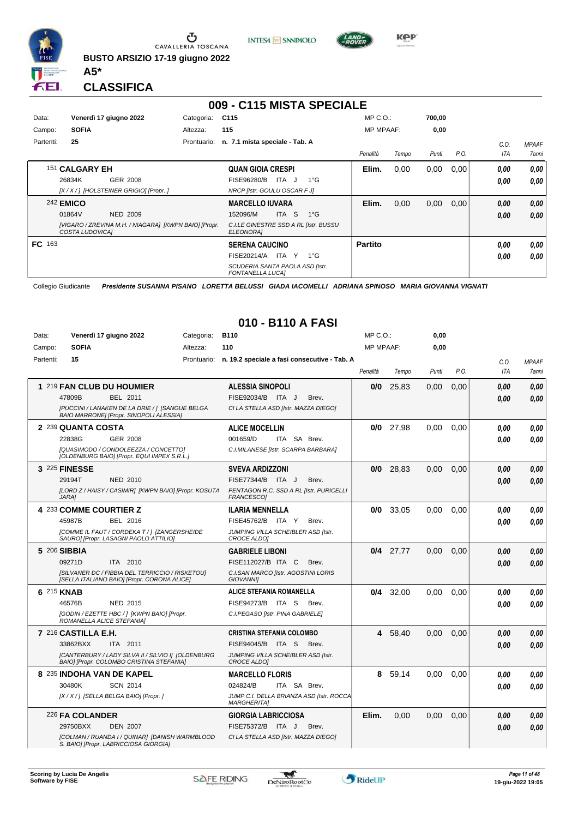

**INTESA M** SANPAOLO



**Kep** 

**CLASSIFICA**

**A5\***

## **009 - C115 MISTA SPECIALE**

| Data:         | Venerdì 17 giugno 2022                                                   | Categoria:  | C <sub>115</sub>                                           | $MP C. O.$ :     |       | 700,00 |      |      |                     |
|---------------|--------------------------------------------------------------------------|-------------|------------------------------------------------------------|------------------|-------|--------|------|------|---------------------|
| Campo:        | <b>SOFIA</b>                                                             | Altezza:    | 115                                                        | <b>MP MPAAF:</b> |       | 0,00   |      |      |                     |
| Partenti:     | 25                                                                       | Prontuario: | n. 7.1 mista speciale - Tab. A                             |                  |       |        |      | C.0  | <b>MPAAF</b>        |
|               |                                                                          |             |                                                            | Penalità         | Tempo | Punti  | P.O. | ITA  | <i><b>7anni</b></i> |
|               | 151 CALGARY EH                                                           |             | <b>QUAN GIOIA CRESPI</b>                                   | Elim.            | 0,00  | 0,00   | 0,00 | 0.00 | 0,00                |
|               | GER 2008<br>26834K                                                       |             | ITA J<br>FISE96280/B<br>$1^{\circ}$ G                      |                  |       |        |      | 0,00 | 0.00                |
|               | [X / X / ] [HOLSTEINER GRIGIO] [Propr. ]                                 |             | NRCP [Istr. GOULU OSCAR F J]                               |                  |       |        |      |      |                     |
|               | <b>242 EMICO</b>                                                         |             | <b>MARCELLO IUVARA</b>                                     | Elim.            | 0,00  | 0,00   | 0,00 | 0,00 | 0,00                |
|               | 01864V<br><b>NED 2009</b>                                                |             | ITA S<br>152096/M<br>$1^{\circ}G$                          |                  |       |        |      | 0,00 | 0.00                |
|               | [VIGARO / ZREVINA M.H. / NIAGARA] [KWPN BAIO] [Propr.<br>COSTA LUDOVICAI |             | C.I.LE GINESTRE SSD A RL [Istr. BUSSU<br><b>ELEONORA1</b>  |                  |       |        |      |      |                     |
| <b>FC</b> 163 |                                                                          |             | <b>SERENA CAUCINO</b>                                      | <b>Partito</b>   |       |        |      | 0.00 | 0,00                |
|               |                                                                          |             | FISE20214/A<br>ITA Y<br>$1^{\circ}$ G                      |                  |       |        |      | 0,00 | 0.00                |
|               |                                                                          |             | SCUDERIA SANTA PAOLA ASD [Istr.<br><b>FONTANELLA LUCAI</b> |                  |       |        |      |      |                     |

Collegio Giudicante *Presidente SUSANNA PISANO LORETTA BELUSSI GIADA IACOMELLI ADRIANA SPINOSO MARIA GIOVANNA VIGNATI*

#### **010 - B110 A FASI**

| Data:     |                           | Venerdì 17 giugno 2022                                                                         | Categoria: | <b>B110</b>                                                    | $MP C. O.$ :     |         | 0,00  |      |            |              |
|-----------|---------------------------|------------------------------------------------------------------------------------------------|------------|----------------------------------------------------------------|------------------|---------|-------|------|------------|--------------|
| Campo:    | <b>SOFIA</b>              |                                                                                                | Altezza:   | 110                                                            | <b>MP MPAAF:</b> |         | 0,00  |      |            |              |
| Partenti: | 15                        |                                                                                                |            | Prontuario: n. 19.2 speciale a fasi consecutive - Tab. A       |                  |         |       |      | C.O.       | <b>MPAAF</b> |
|           |                           |                                                                                                |            |                                                                | Penalità         | Tempo   | Punti | P.O. | <b>ITA</b> | 7anni        |
|           |                           | 1 219 FAN CLUB DU HOUMIER                                                                      |            | <b>ALESSIA SINOPOLI</b>                                        | 0/0              | 25.83   | 0.00  | 0.00 | 0.00       | 0.00         |
|           | 47809B                    | <b>BEL 2011</b>                                                                                |            | FISE92034/B ITA J<br>Brev.                                     |                  |         |       |      | 0.00       | 0.00         |
|           |                           | [PUCCINI / LANAKEN DE LA DRIE / ] [SANGUE BELGA<br>BAIO MARRONE] [Propr. SINOPOLI ALESSIA]     |            | CI LA STELLA ASD [Istr. MAZZA DIEGO]                           |                  |         |       |      |            |              |
|           | 2 239 QUANTA COSTA        |                                                                                                |            | <b>ALICE MOCELLIN</b>                                          | 0/0              | 27,98   | 0,00  | 0,00 | 0.00       | 0.00         |
|           | 22838G                    | GER 2008                                                                                       |            | 001659/D<br>ITA SA Brev.                                       |                  |         |       |      | 0.00       | 0.00         |
|           |                           | [QUASIMODO / CONDOLEEZZA / CONCETTO]<br>[OLDENBURG BAIO] [Propr. EQUI IMPEX S.R.L.]            |            | C.I.MILANESE [Istr. SCARPA BARBARA]                            |                  |         |       |      |            |              |
|           | 3 225 FINESSE             |                                                                                                |            | <b>SVEVA ARDIZZONI</b>                                         | 0/0              | 28.83   | 0.00  | 0.00 | 0.00       | 0.00         |
|           | 29194T                    | <b>NED 2010</b>                                                                                |            | FISE77344/B ITA J<br>Brev.                                     |                  |         |       |      | 0.00       | 0.00         |
|           | <b>JARA1</b>              | [LORD Z / HAISY / CASIMIR] [KWPN BAIO] [Propr. KOSUTA                                          |            | PENTAGON R.C. SSD A RL [Istr. PURICELLI<br><b>FRANCESCO1</b>   |                  |         |       |      |            |              |
|           | 4 233 COMME COURTIER Z    |                                                                                                |            | <b>ILARIA MENNELLA</b>                                         | 0/0              | 33,05   | 0,00  | 0,00 | 0.00       | 0.00         |
|           | 45987B                    | BEL 2016                                                                                       |            | FISE45762/B ITA Y<br>Brev.                                     |                  |         |       |      | 0.00       | 0.00         |
|           |                           | [COMME IL FAUT / CORDEKA T / ] [ZANGERSHEIDE<br>SAURO] [Propr. LASAGNI PAOLO ATTILIO]          |            | JUMPING VILLA SCHEIBLER ASD [Istr.<br>CROCE ALDOI              |                  |         |       |      |            |              |
|           | 5 206 SIBBIA              |                                                                                                |            | <b>GABRIELE LIBONI</b>                                         | 0/4              | 27,77   | 0,00  | 0,00 | 0.00       | 0.00         |
|           | 09271D                    | ITA 2010                                                                                       |            | FISE112027/B ITA C<br>Brev.                                    |                  |         |       |      | 0.00       | 0,00         |
|           |                           | [SILVANER DC / FIBBIA DEL TERRICCIO / RISKETOU]<br>[SELLA ITALIANO BAIO] [Propr. CORONA ALICE] |            | C.I.SAN MARCO [Istr. AGOSTINI LORIS<br><b>GIOVANNII</b>        |                  |         |       |      |            |              |
|           | 6 215 KNAB                |                                                                                                |            | <b>ALICE STEFANIA ROMANELLA</b>                                | 0/4              | 32.00   | 0.00  | 0.00 | 0.00       | 0.00         |
|           | 46576B                    | NED 2015                                                                                       |            | FISE94273/B ITA S<br>Brev.                                     |                  |         |       |      | 0.00       | 0.00         |
|           | ROMANELLA ALICE STEFANIA] | [GODIN / EZETTE HBC / ] [KWPN BAIO] [Propr.                                                    |            | C.I.PEGASO [Istr. PINA GABRIELE]                               |                  |         |       |      |            |              |
|           | $7^{216}$ CASTILLA E.H.   |                                                                                                |            | <b>CRISTINA STEFANIA COLOMBO</b>                               |                  | 4 58,40 | 0,00  | 0,00 | 0.00       | 0.00         |
|           | 33862BXX                  | ITA 2011                                                                                       |            | FISE94045/B ITA S<br>Brev.                                     |                  |         |       |      | 0.00       | 0,00         |
|           |                           | [CANTERBURY / LADY SILVA II / SILVIO I] [OLDENBURG<br>BAIO] [Propr. COLOMBO CRISTINA STEFANIA] |            | JUMPING VILLA SCHEIBLER ASD [Istr.<br>CROCE ALDOI              |                  |         |       |      |            |              |
|           |                           | 8 235 INDOHA VAN DE KAPEL                                                                      |            | <b>MARCELLO FLORIS</b>                                         | 8                | 59,14   | 0.00  | 0,00 | 0.00       | 0.00         |
|           | 30480K                    | <b>SCN 2014</b>                                                                                |            | 024824/B<br>ITA SA Brev.                                       |                  |         |       |      | 0.00       | 0.00         |
|           |                           | [X / X / ] [SELLA BELGA BAIO] [Propr. ]                                                        |            | JUMP C.I. DELLA BRIANZA ASD [Istr. ROCCA<br><b>MARGHERITA]</b> |                  |         |       |      |            |              |
|           | 226 FA COLANDER           |                                                                                                |            | <b>GIORGIA LABRICCIOSA</b>                                     | Elim.            | 0.00    | 0.00  | 0,00 | 0.00       | 0.00         |
|           | 29750BXX                  | <b>DEN 2007</b>                                                                                |            | FISE75372/B ITA J<br>Brev.                                     |                  |         |       |      | 0.00       | 0.00         |
|           |                           | [COLMAN / RUANDA I / QUINAR] [DANISH WARMBLOOD<br>S. BAIO] [Propr. LABRICCIOSA GIORGIA]        |            | CI LA STELLA ASD [Istr. MAZZA DIEGO]                           |                  |         |       |      |            |              |

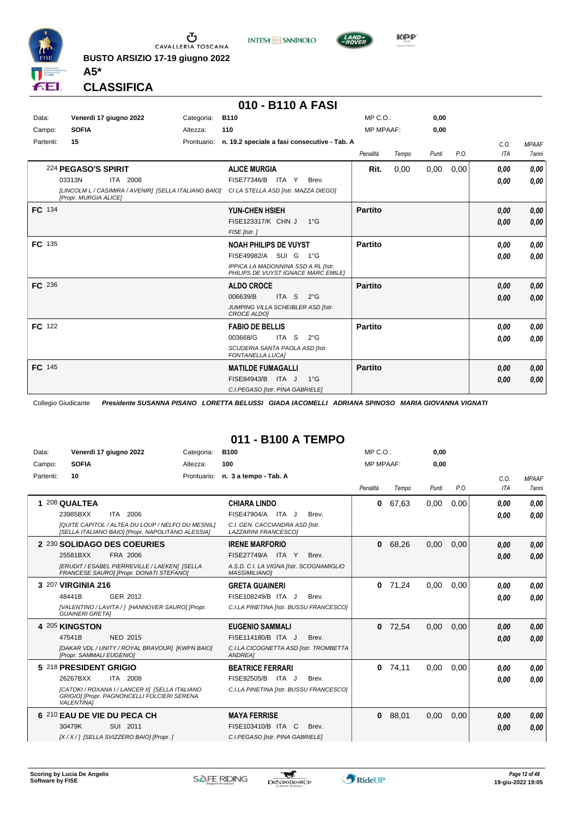

**INTESA** M SANPAOLO



**Kep** 

**CLASSIFICA**

**A5\***

#### **010 - B110 A FASI**

| Data:     | Venerdì 17 giugno 2022                                                                                                      | Categoria:  | <b>B110</b>                                                                                                                                     | MP C. O.         |       | 0,00  |      |              |                              |
|-----------|-----------------------------------------------------------------------------------------------------------------------------|-------------|-------------------------------------------------------------------------------------------------------------------------------------------------|------------------|-------|-------|------|--------------|------------------------------|
| Campo:    | <b>SOFIA</b>                                                                                                                | Altezza:    | 110                                                                                                                                             | <b>MP MPAAF:</b> |       | 0,00  |      |              |                              |
| Partenti: | 15                                                                                                                          | Prontuario: | n. 19.2 speciale a fasi consecutive - Tab. A                                                                                                    | Penalità         | Tempo | Punti | P.O. | C.0.<br>ITA  | <b>MPAAF</b><br><b>7anni</b> |
|           | 224 PEGASO'S SPIRIT<br>03313N<br>ITA 2008<br>[LINCOLM L / CASIMIRA / AVENIR] [SELLA ITALIANO BAIO]<br>[Propr. MURGIA ALICE] |             | <b>ALICE MURGIA</b><br>FISE77346/B ITA Y<br>Brev.<br>CI LA STELLA ASD [Istr. MAZZA DIEGO]                                                       | Rit.             | 0,00  | 0,00  | 0,00 | 0,00<br>0.00 | 0,00<br>0,00                 |
| FC 134    |                                                                                                                             |             | <b>YUN-CHEN HSIEH</b><br>FISE123317/K CHN J<br>$1^{\circ}$ G<br>FISE [Istr.]                                                                    | <b>Partito</b>   |       |       |      | 0,00<br>0,00 | 0,00<br>0,00                 |
| FC 135    |                                                                                                                             |             | <b>NOAH PHILIPS DE VUYST</b><br>FISE49982/A SUI G<br>$1^{\circ}G$<br>IPPICA LA MADONNINA SSD A RL [Istr.<br>PHILIPS DE VUYST IGNACE MARC EMILE] | <b>Partito</b>   |       |       |      | 0,00<br>0.00 | 0,00<br>0,00                 |
| FC 236    |                                                                                                                             |             | <b>ALDO CROCE</b><br>006639/B<br>ITA <sub>S</sub><br>$2^{\circ}$ G<br>JUMPING VILLA SCHEIBLER ASD [Istr.<br><b>CROCE ALDOI</b>                  | <b>Partito</b>   |       |       |      | 0.00<br>0.00 | 0,00<br>0,00                 |
| FC 122    |                                                                                                                             |             | <b>FABIO DE BELLIS</b><br>003668/G<br>ITA S<br>$2^{\circ}G$<br>SCUDERIA SANTA PAOLA ASD [Istr.<br><b>FONTANELLA LUCAI</b>                       | <b>Partito</b>   |       |       |      | 0.00<br>0.00 | 0,00<br>0,00                 |
| FC 145    |                                                                                                                             |             | <b>MATILDE FUMAGALLI</b><br>FISE84943/B ITA J<br>$1^{\circ}G$<br>C.I.PEGASO [Istr. PINA GABRIELE]                                               | <b>Partito</b>   |       |       |      | 0,00<br>0,00 | 0,00<br>0,00                 |

Collegio Giudicante *Presidente SUSANNA PISANO LORETTA BELUSSI GIADA IACOMELLI ADRIANA SPINOSO MARIA GIOVANNA VIGNATI*

#### **011 - B100 A TEMPO**

| Data:<br>Campo: | Venerdì 17 giugno 2022<br><b>SOFIA</b>                                                                                                                                       | Categoria:<br>Altezza:                                                                                 | <b>B100</b><br>100                                                                                                      | MP C. O.<br><b>MP MPAAF:</b> |       | 0,00<br>0.00 |      |              |                              |
|-----------------|------------------------------------------------------------------------------------------------------------------------------------------------------------------------------|--------------------------------------------------------------------------------------------------------|-------------------------------------------------------------------------------------------------------------------------|------------------------------|-------|--------------|------|--------------|------------------------------|
| Partenti:       | 10                                                                                                                                                                           |                                                                                                        | Prontuario: n. 3 a tempo - Tab. A                                                                                       | Penalità                     | Tempo | Punti        | P.O. | C.O.<br>ITA  | <b>MPAAF</b><br><b>7anni</b> |
|                 | 208 QUALTEA<br>ITA 2006<br>23985BXX                                                                                                                                          | [QUITE CAPITOL / ALTEA DU LOUP / NELFO DU MESNIL]<br>[SELLA ITALIANO BAIO] [Propr. NAPOLITANO ALESSIA] | <b>CHIARA LINDO</b><br>FISE47904/A ITA J<br>Brev.<br>C.I. GEN. CACCIANDRA ASD [Istr.<br>LAZZARINI FRANCESCOI            | 0                            | 67,63 | 0,00         | 0,00 | 0.00<br>0,00 | 0.00<br>0.00                 |
|                 | 2 230 SOLIDAGO DES COEURIES<br>FRA 2006<br>25581BXX<br>[ERUDIT / ESABEL PIERREVILLE / LAEKEN] [SELLA<br>FRANCESE SAUROI [Propr. DONATI STEFANO]                              |                                                                                                        | <b>IRENE MARFORIO</b><br>FISE27749/A ITA Y<br>Brev.<br>A.S.D. C.I. LA VIGNA [Istr. SCOGNAMIGLIO<br><b>MASSIMILIANO1</b> | 0                            | 68,26 | 0,00         | 0,00 | 0,00<br>0,00 | 0,00<br>0.00                 |
|                 | 3 207 VIRGINIA 216<br>GER 2012<br>48441B<br><b>GUAINERI GRETAI</b>                                                                                                           | [VALENTINO / LAVITA / ] [HANNOVER SAURO] [Propr.                                                       | <b>GRETA GUAINERI</b><br>FISE108249/B ITA J<br>Brev.<br>C.I.LA PINETINA [Istr. BUSSU FRANCESCO]                         | 0                            | 71.24 | 0.00         | 0.00 | 0,00<br>0,00 | 0.00<br>0.00                 |
|                 | 4 205 KINGSTON<br>47541B<br><b>NED 2015</b><br>[Propr. SAMMALI EUGENIO]                                                                                                      | [DAKAR VDL / UNITY / ROYAL BRAVOUR] [KWPN BAIO]                                                        | <b>EUGENIO SAMMALI</b><br>FISE114180/B ITA J<br>Brev.<br>C.I.LA CICOGNETTA ASD [Istr. TROMBETTA<br>ANDREA]              | 0                            | 72.54 | 0.00         | 0.00 | 0,00<br>0.00 | 0,00<br>0.00                 |
|                 | 5 218 PRESIDENT GRIGIO<br>26267BXX<br><b>ITA 2008</b><br>[CATOKI / ROXANA I / LANCER II] [SELLA ITALIANO<br>GRIGIO] [Propr. PAGNONCELLI FOLCIERI SERENA<br><b>VALENTINA1</b> |                                                                                                        | <b>BEATRICE FERRARI</b><br>FISE92505/B ITA J<br>Brev.<br>C.I.LA PINETINA [Istr. BUSSU FRANCESCO]                        | $\mathbf{0}$                 | 74,11 | 0.00         | 0.00 | 0,00<br>0.00 | 0.00<br>0.00                 |
|                 | 6 210 EAU DE VIE DU PECA CH<br>30479K<br>SUI 2011<br>[X / X / ] [SELLA SVIZZERO BAIO] [Propr. ]                                                                              |                                                                                                        | <b>MAYA FERRISE</b><br>FISE103410/B ITA C<br>Brev.<br>C.I.PEGASO [Istr. PINA GABRIELE]                                  | $\mathbf{0}$                 | 88.01 | 0.00         | 0.00 | 0,00<br>0,00 | 0,00<br>0.00                 |

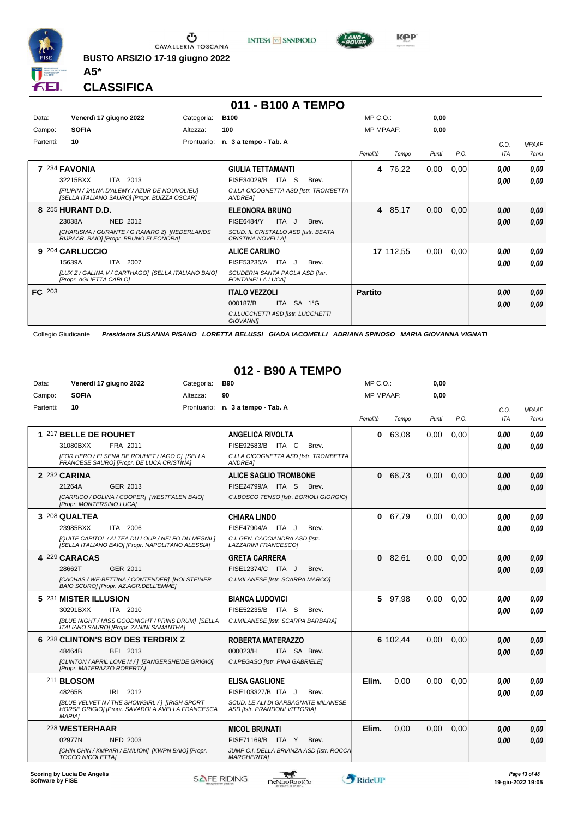

**BUSTO ARSIZIO 17-19 giugno 2022 A5\***



# **011 - B100 A TEMPO**

**INTESA M** SANPAOLO

| Data:         |                         | Venerdì 17 giugno 2022                                                                        | Categoria:  | <b>B100</b>                                                     |       | $MP C. O.$ :     |           | 0,00  |      |            |              |
|---------------|-------------------------|-----------------------------------------------------------------------------------------------|-------------|-----------------------------------------------------------------|-------|------------------|-----------|-------|------|------------|--------------|
| Campo:        | <b>SOFIA</b>            |                                                                                               | Altezza:    | 100                                                             |       | <b>MP MPAAF:</b> |           | 0.00  |      |            |              |
| Partenti:     | 10                      |                                                                                               | Prontuario: | n. 3 a tempo - Tab. A                                           |       |                  |           |       |      | C.O.       | <b>MPAAF</b> |
|               |                         |                                                                                               |             |                                                                 |       | Penalità         | Tempo     | Punti | P.O. | <b>ITA</b> | 7anni        |
|               | 7 234 FAVONIA           |                                                                                               |             | <b>GIULIA TETTAMANTI</b>                                        |       | 4                | 76,22     | 0,00  | 0,00 | 0,00       | 0,00         |
|               | 32215BXX                | ITA<br>2013                                                                                   |             | FISE34029/B<br>ITA<br>-S                                        | Brev. |                  |           |       |      | 0,00       | 0.00         |
|               |                         | IFILIPIN / JALNA D'ALEMY / AZUR DE NOUVOLIEUI<br>[SELLA ITALIANO SAURO] [Propr. BUIZZA OSCAR] |             | C.I.LA CICOGNETTA ASD [Istr. TROMBETTA<br><b>ANDREA1</b>        |       |                  |           |       |      |            |              |
|               | 8 255 HURANT D.D.       |                                                                                               |             | <b>ELEONORA BRUNO</b>                                           |       | 4                | 85,17     | 0,00  | 0,00 | 0,00       | 0,00         |
|               | 23038A                  | <b>NED 2012</b>                                                                               |             | ITA J<br><b>FISE6484/Y</b>                                      | Brev. |                  |           |       |      | 0.00       | 0.00         |
|               |                         | [CHARISMA / GURANTE / G.RAMIRO Z] [NEDERLANDS<br>RIJPAAR. BAIO] [Propr. BRUNO ELEONORA]       |             | SCUD. IL CRISTALLO ASD [Istr. BEATA<br><b>CRISTINA NOVELLAI</b> |       |                  |           |       |      |            |              |
|               | 9 204 CARLUCCIO         |                                                                                               |             | <b>ALICE CARLINO</b>                                            |       |                  | 17 112,55 | 0,00  | 0,00 | 0,00       | 0,00         |
|               | 15639A                  | <b>ITA</b><br>2007                                                                            |             | FISE53235/A<br>ITA J                                            | Brev. |                  |           |       |      | 0.00       | 0.00         |
|               | [Propr. AGLIETTA CARLO] | [LUX Z / GALINA V / CARTHAGO] [SELLA ITALIANO BAIO]                                           |             | SCUDERIA SANTA PAOLA ASD [Istr.<br><b>FONTANELLA LUCAI</b>      |       |                  |           |       |      |            |              |
| <b>FC</b> 203 |                         |                                                                                               |             | <b>ITALO VEZZOLI</b>                                            |       | <b>Partito</b>   |           |       |      | 0,00       | 0,00         |
|               |                         |                                                                                               |             | ITA SA 1°G<br>000187/B                                          |       |                  |           |       |      | 0.00       | 0.00         |
|               |                         |                                                                                               |             | C.I.LUCCHETTI ASD [Istr. LUCCHETTI<br><b>GIOVANNII</b>          |       |                  |           |       |      |            |              |

Collegio Giudicante *Presidente SUSANNA PISANO LORETTA BELUSSI GIADA IACOMELLI ADRIANA SPINOSO MARIA GIOVANNA VIGNATI*

# **012 - B90 A TEMPO**<br>Categoria: **B90**

| Data:            | Venerdì 17 giugno 2022                                                                                             | Categoria: | <b>B90</b>                                                           |       | MP C.O.:         |          | 0,00  |      |      |                                    |
|------------------|--------------------------------------------------------------------------------------------------------------------|------------|----------------------------------------------------------------------|-------|------------------|----------|-------|------|------|------------------------------------|
| Campo:           | <b>SOFIA</b>                                                                                                       | Altezza:   | 90                                                                   |       | <b>MP MPAAF:</b> |          | 0,00  |      |      |                                    |
| Partenti:        | 10                                                                                                                 |            | Prontuario: n. 3 a tempo - Tab. A                                    |       |                  |          |       |      | C.O. | <b>MPAAF</b>                       |
|                  |                                                                                                                    |            |                                                                      |       | Penalità         | Tempo    | Punti | P.O. | ITA  | 7anni                              |
|                  | 1 217 BELLE DE ROUHET                                                                                              |            | <b>ANGELICA RIVOLTA</b>                                              |       | 0                | 63.08    | 0.00  | 0,00 | 0.00 | 0.00                               |
|                  | 31080BXX<br>FRA 2011                                                                                               |            | FISE92583/B ITA C                                                    | Brev. |                  |          |       |      | 0.00 | 0.00                               |
|                  | [FOR HERO / ELSENA DE ROUHET / IAGO C] [SELLA<br>FRANCESE SAURO] [Propr. DE LUCA CRISTINA]                         |            | C.I.LA CICOGNETTA ASD [Istr. TROMBETTA<br>ANDREA]                    |       |                  |          |       |      |      |                                    |
|                  | 2 232 CARINA                                                                                                       |            | <b>ALICE SAGLIO TROMBONE</b>                                         |       | 0                | 66.73    | 0.00  | 0.00 | 0.00 | 0,00                               |
|                  | 21264A<br>GER 2013                                                                                                 |            | FISE24799/A ITA S                                                    | Brev. |                  |          |       |      | 0.00 | 0,00                               |
|                  | [CARRICO / DOLINA / COOPER] [WESTFALEN BAIO]<br>[Propr. MONTERSINO LUCA]                                           |            | C.I.BOSCO TENSO [Istr. BORIOLI GIORGIO]                              |       |                  |          |       |      |      |                                    |
|                  | 3 208 QUALTEA                                                                                                      |            | <b>CHIARA LINDO</b>                                                  |       | 0                | 67.79    | 0.00  | 0.00 | 0.00 | 0.00                               |
|                  | ITA 2006<br>23985BXX                                                                                               |            | FISE47904/A ITA J                                                    | Brev. |                  |          |       |      | 0.00 | 0.00                               |
|                  | [QUITE CAPITOL / ALTEA DU LOUP / NELFO DU MESNIL]<br>[SELLA ITALIANO BAIO] [Propr. NAPOLITANO ALESSIA]             |            | C.I. GEN. CACCIANDRA ASD [Istr.<br>LAZZARINI FRANCESCOI              |       |                  |          |       |      |      |                                    |
|                  | 4 229 CARACAS                                                                                                      |            | <b>GRETA CARRERA</b>                                                 |       | 0                | 82,61    | 0,00  | 0,00 | 0.00 | 0,00                               |
|                  | GER 2011<br>28662T                                                                                                 |            | FISE12374/C ITA J                                                    | Brev. |                  |          |       |      | 0.00 | 0.00                               |
|                  | [CACHAS / WE-BETTINA / CONTENDER] [HOLSTEINER<br>BAIO SCURO] [Propr. AZ.AGR.DELL'EMME]                             |            | C.I.MILANESE [Istr. SCARPA MARCO]                                    |       |                  |          |       |      |      |                                    |
|                  | 5 231 MISTER ILLUSION                                                                                              |            | <b>BIANCA LUDOVICI</b>                                               |       | 5.               | 97,98    | 0.00  | 0.00 | 0.00 | 0.00                               |
|                  | 30291BXX<br>ITA 2010                                                                                               |            | FISE52235/B ITA S                                                    | Brev. |                  |          |       |      | 0.00 | 0.00                               |
|                  | <b>IBLUE NIGHT / MISS GOODNIGHT / PRINS DRUMI [SELLA</b><br>ITALIANO SAUROJ [Propr. ZANINI SAMANTHA]               |            | C.I.MILANESE [Istr. SCARPA BARBARA]                                  |       |                  |          |       |      |      |                                    |
|                  | 6 238 CLINTON'S BOY DES TERDRIX Z                                                                                  |            | <b>ROBERTA MATERAZZO</b>                                             |       |                  | 6 102.44 | 0.00  | 0.00 | 0.00 | 0,00                               |
|                  | 48464B<br>BEL 2013                                                                                                 |            | 000023/H<br>ITA SA Brev.                                             |       |                  |          |       |      | 0.00 | 0,00                               |
|                  | [CLINTON / APRIL LOVE M / ] [ZANGERSHEIDE GRIGIO]<br>[Propr. MATERAZZO ROBERTA]                                    |            | C.I.PEGASO [Istr. PINA GABRIELE]                                     |       |                  |          |       |      |      |                                    |
|                  | <b>211 BLOSOM</b>                                                                                                  |            | <b>ELISA GAGLIONE</b>                                                |       | Elim.            | 0.00     | 0,00  | 0,00 | 0.00 | 0.00                               |
|                  | 48265B<br>IRL 2012                                                                                                 |            | FISE103327/B ITA J                                                   | Brev. |                  |          |       |      | 0.00 | 0.00                               |
|                  | [BLUE VELVET N / THE SHOWGIRL / ] [IRISH SPORT<br>HORSE GRIGIO] [Propr. SAVAROLA AVELLA FRANCESCA<br><b>MARIA1</b> |            | SCUD. LE ALI DI GARBAGNATE MILANESE<br>ASD [Istr. PRANDONI VITTORIA] |       |                  |          |       |      |      |                                    |
|                  | 228 WESTERHAAR                                                                                                     |            | <b>MICOL BRUNATI</b>                                                 |       | Elim.            | 0.00     | 0.00  | 0,00 | 0.00 | 0.00                               |
|                  | 02977N<br><b>NED 2003</b>                                                                                          |            | FISE71169/B ITA Y                                                    | Brev. |                  |          |       |      | 0.00 | 0.00                               |
|                  | [CHIN CHIN / KMPARI / EMILION] [KWPN BAIO] [Propr.<br><b>TOCCO NICOLETTAI</b>                                      |            | JUMP C.I. DELLA BRIANZA ASD [Istr. ROCCA<br><b>MARGHERITAI</b>       |       |                  |          |       |      |      |                                    |
| Software by FISE | Scoring by Lucia De Angelis                                                                                        |            | <b>SAFE RIDING</b><br>DeNiroBootCo                                   |       | RideUP           |          |       |      |      | Page 13 of 48<br>19-giu-2022 19:05 |



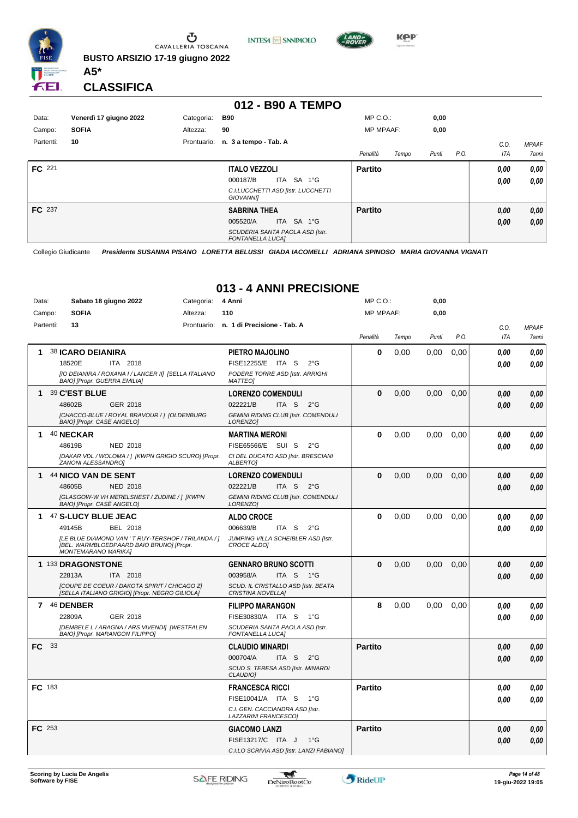

**INTESA M** SANPAOLO



**KPP** 

**CLASSIFICA**

**A5\***

#### **012 - B90 A TEMPO**

| Data:     | Venerdì 17 giugno 2022 | Categoria: | <b>B90</b>                                                 | $MP C. O.$ :     |       | 0,00  |      |      |              |
|-----------|------------------------|------------|------------------------------------------------------------|------------------|-------|-------|------|------|--------------|
| Campo:    | <b>SOFIA</b>           | Altezza:   | 90                                                         | <b>MP MPAAF:</b> |       | 0,00  |      |      |              |
| Partenti: | 10                     |            | Prontuario: n. 3 a tempo - Tab. A                          |                  |       |       |      | C.0  | <b>MPAAF</b> |
|           |                        |            |                                                            | Penalità         | Tempo | Punti | P.O. | ITA  | <b>7anni</b> |
| FC 221    |                        |            | <b>ITALO VEZZOLI</b>                                       | <b>Partito</b>   |       |       |      | 0.00 | 0,00         |
|           |                        |            | ITA SA 1°G<br>000187/B                                     |                  |       |       |      | 0,00 | 0,00         |
|           |                        |            | C.I.LUCCHETTI ASD [Istr. LUCCHETTI<br><b>GIOVANNII</b>     |                  |       |       |      |      |              |
| FC 237    |                        |            | <b>SABRINA THEA</b>                                        | <b>Partito</b>   |       |       |      | 0,00 | 0,00         |
|           |                        |            | ITA SA 1°G<br>005520/A                                     |                  |       |       |      | 0,00 | 0,00         |
|           |                        |            | SCUDERIA SANTA PAOLA ASD [Istr.<br><b>FONTANELLA LUCAI</b> |                  |       |       |      |      |              |

Collegio Giudicante *Presidente SUSANNA PISANO LORETTA BELUSSI GIADA IACOMELLI ADRIANA SPINOSO MARIA GIOVANNA VIGNATI*

## **013 - 4 ANNI PRECISIONE**

| Data: | Sabato 18 giugno 2022<br>Categoria:                                                                                           | 4 Anni                                                                | $MP C. O.$ :     |       | 0,00  |      |                    |                       |
|-------|-------------------------------------------------------------------------------------------------------------------------------|-----------------------------------------------------------------------|------------------|-------|-------|------|--------------------|-----------------------|
|       | <b>SOFIA</b><br>Campo:<br>Altezza:                                                                                            | 110                                                                   | <b>MP MPAAF:</b> |       | 0,00  |      |                    |                       |
|       | Partenti:<br>13                                                                                                               | Prontuario: n. 1 di Precisione - Tab. A                               | Penalità         | Tempo | Punti | P.O. | C.O.<br><b>ITA</b> | <b>MPAAF</b><br>7anni |
|       |                                                                                                                               |                                                                       |                  |       |       |      |                    |                       |
| 1.    | <b>38 ICARO DEIANIRA</b>                                                                                                      | PIETRO MAJOLINO                                                       | $\bf{0}$         | 0.00  | 0.00  | 0.00 | 0.00               | 0.00                  |
|       | 18520E<br>ITA 2018<br>[IO DEIANIRA / ROXANA I / LANCER II] [SELLA ITALIANO                                                    | FISE12255/E ITA S<br>$2^{\circ}$ G<br>PODERE TORRE ASD [Istr. ARRIGHI |                  |       |       |      | 0.00               | 0.00                  |
|       | <b>BAIO] [Propr. GUERRA EMILIA]</b>                                                                                           | <b>MATTEO1</b>                                                        |                  |       |       |      |                    |                       |
| 1     | 39 C'EST BLUE                                                                                                                 | <b>LORENZO COMENDULI</b>                                              | $\bf{0}$         | 0,00  | 0.00  | 0.00 | 0,00               | 0.00                  |
|       | 48602B<br>GER 2018                                                                                                            | 022221/B<br>ITA S<br>$2^{\circ}G$                                     |                  |       |       |      | 0,00               | 0.00                  |
|       | [CHACCO-BLUE / ROYAL BRAVOUR / ] [OLDENBURG<br>BAIO] [Propr. CASE ANGELO]                                                     | <b>GEMINI RIDING CLUB [Istr. COMENDULI</b><br>LORENZO1                |                  |       |       |      |                    |                       |
| 1     | 40 NECKAR                                                                                                                     | <b>MARTINA MERONI</b>                                                 | $\bf{0}$         | 0.00  | 0.00  | 0,00 | 0.00               | 0.00                  |
|       | 48619B<br><b>NED 2018</b>                                                                                                     | FISE65566/E SUI S<br>$2^{\circ}$ G                                    |                  |       |       |      | 0.00               | 0.00                  |
|       | [DAKAR VDL / WOLOMA / ] [KWPN GRIGIO SCURO] [Propr.<br>ZANONI ALESSANDROI                                                     | CI DEL DUCATO ASD [Istr. BRESCIANI<br><b>ALBERTOI</b>                 |                  |       |       |      |                    |                       |
| 1     | 44 NICO VAN DE SENT                                                                                                           | <b>LORENZO COMENDULI</b>                                              | $\bf{0}$         | 0,00  | 0,00  | 0,00 | 0,00               | 0.00                  |
|       | 48605B<br><b>NED 2018</b>                                                                                                     | 022221/B<br>ITA S<br>$2^{\circ}G$                                     |                  |       |       |      | 0,00               | 0.00                  |
|       | [GLASGOW-W VH MERELSNEST / ZUDINE / ] [KWPN<br>BAIO] [Propr. CASE ANGELO]                                                     | <b>GEMINI RIDING CLUB [Istr. COMENDULI</b><br>LORENZO1                |                  |       |       |      |                    |                       |
| 1     | 47 S-LUCY BLUE JEAC                                                                                                           | <b>ALDO CROCE</b>                                                     | $\bf{0}$         | 0.00  | 0.00  | 0.00 | 0.00               | 0.00                  |
|       | 49145B<br>BEL 2018                                                                                                            | 006639/B<br>ITA S<br>$2^{\circ}$ G                                    |                  |       |       |      | 0.00               | 0.00                  |
|       | [LE BLUE DIAMOND VAN ' T RUY-TERSHOF / TRILANDA / ]<br>[BEL. WARMBLOEDPAARD BAIO BRUNO] [Propr.<br><b>MONTEMARANO MARIKA]</b> | JUMPING VILLA SCHEIBLER ASD [Istr.<br>CROCE ALDO]                     |                  |       |       |      |                    |                       |
|       | 1 133 DRAGONSTONE                                                                                                             | <b>GENNARO BRUNO SCOTTI</b>                                           | $\bf{0}$         | 0,00  | 0.00  | 0.00 | 0,00               | 0,00                  |
|       | 22813A<br><b>ITA 2018</b>                                                                                                     | 003958/A<br>ITA S 1°G                                                 |                  |       |       |      | 0,00               | 0.00                  |
|       | <b>ICOUPE DE COEUR / DAKOTA SPIRIT / CHICAGO ZI</b><br>[SELLA ITALIANO GRIGIO] [Propr. NEGRO GILIOLA]                         | SCUD. IL CRISTALLO ASD [Istr. BEATA<br><b>CRISTINA NOVELLAI</b>       |                  |       |       |      |                    |                       |
|       | 7 46 DENBER                                                                                                                   | <b>FILIPPO MARANGON</b>                                               | 8                | 0.00  | 0.00  | 0.00 | 0.00               | 0.00                  |
|       | 22809A<br>GER 2018                                                                                                            | FISE30830/A ITA S<br>$1^{\circ}G$                                     |                  |       |       |      | 0.00               | 0.00                  |
|       | [DEMBELE L / ARAGNA / ARS VIVENDI] [WESTFALEN<br>BAIO] [Propr. MARANGON FILIPPO]                                              | SCUDERIA SANTA PAOLA ASD [Istr.<br>FONTANELLA LUCA]                   |                  |       |       |      |                    |                       |
| FC.   | 33                                                                                                                            | <b>CLAUDIO MINARDI</b>                                                | <b>Partito</b>   |       |       |      | 0.00               | 0.00                  |
|       |                                                                                                                               | 000704/A<br>$2^{\circ}$ G<br>ITA S                                    |                  |       |       |      | 0,00               | 0.00                  |
|       |                                                                                                                               | SCUD S. TERESA ASD [Istr. MINARDI<br>CLAUDIO]                         |                  |       |       |      |                    |                       |
|       | FC 183                                                                                                                        | <b>FRANCESCA RICCI</b>                                                | <b>Partito</b>   |       |       |      | 0.00               | 0,00                  |
|       |                                                                                                                               | FISE10041/A ITA S<br>$1^{\circ}G$                                     |                  |       |       |      | 0.00               | 0.00                  |
|       |                                                                                                                               | C.I. GEN. CACCIANDRA ASD [Istr.<br>LAZZARINI FRANCESCO]               |                  |       |       |      |                    |                       |
|       | <b>FC</b> 253                                                                                                                 | <b>GIACOMO LANZI</b>                                                  | <b>Partito</b>   |       |       |      | 0,00               | 0.00                  |
|       |                                                                                                                               | FISE13217/C ITA J<br>$1^{\circ}G$                                     |                  |       |       |      | 0.00               | 0,00                  |
|       |                                                                                                                               | C.I.LO SCRIVIA ASD [Istr. LANZI FABIANO]                              |                  |       |       |      |                    |                       |

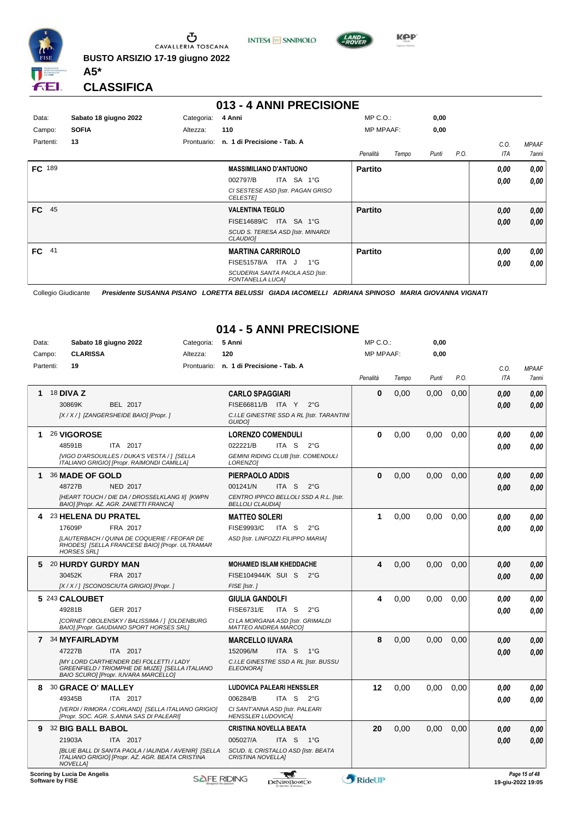

**INTESA M** SANPAOLO



**KPP** 

**CLASSIFICA**

**A5\***

## **013 - 4 ANNI PRECISIONE**

| Data:         | Sabato 18 giugno 2022 | Categoria:  | 4 Anni                                                     | $MP C. O.$ :     |       | 0,00  |      |      |              |
|---------------|-----------------------|-------------|------------------------------------------------------------|------------------|-------|-------|------|------|--------------|
| Campo:        | <b>SOFIA</b>          | Altezza:    | 110                                                        | <b>MP MPAAF:</b> |       | 0,00  |      |      |              |
| Partenti:     | 13                    | Prontuario: | n. 1 di Precisione - Tab. A                                |                  |       |       |      | C.O. | <b>MPAAF</b> |
|               |                       |             |                                                            | Penalità         | Tempo | Punti | P.O. | ITA  | 7anni        |
| <b>FC</b> 189 |                       |             | <b>MASSIMILIANO D'ANTUONO</b>                              | <b>Partito</b>   |       |       |      | 0.00 | 0,00         |
|               |                       |             | 002797/B<br>ITA SA 1°G                                     |                  |       |       |      | 0,00 | 0,00         |
|               |                       |             | CI SESTESE ASD [Istr. PAGAN GRISO<br><b>CELESTEI</b>       |                  |       |       |      |      |              |
| 45<br>FC .    |                       |             | <b>VALENTINA TEGLIO</b>                                    | <b>Partito</b>   |       |       |      | 0,00 | 0,00         |
|               |                       |             | FISE14689/C ITA SA 1°G                                     |                  |       |       |      | 0,00 | 0.00         |
|               |                       |             | SCUD S. TERESA ASD [Istr. MINARDI<br><b>CLAUDIOI</b>       |                  |       |       |      |      |              |
| $FC$ 41       |                       |             | <b>MARTINA CARRIROLO</b>                                   | <b>Partito</b>   |       |       |      | 0.00 | 0,00         |
|               |                       |             | $1^{\circ}$ G<br>FISE51578/A ITA J                         |                  |       |       |      | 0,00 | 0.00         |
|               |                       |             | SCUDERIA SANTA PAOLA ASD [Istr.<br><b>FONTANELLA LUCAI</b> |                  |       |       |      |      |              |

Collegio Giudicante *Presidente SUSANNA PISANO LORETTA BELUSSI GIADA IACOMELLI ADRIANA SPINOSO MARIA GIOVANNA VIGNATI*

### **014 - 5 ANNI PRECISIONE**

| Data:     | Sabato 18 giugno 2022                                                                                                                    | Categoria:  | 5 Anni                                                             | $MP C. O.$ :     |       | 0,00  |      |            |               |
|-----------|------------------------------------------------------------------------------------------------------------------------------------------|-------------|--------------------------------------------------------------------|------------------|-------|-------|------|------------|---------------|
| Campo:    | <b>CLARISSA</b>                                                                                                                          | Altezza:    | 120                                                                | <b>MP MPAAF:</b> |       | 0,00  |      |            |               |
| Partenti: | 19                                                                                                                                       | Prontuario: | n. 1 di Precisione - Tab. A                                        |                  |       |       |      | C.O.       | <b>MPAAF</b>  |
|           |                                                                                                                                          |             |                                                                    | Penalità         | Tempo | Punti | P.O. | <b>ITA</b> | 7anni         |
| 1.        | <b>18 DIVA Z</b>                                                                                                                         |             | <b>CARLO SPAGGIARI</b>                                             | $\bf{0}$         | 0,00  | 0,00  | 0,00 | 0.00       | 0,00          |
|           | 30869K<br><b>BEL 2017</b>                                                                                                                |             | FISE66811/B ITA Y<br>$2^{\circ}$ G                                 |                  |       |       |      | 0.00       | 0.00          |
|           | [X / X / ] [ZANGERSHEIDE BAIO] [Propr. ]                                                                                                 |             | C.I.LE GINESTRE SSD A RL [Istr. TARANTINI<br>GUIDO]                |                  |       |       |      |            |               |
|           | 26 VIGOROSE                                                                                                                              |             | <b>LORENZO COMENDULI</b>                                           | $\bf{0}$         | 0,00  | 0,00  | 0,00 | 0.00       | 0,00          |
|           | 48591B<br>ITA 2017                                                                                                                       |             | 022221/B<br>ITA S<br>$2^{\circ}$ G                                 |                  |       |       |      | 0.00       | 0,00          |
|           | [VIGO D'ARSOUILLES / DUKA'S VESTA / ] [SELLA<br>ITALIANO GRIGIO] [Propr. RAIMONDI CAMILLA]                                               |             | <b>GEMINI RIDING CLUB [Istr. COMENDULI</b><br>LORENZO1             |                  |       |       |      |            |               |
|           | 36 MADE OF GOLD                                                                                                                          |             | PIERPAOLO ADDIS                                                    | $\bf{0}$         | 0,00  | 0,00  | 0,00 | 0.00       | 0,00          |
|           | 48727B<br><b>NED 2017</b>                                                                                                                |             | 001241/N<br>ITA S<br>$2^{\circ}$ G                                 |                  |       |       |      | 0.00       | 0.00          |
|           | [HEART TOUCH / DIE DA / DROSSELKLANG II] [KWPN<br>BAIO] [Propr. AZ. AGR. ZANETTI FRANCA]                                                 |             | CENTRO IPPICO BELLOLI SSD A R.L. [Istr.<br><b>BELLOLI CLAUDIA]</b> |                  |       |       |      |            |               |
|           | 23 HELENA DU PRATEL                                                                                                                      |             | <b>MATTEO SOLERI</b>                                               | 1                | 0,00  | 0,00  | 0,00 | 0.00       | 0,00          |
|           | 17609P<br>FRA 2017                                                                                                                       |             | <b>FISE9993/C</b><br>ITA S<br>$2^{\circ}$ G                        |                  |       |       |      | 0.00       | 0.00          |
|           | [LAUTERBACH / QUINA DE COQUERIE / FEOFAR DE<br>RHODES] [SELLA FRANCESE BAIO] [Propr. ULTRAMAR<br><b>HORSES SRLI</b>                      |             | ASD [Istr. LINFOZZI FILIPPO MARIA]                                 |                  |       |       |      |            |               |
|           | 5 20 HURDY GURDY MAN                                                                                                                     |             | <b>MOHAMED ISLAM KHEDDACHE</b>                                     | 4                | 0.00  | 0.00  | 0.00 | 0.00       | 0.00          |
|           | 30452K<br>FRA 2017                                                                                                                       |             | FISE104944/K SUI S 2°G                                             |                  |       |       |      | 0.00       | 0.00          |
|           | [X / X / ] [SCONOSCIUTA GRIGIO] [Propr. ]                                                                                                |             | FISE [Istr.]                                                       |                  |       |       |      |            |               |
|           | 5 243 CALOUBET                                                                                                                           |             | <b>GIULIA GANDOLFI</b>                                             | 4                | 0,00  | 0,00  | 0,00 | 0.00       | 0.00          |
|           | 49281B<br><b>GER 2017</b>                                                                                                                |             | <b>FISE6731/E</b><br>ITA <sub>S</sub><br>$2^{\circ}$ G             |                  |       |       |      | 0.00       | 0.00          |
|           | [CORNET OBOLENSKY / BALISSIMA / ] [OLDENBURG<br>BAIO] [Propr. GAUDIANO SPORT HORSES SRL]                                                 |             | CI LA MORGANA ASD [Istr. GRIMALDI<br><b>MATTEO ANDREA MARCOI</b>   |                  |       |       |      |            |               |
|           | 7 34 MYFAIRLADYM                                                                                                                         |             | <b>MARCELLO IUVARA</b>                                             | 8                | 0,00  | 0.00  | 0.00 | 0.00       | 0.00          |
|           | 47227B<br>ITA 2017                                                                                                                       |             | 152096/M<br>ITA S 1°G                                              |                  |       |       |      | 0.00       | 0.00          |
|           | <b>IMY LORD CARTHENDER DEI FOLLETTI / LADY</b><br>GREENFIELD / TRIOMPHE DE MUZE] [SELLA ITALIANO<br>BAIO SCURO] [Propr. IUVARA MARCELLO] |             | C.I.LE GINESTRE SSD A RL [Istr. BUSSU<br><b>ELEONORAI</b>          |                  |       |       |      |            |               |
| 8         | 30 GRACE O' MALLEY                                                                                                                       |             | <b>LUDOVICA PALEARI HENSSLER</b>                                   | 12               | 0.00  | 0.00  | 0.00 | 0.00       | 0,00          |
|           | 49345B<br>ITA 2017                                                                                                                       |             | 006284/B<br>ITA S<br>$2^{\circ}$ G                                 |                  |       |       |      | 0.00       | 0.00          |
|           | [VERDI / RIMORA / CORLAND] [SELLA ITALIANO GRIGIO]<br>[Propr. SOC. AGR. S.ANNA SAS DI PALEARI]                                           |             | CI SANT'ANNA ASD [Istr. PALEARI<br><b>HENSSLER LUDOVICAI</b>       |                  |       |       |      |            |               |
| 9         | 32 BIG BALL BABOL                                                                                                                        |             | <b>CRISTINA NOVELLA BEATA</b>                                      | 20               | 0.00  | 0.00  | 0.00 | 0.00       | 0.00          |
|           | 21903A<br>ITA 2017                                                                                                                       |             | 005027/A<br>ITA S 1°G                                              |                  |       |       |      | 0,00       | 0.00          |
|           | <b>IBLUE BALL DI SANTA PAOLA / IALINDA / AVENIRI [SELLA</b><br>ITALIANO GRIGIOI IPropr. AZ. AGR. BEATA CRISTINA<br><b>NOVELLAI</b>       |             | SCUD. IL CRISTALLO ASD [Istr. BEATA<br><b>CRISTINA NOVELLAI</b>    |                  |       |       |      |            |               |
|           | Scoring by Lucia De Angelis                                                                                                              |             |                                                                    |                  |       |       |      |            | Page 15 of 48 |

**Scoring by Lucia L**<br>Software by FISE

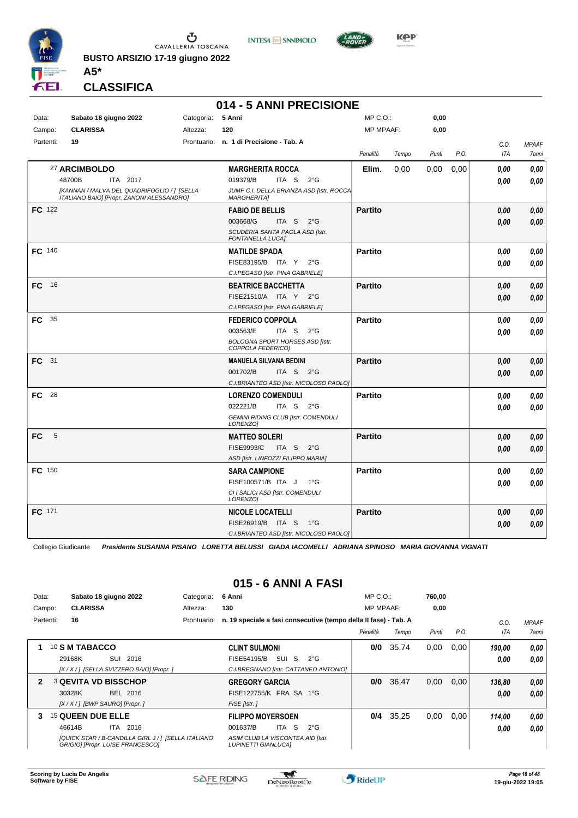

**INTESA M** SANPAOLO



**Kep** 

**CLASSIFICA**

**A5\***

#### **014 - 5 ANNI PRECISIONE**

| Data:          | Sabato 18 giugno 2022                                                                    | Categoria: 5 Anni |                                                                | MP C.O.:         |       | 0,00  |      |            |                     |
|----------------|------------------------------------------------------------------------------------------|-------------------|----------------------------------------------------------------|------------------|-------|-------|------|------------|---------------------|
| Campo:         | <b>CLARISSA</b>                                                                          | Altezza:          | 120                                                            | <b>MP MPAAF:</b> |       | 0,00  |      |            |                     |
| Partenti:      | 19                                                                                       |                   | Prontuario: n. 1 di Precisione - Tab. A                        |                  |       |       |      | C.0.       | <b>MPAAF</b>        |
|                |                                                                                          |                   |                                                                | Penalità         | Tempo | Punti | P.O. | <b>ITA</b> | <i><b>7anni</b></i> |
|                | 27 ARCIMBOLDO                                                                            |                   | <b>MARGHERITA ROCCA</b>                                        | Elim.            | 0,00  | 0,00  | 0,00 | 0.00       | 0.00                |
|                | 48700B<br>ITA 2017                                                                       |                   | 019379/B<br>ITA S<br>$2^{\circ}$ G                             |                  |       |       |      | 0.00       | 0.00                |
|                | [KANNAN / MALVA DEL QUADRIFOGLIO / ] [SELLA<br>ITALIANO BAIO] [Propr. ZANONI ALESSANDRO] |                   | JUMP C.I. DELLA BRIANZA ASD [Istr. ROCCA<br><b>MARGHERITA]</b> |                  |       |       |      |            |                     |
| FC 122         |                                                                                          |                   | <b>FABIO DE BELLIS</b>                                         | <b>Partito</b>   |       |       |      | 0.00       | 0,00                |
|                |                                                                                          |                   | 003668/G<br>$2^{\circ}$ G<br>ITA S                             |                  |       |       |      | 0.00       | 0,00                |
|                |                                                                                          |                   | SCUDERIA SANTA PAOLA ASD [Istr.<br><b>FONTANELLA LUCAI</b>     |                  |       |       |      |            |                     |
| FC 146         |                                                                                          |                   | <b>MATILDE SPADA</b>                                           | <b>Partito</b>   |       |       |      | 0.00       | 0,00                |
|                |                                                                                          |                   | FISE83195/B ITA Y<br>$2^{\circ}G$                              |                  |       |       |      | 0.00       | 0.00                |
|                |                                                                                          |                   | C.I.PEGASO [Istr. PINA GABRIELE]                               |                  |       |       |      |            |                     |
| <b>FC</b> 16   |                                                                                          |                   | <b>BEATRICE BACCHETTA</b>                                      | <b>Partito</b>   |       |       |      | 0.00       | 0,00                |
|                |                                                                                          |                   | FISE21510/A ITA Y 2°G                                          |                  |       |       |      | 0.00       | 0,00                |
|                |                                                                                          |                   | C.I.PEGASO [Istr. PINA GABRIELE]                               |                  |       |       |      |            |                     |
| 35<br>FC       |                                                                                          |                   | <b>FEDERICO COPPOLA</b>                                        | <b>Partito</b>   |       |       |      | 0.00       | 0,00                |
|                |                                                                                          |                   | 003563/E<br>ITA S<br>$2^{\circ}$ G                             |                  |       |       |      | 0.00       | 0.00                |
|                |                                                                                          |                   | BOLOGNA SPORT HORSES ASD [Istr.<br>COPPOLA FEDERICO]           |                  |       |       |      |            |                     |
| FC 31          |                                                                                          |                   | <b>MANUELA SILVANA BEDINI</b>                                  | <b>Partito</b>   |       |       |      | 0.00       | 0,00                |
|                |                                                                                          |                   | 001702/B<br>ITA S $2^{\circ}G$                                 |                  |       |       |      | 0.00       | 0,00                |
|                |                                                                                          |                   | C.I.BRIANTEO ASD [Istr. NICOLOSO PAOLO]                        |                  |       |       |      |            |                     |
| FC 28          |                                                                                          |                   | <b>LORENZO COMENDULI</b>                                       | <b>Partito</b>   |       |       |      | 0.00       | 0.00                |
|                |                                                                                          |                   | 022221/B<br>ITA S $2^{\circ}G$                                 |                  |       |       |      | 0.00       | 0,00                |
|                |                                                                                          |                   | <b>GEMINI RIDING CLUB [Istr. COMENDULI</b><br>LORENZO1         |                  |       |       |      |            |                     |
| 5<br><b>FC</b> |                                                                                          |                   | <b>MATTEO SOLERI</b>                                           | <b>Partito</b>   |       |       |      | 0,00       | 0,00                |
|                |                                                                                          |                   | <b>FISE9993/C</b><br>ITA S<br>$2^{\circ}$ G                    |                  |       |       |      | 0.00       | 0,00                |
|                |                                                                                          |                   | ASD [Istr. LINFOZZI FILIPPO MARIA]                             |                  |       |       |      |            |                     |
| FC 150         |                                                                                          |                   | <b>SARA CAMPIONE</b>                                           | <b>Partito</b>   |       |       |      | 0.00       | 0,00                |
|                |                                                                                          |                   | FISE100571/B ITA J<br>$1^{\circ}G$                             |                  |       |       |      | 0.00       | 0.00                |
|                |                                                                                          |                   | CI I SALICI ASD [Istr. COMENDULI<br>LORENZO]                   |                  |       |       |      |            |                     |
| FC 171         |                                                                                          |                   | <b>NICOLE LOCATELLI</b>                                        | <b>Partito</b>   |       |       |      | 0,00       | 0,00                |
|                |                                                                                          |                   | FISE26919/B ITA S<br>$1^{\circ}G$                              |                  |       |       |      | 0.00       | 0,00                |
|                |                                                                                          |                   | C.I.BRIANTEO ASD [Istr. NICOLOSO PAOLO]                        |                  |       |       |      |            |                     |
|                |                                                                                          |                   |                                                                |                  |       |       |      |            |                     |

Collegio Giudicante *Presidente SUSANNA PISANO LORETTA BELUSSI GIADA IACOMELLI ADRIANA SPINOSO MARIA GIOVANNA VIGNATI*

## **015 - 6 ANNI A FASI**

| Data:        |           |                   | Sabato 18 giugno 2022                                                                   | Categoria:  | 6 Anni                                                           | $MP C. O.$ :     |       | 760,00 |      |        |              |
|--------------|-----------|-------------------|-----------------------------------------------------------------------------------------|-------------|------------------------------------------------------------------|------------------|-------|--------|------|--------|--------------|
| Campo:       |           | <b>CLARISSA</b>   |                                                                                         | Altezza:    | 130                                                              | <b>MP MPAAF:</b> |       | 0,00   |      |        |              |
|              | Partenti: | 16                |                                                                                         | Prontuario: | n. 19 speciale a fasi consecutive (tempo della II fase) - Tab. A |                  |       |        |      | C.0    | <b>MPAAF</b> |
|              |           |                   |                                                                                         |             |                                                                  | Penalità         | Tempo | Punti  | P.O. | ITA    | 7anni        |
|              |           | 10 S M TABACCO    |                                                                                         |             | <b>CLINT SULMONI</b>                                             | 0/0              | 35,74 | 0,00   | 0,00 | 190.00 | 0,00         |
|              |           | 29168K            | SUI<br>2016                                                                             |             | SUI S<br>FISE54195/B<br>$2^{\circ}G$                             |                  |       |        |      | 0,00   | 0,00         |
|              |           |                   | [X / X / ] [SELLA SVIZZERO BAIO] [Propr. ]                                              |             | C.I.BREGNANO [Istr. CATTANEO ANTONIO]                            |                  |       |        |      |        |              |
| $\mathbf{2}$ |           |                   | <b>3 QEVITA VD BISSCHOP</b>                                                             |             | <b>GREGORY GARCIA</b>                                            | 0/0              | 36,47 | 0,00   | 0.00 | 136,80 | 0,00         |
|              |           | 30328K            | BEL 2016                                                                                |             | FISE122755/K FRA SA 1°G                                          |                  |       |        |      | 0,00   | 0,00         |
|              |           |                   | $[X/X/1]$ [BWP SAURO] [Propr. ]                                                         |             | FISE [Istr.]                                                     |                  |       |        |      |        |              |
| 3            |           | 15 QUEEN DUE ELLE |                                                                                         |             | <b>FILIPPO MOYERSOEN</b>                                         | 0/4              | 35,25 | 0,00   | 0.00 | 114,00 | 0,00         |
|              |           | 46614B            | 2016<br>ITA                                                                             |             | -S<br>001637/B<br>ITA I<br>$2^{\circ}G$                          |                  |       |        |      | 0,00   | 0.00         |
|              |           |                   | [QUICK STAR / B-CANDILLA GIRL J / ] [SELLA ITALIANO<br>GRIGIO] [Propr. LUISE FRANCESCO] |             | ASIM CLUB LA VISCONTEA AID [Istr.<br><b>LUPINETTI GIANLUCAI</b>  |                  |       |        |      |        |              |

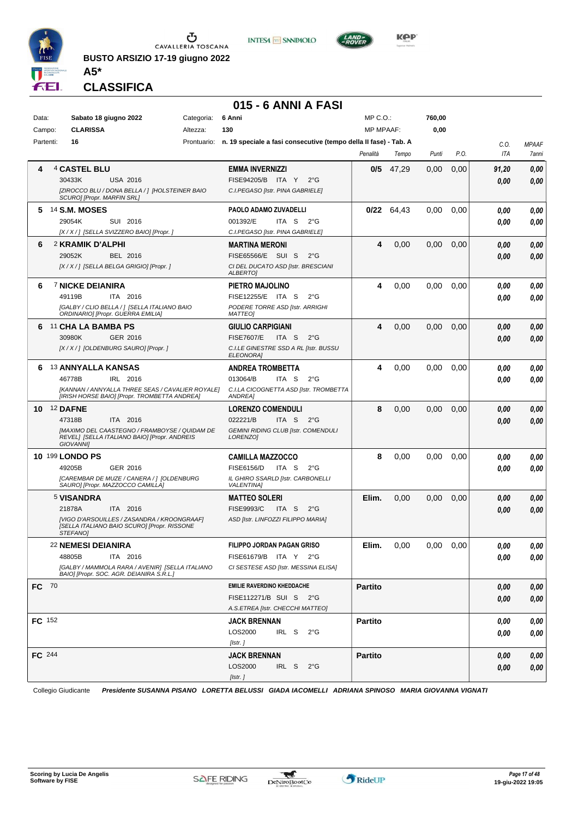

**INTESA** M SANPAOLO



**CLASSIFICA**

**A5\***

#### **015 - 6 ANNI A FASI**

| Data:         | Sabato 18 giugno 2022                                                                            | Categoria: 6 Anni |                                                                              | MP C.O.:         |              | 760,00        |      |              |              |
|---------------|--------------------------------------------------------------------------------------------------|-------------------|------------------------------------------------------------------------------|------------------|--------------|---------------|------|--------------|--------------|
| Campo:        | <b>CLARISSA</b>                                                                                  | Altezza:          | 130                                                                          | <b>MP MPAAF:</b> |              | 0,00          |      |              |              |
| Partenti:     | 16                                                                                               |                   | Prontuario: n. 19 speciale a fasi consecutive (tempo della II fase) - Tab. A |                  |              |               |      | C.O.         | <b>MPAAF</b> |
|               |                                                                                                  |                   |                                                                              | Penalità         | Tempo        | Punti         | P.O. | ITA          | 7anni        |
|               | 4 CASTEL BLU                                                                                     |                   | <b>EMMA INVERNIZZI</b>                                                       | 0/5              | 47,29        | 0,00          | 0,00 | 91,20        | 0,00         |
|               | 30433K<br><b>USA 2016</b>                                                                        |                   | FISE94205/B ITA Y<br>$2^{\circ}G$                                            |                  |              |               |      | 0.00         | 0,00         |
|               | [ZIROCCO BLU / DONA BELLA / ] [HOLSTEINER BAIO<br>SCURO] [Propr. MARFIN SRL]                     |                   | C.I.PEGASO [Istr. PINA GABRIELE]                                             |                  |              |               |      |              |              |
| 5             | <b>14 S.M. MOSES</b>                                                                             |                   | PAOLO ADAMO ZUVADELLI                                                        |                  | $0/22$ 64,43 | 0.00          | 0,00 | 0.00         | 0,00         |
|               | SUI 2016<br>29054K                                                                               |                   | 001392/E<br>ITA S<br>$2^{\circ}G$                                            |                  |              |               |      | 0.00         | 0,00         |
|               | [X / X / ] [SELLA SVIZZERO BAIO] [Propr. ]                                                       |                   | C.I.PEGASO [Istr. PINA GABRIELE]                                             |                  |              |               |      |              |              |
| 6             | 2 KRAMIK D'ALPHI                                                                                 |                   | <b>MARTINA MERONI</b>                                                        | 4                | 0,00         | 0,00          | 0,00 | 0.00         | 0,00         |
|               | 29052K<br>BEL 2016                                                                               |                   | FISE65566/E SUI S<br>$2^{\circ}$ G                                           |                  |              |               |      | 0.00         | 0,00         |
|               | [X / X / ] [SELLA BELGA GRIGIO] [Propr. ]                                                        |                   | CI DEL DUCATO ASD [Istr. BRESCIANI<br>ALBERTO]                               |                  |              |               |      |              |              |
| 6             | 7 NICKE DEIANIRA                                                                                 |                   | PIETRO MAJOLINO                                                              | 4                | 0,00         | 0,00          | 0,00 | 0.00         | 0,00         |
|               | 49119B<br>ITA 2016                                                                               |                   | FISE12255/E ITA S<br>$2^{\circ}G$                                            |                  |              |               |      | 0.00         | 0,00         |
|               | [GALBY / CLIO BELLA / ] [SELLA ITALIANO BAIO<br>ORDINARIO] [Propr. GUERRA EMILIA]                |                   | PODERE TORRE ASD [Istr. ARRIGHI<br><b>MATTEOI</b>                            |                  |              |               |      |              |              |
| 6             | 11 CHA LA BAMBA PS                                                                               |                   |                                                                              | 4                | 0,00         | 0.00          | 0,00 |              |              |
|               | 30980K<br>GER 2016                                                                               |                   | GIULIO CARPIGIANI<br><b>FISE7607/E</b><br>ITA S<br>$2^{\circ}G$              |                  |              |               |      | 0.00<br>0.00 | 0,00<br>0,00 |
|               | [X / X / ] [OLDENBURG SAURO] [Propr. ]                                                           |                   | C.I.LE GINESTRE SSD A RL [Istr. BUSSU                                        |                  |              |               |      |              |              |
|               |                                                                                                  |                   | ELEONORA]                                                                    |                  |              |               |      |              |              |
| 6             | <b>13 ANNYALLA KANSAS</b>                                                                        |                   | <b>ANDREA TROMBETTA</b>                                                      | 4                | 0,00         | 0.00          | 0,00 | 0.00         | 0,00         |
|               | 46778B<br>IRL 2016                                                                               |                   | 013064/B<br>ITA S<br>$2^{\circ}G$                                            |                  |              |               |      | 0.00         | 0.00         |
|               | [KANNAN / ANNYALLA THREE SEAS / CAVALIER ROYALE]<br>[IRISH HORSE BAIO] [Propr. TROMBETTA ANDREA] |                   | C.I.LA CICOGNETTA ASD [Istr. TROMBETTA<br>ANDREA]                            |                  |              |               |      |              |              |
| 10            | <sup>12</sup> DAFNE                                                                              |                   | <b>LORENZO COMENDULI</b>                                                     | 8                | 0,00         | 0,00          | 0,00 | 0.00         | 0,00         |
|               | ITA 2016<br>47318B                                                                               |                   | 022221/B<br>ITA S<br>$2^{\circ}G$                                            |                  |              |               |      | 0.00         | 0,00         |
|               | [MAXIMO DEL CAASTEGNO / FRAMBOYSE / QUIDAM DE<br>REVEL] [SELLA ITALIANO BAIO] [Propr. ANDREIS    |                   | <b>GEMINI RIDING CLUB [Istr. COMENDULI</b><br>LORENZO]                       |                  |              |               |      |              |              |
|               | GIOVANNI]                                                                                        |                   |                                                                              |                  |              |               |      |              |              |
|               | 10 199 LONDO PS                                                                                  |                   | <b>CAMILLA MAZZOCCO</b>                                                      | 8                | 0,00         | 0,00          | 0,00 | 0.00         | 0,00         |
|               | 49205B<br>GER 2016                                                                               |                   | <b>FISE6156/D</b><br>ITA S<br>$2^{\circ}G$                                   |                  |              |               |      | 0.00         | 0.00         |
|               | [CAREMBAR DE MUZE / CANERA / ] [OLDENBURG<br>SAURO] [Propr. MAZZOCCO CAMILLA]                    |                   | IL GHIRO SSARLD [Istr. CARBONELLI<br><b>VALENTINAI</b>                       |                  |              |               |      |              |              |
|               | <sup>5</sup> VISANDRA                                                                            |                   | <b>MATTEO SOLERI</b>                                                         | Elim.            | 0,00         | 0,00          | 0,00 | 0.00         | 0,00         |
|               | 21878A<br>ITA 2016                                                                               |                   | <b>FISE9993/C</b><br>ITA S<br>$2^{\circ}$ G                                  |                  |              |               |      | 0.00         | 0,00         |
|               | [VIGO D'ARSOUILLES / ZASANDRA / KROONGRAAF]<br>[SELLA ITALIANO BAIO SCURO] [Propr. RISSONE       |                   | ASD [Istr. LINFOZZI FILIPPO MARIA]                                           |                  |              |               |      |              |              |
|               | <b>STEFANOI</b>                                                                                  |                   |                                                                              |                  |              |               |      |              |              |
|               | 22 NEMESI DEIANIRA                                                                               |                   | FILIPPO JORDAN PAGAN GRISO                                                   | Elim.            | 0,00         | $0,00$ $0,00$ |      | 0,00         | 0,00         |
|               | ITA 2016<br>48805B                                                                               |                   | FISE61679/B ITA Y 2°G                                                        |                  |              |               |      | 0,00         | 0,00         |
|               | [GALBY / MAMMOLA RARA / AVENIR] [SELLA ITALIANO<br>BAIO] [Propr. SOC. AGR. DEIANIRA S.R.L.]      |                   | CI SESTESE ASD [Istr. MESSINA ELISA]                                         |                  |              |               |      |              |              |
| FC 70         |                                                                                                  |                   | <b>EMILIE RAVERDINO KHEDDACHE</b>                                            | <b>Partito</b>   |              |               |      | 0,00         | 0,00         |
|               |                                                                                                  |                   | FISE112271/B SUI S 2°G                                                       |                  |              |               |      | 0,00         | 0,00         |
|               |                                                                                                  |                   | A.S.ETREA [Istr. CHECCHI MATTEO]                                             |                  |              |               |      |              |              |
| <b>FC</b> 152 |                                                                                                  |                   | <b>JACK BRENNAN</b>                                                          | <b>Partito</b>   |              |               |      | 0,00         | 0,00         |
|               |                                                                                                  |                   | LOS2000<br>IRL S<br>$2^{\circ}$ G                                            |                  |              |               |      | 0,00         | 0,00         |
|               |                                                                                                  |                   | [ $\lfloor$ str.]                                                            |                  |              |               |      |              |              |
| FC 244        |                                                                                                  |                   | <b>JACK BRENNAN</b>                                                          | <b>Partito</b>   |              |               |      | 0,00         | 0,00         |
|               |                                                                                                  |                   | LOS2000<br>IRL S<br>$2^{\circ}$ G                                            |                  |              |               |      | 0,00         | 0,00         |
|               |                                                                                                  |                   | [Istr. ]                                                                     |                  |              |               |      |              |              |

Collegio Giudicante *Presidente SUSANNA PISANO LORETTA BELUSSI GIADA IACOMELLI ADRIANA SPINOSO MARIA GIOVANNA VIGNATI*

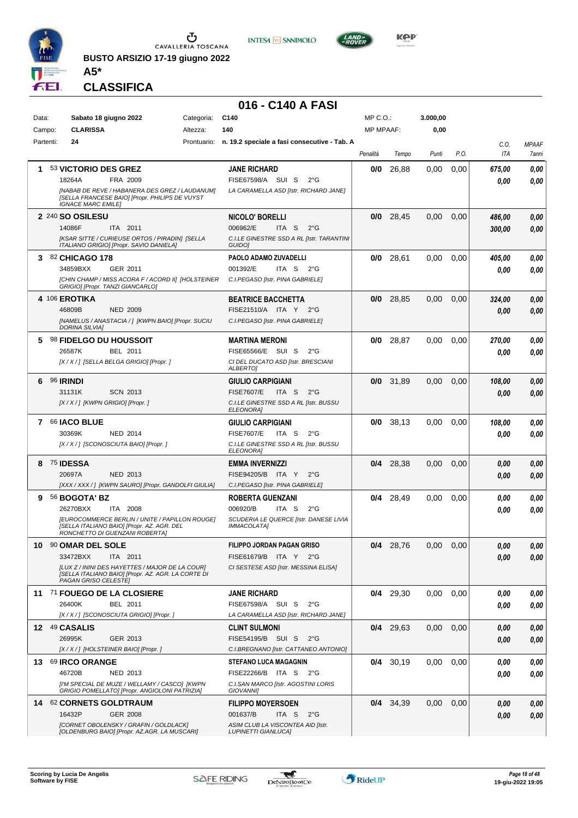

**BUSTO ARSIZIO 17-19 giugno 2022**



**KOP** 

**CLASSIFICA**

**A5\***

## **016 - C140 A FASI**

| Data:  | Sabato 18 giugno 2022                                                                                 | Categoria: | C140                                                                           | $MP C. O.$ :     |             | 3.000,00 |      |        |              |
|--------|-------------------------------------------------------------------------------------------------------|------------|--------------------------------------------------------------------------------|------------------|-------------|----------|------|--------|--------------|
| Campo: | <b>CLARISSA</b>                                                                                       | Altezza:   | 140                                                                            | <b>MP MPAAF:</b> |             | 0,00     |      |        |              |
|        | Partenti:<br>24                                                                                       |            | Prontuario: n. 19.2 speciale a fasi consecutive - Tab. A                       |                  |             |          |      | C.O.   | <b>MPAAF</b> |
|        |                                                                                                       |            |                                                                                | Penalità         | Tempo       | Punti    | P.O. | ITA    | 7anni        |
|        | 53 VICTORIO DES GREZ                                                                                  |            | <b>JANE RICHARD</b>                                                            | 0/0              | 26,88       | 0.00     | 0,00 | 675.00 | 0,00         |
|        | 18264A<br>FRA 2009                                                                                    |            | FISE67598/A SUI S<br>$2^{\circ}G$                                              |                  |             |          |      | 0.00   | 0.00         |
|        | [NABAB DE REVE / HABANERA DES GREZ / LAUDANUM]                                                        |            | LA CARAMELLA ASD [Istr. RICHARD JANE]                                          |                  |             |          |      |        |              |
|        | [SELLA FRANCESE BAIO] [Propr. PHILIPS DE VUYST<br><b>IGNACE MARC EMILE]</b>                           |            |                                                                                |                  |             |          |      |        |              |
|        |                                                                                                       |            |                                                                                |                  |             |          |      |        |              |
|        | 2 240 SO OSILESU                                                                                      |            | <b>NICOLO' BORELLI</b>                                                         |                  | $0/0$ 28,45 | 0.00     | 0,00 | 486,00 | 0,00         |
|        | ITA 2011<br>14086F<br><b>IKSAR SITTE / CURIEUSE ORTOS / PIRADINI [SELLA</b>                           |            | 006962/E<br>ITA S<br>$2^{\circ}G$<br>C.I.LE GINESTRE SSD A RL [Istr. TARANTINI |                  |             |          |      | 300,00 | 0,00         |
|        | ITALIANO GRIGIO] [Propr. SAVIO DANIELA]                                                               |            | GUIDO]                                                                         |                  |             |          |      |        |              |
| 3      | 82 CHICAGO 178                                                                                        |            | PAOLO ADAMO ZUVADELLI                                                          | 0/0              | 28,61       | 0.00     | 0,00 | 405,00 | 0,00         |
|        | 34859BXX<br>GER 2011                                                                                  |            | 001392/E<br>ITA S<br>$2^{\circ}$ G                                             |                  |             |          |      | 0.00   | 0.00         |
|        | [CHIN CHAMP / MISS ACORA F / ACORD II] [HOLSTEINER                                                    |            | C.I.PEGASO [Istr. PINA GABRIELE]                                               |                  |             |          |      |        |              |
|        | GRIGIO] [Propr. TANZI GIANCARLO]                                                                      |            |                                                                                |                  |             |          |      |        |              |
|        | 4 106 EROTIKA                                                                                         |            | <b>BEATRICE BACCHETTA</b>                                                      |                  | $0/0$ 28,85 | 0.00     | 0,00 | 324,00 | 0,00         |
|        | 46809B<br><b>NED 2009</b>                                                                             |            | FISE21510/A ITA Y<br>$2^{\circ}$ G                                             |                  |             |          |      | 0.00   | 0,00         |
|        | [NAMELUS / ANASTACIA / ] [KWPN BAIO] [Propr. SUCIU<br><b>DORINA SILVIAI</b>                           |            | C.I.PEGASO [Istr. PINA GABRIELE]                                               |                  |             |          |      |        |              |
| 5      | <b>98 FIDELGO DU HOUSSOIT</b>                                                                         |            | <b>MARTINA MERONI</b>                                                          | 0/0              | 28,87       | 0.00     | 0,00 | 270,00 | 0,00         |
|        | 26587K<br>BEL 2011                                                                                    |            | FISE65566/E SUI S<br>$2^{\circ}$ G                                             |                  |             |          |      | 0.00   | 0.00         |
|        | [X / X / ] [SELLA BELGA GRIGIO] [Propr. ]                                                             |            | CI DEL DUCATO ASD [Istr. BRESCIANI                                             |                  |             |          |      |        |              |
|        |                                                                                                       |            | <b>ALBERTOI</b>                                                                |                  |             |          |      |        |              |
| 6      | 96 <b>RINDI</b>                                                                                       |            | <b>GIULIO CARPIGIANI</b>                                                       | 0/0              | 31,89       | 0,00     | 0,00 | 108,00 | 0,00         |
|        | <b>SCN 2013</b><br>31131K                                                                             |            | <b>FISE7607/E</b><br>ITA S<br>$2^{\circ}G$                                     |                  |             |          |      | 0.00   | 0.00         |
|        | [X / X / ] [KWPN GRIGIO] [Propr. ]                                                                    |            | C.I.LE GINESTRE SSD A RL [Istr. BUSSU<br>ELEONORA]                             |                  |             |          |      |        |              |
| 7      | 66 IACO BLUE                                                                                          |            | GIULIO CARPIGIANI                                                              | 0/0              | 38,13       | 0.00     | 0,00 | 108,00 | 0,00         |
|        | 30369K<br><b>NED 2014</b>                                                                             |            | <b>FISE7607/E</b><br>ITA S<br>$2^{\circ}G$                                     |                  |             |          |      | 0.00   | 0.00         |
|        | [X / X / ] [SCONOSCIUTA BAIO] [Propr.]                                                                |            | C.I.LE GINESTRE SSD A RL [Istr. BUSSU                                          |                  |             |          |      |        |              |
|        |                                                                                                       |            | ELEONORA]                                                                      |                  |             |          |      |        |              |
| 8      | <b>75 IDESSA</b>                                                                                      |            | <b>EMMA INVERNIZZI</b>                                                         |                  | $0/4$ 28,38 | 0,00     | 0,00 | 0.00   | 0,00         |
|        | 20697A<br><b>NED 2013</b>                                                                             |            | FISE94205/B<br>ITA Y<br>$2^{\circ}G$                                           |                  |             |          |      | 0,00   | 0,00         |
|        | [XXX / XXX / ] [KWPN SAURO] [Propr. GANDOLFI GIULIA]                                                  |            | C.I.PEGASO [Istr. PINA GABRIELE]                                               |                  |             |          |      |        |              |
| 9      | 56 <b>BOGOTA' BZ</b>                                                                                  |            | <b>ROBERTA GUENZANI</b>                                                        |                  | $0/4$ 28,49 | 0,00     | 0,00 | 0.00   | 0,00         |
|        | 26270BXX<br>ITA 2008                                                                                  |            | 006920/B<br>ITA S<br>$2^{\circ}$ G                                             |                  |             |          |      | 0.00   | 0.00         |
|        | <b>[EUROCOMMERCE BERLIN / UNITE / PAPILLON ROUGE]</b><br>[SELLA ITALIANO BAIO] [Propr. AZ. AGR. DEL   |            | SCUDERIA LE QUERCE [Istr. DANESE LIVIA<br>IMMACOLATA]                          |                  |             |          |      |        |              |
|        | RONCHETTO DI GUENZANI ROBERTA]                                                                        |            |                                                                                |                  |             |          |      |        |              |
| 10     | 90 OMAR DEL SOLE                                                                                      |            | FILIPPO JORDAN PAGAN GRISO                                                     | 0/4              | 28,76       | $0.00\,$ | 0.00 | 0.00   | 0,00         |
|        | 33472BXX<br>ITA 2011                                                                                  |            | FISE61679/B ITA Y 2°G                                                          |                  |             |          |      | 0,00   | 0,00         |
|        | [LUX Z / ININI DES HAYETTES / MAJOR DE LA COUR]<br>[SELLA ITALIANO BAIO] [Propr. AZ. AGR. LA CORTE DI |            | CI SESTESE ASD [Istr. MESSINA ELISA]                                           |                  |             |          |      |        |              |
|        | PAGAN GRISO CELESTE]                                                                                  |            |                                                                                |                  |             |          |      |        |              |
|        | 11 71 FOUEGO DE LA CLOSIERE                                                                           |            | JANE RICHARD                                                                   |                  | $0/4$ 29,30 | 0,00     | 0,00 | 0.00   | 0,00         |
|        | BEL 2011<br>26400K                                                                                    |            | FISE67598/A SUI S<br>$2^{\circ}$ G                                             |                  |             |          |      | 0.00   | 0,00         |
|        | [X / X / ] [SCONOSCIUTA GRIGIO] [Propr. ]                                                             |            | LA CARAMELLA ASD [Istr. RICHARD JANE]                                          |                  |             |          |      |        |              |
|        | 12 49 CASALIS                                                                                         |            | <b>CLINT SULMONI</b>                                                           |                  | $0/4$ 29,63 | 0,00     | 0,00 | 0.00   | 0,00         |
|        | 26995K<br>GER 2013                                                                                    |            | FISE54195/B SUI S<br>$2^{\circ}$ G                                             |                  |             |          |      | 0.00   | 0.00         |
|        | [X / X / ] [HOLSTEINER BAIO] [Propr. ]                                                                |            | C.I.BREGNANO [Istr. CATTANEO ANTONIO]                                          |                  |             |          |      |        |              |
|        | 13 69 IRCO ORANGE                                                                                     |            | <b>STEFANO LUCA MAGAGNIN</b>                                                   |                  | $0/4$ 30,19 | 0.00     | 0,00 | 0.00   | 0,00         |
|        | 46720B<br>NED 2013                                                                                    |            | FISE22266/B ITA S 2°G                                                          |                  |             |          |      | 0.00   | 0,00         |
|        | [I'M SPECIAL DE MUZE / WELLAMY / CASCO] [KWPN<br>GRIGIO POMELLATO] [Propr. ANGIOLONI PATRIZIA]        |            | C.I.SAN MARCO [Istr. AGOSTINI LORIS<br><b>GIOVANNII</b>                        |                  |             |          |      |        |              |
|        | 14 62 CORNETS GOLDTRAUM                                                                               |            | <b>FILIPPO MOYERSOEN</b>                                                       |                  |             |          |      |        |              |
|        | 16432P<br><b>GER 2008</b>                                                                             |            | 001637/B<br>ITA S<br>$2^{\circ}$ G                                             |                  | $0/4$ 34,39 | 0.00     | 0,00 | 0.00   | 0,00         |
|        | [CORNET OBOLENSKY / GRAFIN / GOLDLACK]                                                                |            | ASIM CLUB LA VISCONTEA AID [Istr.                                              |                  |             |          |      | 0.00   | 0,00         |
|        | [OLDENBURG BAIO] [Propr. AZ.AGR. LA MUSCARI]                                                          |            | <b>LUPINETTI GIANLUCA]</b>                                                     |                  |             |          |      |        |              |

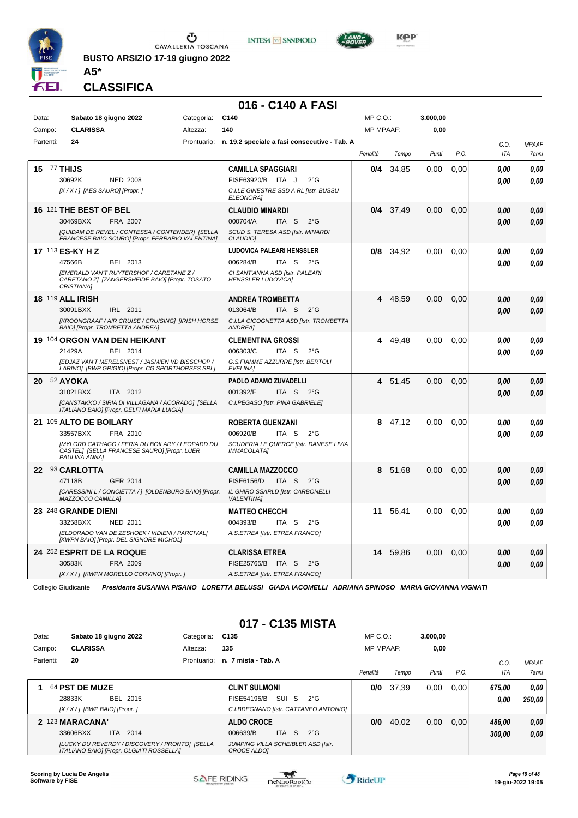

**BUSTO ARSIZIO 17-19 giugno 2022**





**KPP** 

**CLASSIFICA**

**A5\***

#### **016 - C140 A FASI**

| Data:     | Sabato 18 giugno 2022                                                                                                  | Categoria: | C140                                                         | $MP C. O.$ :     |           | 3.000,00 |      |            |              |
|-----------|------------------------------------------------------------------------------------------------------------------------|------------|--------------------------------------------------------------|------------------|-----------|----------|------|------------|--------------|
| Campo:    | <b>CLARISSA</b>                                                                                                        | Altezza:   | 140                                                          | <b>MP MPAAF:</b> |           | 0,00     |      |            |              |
| Partenti: | 24                                                                                                                     |            | Prontuario: n. 19.2 speciale a fasi consecutive - Tab. A     |                  |           |          |      | C.O.       | <b>MPAAF</b> |
|           |                                                                                                                        |            |                                                              | Penalità         | Tempo     | Punti    | P.O. | <b>ITA</b> | 7anni        |
|           | <b>15 77 THIJS</b>                                                                                                     |            | <b>CAMILLA SPAGGIARI</b>                                     | 0/4              | 34.85     | 0.00     | 0.00 | 0.00       | 0.00         |
|           | 30692K<br><b>NED 2008</b>                                                                                              |            | FISE63920/B ITA J<br>$2^{\circ}$ G                           |                  |           |          |      | 0.00       | 0.00         |
|           | [X / X / ] [AES SAURO] [Propr. ]                                                                                       |            | C.I.LE GINESTRE SSD A RL [Istr. BUSSU<br><b>ELEONORA</b>     |                  |           |          |      |            |              |
|           | 16 121 THE BEST OF BEL                                                                                                 |            | <b>CLAUDIO MINARDI</b>                                       |                  | 0/4 37.49 | 0.00     | 0.00 | 0.00       | 0.00         |
|           | 30469BXX<br>FRA 2007                                                                                                   |            | 000704/A<br>ITA S<br>$2^{\circ}$ G                           |                  |           |          |      | 0.00       | 0.00         |
|           | [QUIDAM DE REVEL / CONTESSA / CONTENDER] [SELLA<br>FRANCESE BAIO SCURO] [Propr. FERRARIO VALENTINA]                    |            | SCUD S. TERESA ASD [Istr. MINARDI<br><b>CLAUDIO</b>          |                  |           |          |      |            |              |
|           | 17 113 ES-KY H Z                                                                                                       |            | <b>LUDOVICA PALEARI HENSSLER</b>                             | 0/8              | 34.92     | 0.00     | 0.00 | 0.00       | 0,00         |
|           | 47566B<br>BEL 2013                                                                                                     |            | 006284/B<br>ITA <sub>S</sub><br>$2^{\circ}$ G                |                  |           |          |      | 0.00       | 0,00         |
|           | <b>[EMERALD VAN'T RUYTERSHOF / CARETANE Z /</b><br>CARETANO Z] [ZANGERSHEIDE BAIO] [Propr. TOSATO<br>CRISTIANA]        |            | CI SANT'ANNA ASD [Istr. PALEARI<br><b>HENSSLER LUDOVICA1</b> |                  |           |          |      |            |              |
|           | <b>18 119 ALL IRISH</b>                                                                                                |            | <b>ANDREA TROMBETTA</b>                                      | 4                | 48,59     | 0.00     | 0,00 | 0.00       | 0,00         |
|           | 30091BXX<br>IRL 2011                                                                                                   |            | 013064/B<br>ITA <sub>S</sub><br>$2^{\circ}$ G                |                  |           |          |      | 0.00       | 0.00         |
|           | [KROONGRAAF / AIR CRUISE / CRUISING] [IRISH HORSE<br>BAIO] [Propr. TROMBETTA ANDREA]                                   |            | C.I.LA CICOGNETTA ASD [Istr. TROMBETTA<br><b>ANDREA]</b>     |                  |           |          |      |            |              |
|           | 19 104 ORGON VAN DEN HEIKANT                                                                                           |            | <b>CLEMENTINA GROSSI</b>                                     | 4                | 49.48     | 0.00     | 0.00 | 0.00       | 0,00         |
|           | 21429A<br>BEL 2014                                                                                                     |            | 006303/C<br>$2^{\circ}$ G<br>ITA S                           |                  |           |          |      | 0.00       | 0.00         |
|           | [EDJAZ VAN'T MERELSNEST / JASMIEN VD BISSCHOP /<br>LARINO] [BWP GRIGIO] [Propr. CG SPORTHORSES SRL]                    |            | G.S.FIAMME AZZURRE [Istr. BERTOLI<br>EVELINA]                |                  |           |          |      |            |              |
| 20        | 52 AYOKA                                                                                                               |            | PAOLO ADAMO ZUVADELLI                                        |                  | 4 51,45   | 0.00     | 0,00 | 0.00       | 0,00         |
|           | 31021BXX<br>ITA 2012                                                                                                   |            | 001392/E<br>ITA S<br>$2^{\circ}G$                            |                  |           |          |      | 0.00       | 0.00         |
|           | [CANSTAKKO / SIRIA DI VILLAGANA / ACORADO] [SELLA<br>ITALIANO BAIO] [Propr. GELFI MARIA LUIGIA]                        |            | C.I.PEGASO [Istr. PINA GABRIELE]                             |                  |           |          |      |            |              |
|           | 21 105 ALTO DE BOILARY                                                                                                 |            | <b>ROBERTA GUENZANI</b>                                      | 8                | 47,12     | 0.00     | 0.00 | 0.00       | 0.00         |
|           | 33557BXX<br>FRA 2010                                                                                                   |            | 006920/B<br>ITA <sub>S</sub><br>$2^{\circ}$ G                |                  |           |          |      | 0.00       | 0.00         |
|           | <b>IMYLORD CATHAGO / FERIA DU BOILARY / LEOPARD DU</b><br>CASTEL1 [SELLA FRANCESE SAURO] [Propr. LUER<br>PAULINA ANNAI |            | SCUDERIA LE QUERCE [Istr. DANESE LIVIA<br><b>IMMACOLATA1</b> |                  |           |          |      |            |              |
|           | 22 93 CARLOTTA                                                                                                         |            | <b>CAMILLA MAZZOCCO</b>                                      | 8                | 51.68     | 0.00     | 0.00 | 0,00       | 0,00         |
|           | 47118B<br>GER 2014                                                                                                     |            | <b>FISE6156/D</b><br>ITA <sub>S</sub><br>$2^{\circ}$ G       |                  |           |          |      | 0,00       | 0,00         |
|           | [CARESSINI L / CONCIETTA / ] [OLDENBURG BAIO] [Propr.<br>MAZZOCCO CAMILLA]                                             |            | IL GHIRO SSARLD [Istr. CARBONELLI<br><b>VALENTINAI</b>       |                  |           |          |      |            |              |
|           | 23 248 GRANDE DIENI                                                                                                    |            | <b>MATTEO CHECCHI</b>                                        | 11               | 56,41     | 0,00     | 0,00 | 0.00       | 0,00         |
|           | 33258BXX<br><b>NED 2011</b>                                                                                            |            | 004393/B<br>ITA <sub>S</sub><br>$2^{\circ}$ G                |                  |           |          |      | 0.00       | 0.00         |
|           | [ELDORADO VAN DE ZESHOEK / VIDIENI / PARCIVAL]<br>[KWPN BAIO] [Propr. DEL SIGNORE MICHOL]                              |            | A.S.ETREA [Istr. ETREA FRANCO]                               |                  |           |          |      |            |              |
|           | 24 252 ESPRIT DE LA ROQUE                                                                                              |            | <b>CLARISSA ETREA</b>                                        | 14               | 59,86     | 0,00     | 0,00 | 0.00       | 0,00         |
|           | 30583K<br>FRA 2009                                                                                                     |            | FISE25765/B ITA S<br>$2^{\circ}$ G                           |                  |           |          |      | 0.00       | 0.00         |
|           | [X / X / ] [KWPN MORELLO CORVINO] [Propr. ]                                                                            |            | A.S.ETREA [Istr. ETREA FRANCO]                               |                  |           |          |      |            |              |

Collegio Giudicante *Presidente SUSANNA PISANO LORETTA BELUSSI GIADA IACOMELLI ADRIANA SPINOSO MARIA GIOVANNA VIGNATI*

## **017 - C135 MISTA**

| Data:     | Sabato 18 giugno 2022           |                                                                                            | Categoria:  | C135                                                            |                  |              | MP C. O.         |       | 3.000.00 |      |         |              |
|-----------|---------------------------------|--------------------------------------------------------------------------------------------|-------------|-----------------------------------------------------------------|------------------|--------------|------------------|-------|----------|------|---------|--------------|
| Campo:    | <b>CLARISSA</b>                 |                                                                                            | Altezza:    | 135                                                             |                  |              | <b>MP MPAAF:</b> |       | 0,00     |      |         |              |
| Partenti: | 20                              |                                                                                            | Prontuario: | n. 7 mista - Tab. A                                             |                  |              |                  |       |          |      | $C_{0}$ | <b>MPAAF</b> |
|           |                                 |                                                                                            |             |                                                                 |                  |              | Penalità         | Tempo | Punti    | P.O. | ITA     | 7anni        |
|           | 64 PST DE MUZE                  |                                                                                            |             | <b>CLINT SULMONI</b>                                            |                  |              | 0/0              | 37,39 | 0.00     | 0.00 | 675.00  | 0.00         |
|           | 28833K                          | BEL 2015                                                                                   |             | FISE54195/B                                                     | SUI S            | $2^{\circ}G$ |                  |       |          |      | 0.00    | 250,00       |
|           | [X / X / 1 [BWP BAIO] [Propr. ] |                                                                                            |             | C.I.BREGNANO [Istr. CATTANEO ANTONIO]                           |                  |              |                  |       |          |      |         |              |
|           | 2 123 MARACANA'                 |                                                                                            |             | <b>ALDO CROCE</b>                                               |                  |              | 0/0              | 40,02 | 0,00     | 0,00 | 486.00  | 0.00         |
|           | 33606BXX                        | ITA 2014                                                                                   |             | 006639/B                                                        | <b>ITA</b><br>-S | $2^{\circ}G$ |                  |       |          |      | 300,00  | 0.00         |
|           |                                 | [LUCKY DU REVERDY / DISCOVERY / PRONTO] [SELLA<br>ITALIANO BAIO] [Propr. OLGIATI ROSSELLA] |             | <b>JUMPING VILLA SCHEIBLER ASD [Istr.</b><br><b>CROCE ALDOI</b> |                  |              |                  |       |          |      |         |              |

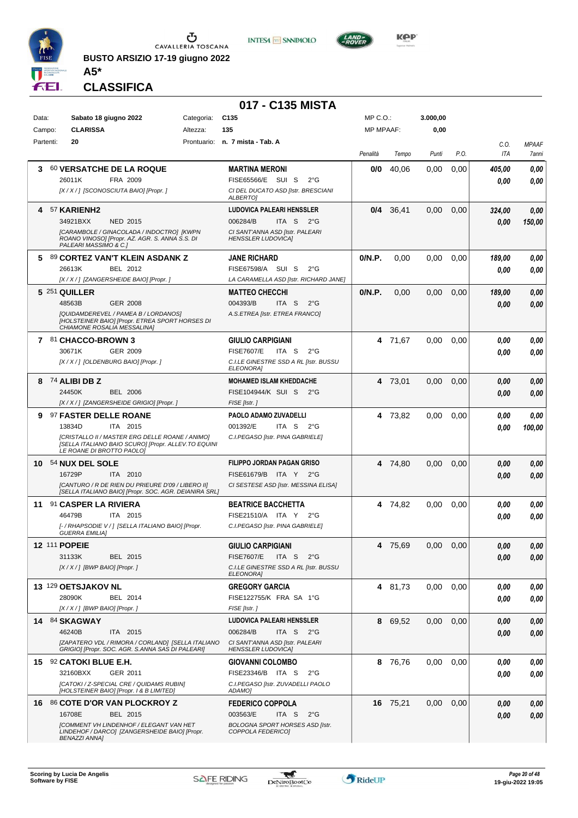

**BUSTO ARSIZIO 17-19 giugno 2022 A5\***





**CLASSIFICA**

| C <sub>135</sub><br>$MP C. O.$ :<br>3.000,00<br>Data:<br>Sabato 18 giugno 2022<br>Categoria:<br><b>CLARISSA</b><br>135<br><b>MP MPAAF:</b><br>0,00<br>Campo:<br>Altezza:<br>20<br>Partenti:<br>Prontuario: n. 7 mista - Tab. A<br>C.O.<br><b>ITA</b><br>P.O.<br>Penalità<br>Tempo<br>Punti<br><b>60 VERSATCHE DE LA ROQUE</b><br>0/0<br>40.06<br>0,00<br>0,00<br>3<br><b>MARTINA MERONI</b><br>405,00<br>26011K<br>FRA 2009<br>FISE65566/E SUI S<br>$2^{\circ}$ G<br>0.00<br>CI DEL DUCATO ASD [Istr. BRESCIANI<br>[X / X / ] [SCONOSCIUTA BAIO] [Propr. ]<br><b>ALBERTOI</b><br><b>LUDOVICA PALEARI HENSSLER</b><br><sup>57</sup> KARIENH2<br>0/4<br>36,41<br>0,00<br>0,00<br>0,00<br>4<br>324,00<br>34921BXX<br><b>NED 2015</b><br>006284/B<br>ITA <sub>S</sub><br>$2^{\circ}G$<br>0.00<br>150,00<br>[CARAMBOLE / GINACOLADA / INDOCTRO] [KWPN<br>CI SANT'ANNA ASD [Istr. PALEARI<br>ROANO VINOSO] [Propr. AZ. AGR. S. ANNA S.S. DI<br><b>HENSSLER LUDOVICA]</b><br>PALEARI MASSIMO & C.1<br>0/N.P.<br>89 CORTEZ VAN'T KLEIN ASDANK Z<br>0,00<br>0.00<br>5.<br><b>JANE RICHARD</b><br>0,00<br>189,00<br>BEL 2012<br>FISE67598/A SUI S<br>$2^{\circ}$ G<br>26613K<br>0.00<br>[X / X / ] [ZANGERSHEIDE BAIO] [Propr. ]<br>LA CARAMELLA ASD [Istr. RICHARD JANE]<br>0/N.P.<br>5 251 QUILLER<br><b>MATTEO CHECCHI</b><br>0,00<br>0,00<br>0,00<br>189,00<br>48563B<br><b>GER 2008</b><br>004393/B<br>ITA S<br>$2^{\circ}$ G<br>0,00<br><b>IQUIDAMDEREVEL / PAMEA B / LORDANOSI</b><br>A.S.ETREA [Istr. ETREA FRANCO]<br>[HOLSTEINER BAIO] [Propr. ETREA SPORT HORSES DI<br>CHIAMONE ROSALIA MESSALINA]<br>7 81 CHACCO-BROWN 3<br><b>GIULIO CARPIGIANI</b><br>4 71,67<br>0,00<br>0,00<br>0,00<br>30671K<br>GER 2009<br><b>FISE7607/E</b><br>ITA S<br>$2^{\circ}$ G<br>0.00<br>0.00<br>[X / X / ] [OLDENBURG BAIO] [Propr. ]<br>C.I.LE GINESTRE SSD A RL [Istr. BUSSU<br><b>ELEONORA</b><br><b>MOHAMED ISLAM KHEDDACHE</b><br>4 73,01<br>8 74 ALIBI DB Z<br>0,00<br>0,00<br>0,00<br>24450K<br><b>BEL 2006</b><br>FISE104944/K SUI S<br>2°G<br>0.00<br>[X / X / ] [ZANGERSHEIDE GRIGIO] [Propr. ]<br>FISE [Istr.]<br>PAOLO ADAMO ZUVADELLI<br>9 97 FASTER DELLE ROANE<br>4 73,82<br>0,00<br>0,00<br>0,00<br>0,00<br>13834D<br>ITA 2015<br>001392/E<br>ITA S $2^{\circ}$ G<br>0.00<br>100,00<br>[CRISTALLO II / MASTER ERG DELLE ROANE / ANIMO]<br>C.I.PEGASO [Istr. PINA GABRIELE]<br>[SELLA ITALIANO BAIO SCURO] [Propr. ALLEV.TO EQUINI<br>LE ROANE DI BROTTO PAOLOJ<br>10 54 NUX DEL SOLE<br>FILIPPO JORDAN PAGAN GRISO<br>0.00<br>0,00<br>4 74,80<br>0.00<br>0,00<br>16729P<br>ITA 2010<br>FISE61679/B ITA Y 2°G<br>0.00<br>0.00<br>[CANTURO / R DE RIEN DU PRIEURE D'09 / LIBERO II]<br>CI SESTESE ASD [Istr. MESSINA ELISA]<br>[SELLA ITALIANO BAIO] [Propr. SOC. AGR. DEIANIRA SRL]<br>91 CASPER LA RIVIERA<br>4 74,82<br>0.00<br>0,00<br><b>BEATRICE BACCHETTA</b><br>0,00<br>11<br>0,00<br>46479B<br>FISE21510/A ITA Y<br>ITA 2015<br>$2^{\circ}G$<br>0.00<br>0.00<br>[- / RHAPSODIE V / ] [SELLA ITALIANO BAIO] [Propr.<br>C.I.PEGASO [Istr. PINA GABRIELE]<br><i><b>GUERRA EMILIAI</b></i><br>12 111 POPEIE<br>4 75,69<br>0.00 <sub>1</sub><br>0,00<br><b>GIULIO CARPIGIANI</b><br>0,00<br>31133K<br>BEL 2015<br><b>FISE7607/E</b><br>ITA S<br>$2^{\circ}G$<br>0,00<br>$[X/X']$ [BWP BAIO] [Propr.]<br>C.I.LE GINESTRE SSD A RL [Istr. BUSSU<br>ELEONORA]<br>13 129 OETSJAKOV NL<br><b>GREGORY GARCIA</b><br>0.00<br>0,00<br>4 81,73<br>0,00<br>28090K<br>BEL 2014<br>FISE122755/K FRA SA 1°G<br>0,00<br>FISE [Istr.]<br>$[X/X/$ ] [BWP BAIO] [Propr. ]<br><b>LUDOVICA PALEARI HENSSLER</b><br>14 84 SKAGWAY<br>8 69,52<br>0,00<br>0,00<br>0,00<br>46240B<br>ITA 2015<br>006284/B<br>ITA S<br>2°G<br>0.00<br>[ZAPATERO VDL / RIMORA / CORLAND] [SELLA ITALIANO<br>CI SANT'ANNA ASD [Istr. PALEARI<br>GRIGIO] [Propr. SOC. AGR. S.ANNA SAS DI PALEARI]<br><b>HENSSLER LUDOVICA]</b><br>15 92 CATOKI BLUE E.H.<br>8 76,76<br>0.00<br>0,00<br><b>GIOVANNI COLOMBO</b><br>0.00<br>32160BXX<br>GER 2011<br>FISE23346/B ITA S<br>$2^{\circ}G$<br>0.00<br>[CATOKI / Z-SPECIAL CRE / QUIDAMS RUBIN]<br>C.I.PEGASO [Istr. ZUVADELLI PAOLO<br>[HOLSTEINER BAIO] [Propr. 1 & B LIMITED]<br>ADAMO]<br>16 86 COTE D'OR VAN PLOCKROY Z<br><b>FEDERICO COPPOLA</b><br>16 75,21<br>0,00<br>0,00<br>0,00<br>0,00<br>16708E<br>003563/E<br>ITA S<br>BEL 2015<br>$2^{\circ}$ G<br>0,00<br>0,00<br>[COMMENT VH LINDENHOF / ELEGANT VAN HET<br><b>BOLOGNA SPORT HORSES ASD [Istr.</b><br>LINDEHOF / DARCO] [ZANGERSHEIDE BAIO] [Propr.<br>COPPOLA FEDERICO] |                      | 017 - C135 MISTA |  |  |              |
|---------------------------------------------------------------------------------------------------------------------------------------------------------------------------------------------------------------------------------------------------------------------------------------------------------------------------------------------------------------------------------------------------------------------------------------------------------------------------------------------------------------------------------------------------------------------------------------------------------------------------------------------------------------------------------------------------------------------------------------------------------------------------------------------------------------------------------------------------------------------------------------------------------------------------------------------------------------------------------------------------------------------------------------------------------------------------------------------------------------------------------------------------------------------------------------------------------------------------------------------------------------------------------------------------------------------------------------------------------------------------------------------------------------------------------------------------------------------------------------------------------------------------------------------------------------------------------------------------------------------------------------------------------------------------------------------------------------------------------------------------------------------------------------------------------------------------------------------------------------------------------------------------------------------------------------------------------------------------------------------------------------------------------------------------------------------------------------------------------------------------------------------------------------------------------------------------------------------------------------------------------------------------------------------------------------------------------------------------------------------------------------------------------------------------------------------------------------------------------------------------------------------------------------------------------------------------------------------------------------------------------------------------------------------------------------------------------------------------------------------------------------------------------------------------------------------------------------------------------------------------------------------------------------------------------------------------------------------------------------------------------------------------------------------------------------------------------------------------------------------------------------------------------------------------------------------------------------------------------------------------------------------------------------------------------------------------------------------------------------------------------------------------------------------------------------------------------------------------------------------------------------------------------------------------------------------------------------------------------------------------------------------------------------------------------------------------------------------------------------------------------------------------------------------------------------------------------------------------------------------------------------------------------------------------------------------------------------------------------------------------------------------------------------------------------------------------------------------------------------------------------------------------------------------------------------------------------------------------------------------------------------------------------------------------------------------------------------------------------------------------------------------------------------------------------------------------------------------------------------------------------------------------------------------|----------------------|------------------|--|--|--------------|
|                                                                                                                                                                                                                                                                                                                                                                                                                                                                                                                                                                                                                                                                                                                                                                                                                                                                                                                                                                                                                                                                                                                                                                                                                                                                                                                                                                                                                                                                                                                                                                                                                                                                                                                                                                                                                                                                                                                                                                                                                                                                                                                                                                                                                                                                                                                                                                                                                                                                                                                                                                                                                                                                                                                                                                                                                                                                                                                                                                                                                                                                                                                                                                                                                                                                                                                                                                                                                                                                                                                                                                                                                                                                                                                                                                                                                                                                                                                                                                                                                                                                                                                                                                                                                                                                                                                                                                                                                                                                                                                                             |                      |                  |  |  |              |
|                                                                                                                                                                                                                                                                                                                                                                                                                                                                                                                                                                                                                                                                                                                                                                                                                                                                                                                                                                                                                                                                                                                                                                                                                                                                                                                                                                                                                                                                                                                                                                                                                                                                                                                                                                                                                                                                                                                                                                                                                                                                                                                                                                                                                                                                                                                                                                                                                                                                                                                                                                                                                                                                                                                                                                                                                                                                                                                                                                                                                                                                                                                                                                                                                                                                                                                                                                                                                                                                                                                                                                                                                                                                                                                                                                                                                                                                                                                                                                                                                                                                                                                                                                                                                                                                                                                                                                                                                                                                                                                                             |                      |                  |  |  |              |
|                                                                                                                                                                                                                                                                                                                                                                                                                                                                                                                                                                                                                                                                                                                                                                                                                                                                                                                                                                                                                                                                                                                                                                                                                                                                                                                                                                                                                                                                                                                                                                                                                                                                                                                                                                                                                                                                                                                                                                                                                                                                                                                                                                                                                                                                                                                                                                                                                                                                                                                                                                                                                                                                                                                                                                                                                                                                                                                                                                                                                                                                                                                                                                                                                                                                                                                                                                                                                                                                                                                                                                                                                                                                                                                                                                                                                                                                                                                                                                                                                                                                                                                                                                                                                                                                                                                                                                                                                                                                                                                                             |                      |                  |  |  | <b>MPAAF</b> |
|                                                                                                                                                                                                                                                                                                                                                                                                                                                                                                                                                                                                                                                                                                                                                                                                                                                                                                                                                                                                                                                                                                                                                                                                                                                                                                                                                                                                                                                                                                                                                                                                                                                                                                                                                                                                                                                                                                                                                                                                                                                                                                                                                                                                                                                                                                                                                                                                                                                                                                                                                                                                                                                                                                                                                                                                                                                                                                                                                                                                                                                                                                                                                                                                                                                                                                                                                                                                                                                                                                                                                                                                                                                                                                                                                                                                                                                                                                                                                                                                                                                                                                                                                                                                                                                                                                                                                                                                                                                                                                                                             |                      |                  |  |  | 7anni        |
|                                                                                                                                                                                                                                                                                                                                                                                                                                                                                                                                                                                                                                                                                                                                                                                                                                                                                                                                                                                                                                                                                                                                                                                                                                                                                                                                                                                                                                                                                                                                                                                                                                                                                                                                                                                                                                                                                                                                                                                                                                                                                                                                                                                                                                                                                                                                                                                                                                                                                                                                                                                                                                                                                                                                                                                                                                                                                                                                                                                                                                                                                                                                                                                                                                                                                                                                                                                                                                                                                                                                                                                                                                                                                                                                                                                                                                                                                                                                                                                                                                                                                                                                                                                                                                                                                                                                                                                                                                                                                                                                             |                      |                  |  |  | 0,00         |
|                                                                                                                                                                                                                                                                                                                                                                                                                                                                                                                                                                                                                                                                                                                                                                                                                                                                                                                                                                                                                                                                                                                                                                                                                                                                                                                                                                                                                                                                                                                                                                                                                                                                                                                                                                                                                                                                                                                                                                                                                                                                                                                                                                                                                                                                                                                                                                                                                                                                                                                                                                                                                                                                                                                                                                                                                                                                                                                                                                                                                                                                                                                                                                                                                                                                                                                                                                                                                                                                                                                                                                                                                                                                                                                                                                                                                                                                                                                                                                                                                                                                                                                                                                                                                                                                                                                                                                                                                                                                                                                                             |                      |                  |  |  | $\it 0,00$   |
|                                                                                                                                                                                                                                                                                                                                                                                                                                                                                                                                                                                                                                                                                                                                                                                                                                                                                                                                                                                                                                                                                                                                                                                                                                                                                                                                                                                                                                                                                                                                                                                                                                                                                                                                                                                                                                                                                                                                                                                                                                                                                                                                                                                                                                                                                                                                                                                                                                                                                                                                                                                                                                                                                                                                                                                                                                                                                                                                                                                                                                                                                                                                                                                                                                                                                                                                                                                                                                                                                                                                                                                                                                                                                                                                                                                                                                                                                                                                                                                                                                                                                                                                                                                                                                                                                                                                                                                                                                                                                                                                             |                      |                  |  |  |              |
|                                                                                                                                                                                                                                                                                                                                                                                                                                                                                                                                                                                                                                                                                                                                                                                                                                                                                                                                                                                                                                                                                                                                                                                                                                                                                                                                                                                                                                                                                                                                                                                                                                                                                                                                                                                                                                                                                                                                                                                                                                                                                                                                                                                                                                                                                                                                                                                                                                                                                                                                                                                                                                                                                                                                                                                                                                                                                                                                                                                                                                                                                                                                                                                                                                                                                                                                                                                                                                                                                                                                                                                                                                                                                                                                                                                                                                                                                                                                                                                                                                                                                                                                                                                                                                                                                                                                                                                                                                                                                                                                             |                      |                  |  |  |              |
|                                                                                                                                                                                                                                                                                                                                                                                                                                                                                                                                                                                                                                                                                                                                                                                                                                                                                                                                                                                                                                                                                                                                                                                                                                                                                                                                                                                                                                                                                                                                                                                                                                                                                                                                                                                                                                                                                                                                                                                                                                                                                                                                                                                                                                                                                                                                                                                                                                                                                                                                                                                                                                                                                                                                                                                                                                                                                                                                                                                                                                                                                                                                                                                                                                                                                                                                                                                                                                                                                                                                                                                                                                                                                                                                                                                                                                                                                                                                                                                                                                                                                                                                                                                                                                                                                                                                                                                                                                                                                                                                             |                      |                  |  |  |              |
|                                                                                                                                                                                                                                                                                                                                                                                                                                                                                                                                                                                                                                                                                                                                                                                                                                                                                                                                                                                                                                                                                                                                                                                                                                                                                                                                                                                                                                                                                                                                                                                                                                                                                                                                                                                                                                                                                                                                                                                                                                                                                                                                                                                                                                                                                                                                                                                                                                                                                                                                                                                                                                                                                                                                                                                                                                                                                                                                                                                                                                                                                                                                                                                                                                                                                                                                                                                                                                                                                                                                                                                                                                                                                                                                                                                                                                                                                                                                                                                                                                                                                                                                                                                                                                                                                                                                                                                                                                                                                                                                             |                      |                  |  |  |              |
|                                                                                                                                                                                                                                                                                                                                                                                                                                                                                                                                                                                                                                                                                                                                                                                                                                                                                                                                                                                                                                                                                                                                                                                                                                                                                                                                                                                                                                                                                                                                                                                                                                                                                                                                                                                                                                                                                                                                                                                                                                                                                                                                                                                                                                                                                                                                                                                                                                                                                                                                                                                                                                                                                                                                                                                                                                                                                                                                                                                                                                                                                                                                                                                                                                                                                                                                                                                                                                                                                                                                                                                                                                                                                                                                                                                                                                                                                                                                                                                                                                                                                                                                                                                                                                                                                                                                                                                                                                                                                                                                             |                      |                  |  |  |              |
|                                                                                                                                                                                                                                                                                                                                                                                                                                                                                                                                                                                                                                                                                                                                                                                                                                                                                                                                                                                                                                                                                                                                                                                                                                                                                                                                                                                                                                                                                                                                                                                                                                                                                                                                                                                                                                                                                                                                                                                                                                                                                                                                                                                                                                                                                                                                                                                                                                                                                                                                                                                                                                                                                                                                                                                                                                                                                                                                                                                                                                                                                                                                                                                                                                                                                                                                                                                                                                                                                                                                                                                                                                                                                                                                                                                                                                                                                                                                                                                                                                                                                                                                                                                                                                                                                                                                                                                                                                                                                                                                             |                      |                  |  |  | 0,00         |
|                                                                                                                                                                                                                                                                                                                                                                                                                                                                                                                                                                                                                                                                                                                                                                                                                                                                                                                                                                                                                                                                                                                                                                                                                                                                                                                                                                                                                                                                                                                                                                                                                                                                                                                                                                                                                                                                                                                                                                                                                                                                                                                                                                                                                                                                                                                                                                                                                                                                                                                                                                                                                                                                                                                                                                                                                                                                                                                                                                                                                                                                                                                                                                                                                                                                                                                                                                                                                                                                                                                                                                                                                                                                                                                                                                                                                                                                                                                                                                                                                                                                                                                                                                                                                                                                                                                                                                                                                                                                                                                                             |                      |                  |  |  | 0,00         |
|                                                                                                                                                                                                                                                                                                                                                                                                                                                                                                                                                                                                                                                                                                                                                                                                                                                                                                                                                                                                                                                                                                                                                                                                                                                                                                                                                                                                                                                                                                                                                                                                                                                                                                                                                                                                                                                                                                                                                                                                                                                                                                                                                                                                                                                                                                                                                                                                                                                                                                                                                                                                                                                                                                                                                                                                                                                                                                                                                                                                                                                                                                                                                                                                                                                                                                                                                                                                                                                                                                                                                                                                                                                                                                                                                                                                                                                                                                                                                                                                                                                                                                                                                                                                                                                                                                                                                                                                                                                                                                                                             |                      |                  |  |  |              |
|                                                                                                                                                                                                                                                                                                                                                                                                                                                                                                                                                                                                                                                                                                                                                                                                                                                                                                                                                                                                                                                                                                                                                                                                                                                                                                                                                                                                                                                                                                                                                                                                                                                                                                                                                                                                                                                                                                                                                                                                                                                                                                                                                                                                                                                                                                                                                                                                                                                                                                                                                                                                                                                                                                                                                                                                                                                                                                                                                                                                                                                                                                                                                                                                                                                                                                                                                                                                                                                                                                                                                                                                                                                                                                                                                                                                                                                                                                                                                                                                                                                                                                                                                                                                                                                                                                                                                                                                                                                                                                                                             |                      |                  |  |  | 0,00         |
|                                                                                                                                                                                                                                                                                                                                                                                                                                                                                                                                                                                                                                                                                                                                                                                                                                                                                                                                                                                                                                                                                                                                                                                                                                                                                                                                                                                                                                                                                                                                                                                                                                                                                                                                                                                                                                                                                                                                                                                                                                                                                                                                                                                                                                                                                                                                                                                                                                                                                                                                                                                                                                                                                                                                                                                                                                                                                                                                                                                                                                                                                                                                                                                                                                                                                                                                                                                                                                                                                                                                                                                                                                                                                                                                                                                                                                                                                                                                                                                                                                                                                                                                                                                                                                                                                                                                                                                                                                                                                                                                             |                      |                  |  |  | 0,00         |
|                                                                                                                                                                                                                                                                                                                                                                                                                                                                                                                                                                                                                                                                                                                                                                                                                                                                                                                                                                                                                                                                                                                                                                                                                                                                                                                                                                                                                                                                                                                                                                                                                                                                                                                                                                                                                                                                                                                                                                                                                                                                                                                                                                                                                                                                                                                                                                                                                                                                                                                                                                                                                                                                                                                                                                                                                                                                                                                                                                                                                                                                                                                                                                                                                                                                                                                                                                                                                                                                                                                                                                                                                                                                                                                                                                                                                                                                                                                                                                                                                                                                                                                                                                                                                                                                                                                                                                                                                                                                                                                                             |                      |                  |  |  |              |
|                                                                                                                                                                                                                                                                                                                                                                                                                                                                                                                                                                                                                                                                                                                                                                                                                                                                                                                                                                                                                                                                                                                                                                                                                                                                                                                                                                                                                                                                                                                                                                                                                                                                                                                                                                                                                                                                                                                                                                                                                                                                                                                                                                                                                                                                                                                                                                                                                                                                                                                                                                                                                                                                                                                                                                                                                                                                                                                                                                                                                                                                                                                                                                                                                                                                                                                                                                                                                                                                                                                                                                                                                                                                                                                                                                                                                                                                                                                                                                                                                                                                                                                                                                                                                                                                                                                                                                                                                                                                                                                                             |                      |                  |  |  |              |
|                                                                                                                                                                                                                                                                                                                                                                                                                                                                                                                                                                                                                                                                                                                                                                                                                                                                                                                                                                                                                                                                                                                                                                                                                                                                                                                                                                                                                                                                                                                                                                                                                                                                                                                                                                                                                                                                                                                                                                                                                                                                                                                                                                                                                                                                                                                                                                                                                                                                                                                                                                                                                                                                                                                                                                                                                                                                                                                                                                                                                                                                                                                                                                                                                                                                                                                                                                                                                                                                                                                                                                                                                                                                                                                                                                                                                                                                                                                                                                                                                                                                                                                                                                                                                                                                                                                                                                                                                                                                                                                                             |                      |                  |  |  | 0,00         |
|                                                                                                                                                                                                                                                                                                                                                                                                                                                                                                                                                                                                                                                                                                                                                                                                                                                                                                                                                                                                                                                                                                                                                                                                                                                                                                                                                                                                                                                                                                                                                                                                                                                                                                                                                                                                                                                                                                                                                                                                                                                                                                                                                                                                                                                                                                                                                                                                                                                                                                                                                                                                                                                                                                                                                                                                                                                                                                                                                                                                                                                                                                                                                                                                                                                                                                                                                                                                                                                                                                                                                                                                                                                                                                                                                                                                                                                                                                                                                                                                                                                                                                                                                                                                                                                                                                                                                                                                                                                                                                                                             |                      |                  |  |  |              |
|                                                                                                                                                                                                                                                                                                                                                                                                                                                                                                                                                                                                                                                                                                                                                                                                                                                                                                                                                                                                                                                                                                                                                                                                                                                                                                                                                                                                                                                                                                                                                                                                                                                                                                                                                                                                                                                                                                                                                                                                                                                                                                                                                                                                                                                                                                                                                                                                                                                                                                                                                                                                                                                                                                                                                                                                                                                                                                                                                                                                                                                                                                                                                                                                                                                                                                                                                                                                                                                                                                                                                                                                                                                                                                                                                                                                                                                                                                                                                                                                                                                                                                                                                                                                                                                                                                                                                                                                                                                                                                                                             |                      |                  |  |  |              |
|                                                                                                                                                                                                                                                                                                                                                                                                                                                                                                                                                                                                                                                                                                                                                                                                                                                                                                                                                                                                                                                                                                                                                                                                                                                                                                                                                                                                                                                                                                                                                                                                                                                                                                                                                                                                                                                                                                                                                                                                                                                                                                                                                                                                                                                                                                                                                                                                                                                                                                                                                                                                                                                                                                                                                                                                                                                                                                                                                                                                                                                                                                                                                                                                                                                                                                                                                                                                                                                                                                                                                                                                                                                                                                                                                                                                                                                                                                                                                                                                                                                                                                                                                                                                                                                                                                                                                                                                                                                                                                                                             |                      |                  |  |  | 0,00         |
|                                                                                                                                                                                                                                                                                                                                                                                                                                                                                                                                                                                                                                                                                                                                                                                                                                                                                                                                                                                                                                                                                                                                                                                                                                                                                                                                                                                                                                                                                                                                                                                                                                                                                                                                                                                                                                                                                                                                                                                                                                                                                                                                                                                                                                                                                                                                                                                                                                                                                                                                                                                                                                                                                                                                                                                                                                                                                                                                                                                                                                                                                                                                                                                                                                                                                                                                                                                                                                                                                                                                                                                                                                                                                                                                                                                                                                                                                                                                                                                                                                                                                                                                                                                                                                                                                                                                                                                                                                                                                                                                             |                      |                  |  |  | 0.00         |
|                                                                                                                                                                                                                                                                                                                                                                                                                                                                                                                                                                                                                                                                                                                                                                                                                                                                                                                                                                                                                                                                                                                                                                                                                                                                                                                                                                                                                                                                                                                                                                                                                                                                                                                                                                                                                                                                                                                                                                                                                                                                                                                                                                                                                                                                                                                                                                                                                                                                                                                                                                                                                                                                                                                                                                                                                                                                                                                                                                                                                                                                                                                                                                                                                                                                                                                                                                                                                                                                                                                                                                                                                                                                                                                                                                                                                                                                                                                                                                                                                                                                                                                                                                                                                                                                                                                                                                                                                                                                                                                                             |                      |                  |  |  |              |
|                                                                                                                                                                                                                                                                                                                                                                                                                                                                                                                                                                                                                                                                                                                                                                                                                                                                                                                                                                                                                                                                                                                                                                                                                                                                                                                                                                                                                                                                                                                                                                                                                                                                                                                                                                                                                                                                                                                                                                                                                                                                                                                                                                                                                                                                                                                                                                                                                                                                                                                                                                                                                                                                                                                                                                                                                                                                                                                                                                                                                                                                                                                                                                                                                                                                                                                                                                                                                                                                                                                                                                                                                                                                                                                                                                                                                                                                                                                                                                                                                                                                                                                                                                                                                                                                                                                                                                                                                                                                                                                                             |                      |                  |  |  |              |
|                                                                                                                                                                                                                                                                                                                                                                                                                                                                                                                                                                                                                                                                                                                                                                                                                                                                                                                                                                                                                                                                                                                                                                                                                                                                                                                                                                                                                                                                                                                                                                                                                                                                                                                                                                                                                                                                                                                                                                                                                                                                                                                                                                                                                                                                                                                                                                                                                                                                                                                                                                                                                                                                                                                                                                                                                                                                                                                                                                                                                                                                                                                                                                                                                                                                                                                                                                                                                                                                                                                                                                                                                                                                                                                                                                                                                                                                                                                                                                                                                                                                                                                                                                                                                                                                                                                                                                                                                                                                                                                                             |                      |                  |  |  |              |
|                                                                                                                                                                                                                                                                                                                                                                                                                                                                                                                                                                                                                                                                                                                                                                                                                                                                                                                                                                                                                                                                                                                                                                                                                                                                                                                                                                                                                                                                                                                                                                                                                                                                                                                                                                                                                                                                                                                                                                                                                                                                                                                                                                                                                                                                                                                                                                                                                                                                                                                                                                                                                                                                                                                                                                                                                                                                                                                                                                                                                                                                                                                                                                                                                                                                                                                                                                                                                                                                                                                                                                                                                                                                                                                                                                                                                                                                                                                                                                                                                                                                                                                                                                                                                                                                                                                                                                                                                                                                                                                                             |                      |                  |  |  |              |
|                                                                                                                                                                                                                                                                                                                                                                                                                                                                                                                                                                                                                                                                                                                                                                                                                                                                                                                                                                                                                                                                                                                                                                                                                                                                                                                                                                                                                                                                                                                                                                                                                                                                                                                                                                                                                                                                                                                                                                                                                                                                                                                                                                                                                                                                                                                                                                                                                                                                                                                                                                                                                                                                                                                                                                                                                                                                                                                                                                                                                                                                                                                                                                                                                                                                                                                                                                                                                                                                                                                                                                                                                                                                                                                                                                                                                                                                                                                                                                                                                                                                                                                                                                                                                                                                                                                                                                                                                                                                                                                                             |                      |                  |  |  |              |
|                                                                                                                                                                                                                                                                                                                                                                                                                                                                                                                                                                                                                                                                                                                                                                                                                                                                                                                                                                                                                                                                                                                                                                                                                                                                                                                                                                                                                                                                                                                                                                                                                                                                                                                                                                                                                                                                                                                                                                                                                                                                                                                                                                                                                                                                                                                                                                                                                                                                                                                                                                                                                                                                                                                                                                                                                                                                                                                                                                                                                                                                                                                                                                                                                                                                                                                                                                                                                                                                                                                                                                                                                                                                                                                                                                                                                                                                                                                                                                                                                                                                                                                                                                                                                                                                                                                                                                                                                                                                                                                                             |                      |                  |  |  |              |
|                                                                                                                                                                                                                                                                                                                                                                                                                                                                                                                                                                                                                                                                                                                                                                                                                                                                                                                                                                                                                                                                                                                                                                                                                                                                                                                                                                                                                                                                                                                                                                                                                                                                                                                                                                                                                                                                                                                                                                                                                                                                                                                                                                                                                                                                                                                                                                                                                                                                                                                                                                                                                                                                                                                                                                                                                                                                                                                                                                                                                                                                                                                                                                                                                                                                                                                                                                                                                                                                                                                                                                                                                                                                                                                                                                                                                                                                                                                                                                                                                                                                                                                                                                                                                                                                                                                                                                                                                                                                                                                                             |                      |                  |  |  |              |
|                                                                                                                                                                                                                                                                                                                                                                                                                                                                                                                                                                                                                                                                                                                                                                                                                                                                                                                                                                                                                                                                                                                                                                                                                                                                                                                                                                                                                                                                                                                                                                                                                                                                                                                                                                                                                                                                                                                                                                                                                                                                                                                                                                                                                                                                                                                                                                                                                                                                                                                                                                                                                                                                                                                                                                                                                                                                                                                                                                                                                                                                                                                                                                                                                                                                                                                                                                                                                                                                                                                                                                                                                                                                                                                                                                                                                                                                                                                                                                                                                                                                                                                                                                                                                                                                                                                                                                                                                                                                                                                                             |                      |                  |  |  |              |
|                                                                                                                                                                                                                                                                                                                                                                                                                                                                                                                                                                                                                                                                                                                                                                                                                                                                                                                                                                                                                                                                                                                                                                                                                                                                                                                                                                                                                                                                                                                                                                                                                                                                                                                                                                                                                                                                                                                                                                                                                                                                                                                                                                                                                                                                                                                                                                                                                                                                                                                                                                                                                                                                                                                                                                                                                                                                                                                                                                                                                                                                                                                                                                                                                                                                                                                                                                                                                                                                                                                                                                                                                                                                                                                                                                                                                                                                                                                                                                                                                                                                                                                                                                                                                                                                                                                                                                                                                                                                                                                                             |                      |                  |  |  |              |
|                                                                                                                                                                                                                                                                                                                                                                                                                                                                                                                                                                                                                                                                                                                                                                                                                                                                                                                                                                                                                                                                                                                                                                                                                                                                                                                                                                                                                                                                                                                                                                                                                                                                                                                                                                                                                                                                                                                                                                                                                                                                                                                                                                                                                                                                                                                                                                                                                                                                                                                                                                                                                                                                                                                                                                                                                                                                                                                                                                                                                                                                                                                                                                                                                                                                                                                                                                                                                                                                                                                                                                                                                                                                                                                                                                                                                                                                                                                                                                                                                                                                                                                                                                                                                                                                                                                                                                                                                                                                                                                                             |                      |                  |  |  |              |
|                                                                                                                                                                                                                                                                                                                                                                                                                                                                                                                                                                                                                                                                                                                                                                                                                                                                                                                                                                                                                                                                                                                                                                                                                                                                                                                                                                                                                                                                                                                                                                                                                                                                                                                                                                                                                                                                                                                                                                                                                                                                                                                                                                                                                                                                                                                                                                                                                                                                                                                                                                                                                                                                                                                                                                                                                                                                                                                                                                                                                                                                                                                                                                                                                                                                                                                                                                                                                                                                                                                                                                                                                                                                                                                                                                                                                                                                                                                                                                                                                                                                                                                                                                                                                                                                                                                                                                                                                                                                                                                                             |                      |                  |  |  |              |
|                                                                                                                                                                                                                                                                                                                                                                                                                                                                                                                                                                                                                                                                                                                                                                                                                                                                                                                                                                                                                                                                                                                                                                                                                                                                                                                                                                                                                                                                                                                                                                                                                                                                                                                                                                                                                                                                                                                                                                                                                                                                                                                                                                                                                                                                                                                                                                                                                                                                                                                                                                                                                                                                                                                                                                                                                                                                                                                                                                                                                                                                                                                                                                                                                                                                                                                                                                                                                                                                                                                                                                                                                                                                                                                                                                                                                                                                                                                                                                                                                                                                                                                                                                                                                                                                                                                                                                                                                                                                                                                                             |                      |                  |  |  | 0,00         |
|                                                                                                                                                                                                                                                                                                                                                                                                                                                                                                                                                                                                                                                                                                                                                                                                                                                                                                                                                                                                                                                                                                                                                                                                                                                                                                                                                                                                                                                                                                                                                                                                                                                                                                                                                                                                                                                                                                                                                                                                                                                                                                                                                                                                                                                                                                                                                                                                                                                                                                                                                                                                                                                                                                                                                                                                                                                                                                                                                                                                                                                                                                                                                                                                                                                                                                                                                                                                                                                                                                                                                                                                                                                                                                                                                                                                                                                                                                                                                                                                                                                                                                                                                                                                                                                                                                                                                                                                                                                                                                                                             |                      |                  |  |  | 0,00         |
|                                                                                                                                                                                                                                                                                                                                                                                                                                                                                                                                                                                                                                                                                                                                                                                                                                                                                                                                                                                                                                                                                                                                                                                                                                                                                                                                                                                                                                                                                                                                                                                                                                                                                                                                                                                                                                                                                                                                                                                                                                                                                                                                                                                                                                                                                                                                                                                                                                                                                                                                                                                                                                                                                                                                                                                                                                                                                                                                                                                                                                                                                                                                                                                                                                                                                                                                                                                                                                                                                                                                                                                                                                                                                                                                                                                                                                                                                                                                                                                                                                                                                                                                                                                                                                                                                                                                                                                                                                                                                                                                             |                      |                  |  |  |              |
|                                                                                                                                                                                                                                                                                                                                                                                                                                                                                                                                                                                                                                                                                                                                                                                                                                                                                                                                                                                                                                                                                                                                                                                                                                                                                                                                                                                                                                                                                                                                                                                                                                                                                                                                                                                                                                                                                                                                                                                                                                                                                                                                                                                                                                                                                                                                                                                                                                                                                                                                                                                                                                                                                                                                                                                                                                                                                                                                                                                                                                                                                                                                                                                                                                                                                                                                                                                                                                                                                                                                                                                                                                                                                                                                                                                                                                                                                                                                                                                                                                                                                                                                                                                                                                                                                                                                                                                                                                                                                                                                             |                      |                  |  |  | 0,00         |
|                                                                                                                                                                                                                                                                                                                                                                                                                                                                                                                                                                                                                                                                                                                                                                                                                                                                                                                                                                                                                                                                                                                                                                                                                                                                                                                                                                                                                                                                                                                                                                                                                                                                                                                                                                                                                                                                                                                                                                                                                                                                                                                                                                                                                                                                                                                                                                                                                                                                                                                                                                                                                                                                                                                                                                                                                                                                                                                                                                                                                                                                                                                                                                                                                                                                                                                                                                                                                                                                                                                                                                                                                                                                                                                                                                                                                                                                                                                                                                                                                                                                                                                                                                                                                                                                                                                                                                                                                                                                                                                                             |                      |                  |  |  | 0,00         |
|                                                                                                                                                                                                                                                                                                                                                                                                                                                                                                                                                                                                                                                                                                                                                                                                                                                                                                                                                                                                                                                                                                                                                                                                                                                                                                                                                                                                                                                                                                                                                                                                                                                                                                                                                                                                                                                                                                                                                                                                                                                                                                                                                                                                                                                                                                                                                                                                                                                                                                                                                                                                                                                                                                                                                                                                                                                                                                                                                                                                                                                                                                                                                                                                                                                                                                                                                                                                                                                                                                                                                                                                                                                                                                                                                                                                                                                                                                                                                                                                                                                                                                                                                                                                                                                                                                                                                                                                                                                                                                                                             |                      |                  |  |  |              |
|                                                                                                                                                                                                                                                                                                                                                                                                                                                                                                                                                                                                                                                                                                                                                                                                                                                                                                                                                                                                                                                                                                                                                                                                                                                                                                                                                                                                                                                                                                                                                                                                                                                                                                                                                                                                                                                                                                                                                                                                                                                                                                                                                                                                                                                                                                                                                                                                                                                                                                                                                                                                                                                                                                                                                                                                                                                                                                                                                                                                                                                                                                                                                                                                                                                                                                                                                                                                                                                                                                                                                                                                                                                                                                                                                                                                                                                                                                                                                                                                                                                                                                                                                                                                                                                                                                                                                                                                                                                                                                                                             |                      |                  |  |  | 0,00         |
|                                                                                                                                                                                                                                                                                                                                                                                                                                                                                                                                                                                                                                                                                                                                                                                                                                                                                                                                                                                                                                                                                                                                                                                                                                                                                                                                                                                                                                                                                                                                                                                                                                                                                                                                                                                                                                                                                                                                                                                                                                                                                                                                                                                                                                                                                                                                                                                                                                                                                                                                                                                                                                                                                                                                                                                                                                                                                                                                                                                                                                                                                                                                                                                                                                                                                                                                                                                                                                                                                                                                                                                                                                                                                                                                                                                                                                                                                                                                                                                                                                                                                                                                                                                                                                                                                                                                                                                                                                                                                                                                             |                      |                  |  |  | 0,00         |
|                                                                                                                                                                                                                                                                                                                                                                                                                                                                                                                                                                                                                                                                                                                                                                                                                                                                                                                                                                                                                                                                                                                                                                                                                                                                                                                                                                                                                                                                                                                                                                                                                                                                                                                                                                                                                                                                                                                                                                                                                                                                                                                                                                                                                                                                                                                                                                                                                                                                                                                                                                                                                                                                                                                                                                                                                                                                                                                                                                                                                                                                                                                                                                                                                                                                                                                                                                                                                                                                                                                                                                                                                                                                                                                                                                                                                                                                                                                                                                                                                                                                                                                                                                                                                                                                                                                                                                                                                                                                                                                                             |                      |                  |  |  |              |
|                                                                                                                                                                                                                                                                                                                                                                                                                                                                                                                                                                                                                                                                                                                                                                                                                                                                                                                                                                                                                                                                                                                                                                                                                                                                                                                                                                                                                                                                                                                                                                                                                                                                                                                                                                                                                                                                                                                                                                                                                                                                                                                                                                                                                                                                                                                                                                                                                                                                                                                                                                                                                                                                                                                                                                                                                                                                                                                                                                                                                                                                                                                                                                                                                                                                                                                                                                                                                                                                                                                                                                                                                                                                                                                                                                                                                                                                                                                                                                                                                                                                                                                                                                                                                                                                                                                                                                                                                                                                                                                                             |                      |                  |  |  | 0,00         |
|                                                                                                                                                                                                                                                                                                                                                                                                                                                                                                                                                                                                                                                                                                                                                                                                                                                                                                                                                                                                                                                                                                                                                                                                                                                                                                                                                                                                                                                                                                                                                                                                                                                                                                                                                                                                                                                                                                                                                                                                                                                                                                                                                                                                                                                                                                                                                                                                                                                                                                                                                                                                                                                                                                                                                                                                                                                                                                                                                                                                                                                                                                                                                                                                                                                                                                                                                                                                                                                                                                                                                                                                                                                                                                                                                                                                                                                                                                                                                                                                                                                                                                                                                                                                                                                                                                                                                                                                                                                                                                                                             |                      |                  |  |  | 0,00         |
|                                                                                                                                                                                                                                                                                                                                                                                                                                                                                                                                                                                                                                                                                                                                                                                                                                                                                                                                                                                                                                                                                                                                                                                                                                                                                                                                                                                                                                                                                                                                                                                                                                                                                                                                                                                                                                                                                                                                                                                                                                                                                                                                                                                                                                                                                                                                                                                                                                                                                                                                                                                                                                                                                                                                                                                                                                                                                                                                                                                                                                                                                                                                                                                                                                                                                                                                                                                                                                                                                                                                                                                                                                                                                                                                                                                                                                                                                                                                                                                                                                                                                                                                                                                                                                                                                                                                                                                                                                                                                                                                             |                      |                  |  |  |              |
|                                                                                                                                                                                                                                                                                                                                                                                                                                                                                                                                                                                                                                                                                                                                                                                                                                                                                                                                                                                                                                                                                                                                                                                                                                                                                                                                                                                                                                                                                                                                                                                                                                                                                                                                                                                                                                                                                                                                                                                                                                                                                                                                                                                                                                                                                                                                                                                                                                                                                                                                                                                                                                                                                                                                                                                                                                                                                                                                                                                                                                                                                                                                                                                                                                                                                                                                                                                                                                                                                                                                                                                                                                                                                                                                                                                                                                                                                                                                                                                                                                                                                                                                                                                                                                                                                                                                                                                                                                                                                                                                             |                      |                  |  |  |              |
|                                                                                                                                                                                                                                                                                                                                                                                                                                                                                                                                                                                                                                                                                                                                                                                                                                                                                                                                                                                                                                                                                                                                                                                                                                                                                                                                                                                                                                                                                                                                                                                                                                                                                                                                                                                                                                                                                                                                                                                                                                                                                                                                                                                                                                                                                                                                                                                                                                                                                                                                                                                                                                                                                                                                                                                                                                                                                                                                                                                                                                                                                                                                                                                                                                                                                                                                                                                                                                                                                                                                                                                                                                                                                                                                                                                                                                                                                                                                                                                                                                                                                                                                                                                                                                                                                                                                                                                                                                                                                                                                             |                      |                  |  |  |              |
|                                                                                                                                                                                                                                                                                                                                                                                                                                                                                                                                                                                                                                                                                                                                                                                                                                                                                                                                                                                                                                                                                                                                                                                                                                                                                                                                                                                                                                                                                                                                                                                                                                                                                                                                                                                                                                                                                                                                                                                                                                                                                                                                                                                                                                                                                                                                                                                                                                                                                                                                                                                                                                                                                                                                                                                                                                                                                                                                                                                                                                                                                                                                                                                                                                                                                                                                                                                                                                                                                                                                                                                                                                                                                                                                                                                                                                                                                                                                                                                                                                                                                                                                                                                                                                                                                                                                                                                                                                                                                                                                             |                      |                  |  |  |              |
|                                                                                                                                                                                                                                                                                                                                                                                                                                                                                                                                                                                                                                                                                                                                                                                                                                                                                                                                                                                                                                                                                                                                                                                                                                                                                                                                                                                                                                                                                                                                                                                                                                                                                                                                                                                                                                                                                                                                                                                                                                                                                                                                                                                                                                                                                                                                                                                                                                                                                                                                                                                                                                                                                                                                                                                                                                                                                                                                                                                                                                                                                                                                                                                                                                                                                                                                                                                                                                                                                                                                                                                                                                                                                                                                                                                                                                                                                                                                                                                                                                                                                                                                                                                                                                                                                                                                                                                                                                                                                                                                             | <b>BENAZZI ANNA]</b> |                  |  |  |              |

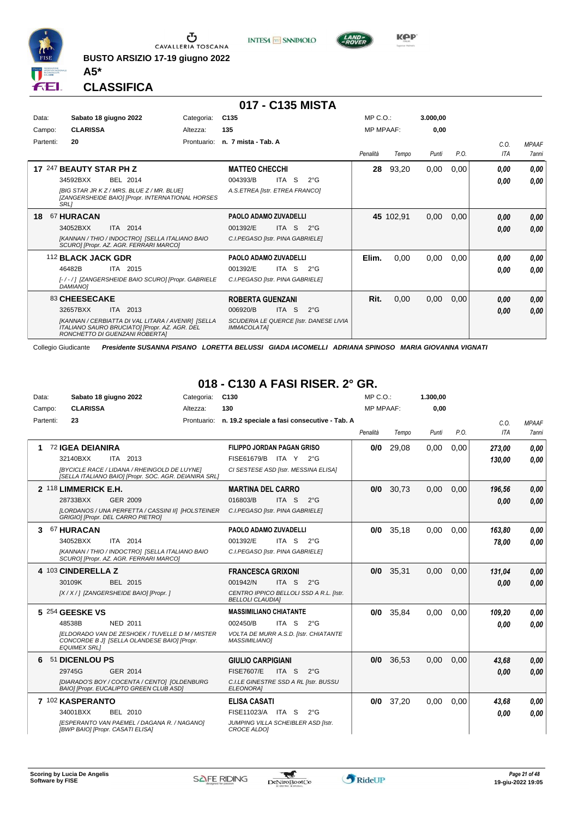

**BUSTO ARSIZIO 17-19 giugno 2022 A5\***





**CLASSIFICA**

|           |                                                                                                                                       |             | 017 - C135 MISTA                                      |                  |           |          |      |      |              |
|-----------|---------------------------------------------------------------------------------------------------------------------------------------|-------------|-------------------------------------------------------|------------------|-----------|----------|------|------|--------------|
| Data:     | Sabato 18 giugno 2022                                                                                                                 | Categoria:  | C <sub>135</sub>                                      | MP C.O.          |           | 3.000,00 |      |      |              |
| Campo:    | <b>CLARISSA</b>                                                                                                                       | Altezza:    | 135                                                   | <b>MP MPAAF:</b> |           | 0,00     |      |      |              |
| Partenti: | 20                                                                                                                                    | Prontuario: | n. 7 mista - Tab. A                                   |                  |           |          |      | C.0. | <b>MPAAF</b> |
|           |                                                                                                                                       |             |                                                       | Penalità         | Tempo     | Punti    | P.O. | ITA  | 7anni        |
|           | 17 247 BEAUTY STAR PH Z                                                                                                               |             | <b>MATTEO CHECCHI</b>                                 | 28               | 93,20     | 0,00     | 0,00 | 0.00 | 0,00         |
|           | 34592BXX<br>BEL 2014                                                                                                                  |             | ITA S<br>004393/B<br>$2^{\circ}$ G                    |                  |           |          |      | 0.00 | 0.00         |
|           | [BIG STAR JR K Z / MRS. BLUE Z / MR. BLUE]<br>[ZANGERSHEIDE BAIO] [Propr. INTERNATIONAL HORSES<br>SRL1                                |             | A.S.ETREA [Istr. ETREA FRANCO]                        |                  |           |          |      |      |              |
| 18        | 67 HURACAN                                                                                                                            |             | PAOLO ADAMO ZUVADELLI                                 |                  | 45 102,91 | 0,00     | 0,00 | 0,00 | 0,00         |
|           | 34052BXX<br>ITA 2014                                                                                                                  |             | <b>ITA</b><br>-S<br>001392/E<br>$2^{\circ}G$          |                  |           |          |      | 0,00 | 0,00         |
|           | [KANNAN / THIO / INDOCTRO] [SELLA ITALIANO BAIO<br>SCUROI IPropr. AZ. AGR. FERRARI MARCOI                                             |             | C.I.PEGASO [Istr. PINA GABRIELE]                      |                  |           |          |      |      |              |
|           | 112 BLACK JACK GDR                                                                                                                    |             | PAOLO ADAMO ZUVADELLI                                 | Elim.            | 0,00      | 0,00     | 0,00 | 0.00 | 0,00         |
|           | 46482B<br>ITA 2015                                                                                                                    |             | ITA S<br>001392/E<br>$2^{\circ}G$                     |                  |           |          |      | 0.00 | 0.00         |
|           | [-/-/] [ZANGERSHEIDE BAIO SCURO] [Propr. GABRIELE<br>DAMIANO1                                                                         |             | C.I.PEGASO [Istr. PINA GABRIELE]                      |                  |           |          |      |      |              |
|           | 83 CHEESECAKE                                                                                                                         |             | <b>ROBERTA GUENZANI</b>                               | Rit.             | 0,00      | 0,00     | 0,00 | 0,00 | 0,00         |
|           | ITA 2013<br>32657BXX                                                                                                                  |             | <b>ITA</b><br>006920/B<br>-S<br>$2^{\circ}$ G         |                  |           |          |      | 0,00 | 0,00         |
|           | [KANNAN / CERBIATTA DI VAL LITARA / AVENIR] [SELLA<br>ITALIANO SAURO BRUCIATO] [Propr. AZ. AGR. DEL<br>RONCHETTO DI GUENZANI ROBERTA] |             | SCUDERIA LE QUERCE [Istr. DANESE LIVIA<br>IMMACOLATA] |                  |           |          |      |      |              |

Collegio Giudicante *Presidente SUSANNA PISANO LORETTA BELUSSI GIADA IACOMELLI ADRIANA SPINOSO MARIA GIOVANNA VIGNATI*

## **018 - C130 A FASI RISER. 2° GR.**

| Data:     | Sabato 18 giugno 2022            |                                                                                                       | Categoria:  | C <sub>130</sub>                  |                  |                                              | $MP C. O.$ :     |       | 1.300,00 |      |            |              |
|-----------|----------------------------------|-------------------------------------------------------------------------------------------------------|-------------|-----------------------------------|------------------|----------------------------------------------|------------------|-------|----------|------|------------|--------------|
| Campo:    | <b>CLARISSA</b>                  |                                                                                                       | Altezza:    | 130                               |                  |                                              | <b>MP MPAAF:</b> |       | 0,00     |      |            |              |
| Partenti: | 23                               |                                                                                                       | Prontuario: |                                   |                  | n. 19.2 speciale a fasi consecutive - Tab. A |                  |       |          |      | C.O.       | <b>MPAAF</b> |
|           |                                  |                                                                                                       |             |                                   |                  |                                              | Penalità         | Tempo | Punti    | P.O. | <b>ITA</b> | <b>7anni</b> |
| 1         | 72 IGEA DEIANIRA                 |                                                                                                       |             | <b>FILIPPO JORDAN PAGAN GRISO</b> |                  |                                              | 0/0              | 29,08 | 0,00     | 0,00 | 273,00     | 0.00         |
|           | 32140BXX                         | ITA 2013                                                                                              |             | FISE61679/B ITA Y 2°G             |                  |                                              |                  |       |          |      | 130.00     | 0.00         |
|           |                                  | [BYCICLE RACE / LIDANA / RHEINGOLD DE LUYNE]<br>[SELLA ITALIANO BAIO] [Propr. SOC. AGR. DEIANIRA SRL] |             |                                   |                  | CI SESTESE ASD [Istr. MESSINA ELISA]         |                  |       |          |      |            |              |
|           | 2 118 LIMMERICK E.H.             |                                                                                                       |             | <b>MARTINA DEL CARRO</b>          |                  |                                              | 0/0              | 30,73 | 0,00     | 0,00 | 196,56     | 0,00         |
|           | 28733BXX                         | GER 2009                                                                                              |             | 016803/B                          | ITA S            | $2^{\circ}G$                                 |                  |       |          |      | 0.00       | 0.00         |
|           |                                  | [LORDANOS / UNA PERFETTA / CASSINI II] [HOLSTEINER<br>GRIGIO] [Propr. DEL CARRO PIETRO]               |             | C.I.PEGASO [Istr. PINA GABRIELE]  |                  |                                              |                  |       |          |      |            |              |
| 3         | 67 HURACAN                       |                                                                                                       |             | PAOLO ADAMO ZUVADELLI             |                  |                                              | 0/0              | 35.18 | 0.00     | 0.00 | 163,80     | 0.00         |
|           | 34052BXX                         | ITA 2014                                                                                              |             | 001392/E                          | ITA S            | $2^{\circ}$ G                                |                  |       |          |      | 78,00      | 0.00         |
|           |                                  | [KANNAN / THIO / INDOCTRO] [SELLA ITALIANO BAIO<br>SCURO] [Propr. AZ. AGR. FERRARI MARCO]             |             | C.I.PEGASO [Istr. PINA GABRIELE]  |                  |                                              |                  |       |          |      |            |              |
|           | 4 103 CINDERELLA Z               |                                                                                                       |             | <b>FRANCESCA GRIXONI</b>          |                  |                                              | 0/0              | 35,31 | 0.00     | 0.00 | 131,04     | 0,00         |
|           | 30109K                           | BEL 2015                                                                                              |             | 001942/N                          | ITA <sub>S</sub> | $2^{\circ}$ G                                |                  |       |          |      | 0.00       | 0.00         |
|           |                                  | [X / X / ] [ZANGERSHEIDE BAIO] [Propr. ]                                                              |             | <b>BELLOLI CLAUDIA]</b>           |                  | CENTRO IPPICO BELLOLI SSD A R.L. [Istr.      |                  |       |          |      |            |              |
|           | 5 254 GEESKE VS                  |                                                                                                       |             | <b>MASSIMILIANO CHIATANTE</b>     |                  |                                              | 0/0              | 35.84 | 0.00     | 0.00 | 109,20     | 0.00         |
|           | 48538B                           | <b>NED 2011</b>                                                                                       |             | 002450/B                          | ITA S            | $2^{\circ}$ G                                |                  |       |          |      | 0.00       | 0.00         |
|           | <b>EQUIMEX SRLI</b>              | <b>IELDORADO VAN DE ZESHOEK / TUVELLE D M / MISTER</b><br>CONCORDE B J] [SELLA OLANDESE BAIO] [Propr. |             | <b>MASSIMILIANO1</b>              |                  | VOLTA DE MURR A.S.D. [Istr. CHIATANTE        |                  |       |          |      |            |              |
| 6         | 51 DICENLOU PS                   |                                                                                                       |             | <b>GIULIO CARPIGIANI</b>          |                  |                                              | 0/0              | 36,53 | 0.00     | 0.00 | 43.68      | 0.00         |
|           | 29745G                           | GER 2014                                                                                              |             | <b>FISE7607/E</b>                 | ITA <sub>S</sub> | $2^{\circ}$ G                                |                  |       |          |      | 0.00       | 0.00         |
|           |                                  | [DIARADO'S BOY / COCENTA / CENTO] [OLDENBURG<br>BAIO] [Propr. EUCALIPTO GREEN CLUB ASD]               |             | ELEONORA]                         |                  | C.I.LE GINESTRE SSD A RL [Istr. BUSSU        |                  |       |          |      |            |              |
|           | 7 102 KASPERANTO                 |                                                                                                       |             | <b>ELISA CASATI</b>               |                  |                                              | 0/0              | 37,20 | 0,00     | 0.00 | 43,68      | 0.00         |
|           | 34001BXX                         | BEL 2010                                                                                              |             | FISE11023/A                       | ITA S            | $2^{\circ}G$                                 |                  |       |          |      | 0.00       | 0.00         |
|           | [BWP BAIO] [Propr. CASATI ELISA] | [ESPERANTO VAN PAEMEL / DAGANA R. / NAGANO]                                                           |             | CROCE ALDOI                       |                  | JUMPING VILLA SCHEIBLER ASD [Istr.           |                  |       |          |      |            |              |

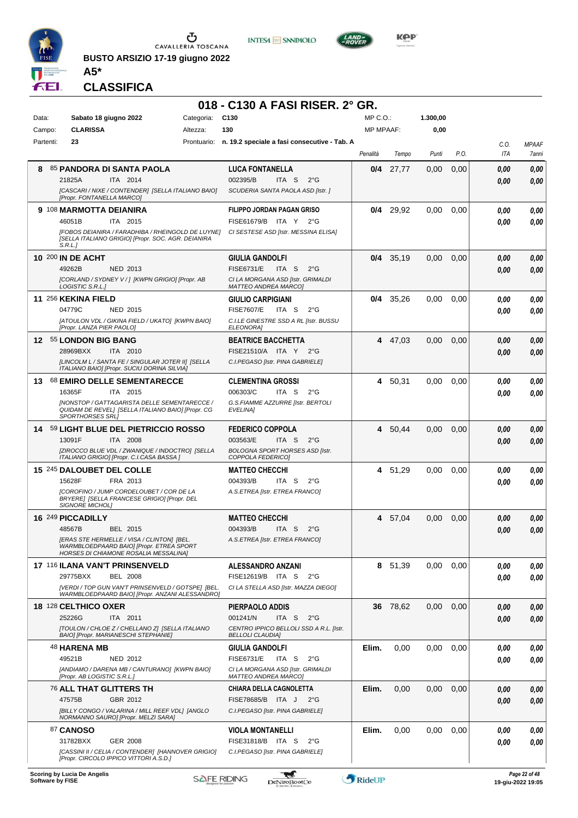

**BUSTO ARSIZIO 17-19 giugno 2022**





**Kep** 

**CLASSIFICA**

**A5\***

## **018 - C130 A FASI RISER. 2° GR.**

| Data:     | Sabato 18 giugno 2022                                                                                                                  | Categoria: | C <sub>130</sub>                                                   | $MP C. O.$ :     |             | 1.300,00 |      |              |                       |
|-----------|----------------------------------------------------------------------------------------------------------------------------------------|------------|--------------------------------------------------------------------|------------------|-------------|----------|------|--------------|-----------------------|
| Campo:    | <b>CLARISSA</b>                                                                                                                        | Altezza:   | 130                                                                | <b>MP MPAAF:</b> |             | 0,00     |      |              |                       |
| Partenti: | 23                                                                                                                                     |            | Prontuario: n. 19.2 speciale a fasi consecutive - Tab. A           | Penalità         | Tempo       | Punti    | P.O. | C.O.<br>ITA  | <b>MPAAF</b><br>7anni |
| 8         | 85 PANDORA DI SANTA PAOLA                                                                                                              |            | <b>LUCA FONTANELLA</b>                                             | 0/4              | 27,77       | 0,00     | 0,00 | 0.00         | 0,00                  |
|           | ITA 2014<br>21825A                                                                                                                     |            | 002395/B<br>ITA S<br>$2^{\circ}$ G                                 |                  |             |          |      | 0.00         | 0,00                  |
|           | [CASCARI / NIXE / CONTENDER] [SELLA ITALIANO BAIO]<br>[Propr. FONTANELLA MARCO]                                                        |            | SCUDERIA SANTA PAOLA ASD [Istr.]                                   |                  |             |          |      |              |                       |
|           | 9 108 MARMOTTA DEIANIRA                                                                                                                |            | <b>FILIPPO JORDAN PAGAN GRISO</b>                                  | 0/4              | 29,92       | 0.00     | 0.00 | 0.00         | 0,00                  |
|           | 46051B<br>ITA 2015                                                                                                                     |            | FISE61679/B ITA Y<br>$2^{\circ}$ G                                 |                  |             |          |      | 0.00         | 0.00                  |
|           | [FOBOS DEIANIRA / FARADHIBA / RHEINGOLD DE LUYNE]<br>[SELLA ITALIANO GRIGIO] [Propr. SOC. AGR. DEIANIRA<br>S.R.L.1                     |            | CI SESTESE ASD [Istr. MESSINA ELISA]                               |                  |             |          |      |              |                       |
|           | <b>10 200 IN DE ACHT</b>                                                                                                               |            | <b>GIULIA GANDOLFI</b>                                             |                  | $0/4$ 35,19 | 0,00     | 0,00 | 0.00         | 0,00                  |
|           | 49262B<br><b>NED 2013</b>                                                                                                              |            | <b>FISE6731/E</b><br>ITA S<br>$2^{\circ}$ G                        |                  |             |          |      | 0.00         | 0,00                  |
|           | [CORLAND / SYDNEY V / ] [KWPN GRIGIO] [Propr. AB<br>LOGISTIC S.R.L.]                                                                   |            | CI LA MORGANA ASD [Istr. GRIMALDI<br><b>MATTEO ANDREA MARCO]</b>   |                  |             |          |      |              |                       |
|           | 11 256 KEKINA FIELD                                                                                                                    |            | <b>GIULIO CARPIGIANI</b>                                           | 0/4              | 35,26       | 0,00     | 0,00 | 0.00         | 0,00                  |
|           | 04779C<br><b>NED 2015</b>                                                                                                              |            | <b>FISE7607/E</b><br>ITA S<br>$2^{\circ}$ G                        |                  |             |          |      | 0.00         | 0,00                  |
|           | [ATOULON VDL / GIKINA FIELD / UKATO] [KWPN BAIO]<br>[Propr. LANZA PIER PAOLO]                                                          |            | C.I.LE GINESTRE SSD A RL [Istr. BUSSU<br>ELEONORA]                 |                  |             |          |      |              |                       |
|           | 12 55 LONDON BIG BANG                                                                                                                  |            | <b>BEATRICE BACCHETTA</b>                                          | 4                | 47,03       | 0.00     | 0,00 | 0,00         | 0,00                  |
|           | 28969BXX<br>ITA 2010                                                                                                                   |            | FISE21510/A ITA Y<br>$2^{\circ}G$                                  |                  |             |          |      | 0,00         | 0.00                  |
|           | [LINCOLM L / SANTA FE / SINGULAR JOTER II] [SELLA<br>ITALIANO BAIO] [Propr. SUCIU DORINA SILVIA]                                       |            | C.I.PEGASO [Istr. PINA GABRIELE]                                   |                  |             |          |      |              |                       |
| 13        | <b>68 EMIRO DELLE SEMENTARECCE</b>                                                                                                     |            | <b>CLEMENTINA GROSSI</b>                                           | 4                | 50,31       | 0,00     | 0,00 | 0.00         | 0,00                  |
|           | 16365F<br>ITA 2015                                                                                                                     |            | 006303/C<br>ITA S<br>$2^{\circ}$ G                                 |                  |             |          |      | 0.00         | 0.00                  |
|           | [NONSTOP / GATTAGARISTA DELLE SEMENTARECCE /<br>QUIDAM DE REVEL] [SELLA ITALIANO BAIO] [Propr. CG                                      |            | G.S.FIAMME AZZURRE [Istr. BERTOLI<br>EVELINA]                      |                  |             |          |      |              |                       |
|           | <b>SPORTHORSES SRLI</b>                                                                                                                |            |                                                                    | 4                |             | 0,00     |      |              |                       |
|           | 14 59 LIGHT BLUE DEL PIETRICCIO ROSSO<br>13091F<br>ITA 2008                                                                            |            | <b>FEDERICO COPPOLA</b><br>003563/E<br>ITA S<br>$2^{\circ}$ G      |                  | 50,44       |          | 0,00 | 0.00<br>0.00 | 0,00<br>0.00          |
|           | [ZIROCCO BLUE VDL / ZWANIQUE / INDOCTRO] [SELLA                                                                                        |            | <b>BOLOGNA SPORT HORSES ASD [Istr.</b>                             |                  |             |          |      |              |                       |
|           | ITALIANO GRIGIO] [Propr. C.I.CASA BASSA ]<br>15 245 DALOUBET DEL COLLE                                                                 |            | COPPOLA FEDERICO]<br><b>MATTEO CHECCHI</b>                         | 4                |             | 0.00     | 0,00 | 0.00         | 0,00                  |
|           | 15628F<br>FRA 2013                                                                                                                     |            | 004393/B<br>ITA S<br>$2^{\circ}$ G                                 |                  | 51,29       |          |      | 0.00         | 0.00                  |
|           | <b>[COROFINO / JUMP CORDELOUBET / COR DE LA</b>                                                                                        |            | A.S.ETREA [Istr. ETREA FRANCO]                                     |                  |             |          |      |              |                       |
|           | BRYERE] [SELLA FRANCESE GRIGIO] [Propr. DEL<br><b>SIGNORE MICHOLI</b>                                                                  |            |                                                                    |                  |             |          |      |              |                       |
|           | 16 249 PICCADILLY                                                                                                                      |            | <b>MATTEO CHECCHI</b>                                              |                  | 4 57,04     | 0,00     | 0,00 | 0,00         | 0,00                  |
|           | 48567B<br>BEL 2015                                                                                                                     |            | 004393/B<br>$2^{\circ}$ G<br>ITA S                                 |                  |             |          |      | 0.00         | 0,00                  |
|           | <b>[ERAS STE HERMELLE / VISA / CLINTON] [BEL.</b><br>WARMBLOEDPAARD BAIO] [Propr. ETREA SPORT<br>HORSES DI CHIAMONE ROSALIA MESSALINA] |            | A.S.ETREA [Istr. ETREA FRANCO]                                     |                  |             |          |      |              |                       |
|           | 17 116 ILANA VAN'T PRINSENVELD                                                                                                         |            | <b>ALESSANDRO ANZANI</b>                                           |                  | 8 51,39     | 0,00     | 0,00 | 0.00         | 0,00                  |
|           | 29775BXX<br><b>BEL 2008</b>                                                                                                            |            | FISE12619/B ITA S<br>$2^{\circ}$ G                                 |                  |             |          |      | 0.00         | 0,00                  |
|           | [VERDI / TOP GUN VAN'T PRINSENVELD / GOTSPE] [BEL.<br>WARMBLOEDPAARD BAIO] [Propr. ANZANI ALESSANDRO]                                  |            | CI LA STELLA ASD [Istr. MAZZA DIEGO]                               |                  |             |          |      |              |                       |
|           | 18 <sup>128</sup> CELTHICO OXER                                                                                                        |            | PIERPAOLO ADDIS                                                    |                  | 36 78,62    | 0,00     | 0,00 | 0.00         | 0,00                  |
|           | 25226G<br>ITA 2011                                                                                                                     |            | 001241/N<br>ITA S<br>$2^{\circ}G$                                  |                  |             |          |      | 0,00         | 0,00                  |
|           | ITOULON / CHLOE Z / CHELLANO Z] [SELLA ITALIANO<br>BAIO] [Propr. MARIANESCHI STEPHANIE]                                                |            | CENTRO IPPICO BELLOLI SSD A R.L. [Istr.<br><b>BELLOLI CLAUDIA]</b> |                  |             |          |      |              |                       |
|           | 48 HARENA MB                                                                                                                           |            | <b>GIULIA GANDOLFI</b>                                             | Elim.            | 0,00        | 0,00     | 0,00 | 0.00         | 0,00                  |
|           | 49521B<br><b>NED 2012</b>                                                                                                              |            | <b>FISE6731/E</b><br>ITA S<br>$2^{\circ}$ G                        |                  |             |          |      | 0.00         | 0,00                  |
|           | [ANDIAMO / DARENA MB / CANTURANO] [KWPN BAIO]<br>[Propr. AB LOGISTIC S.R.L.]                                                           |            | CI LA MORGANA ASD [Istr. GRIMALDI<br><b>MATTEO ANDREA MARCO]</b>   |                  |             |          |      |              |                       |
|           | 76 ALL THAT GLITTERS TH                                                                                                                |            | <b>CHIARA DELLA CAGNOLETTA</b>                                     | Elim.            | 0,00        | 0,00     | 0,00 | 0,00         | 0,00                  |
|           | GBR 2012<br>47575B                                                                                                                     |            | FISE78685/B ITA J<br>$2^{\circ}$ G                                 |                  |             |          |      | 0,00         | 0,00                  |
|           | [BILLY CONGO / VALARINA / MILL REEF VDL] [ANGLO<br>NORMANNO SAURO] [Propr. MELZI SARA]                                                 |            | C.I.PEGASO [Istr. PINA GABRIELE]                                   |                  |             |          |      |              |                       |
|           | <b>87 CANOSO</b>                                                                                                                       |            | <b>VIOLA MONTANELLI</b>                                            | Elim.            | 0,00        | 0,00     | 0,00 | 0.00         | 0,00                  |
|           | 31782BXX<br>GER 2008                                                                                                                   |            | FISE31818/B ITA S<br>$2^{\circ}$ G                                 |                  |             |          |      | 0.00         | 0,00                  |
|           | [CASSINI II / CELIA / CONTENDER] [HANNOVER GRIGIO]<br>[Propr. CIRCOLO IPPICO VITTORI A.S.D.]                                           |            | C.I.PEGASO [Istr. PINA GABRIELE]                                   |                  |             |          |      |              |                       |
|           |                                                                                                                                        |            |                                                                    |                  |             |          |      |              |                       |

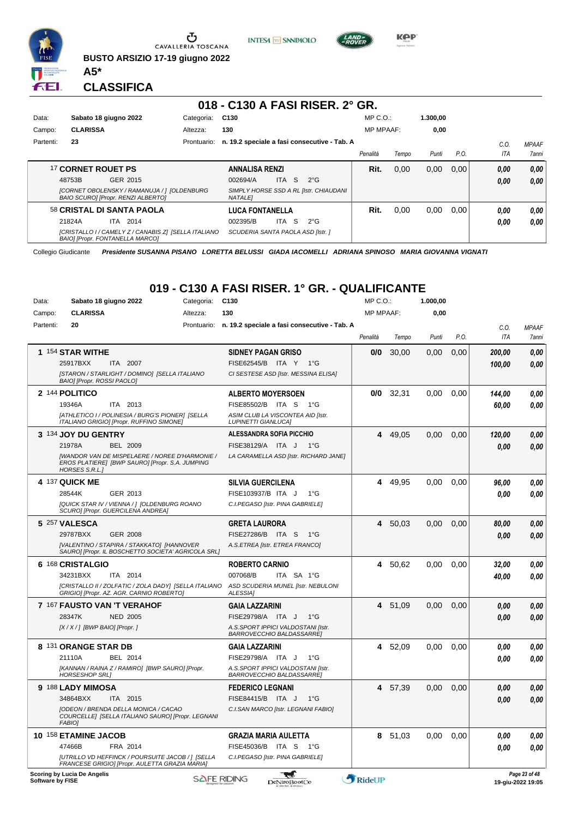

**INTESA M** SANPAOLO



**KPP** 

**CLASSIFICA**

**A5\***

## **018 - C130 A FASI RISER. 2° GR.**

| Data:     | Sabato 18 giugno 2022                                                                          | Categoria:  | C <sub>130</sub>                             |           |                                        | $MP C. O.$ :     |       | 1.300.00 |      |      |              |
|-----------|------------------------------------------------------------------------------------------------|-------------|----------------------------------------------|-----------|----------------------------------------|------------------|-------|----------|------|------|--------------|
| Campo:    | <b>CLARISSA</b>                                                                                | Altezza:    | 130                                          |           |                                        | <b>MP MPAAF:</b> |       | 0,00     |      |      |              |
| Partenti: | 23                                                                                             | Prontuario: | n. 19.2 speciale a fasi consecutive - Tab. A |           |                                        |                  |       |          |      | C.O  | <b>MPAAF</b> |
|           |                                                                                                |             |                                              |           |                                        | Penalità         | Tempo | Punti    | P.O. | ITA  | 7anni        |
|           | 17 CORNET ROUET PS                                                                             |             | <b>ANNALISA RENZI</b>                        |           |                                        | Rit.             | 0.00  | 0,00     | 0.00 | 0.00 | 0.00         |
|           | 48753B<br>GER 2015                                                                             |             | 002694/A                                     | S<br>ITA. | $2^{\circ}$ G                          |                  |       |          |      | 0.00 | 0.00         |
|           | [CORNET OBOLENSKY / RAMANUJA / ] [OLDENBURG<br>BAIO SCUROI [Propr. RENZI ALBERTO]              |             | <b>NATALEI</b>                               |           | SIMPLY HORSE SSD A RL [Istr. CHIAUDANI |                  |       |          |      |      |              |
|           | 58 CRISTAL DI SANTA PAOLA                                                                      |             | <b>LUCA FONTANELLA</b>                       |           |                                        | Rit.             | 0.00  | 0.00     | 0.00 | 0.00 | 0.00         |
|           | 21824A<br>ITA 2014                                                                             |             | 002395/B                                     | -S<br>ITA | $2^{\circ}G$                           |                  |       |          |      | 0.00 | 0.00         |
|           | [CRISTALLO I / CAMELY Z / CANABIS Z] [SELLA ITALIANO<br><b>BAIOI IPropr. FONTANELLA MARCOI</b> |             | <b>SCUDERIA SANTA PAOLA ASD IIstr. 1</b>     |           |                                        |                  |       |          |      |      |              |

Collegio Giudicante *Presidente SUSANNA PISANO LORETTA BELUSSI GIADA IACOMELLI ADRIANA SPINOSO MARIA GIOVANNA VIGNATI*

## **019 - C130 A FASI RISER. 1° GR. - QUALIFICANTE**

| Data:               | Sabato 18 giugno 2022                                                                                                      | Categoria:              | C <sub>130</sub>                                                       | MP C.O.:         |         | 1.000,00 |      |                    |                                    |
|---------------------|----------------------------------------------------------------------------------------------------------------------------|-------------------------|------------------------------------------------------------------------|------------------|---------|----------|------|--------------------|------------------------------------|
| Campo:<br>Partenti: | <b>CLARISSA</b><br>20                                                                                                      | Altezza:<br>Prontuario: | 130<br>n. 19.2 speciale a fasi consecutive - Tab. A                    | <b>MP MPAAF:</b> |         | 0,00     |      |                    |                                    |
|                     |                                                                                                                            |                         |                                                                        | Penalità         | Tempo   | Punti    | P.O. | C.O.<br><b>ITA</b> | <b>MPAAF</b><br>7anni              |
|                     | 1 154 STAR WITHE                                                                                                           |                         | <b>SIDNEY PAGAN GRISO</b>                                              | 0/0              | 30,00   | 0.00     | 0,00 | 200,00             | 0.00                               |
|                     | 25917BXX<br>ITA 2007                                                                                                       |                         | FISE62545/B ITA Y<br>$1^{\circ}G$                                      |                  |         |          |      | 100,00             | 0,00                               |
|                     | [STARON / STARLIGHT / DOMINO] [SELLA ITALIANO<br>BAIO] [Propr. ROSSI PAOLO]                                                |                         | CI SESTESE ASD [Istr. MESSINA ELISA]                                   |                  |         |          |      |                    |                                    |
|                     | 2 144 POLITICO                                                                                                             |                         | <b>ALBERTO MOYERSOEN</b>                                               | 0/0              | 32,31   | 0.00     | 0,00 | 144,00             | 0,00                               |
|                     | 19346A<br>ITA 2013                                                                                                         |                         | FISE85502/B ITA S<br>1°G                                               |                  |         |          |      | 60,00              | 0.00                               |
|                     | [ATHLETICO I / POLINESIA / BURG'S PIONER] [SELLA<br>ITALIANO GRIGIO] [Propr. RUFFINO SIMONE]                               |                         | ASIM CLUB LA VISCONTEA AID [Istr.<br><b>LUPINETTI GIANLUCA]</b>        |                  |         |          |      |                    |                                    |
|                     | 3 134 JOY DU GENTRY                                                                                                        |                         | <b>ALESSANDRA SOFIA PICCHIO</b>                                        | 4                | 49,05   | 0,00     | 0,00 | 120,00             | 0,00                               |
|                     | 21978A<br><b>BEL 2009</b>                                                                                                  |                         | FISE38129/A ITA J<br>1°G                                               |                  |         |          |      | 0.00               | 0.00                               |
|                     | [WANDOR VAN DE MISPELAERE / NOREE D'HARMONIE /<br>EROS PLATIERE] [BWP SAURO] [Propr. S.A. JUMPING<br><b>HORSES S.R.L.1</b> |                         | LA CARAMELLA ASD [Istr. RICHARD JANE]                                  |                  |         |          |      |                    |                                    |
|                     | 4 137 QUICK ME                                                                                                             |                         | <b>SILVIA GUERCILENA</b>                                               | 4                | 49.95   | 0.00     | 0.00 | 96.00              | 0,00                               |
|                     | 28544K<br>GER 2013                                                                                                         |                         | FISE103937/B ITA J<br>$1^{\circ}G$                                     |                  |         |          |      | 0.00               | 0.00                               |
|                     | [QUICK STAR IV / VIENNA / ] [OLDENBURG ROANO<br>SCURO] [Propr. GUERCILENA ANDREA]                                          |                         | C.I.PEGASO [Istr. PINA GABRIELE]                                       |                  |         |          |      |                    |                                    |
|                     | 5 257 VALESCA                                                                                                              |                         | <b>GRETA LAURORA</b>                                                   | 4                | 50,03   | 0,00     | 0,00 | 80,00              | 0,00                               |
|                     | <b>GER 2008</b><br>29787BXX                                                                                                |                         | <b>FISE27286/B</b><br>ITA S<br>$1^{\circ}G$                            |                  |         |          |      | 0,00               | 0,00                               |
|                     | [VALENTINO / STAPIRA / STAKKATO] [HANNOVER<br>SAURO] [Propr. IL BOSCHETTO SOCIETA' AGRICOLA SRL]                           |                         | A.S.ETREA [Istr. ETREA FRANCO]                                         |                  |         |          |      |                    |                                    |
|                     | 6 168 CRISTALGIO                                                                                                           |                         | <b>ROBERTO CARNIO</b>                                                  | 4                | 50,62   | 0.00     | 0,00 | 32,00              | 0.00                               |
|                     | 34231BXX<br>ITA 2014                                                                                                       |                         | 007068/B<br>ITA SA 1°G                                                 |                  |         |          |      | 40,00              | 0.00                               |
|                     | [CRISTALLO II / ZOLFATIC / ZOLA DADY] [SELLA ITALIANO<br>GRIGIO] [Propr. AZ. AGR. CARNIO ROBERTO]                          |                         | ASD SCUDERIA MUNEL [Istr. NEBULONI<br><b>ALESSIA1</b>                  |                  |         |          |      |                    |                                    |
|                     | 7 167 FAUSTO VAN 'T VERAHOF                                                                                                |                         | <b>GAIA LAZZARINI</b>                                                  | 4                | 51,09   | 0,00     | 0,00 | 0.00               | 0,00                               |
|                     | 28347K<br><b>NED 2005</b>                                                                                                  |                         | FISE29798/A ITA J<br>$1^{\circ}G$                                      |                  |         |          |      | 0.00               | 0.00                               |
|                     | $[X/X/]$ [BWP BAIO] [Propr.]                                                                                               |                         | A.S.SPORT IPPICI VALDOSTANI [Istr.                                     |                  |         |          |      |                    |                                    |
|                     |                                                                                                                            |                         | BARROVECCHIO BALDASSARREJ                                              |                  |         |          |      |                    |                                    |
|                     | 8 131 ORANGE STAR DB                                                                                                       |                         | <b>GAIA LAZZARINI</b>                                                  | 4                | 52,09   | 0,00     | 0,00 | 0.00               | 0,00                               |
|                     | 21110A<br>BEL 2014                                                                                                         |                         | FISE29798/A ITA J<br>$1^{\circ}$ G                                     |                  |         |          |      | 0.00               | 0.00                               |
|                     | [KANNAN / RAINA Z / RAMIRO] [BWP SAURO] [Propr.<br><b>HORSESHOP SRL1</b>                                                   |                         | A.S.SPORT IPPICI VALDOSTANI [Istr.<br><b>BARROVECCHIO BALDASSARREI</b> |                  |         |          |      |                    |                                    |
|                     | 9 188 LADY MIMOSA                                                                                                          |                         | <b>FEDERICO LEGNANI</b>                                                | 4                | 57,39   | 0.00     | 0.00 | 0,00               | 0,00                               |
|                     | 34864BXX<br>ITA 2015                                                                                                       |                         | FISE84415/B ITA J<br>$1^{\circ}G$                                      |                  |         |          |      | 0.00               | 0.00                               |
|                     | [ODEON / BRENDA DELLA MONICA / CACAO<br>COURCELLE] [SELLA ITALIANO SAURO] [Propr. LEGNANI<br><b>FABIO]</b>                 |                         | C.I.SAN MARCO [Istr. LEGNANI FABIO]                                    |                  |         |          |      |                    |                                    |
|                     | 10 158 ETAMINE JACOB                                                                                                       |                         | <b>GRAZIA MARIA AULETTA</b>                                            |                  | 8 51,03 | 0,00     | 0,00 | 0.00               | 0,00                               |
|                     | 47466B<br>FRA 2014                                                                                                         |                         | FISE45036/B ITA S<br>1°G                                               |                  |         |          |      | 0.00               | 0.00                               |
|                     | [UTRILLO VD HEFFINCK / POURSUITE JACOB / ] [SELLA<br>FRANCESE GRIGIO] [Propr. AULETTA GRAZIA MARIA]                        |                         | C.I.PEGASO [Istr. PINA GABRIELE]                                       |                  |         |          |      |                    |                                    |
| Software by FISE    | <b>Scoring by Lucia De Angelis</b>                                                                                         | <b>SAFE RIDING</b>      | DeNiroBootCo                                                           | RideUP           |         |          |      |                    | Page 23 of 48<br>19-aiu-2022 19:05 |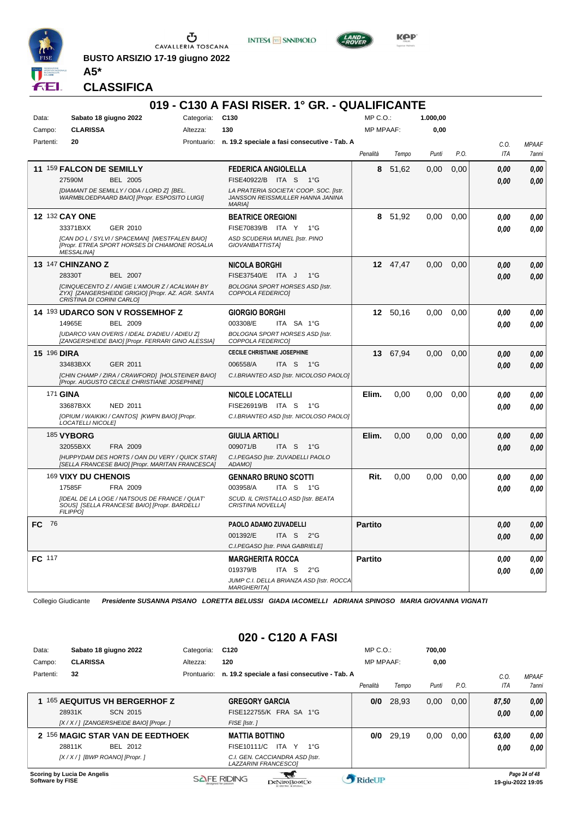

CAVALLERIA TOSCANA

**BUSTO ARSIZIO 17-19 giugno 2022**





KOP

**CLASSIFICA**

**A5\***

#### **019 - C130 A FASI RISER. 1° GR. - QUALIFICANTE** Data: Sabato 18 giugno 2022 Categoria: C130 Prontuario: **n. 19.2 speciale a fasi consecutive - Tab. A** Campo: **CLARISSA** Partenti: **20** Altezza: **130**  $MP \cap \bigcap$ MP MPAAF: **1.000,00 0,00** *Penalità Tempo Punti P.O. C.O. ITA MPAAF 7anni* **11** 159 **FALCON DE SEMILLY** BEL 2005 **FEDERICA ANGIOLELLA** *[DIAMANT DE SEMILLY / ODA / LORD Z] [BEL. WARMBLOEDPAARD BAIO] [Propr. ESPOSITO LUIGI] LA PRATERIA SOCIETA' COOP. SOC. [Istr. JANSSON REISSMULLER HANNA JANINA MARIA]* 27590M BEL 2005 FISE40922/B ITA S 1°G **0,00 0,00 8** 51,62 0,00 0,00 *0,00 0,00 0,00* **12** 132 **CAY ONE** GER 2010 **BEATRICE OREGIONI** *[CAN DO L / SYLVI / SPACEMAN] [WESTFALEN BAIO] [Propr. ETREA SPORT HORSES DI CHIAMONE ROSALIA MESSALINA] ASD SCUDERIA MUNEL [Istr. PINO GIOVANBATTISTA]* FISE70839/R ITA Y 1°G **8** 51,92 0,00 0,00 *0,00 0,00 0,00* 33371BXX GER\_2010 FISE70839/B ITA Y 1°G <mark> 0,00 0,00</mark> **13** 147 **CHINZANO Z** BEL 2007 **NICOLA BORGHI** *[CINQUECENTO Z / ANGIE L'AMOUR Z / ACALWAH BY ZYX] [ZANGERSHEIDE GRIGIO] [Propr. AZ. AGR. SANTA CRISTINA DI CORINI CARLO] BOLOGNA SPORT HORSES ASD [Istr. COPPOLA FEDERICO]* ITA J 1°G 28330T FISE37540/E *0,00* **12** 47,47 0,00 0,00 *0,00 0,00 0,00* **14** 193 **UDARCO SON V ROSSEMHOF Z** BEL 2009 **GIORGIO BORGHI** *[UDARCO VAN OVERIS / IDEAL D'ADIEU / ADIEU Z] [ZANGERSHEIDE BAIO] [Propr. FERRARI GINO ALESSIA] BOLOGNA SPORT HORSES ASD [Istr. COPPOLA FEDERICO]* ITA SA 1°G **12** 50,16 0,00 0,00 *0,00 0,00 0,00* 14965E BEL 2009 003308/E ITA SA 1°G <mark> *0,00 0,00*</mark> **15** 196 **DIRA** GER 2011 **CECILE CHRISTIANE JOSEPHINE** *[CHIN CHAMP / ZIRA / CRAWFORD] [HOLSTEINER BAIO] [Propr. AUGUSTO CECILE CHRISTIANE JOSEPHINE] C.I.BRIANTEO ASD [Istr. NICOLOSO PAOLO]* ITA S 1°G **13** 67,94 0,00 0,00 *0,00 0,00 0,00* 33483BXX GER\_2011 006558/A ITA S 1°G <mark> 0,00 0,00</mark> 171 **GINA** NED 2011 **NICOLE LOCATELLI** *[OPIUM / WAIKIKI / CANTOS] [KWPN BAIO] [Propr. LOCATELLI NICOLE] C.I.BRIANTEO ASD [Istr. NICOLOSO PAOLO]* ITA S 1°G 33687BXX FISE26919/B *0,00* **Elim.** 0,00 0,00 0,00 *0,00 0,00 0,00* 185 **VYBORG** FRA 2009 **GIULIA ARTIOLI** *[HUPPYDAM DES HORTS / OAN DU VERY / QUICK STAR] [SELLA FRANCESE BAIO] [Propr. MARITAN FRANCESCA] C.I.PEGASO [Istr. ZUVADELLI PAOLO ADAMO]* ITA S 1°G **Elim.** 0,00 0,00 0,00 *0,00 0,00 0,00* 32055BXX FRA 2009 009071/B ITA S 1°G <mark>0 ,00 0,00</mark> 169 **VIXY DU CHENOIS** FRA 2009 **GENNARO BRUNO SCOTTI** *[IDEAL DE LA LOGE / NATSOUS DE FRANCE / QUAT' SOUS] [SELLA FRANCESE BAIO] [Propr. BARDELLI FILIPPO] SCUD. IL CRISTALLO ASD [Istr. BEATA CRISTINA NOVELLA]* ITA S 1°G **Rit.** 0,00 0,00 0,00 *0,00 0,00 0,00* 17585F FRA 2009 003958/A ITA S 1°G <mark> *0,00 0,00*</mark> **FC** 76 **PAOLO ADAMO ZUVADELLI** *C.I.PEGASO [Istr. PINA GABRIELE]* ITA S 2°G **Partito** *0,00 0,00 0,00* 001392/E *0,00* **FC** 117 **MARGHERITA ROCCA** *JUMP C.I. DELLA BRIANZA ASD [Istr. ROCCA MARGHERITA]* ITA S 2°G 019379/B *0,00* **Partito** *0,00 0,00 0,00*

Collegio Giudicante *Presidente SUSANNA PISANO LORETTA BELUSSI GIADA IACOMELLI ADRIANA SPINOSO MARIA GIOVANNA VIGNATI*

#### **020 - C120 A FASI**

| Data:                   |                                  | Sabato 18 giugno 2022                    | Categoria:  | C <sub>120</sub>      |                                                                | $MP C. O.$ :     |       | 700.00 |      |       |                                    |
|-------------------------|----------------------------------|------------------------------------------|-------------|-----------------------|----------------------------------------------------------------|------------------|-------|--------|------|-------|------------------------------------|
| Campo:                  | <b>CLARISSA</b>                  |                                          | Altezza:    | 120                   |                                                                | <b>MP MPAAF:</b> |       | 0,00   |      |       |                                    |
| Partenti:               | 32                               |                                          | Prontuario: |                       | n. 19.2 speciale a fasi consecutive - Tab. A                   |                  |       |        |      | C.0   | <b>MPAAF</b>                       |
|                         |                                  |                                          |             |                       |                                                                | Penalità         | Tempo | Punti  | P.O. | ITA   | 7anni                              |
|                         |                                  | 165 AEQUITUS VH BERGERHOF Z              |             |                       | <b>GREGORY GARCIA</b>                                          | 0/0              | 28.93 | 0,00   | 0.00 | 87,50 | 0,00                               |
|                         | 28931K                           | SCN 2015                                 |             |                       | FISE122755/K FRA SA 1°G                                        |                  |       |        |      | 0,00  | 0,00                               |
|                         |                                  | [X / X / ] [ZANGERSHEIDE BAIO] [Propr. ] |             | FISE [Istr.]          |                                                                |                  |       |        |      |       |                                    |
|                         |                                  | 2 156 MAGIC STAR VAN DE EEDTHOEK         |             | <b>MATTIA BOTTINO</b> |                                                                | 0/0              | 29.19 | 0,00   | 0.00 | 63,00 | 0.00                               |
|                         | 28811K                           | BEL 2012                                 |             | FISE10111/C           | ITA Y<br>$1^{\circ}G$                                          |                  |       |        |      | 0.00  | 0.00                               |
|                         | [X / X / ] [BWP ROANO] [Propr. ] |                                          |             |                       | C.I. GEN. CACCIANDRA ASD [Istr.<br><b>LAZZARINI FRANCESCO1</b> |                  |       |        |      |       |                                    |
| <b>Software by FISE</b> | Scoring by Lucia De Angelis      |                                          |             | <b>SAFE RIDING</b>    | DeNiroBootCo                                                   | RideUP           |       |        |      |       | Page 24 of 48<br>19-aiu-2022 19:05 |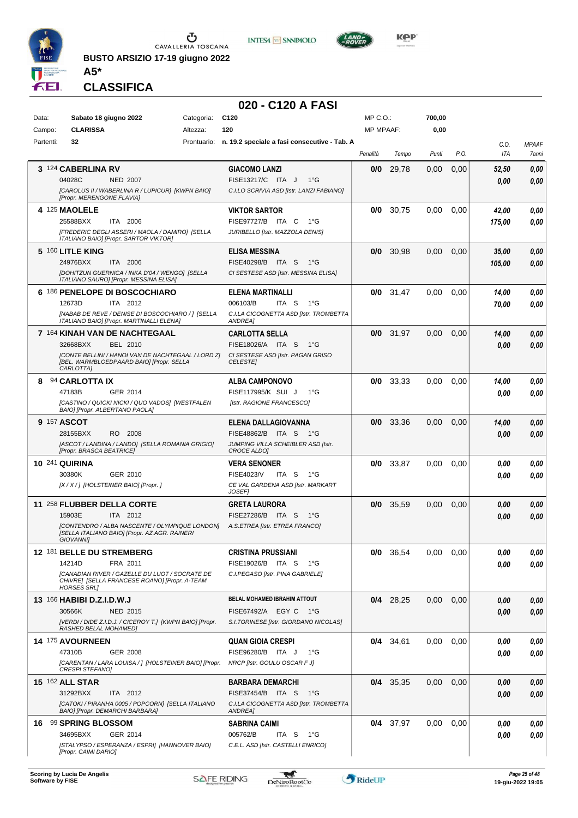

**BUSTO ARSIZIO 17-19 giugno 2022 A5\***





**CLASSIFICA**

## **020 - C120 A FASI**

| Data:     | Sabato 18 giugno 2022                                                                           | Categoria:  | C <sub>120</sub>                                          | $MP C. O.$ :     |             | 700,00 |      |            |              |
|-----------|-------------------------------------------------------------------------------------------------|-------------|-----------------------------------------------------------|------------------|-------------|--------|------|------------|--------------|
| Campo:    | <b>CLARISSA</b>                                                                                 | Altezza:    | 120                                                       | <b>MP MPAAF:</b> |             | 0,00   |      |            |              |
| Partenti: | 32                                                                                              | Prontuario: | n. 19.2 speciale a fasi consecutive - Tab. A              |                  |             |        |      | C.0.       | <b>MPAAF</b> |
|           |                                                                                                 |             |                                                           | Penalità         | Tempo       | Punti  | P.O. | <b>ITA</b> | 7anni        |
|           | 3 124 CABERLINA RV                                                                              |             | <b>GIACOMO LANZI</b>                                      | 0/0              | 29,78       | 0,00   | 0,00 | 52,50      | 0,00         |
|           | 04028C<br><b>NED 2007</b>                                                                       |             | FISE13217/C ITA J<br>$1^{\circ}G$                         |                  |             |        |      | 0,00       | 0,00         |
|           | [CAROLUS II / WABERLINA R / LUPICUR] [KWPN BAIO]<br>[Propr. MERENGONE FLAVIA]                   |             | C.I.LO SCRIVIA ASD [Istr. LANZI FABIANO]                  |                  |             |        |      |            |              |
|           | 4 125 MAOLELE                                                                                   |             | <b>VIKTOR SARTOR</b>                                      | 0/0              | 30,75       | 0,00   | 0,00 | 42,00      | 0,00         |
|           | 25588BXX<br>ITA 2006                                                                            |             | FISE97727/B ITA C<br>1°G                                  |                  |             |        |      | 175,00     | 0,00         |
|           | [FREDERIC DEGLI ASSERI / MAOLA / DAMIRO] [SELLA                                                 |             | JURIBELLO [Istr. MAZZOLA DENIS]                           |                  |             |        |      |            |              |
|           | ITALIANO BAIO] [Propr. SARTOR VIKTOR]                                                           |             |                                                           |                  |             |        |      |            |              |
|           | 5 160 LITLE KING<br>24976BXX<br>ITA 2006                                                        |             | <b>ELISA MESSINA</b><br>FISE40298/B ITA S<br>$1^{\circ}G$ | 0/0              | 30,98       | 0,00   | 0,00 | 35,00      | 0,00         |
|           | [DOHITZUN GUERNICA / INKA D'04 / WENGO] [SELLA                                                  |             | CI SESTESE ASD [Istr. MESSINA ELISA]                      |                  |             |        |      | 105,00     | 0,00         |
|           | ITALIANO SAURO] [Propr. MESSINA ELISA]                                                          |             |                                                           |                  |             |        |      |            |              |
|           | 6 186 PENELOPE DI BOSCOCHIARO                                                                   |             | ELENA MARTINALLI                                          | 0/0              | 31,47       | 0,00   | 0,00 | 14,00      | 0,00         |
|           | ITA 2012<br>12673D                                                                              |             | 006103/B<br>ITA <sub>S</sub><br>$1^{\circ}G$              |                  |             |        |      | 70,00      | 0,00         |
|           | [NABAB DE REVE / DENISE DI BOSCOCHIARO / ] [SELLA<br>ITALIANO BAIO] [Propr. MARTINALLI ELENA]   |             | C.I.LA CICOGNETTA ASD [Istr. TROMBETTA<br>ANDREA]         |                  |             |        |      |            |              |
|           | 7 164 KINAH VAN DE NACHTEGAAL                                                                   |             | <b>CARLOTTA SELLA</b>                                     |                  | $0/0$ 31,97 | 0,00   | 0,00 | 14,00      | 0,00         |
|           | BEL 2010<br>32668BXX                                                                            |             | FISE18026/A ITA S<br>1°G                                  |                  |             |        |      | 0,00       | 0,00         |
|           | <b>ICONTE BELLINI / HANOI VAN DE NACHTEGAAL / LORD ZI</b>                                       |             | CI SESTESE ASD [Istr. PAGAN GRISO                         |                  |             |        |      |            |              |
|           | [BEL. WARMBLOEDPAARD BAIO] [Propr. SELLA<br>CARLOTTA]                                           |             | <b>CELESTE</b>                                            |                  |             |        |      |            |              |
| 8         | 94 CARLOTTA IX                                                                                  |             | ALBA CAMPONOVO                                            | 0/0              | 33,33       | 0,00   | 0,00 | 14,00      | 0,00         |
|           | 47183B<br>GER 2014                                                                              |             | FISE117995/K SUI J<br>1°G                                 |                  |             |        |      | 0.00       | 0.00         |
|           | [CASTINO / QUICKI NICKI / QUO VADOS] [WESTFALEN<br>BAIO] [Propr. ALBERTANO PAOLA]               |             | [Istr. RAGIONE FRANCESCO]                                 |                  |             |        |      |            |              |
|           | 9 157 ASCOT                                                                                     |             | ELENA DALLAGIOVANNA                                       | 0/0              | 33,36       | 0,00   | 0,00 | 14,00      | 0,00         |
|           | RO 2008<br>28155BXX                                                                             |             | FISE48862/B ITA S<br>1°G                                  |                  |             |        |      | 0.00       | 0,00         |
|           | [ASCOT / LANDINA / LANDO] [SELLA ROMANIA GRIGIO]                                                |             | JUMPING VILLA SCHEIBLER ASD [Istr.                        |                  |             |        |      |            |              |
|           | [Propr. BRASCA BEATRICE]                                                                        |             | <b>CROCE ALDO]</b>                                        |                  |             |        |      |            |              |
|           | <b>10 241 QUIRINA</b><br>30380K<br>GER 2010                                                     |             | <b>VERA SENONER</b><br>FISE4023/V<br>ITA S<br>1°G         | 0/0              | 33,87       | 0,00   | 0,00 | 0.00       | 0,00         |
|           | [X / X / ] [HOLSTEINER BAIO] [Propr. ]                                                          |             | CE VAL GARDENA ASD [Istr. MARKART                         |                  |             |        |      | 0.00       | 0.00         |
|           |                                                                                                 |             | <b>JOSEF1</b>                                             |                  |             |        |      |            |              |
|           | 11 258 FLUBBER DELLA CORTE                                                                      |             | <b>GRETA LAURORA</b>                                      | 0/0              | 35,59       | 0,00   | 0,00 | 0.00       | 0,00         |
|           | 15903E<br>ITA 2012                                                                              |             | FISE27286/B ITA S<br>1°G                                  |                  |             |        |      | 0.00       | 0,00         |
|           | [CONTENDRO / ALBA NASCENTE / OLYMPIQUE LONDON]<br>[SELLA ITALIANO BAIO] [Propr. AZ.AGR. RAINERI |             | A.S.ETREA [Istr. ETREA FRANCO]                            |                  |             |        |      |            |              |
|           | <b>GIOVANNII</b>                                                                                |             |                                                           |                  |             |        |      |            |              |
|           | 12 181 BELLE DU STREMBERG                                                                       |             | CRISTINA PRUSSIANI                                        | 0/0              | 36,54       | 0,00   | 0,00 | 0,00       | 0,00         |
|           | FRA 2011<br>14214D                                                                              |             | FISE19026/B ITA S<br>1°G                                  |                  |             |        |      | 0.00       | 0,00         |
|           | ICANADIAN RIVER / GAZELLE DU LUOT / SOCRATE DE<br>CHIVRE] [SELLA FRANCESE ROANO] [Propr. A-TEAM |             | C.I.PEGASO [Istr. PINA GABRIELE]                          |                  |             |        |      |            |              |
|           | <b>HORSES SRL]</b><br>13 166 HABIBI D.Z.I.D.W.J                                                 |             | BELAL MOHAMED IBRAHIM ATTOUT                              |                  |             |        |      |            |              |
|           | 30566K<br><b>NED 2015</b>                                                                       |             | FISE67492/A EGY C 1°G                                     |                  | $0/4$ 28,25 | 0,00   | 0,00 | 0.00       | 0,00         |
|           | [VERDI / DIDE Z.I.D.J. / CICEROY T.] [KWPN BAIO] [Propr.                                        |             | S.I.TORINESE [Istr. GIORDANO NICOLAS]                     |                  |             |        |      | 0,00       | 0,00         |
|           | RASHED BELAL MOHAMED]                                                                           |             |                                                           |                  |             |        |      |            |              |
|           | 14 175 AVOURNEEN                                                                                |             | <b>QUAN GIOIA CRESPI</b>                                  |                  | $0/4$ 34,61 | 0,00   | 0,00 | 0.00       | 0,00         |
|           | 47310B<br>GER 2008                                                                              |             | FISE96280/B ITA J<br>1°G                                  |                  |             |        |      | 0.00       | 0,00         |
|           | [CARENTAN / LARA LOUISA / ] [HOLSTEINER BAIO] [Propr.<br><b>CRESPI STEFANO]</b>                 |             | NRCP [Istr. GOULU OSCAR F J]                              |                  |             |        |      |            |              |
|           | <b>15 162 ALL STAR</b>                                                                          |             | BARBARA DEMARCHI                                          |                  | $0/4$ 35,35 | 0,00   | 0,00 | 0.00       | 0,00         |
|           | 31292BXX<br>ITA 2012                                                                            |             | FISE37454/B ITA S<br>$1^{\circ}G$                         |                  |             |        |      | 0,00       | 0,00         |
|           | [CATOKI / PIRANHA 0005 / POPCORN] [SELLA ITALIANO<br>BAIO] [Propr. DEMARCHI BARBARA]            |             | C.I.LA CICOGNETTA ASD [Istr. TROMBETTA<br>ANDREA]         |                  |             |        |      |            |              |
|           | 16 99 SPRING BLOSSOM                                                                            |             | SABRINA CAIMI                                             |                  | $0/4$ 37,97 | 0,00   | 0,00 | 0.00       | 0,00         |
|           | 34695BXX<br>GER 2014                                                                            |             | 005762/B<br>ITA S<br>1°G                                  |                  |             |        |      | 0,00       | 0,00         |
|           | [STALYPSO / ESPERANZA / ESPRI] [HANNOVER BAIO]                                                  |             | C.E.L. ASD [Istr. CASTELLI ENRICO]                        |                  |             |        |      |            |              |
|           | [Propr. CAIMI DARIO]                                                                            |             |                                                           |                  |             |        |      |            |              |

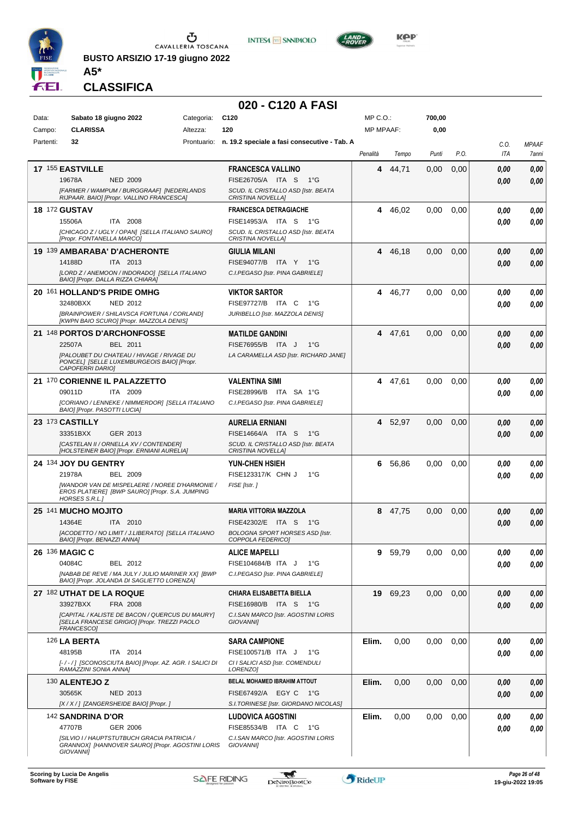

**INTESA M** SANPAOLO



**KOP** 

**CLASSIFICA**

**A5\***

## **020 - C120 A FASI**

| Data: |           | Sabato 18 giugno 2022                                                                                                     | Categoria: | C <sub>120</sub>                                                | MP C.O.:         |         | 700,00 |      |      |              |
|-------|-----------|---------------------------------------------------------------------------------------------------------------------------|------------|-----------------------------------------------------------------|------------------|---------|--------|------|------|--------------|
|       | Campo:    | <b>CLARISSA</b>                                                                                                           | Altezza:   | 120                                                             | <b>MP MPAAF:</b> |         | 0,00   |      |      |              |
|       | Partenti: | 32                                                                                                                        |            | Prontuario: n. 19.2 speciale a fasi consecutive - Tab. A        |                  |         |        |      | C.O. | <b>MPAAF</b> |
|       |           |                                                                                                                           |            |                                                                 | Penalità         | Tempo   | Punti  | P.O. | ITA  | 7anni        |
|       |           | 17 155 EASTVILLE                                                                                                          |            | <b>FRANCESCA VALLINO</b>                                        | 4                | 44,71   | 0,00   | 0,00 | 0.00 | 0,00         |
|       |           | 19678A<br><b>NED 2009</b>                                                                                                 |            | FISE26705/A ITA S<br>$1^{\circ}G$                               |                  |         |        |      | 0.00 | 0.00         |
|       |           | [FARMER / WAMPUM / BURGGRAAF] [NEDERLANDS<br>RIJPAAR. BAIO] [Propr. VALLINO FRANCESCA]                                    |            | SCUD. IL CRISTALLO ASD [Istr. BEATA<br><b>CRISTINA NOVELLA]</b> |                  |         |        |      |      |              |
|       |           | <b>18 172 GUSTAV</b>                                                                                                      |            | <b>FRANCESCA DETRAGIACHE</b>                                    | 4                | 46,02   | 0.00   | 0,00 | 0.00 | 0,00         |
|       |           | 15506A<br>ITA 2008                                                                                                        |            | FISE14953/A ITA S<br>1°G                                        |                  |         |        |      | 0.00 | 0.00         |
|       |           | [CHICAGO Z / UGLY / OPAN] [SELLA ITALIANO SAURO]<br>[Propr. FONTANELLA MARCO]                                             |            | SCUD. IL CRISTALLO ASD [Istr. BEATA<br>CRISTINA NOVELLA]        |                  |         |        |      |      |              |
|       |           | 19 139 AMBARABA' D'ACHERONTE                                                                                              |            | <b>GIULIA MILANI</b>                                            |                  | 4 46,18 | 0,00   | 0,00 | 0.00 | 0,00         |
|       |           | 14188D<br><b>ITA 2013</b>                                                                                                 |            | FISE94077/B ITA Y<br>1°G                                        |                  |         |        |      | 0.00 | 0.00         |
|       |           | [LORD Z / ANEMOON / INDORADO] [SELLA ITALIANO<br>BAIO] [Propr. DALLA RIZZA CHIARA]                                        |            | C.I.PEGASO [Istr. PINA GABRIELE]                                |                  |         |        |      |      |              |
|       |           | 20 161 HOLLAND'S PRIDE OMHG                                                                                               |            | <b>VIKTOR SARTOR</b>                                            | 4                | 46,77   | 0,00   | 0,00 | 0.00 | 0,00         |
|       |           | 32480BXX<br>NED 2012                                                                                                      |            | FISE97727/B ITA C<br>1°G                                        |                  |         |        |      | 0.00 | 0.00         |
|       |           | [BRAINPOWER / SHILAVSCA FORTUNA / CORLAND]                                                                                |            | JURIBELLO [Istr. MAZZOLA DENIS]                                 |                  |         |        |      |      |              |
|       |           | [KWPN BAIO SCURO] [Propr. MAZZOLA DENIS]                                                                                  |            |                                                                 |                  |         |        |      |      |              |
|       |           | 21 148 PORTOS D'ARCHONFOSSE                                                                                               |            | <b>MATILDE GANDINI</b>                                          |                  | 4 47,61 | 0,00   | 0,00 | 0.00 | 0,00         |
|       |           | 22507A<br>BEL 2011<br><b>IPALOUBET DU CHATEAU / HIVAGE / RIVAGE DU</b>                                                    |            | FISE76955/B ITA J<br>$1^{\circ}G$                               |                  |         |        |      | 0.00 | 0,00         |
|       |           | PONCEL] [SELLE LUXEMBURGEOIS BAIO] [Propr.<br>CAPOFERRI DARIO]                                                            |            | LA CARAMELLA ASD [Istr. RICHARD JANE]                           |                  |         |        |      |      |              |
|       |           | 21 170 CORIENNE IL PALAZZETTO                                                                                             |            | <b>VALENTINA SIMI</b>                                           |                  | 4 47,61 | 0,00   | 0,00 | 0.00 | 0,00         |
|       |           | 09011D<br>ITA 2009                                                                                                        |            | FISE28996/B ITA SA 1°G                                          |                  |         |        |      | 0.00 | 0.00         |
|       |           | [CORIANO / LENNEKE / NIMMERDOR] [SELLA ITALIANO                                                                           |            | C.I.PEGASO [Istr. PINA GABRIELE]                                |                  |         |        |      |      |              |
|       |           | BAIO] [Propr. PASOTTI LUCIA]                                                                                              |            |                                                                 |                  |         |        |      |      |              |
|       |           | 23 173 CASTILLY                                                                                                           |            | <b>AURELIA ERNIANI</b>                                          |                  | 4 52,97 | 0,00   | 0,00 | 0.00 | 0,00         |
|       |           | 33351BXX<br>GER 2013                                                                                                      |            | FISE14664/A ITA S<br>1°G                                        |                  |         |        |      | 0.00 | 0.00         |
|       |           | [CASTELAN II / ORNELLA XV / CONTENDER]<br>[HOLSTEINER BAIO] [Propr. ERNIANI AURELIA]                                      |            | SCUD. IL CRISTALLO ASD [Istr. BEATA<br>CRISTINA NOVELLA]        |                  |         |        |      |      |              |
|       |           | 24 134 JOY DU GENTRY                                                                                                      |            | YUN-CHEN HSIEH                                                  | 6.               | 56,86   | 0,00   | 0,00 | 0.00 | 0,00         |
|       |           | 21978A<br><b>BEL 2009</b>                                                                                                 |            | FISE123317/K CHN J<br>$1^{\circ}$ G                             |                  |         |        |      | 0.00 | 0.00         |
|       |           | [WANDOR VAN DE MISPELAERE / NOREE D'HARMONIE /<br>EROS PLATIERE] [BWP SAURO] [Propr. S.A. JUMPING                         |            | FISE [Istr.]                                                    |                  |         |        |      |      |              |
|       |           | HORSES S.R.L.]                                                                                                            |            |                                                                 |                  |         |        |      |      |              |
|       |           | 25 141 MUCHO MOJITO                                                                                                       |            | <b>MARIA VITTORIA MAZZOLA</b>                                   | 8                | 47,75   | 0,00   | 0,00 | 0.00 | 0,00         |
|       |           | 14364E<br>ITA 2010                                                                                                        |            | FISE42302/E ITA S<br>− 1°G                                      |                  |         |        |      | 0.00 | 0.00         |
|       |           | [ACODETTO / NO LIMIT / J.LIBERATO] [SELLA ITALIANO<br>BAIO] [Propr. BENAZZI ANNA]                                         |            | <b>BOLOGNA SPORT HORSES ASD [Istr.</b><br>COPPOLA FEDERICO]     |                  |         |        |      |      |              |
|       |           | <b>26 136 MAGIC C</b>                                                                                                     |            | <b>ALICE MAPELLI</b>                                            | 9                | 59,79   | 0,00   | 0,00 | 0,00 | 0,00         |
|       |           | 04084C<br>BEL 2012                                                                                                        |            | FISE104684/B ITA J<br>$1^{\circ}G$                              |                  |         |        |      | 0,00 | 0,00         |
|       |           | [NABAB DE REVE / MA JULY / JULIO MARINER XX] [BWP<br>BAIO] [Propr. JOLANDA DI SAGLIETTO LORENZA]                          |            | C.I.PEGASO [Istr. PINA GABRIELE]                                |                  |         |        |      |      |              |
|       |           | 27 182 UTHAT DE LA ROQUE                                                                                                  |            | <b>CHIARA ELISABETTA BIELLA</b>                                 | 19               | 69,23   | 0,00   | 0,00 | 0,00 | 0,00         |
|       |           | 33927BXX<br>FRA 2008                                                                                                      |            | FISE16980/B ITA S<br>− 1°G                                      |                  |         |        |      | 0,00 | 0,00         |
|       |           | [CAPITAL / KALISTE DE BACON / QUERCUS DU MAURY]                                                                           |            | C.I.SAN MARCO [Istr. AGOSTINI LORIS                             |                  |         |        |      |      |              |
|       |           | ISELLA FRANCESE GRIGIO] [Propr. TREZZI PAOLO<br>FRANCESCO]                                                                |            | <b>GIOVANNII</b>                                                |                  |         |        |      |      |              |
|       |           | <b>126 LA BERTA</b>                                                                                                       |            | <b>SARA CAMPIONE</b>                                            | Elim.            | 0,00    | 0,00   | 0,00 | 0.00 | 0,00         |
|       |           | 48195B<br>ITA 2014                                                                                                        |            | FISE100571/B ITA J<br>1°G                                       |                  |         |        |      | 0.00 | 0.00         |
|       |           | [-/-/] [SCONOSCIUTA BAIO] [Propr. AZ. AGR. I SALICI DI<br>RAMAZZINI SONIA ANNAJ                                           |            | CI I SALICI ASD [Istr. COMENDULI<br>LORENZO1                    |                  |         |        |      |      |              |
|       |           | 130 ALENTEJO Z                                                                                                            |            | BELAL MOHAMED IBRAHIM ATTOUT                                    | Elim.            | 0,00    | 0,00   | 0,00 | 0,00 | 0,00         |
|       |           | 30565K<br>NED 2013                                                                                                        |            | FISE67492/A EGY C<br>1°G                                        |                  |         |        |      | 0.00 | 0.00         |
|       |           | [X / X / ] [ZANGERSHEIDE BAIO] [Propr. ]                                                                                  |            | S.I.TORINESE [Istr. GIORDANO NICOLAS]                           |                  |         |        |      |      |              |
|       |           | 142 SANDRINA D'OR                                                                                                         |            | <b>LUDOVICA AGOSTINI</b>                                        | Elim.            | 0,00    | 0,00   | 0,00 | 0,00 | 0,00         |
|       |           | 47707B<br><b>GER 2006</b>                                                                                                 |            | FISE85534/B ITA C<br>1°G                                        |                  |         |        |      | 0.00 | 0,00         |
|       |           | <b>ISILVIO I/ HAUPTSTUTBUCH GRACIA PATRICIA /</b><br>GRANNOX] [HANNOVER SAURO] [Propr. AGOSTINI LORIS<br><b>GIOVANNII</b> |            | C.I.SAN MARCO [Istr. AGOSTINI LORIS<br><b>GIOVANNII</b>         |                  |         |        |      |      |              |

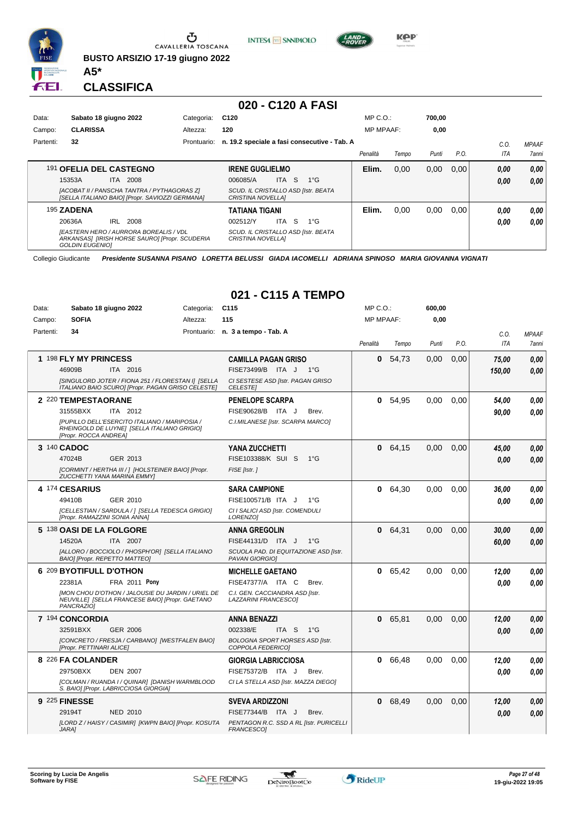

Ⴠ CAVALLERIA TOSCANA

**BUSTO ARSIZIO 17-19 giugno 2022**

**INTESA** M SANPAOLO



**CLASSIFICA**

**A5\***

#### **020 - C120 A FASI**

| Data:     |                        | Sabato 18 giugno 2022                                                                          | Categoria:  | C <sub>120</sub>                                                |       |    |              | $MP C. O.$ :     |       | 700.00 |       |      |              |
|-----------|------------------------|------------------------------------------------------------------------------------------------|-------------|-----------------------------------------------------------------|-------|----|--------------|------------------|-------|--------|-------|------|--------------|
| Campo:    | <b>CLARISSA</b>        |                                                                                                | Altezza:    | 120                                                             |       |    |              | <b>MP MPAAF:</b> |       | 0,00   |       |      |              |
| Partenti: | 32                     |                                                                                                | Prontuario: | n. 19.2 speciale a fasi consecutive - Tab. A                    |       |    |              |                  |       |        |       | C.0  | <b>MPAAF</b> |
|           |                        |                                                                                                |             |                                                                 |       |    |              | Penalità         | Tempo | Punti  | P.O.  | ITA  | 7anni        |
|           |                        | 191 OFELIA DEL CASTEGNO                                                                        |             | <b>IRENE GUGLIELMO</b>                                          |       |    |              | Elim.            | 0.00  | 0,00   | 0.001 | 0,00 | 0,00         |
|           | 15353A                 | 2008<br>ITA.                                                                                   |             | 006085/A                                                        | ITA I | S. | $1^{\circ}G$ |                  |       |        |       | 0,00 | 0.00         |
|           |                        | [ACOBAT II / PANSCHA TANTRA / PYTHAGORAS Z]<br>[SELLA ITALIANO BAIO] [Propr. SAVIOZZI GERMANA] |             | SCUD. IL CRISTALLO ASD [Istr. BEATA<br><b>CRISTINA NOVELLAI</b> |       |    |              |                  |       |        |       |      |              |
|           | 195 ZADENA             |                                                                                                |             | TATIANA TIGANI                                                  |       |    |              | Elim.            | 0.00  | 0,00   | 0.00  | 0,00 | 0,00         |
|           | 20636A                 | 2008<br>IRL.                                                                                   |             | 002512/Y                                                        | ITA   | -S | $1^{\circ}G$ |                  |       |        |       | 0,00 | 0,00         |
|           | <b>GOLDIN EUGENIOI</b> | IEASTERN HERO / AURRORA BOREALIS / VDL<br>ARKANSAS] [IRISH HORSE SAURO] [Propr. SCUDERIA       |             | SCUD. IL CRISTALLO ASD [Istr. BEATA<br>CRISTINA NOVELLAI        |       |    |              |                  |       |        |       |      |              |

Collegio Giudicante *Presidente SUSANNA PISANO LORETTA BELUSSI GIADA IACOMELLI ADRIANA SPINOSO MARIA GIOVANNA VIGNATI*

| Data:<br>Campo: | <b>SOFIA</b>                   | Sabato 18 giugno 2022                                                                                   | Categoria:<br>Altezza: | C <sub>115</sub><br>115                                        | MP C. O.<br><b>MP MPAAF:</b> |       | 600,00<br>0,00 |      |                    |                       |
|-----------------|--------------------------------|---------------------------------------------------------------------------------------------------------|------------------------|----------------------------------------------------------------|------------------------------|-------|----------------|------|--------------------|-----------------------|
| Partenti:       | 34                             |                                                                                                         |                        | Prontuario: n. 3 a tempo - Tab. A                              |                              |       |                |      |                    |                       |
|                 |                                |                                                                                                         |                        |                                                                | Penalità                     | Tempo | Punti          | P.O. | C.0.<br><b>ITA</b> | <b>MPAAF</b><br>7anni |
|                 | 1 198 FLY MY PRINCESS          |                                                                                                         |                        | <b>CAMILLA PAGAN GRISO</b>                                     | 0                            | 54,73 | 0,00           | 0,00 | 75,00              | 0,00                  |
|                 | 46909B                         | ITA 2016                                                                                                |                        | FISE73499/B ITA J<br>$1^{\circ}G$                              |                              |       |                |      | 150,00             | 0.00                  |
|                 |                                | [SINGULORD JOTER / FIONA 251 / FLORESTAN I] [SELLA<br>ITALIANO BAIO SCURO] [Propr. PAGAN GRISO CELESTE] |                        | CI SESTESE ASD [Istr. PAGAN GRISO<br><b>CELESTEI</b>           |                              |       |                |      |                    |                       |
|                 | 2 220 TEMPESTAORANE            |                                                                                                         |                        | <b>PENELOPE SCARPA</b>                                         | 0                            | 54,95 | 0.00           | 0.00 | 54,00              | 0.00                  |
|                 | 31555BXX                       | ITA 2012                                                                                                |                        | FISE90628/B ITA J<br>Brev.                                     |                              |       |                |      | 90,00              | 0,00                  |
|                 | [Propr. ROCCA ANDREA]          | [PUPILLO DELL'ESERCITO ITALIANO / MARIPOSIA /<br>RHEINGOLD DE LUYNE] [SELLA ITALIANO GRIGIO]            |                        | C.I.MILANESE [Istr. SCARPA MARCO]                              |                              |       |                |      |                    |                       |
|                 | 3 140 CADOC                    |                                                                                                         |                        | YANA ZUCCHETTI                                                 | $\mathbf{0}$                 | 64,15 | 0.00           | 0,00 | 45,00              | 0,00                  |
|                 | 47024B                         | GER 2013                                                                                                |                        | FISE103388/K SUI S<br>$1^{\circ}G$                             |                              |       |                |      | 0.00               | 0,00                  |
|                 |                                | [CORMINT / HERTHA III / ] [HOLSTEINER BAIO] [Propr.<br><b>ZUCCHETTI YANA MARINA EMMYI</b>               |                        | FISE [Istr.]                                                   |                              |       |                |      |                    |                       |
|                 | 4 174 CESARIUS                 |                                                                                                         |                        | <b>SARA CAMPIONE</b>                                           | 0                            | 64,30 | 0.00           | 0.00 | 36,00              | 0,00                  |
|                 | 49410B                         | GER 2010                                                                                                |                        | FISE100571/B ITA J<br>$1^{\circ}G$                             |                              |       |                |      | 0.00               | 0.00                  |
|                 |                                | [CELLESTIAN / SARDULA / ] [SELLA TEDESCA GRIGIO]<br>[Propr. RAMAZZINI SONIA ANNA]                       |                        | CI I SALICI ASD [Istr. COMENDULI<br>LORENZO1                   |                              |       |                |      |                    |                       |
|                 | 5 138 OASI DE LA FOLGORE       |                                                                                                         |                        | <b>ANNA GREGOLIN</b>                                           | $\mathbf{0}$                 | 64,31 | 0.00           | 0,00 | 30,00              | 0,00                  |
|                 | 14520A                         | ITA 2007                                                                                                |                        | FISE44131/D ITA J<br>$1^{\circ}$ G                             |                              |       |                |      | 60,00              | 0,00                  |
|                 |                                | [ALLORO / BOCCIOLO / PHOSPH'OR] [SELLA ITALIANO<br><b>BAIOI [Propr. REPETTO MATTEO]</b>                 |                        | SCUOLA PAD. DI EQUITAZIONE ASD [Istr.<br><b>PAVAN GIORGIOI</b> |                              |       |                |      |                    |                       |
|                 | <b>6 209 BYOTIFULL D'OTHON</b> |                                                                                                         |                        | <b>MICHELLE GAETANO</b>                                        | 0                            | 65,42 | 0.00           | 0.00 | 12,00              | 0,00                  |
|                 | 22381A                         | FRA 2011 Pony                                                                                           |                        | FISE47377/A ITA C<br>Brev.                                     |                              |       |                |      | 0.00               | 0.00                  |
|                 | PANCRAZIO1                     | [MON CHOU D'OTHON / JALOUSIE DU JARDIN / URIEL DE<br>NEUVILLE] [SELLA FRANCESE BAIO] [Propr. GAETANO    |                        | C.I. GEN. CACCIANDRA ASD [Istr.<br>LAZZARINI FRANCESCO]        |                              |       |                |      |                    |                       |
|                 | 7 194 CONCORDIA                |                                                                                                         |                        | <b>ANNA BENAZZI</b>                                            | $\bf{0}$                     | 65,81 | 0.00           | 0.00 | 12,00              | 0,00                  |
|                 | 32591BXX                       | <b>GER 2006</b>                                                                                         |                        | 002338/E<br>ITA S<br>$1^{\circ}G$                              |                              |       |                |      | 0.00               | 0.00                  |
|                 | [Propr. PETTINARI ALICE]       | [CONCRETO / FRESJA / CARBANO] [WESTFALEN BAIO]                                                          |                        | <b>BOLOGNA SPORT HORSES ASD [Istr.</b><br>COPPOLA FEDERICOI    |                              |       |                |      |                    |                       |
|                 | 8 226 FA COLANDER              |                                                                                                         |                        | GIORGIA LABRICCIOSA                                            | 0                            | 66,48 | 0.00           | 0,00 | 12,00              | 0.00                  |
|                 | 29750BXX                       | <b>DEN 2007</b>                                                                                         |                        | FISE75372/B ITA J<br>Brev.                                     |                              |       |                |      | 0.00               | 0.00                  |
|                 |                                | [COLMAN / RUANDA I / QUINAR] [DANISH WARMBLOOD<br>S. BAIO] [Propr. LABRICCIOSA GIORGIA]                 |                        | CI LA STELLA ASD [Istr. MAZZA DIEGO]                           |                              |       |                |      |                    |                       |
|                 | 9 225 FINESSE                  |                                                                                                         |                        | <b>SVEVA ARDIZZONI</b>                                         | $\bf{0}$                     | 68,49 | 0.00           | 0,00 | 12,00              | 0,00                  |
|                 | 29194T                         | <b>NED 2010</b>                                                                                         |                        | FISE77344/B<br>ITA J<br>Brev.                                  |                              |       |                |      | 0.00               | 0,00                  |
|                 | JARA]                          | [LORD Z / HAISY / CASIMIR] [KWPN BAIO] [Propr. KOSUTA                                                   |                        | PENTAGON R.C. SSD A RL [Istr. PURICELLI<br>FRANCESCO]          |                              |       |                |      |                    |                       |

## **021 - C115 A TEMPO**

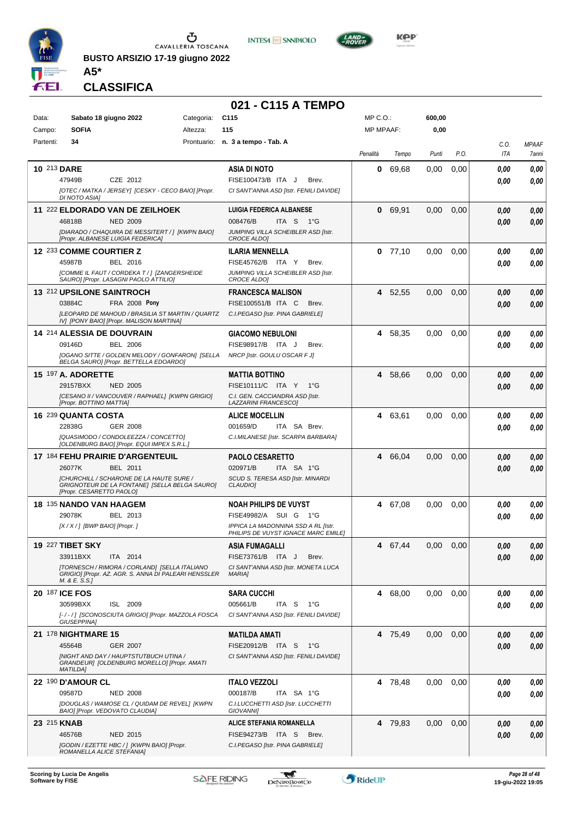

CAVALLERIA TOSCANA

**BUSTO ARSIZIO 17-19 giugno 2022**





#### **CLASSIFICA**

**A5\***

#### **021 - C115 A TEMPO** Data: Sabato 18 giugno 2022 Categoria: C115 Prontuario: **n. 3 a tempo - Tab. A** Campo: **SOFIA** Partenti: **34** Altezza: **115** MP C.O.: MP MPAAF: **600,00 0,00** *Penalità Tempo Punti P.O. C.O. ITA MPAAF 7anni* **10** 213 **DARE** CZE 2012 **ASIA DI NOTO** *[OTEC / MATKA / JERSEY] [CESKY - CECO BAIO] [Propr. DI NOTO ASIA] CI SANT'ANNA ASD [Istr. FENILI DAVIDE]* ITA J Brev. 47949B FISE100473/B *0,00* **0** 69,68 0,00 0,00 *0,00 0,00 0,00* **11** 222 **ELDORADO VAN DE ZEILHOEK** NED 2009 **LUIGIA FEDERICA ALBANESE** *[DIARADO / CHAQUIRA DE MESSITERT / ] [KWPN BAIO] [Propr. ALBANESE LUIGIA FEDERICA] JUMPING VILLA SCHEIBLER ASD [Istr. CROCE ALDO]* ITA S 1°G **0** 69,91 0,00 0,00 *0,00 0,00 0,00* 46818B 008476/B *0,00* **12** 233 **COMME COURTIER Z** BEL 2016 **ILARIA MENNELLA** *[COMME IL FAUT / CORDEKA T / ] [ZANGERSHEIDE SAURO] [Propr. LASAGNI PAOLO ATTILIO] JUMPING VILLA SCHEIBLER ASD [Istr. CROCE ALDO]* FISE45762/B ITA Y Brev. **0** 77,10 0,00 0,00 *0,00 0,00 0,00* 45987B BEL 2016 FISE45762/B ITA Y Brev. **0,00 0,00 13** 212 **UPSILONE SAINTROCH FRA 2008 Pony FRANCESCA MALISON** *[LEOPARD DE MAHOUD / BRASILIA ST MARTIN / QUARTZ IV] [PONY BAIO] [Propr. MALISON MARTINA] C.I.PEGASO [Istr. PINA GABRIELE]* 03884C FRA 2008 Pony FISE100551/B ITA C Brev. *0,00 0,00* **4** 52,55 0,00 0,00 *0,00 0,00 0,00* **14** 214 **ALESSIA DE DOUVRAIN** BEL 2006 **GIACOMO NEBULONI** *[OGANO SITTE / GOLDEN MELODY / GONFARON] [SELLA BELGA SAURO] [Propr. BETTELLA EDOARDO] NRCP [Istr. GOULU OSCAR F J]* FISE98917/B ITA J Brev. **4** 58,35 0,00 0,00 *0,00 0,00 0,00* 09146D BEL 2006 FISE98917/B ITA J Brev. *0,00 0,00* **15** 197 **A. ADORETTE** NED 2005 **MATTIA BOTTINO** *[CESANO II / VANCOUVER / RAPHAEL] [KWPN GRIGIO] [Propr. BOTTINO MATTIA] C.I. GEN. CACCIANDRA ASD [Istr. LAZZARINI FRANCESCO]* ITA Y 1°G 29157BXX FISE10111/C *0,00* **4** 58,66 0,00 0,00 *0,00 0,00 0,00* **16** 239 **QUANTA COSTA** GER 2008 **ALICE MOCELLIN** *[QUASIMODO / CONDOLEEZZA / CONCETTO] [OLDENBURG BAIO] [Propr. EQUI IMPEX S.R.L.] C.I.MILANESE [Istr. SCARPA BARBARA]* ITA SA Brev. **4** 63,61 0,00 0,00 *0,00 0,00 0,00* 22838G GER\_2008 001659/D ITA SA Brev. **0,00 0,00 17** 184 **FEHU PRAIRIE D'ARGENTEUIL** BEL 2011 **PAOLO CESARETTO** *[CHURCHILL / SCHARONE DE LA HAUTE SURE / GRIGNOTEUR DE LA FONTANE] [SELLA BELGA SAURO] [Propr. CESARETTO PAOLO] SCUD S. TERESA ASD [Istr. MINARDI CLAUDIO]* ITA SA 1°G **4** 66,04 0,00 0,00 *0,00 0,00 0,00* 26077K BEL 2011 020971/B ITA SA 1°G <mark> 0,00 0,00</mark> **18** 135 **NANDO VAN HAAGEM** BEL 2013 **NOAH PHILIPS DE VUYST** *[X / X / ] [BWP BAIO] [Propr. ] IPPICA LA MADONNINA SSD A RL [Istr. PHILIPS DE VUYST IGNACE MARC EMILE]* 29078K BEL 2013 FISE49982/A SUI G 1°G **0,00 0,00 4** 67,08 0,00 0,00 *0,00 0,00 0,00* **19** 227 **TIBET SKY** ITA 2014 **ASIA FUMAGALLI** *[TORNESCH / RIMORA / CORLAND] [SELLA ITALIANO GRIGIO] [Propr. AZ. AGR. S. ANNA DI PALEARI HENSSLER M. & E. S.S.] CI SANT'ANNA ASD [Istr. MONETA LUCA MARIA]* 33911BXX ITA 2014 FISE73761/B ITA J Brev. **0,00 0,00 4** 67,44 0,00 0,00 *0,00 0,00 0,00* **20** 187 **ICE FOS** ISL 2009 **SARA CUCCHI** *[- / - / ] [SCONOSCIUTA GRIGIO] [Propr. MAZZOLA FOSCA GIUSEPPINA] CI SANT'ANNA ASD [Istr. FENILI DAVIDE]* ITA S 1°G **4** 68,00 0,00 0,00 *0,00 0,00 0,00* 30599BXX ISL 2009 005661/B ITA S 1°G <mark> *0,00 0,00*</mark> **21** 178 **NIGHTMARE 15** GER 2007 **MATILDA AMATI** *[NIGHT AND DAY / HAUPTSTUTBUCH UTINA / GRANDEUR] [OLDENBURG MORELLO] [Propr. AMATI MATILDA] CI SANT'ANNA ASD [Istr. FENILI DAVIDE]* ITA S 1°G 45564B FISE20912/B *0,00* **4** 75,49 0,00 0,00 *0,00 0,00 0,00* **22** 190 **D'AMOUR CL** NED 2008 **ITALO VEZZOLI** *[DOUGLAS / WAMOSE CL / QUIDAM DE REVEL] [KWPN BAIO] [Propr. VEDOVATO CLAUDIA] C.I.LUCCHETTI ASD [Istr. LUCCHETTI GIOVANNI]* ITA SA 1°G **4** 78,48 0,00 0,00 *0,00 0,00 0,00* 09587D NED 2008 000187/B ITA SA 1°G <mark> *0,00 0,00*</mark> **23** 215 **KNAB** NED 2015 **ALICE STEFANIA ROMANELLA** *[GODIN / EZETTE HBC / ] [KWPN BAIO] [Propr. ROMANELLA ALICE STEFANIA] C.I.PEGASO [Istr. PINA GABRIELE]* 46576B NED 2015 FISE94273/B ITA S Brev. *0,00 0,00* **4** 79,83 0,00 0,00 *0,00 0,00 0,00*



т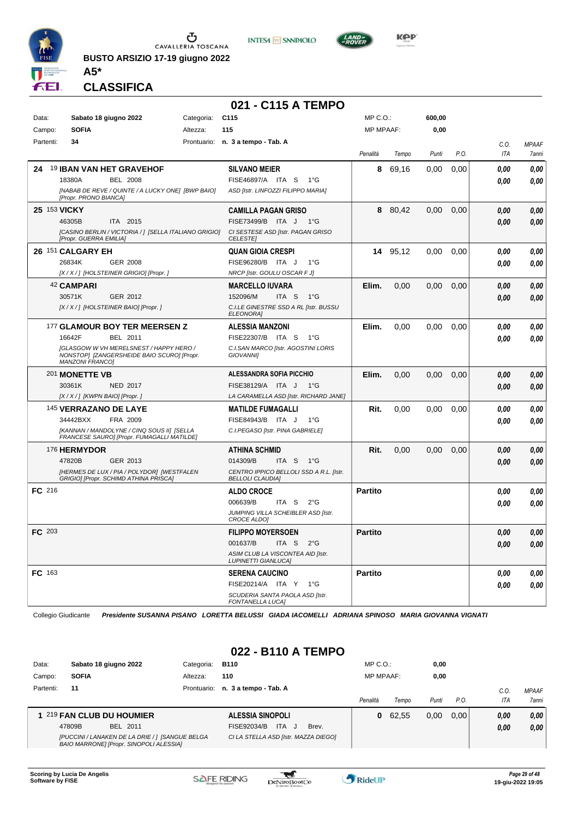

**BUSTO ARSIZIO 17-19 giugno 2022**





**A5\* CLASSIFICA**

|              |                                                                                                                        |            | 021 - C115 A TEMPO                                                 |                  |          |        |      |                    |                       |
|--------------|------------------------------------------------------------------------------------------------------------------------|------------|--------------------------------------------------------------------|------------------|----------|--------|------|--------------------|-----------------------|
| Data:        | Sabato 18 giugno 2022                                                                                                  | Categoria: | C <sub>115</sub>                                                   | MP C.O.:         |          | 600,00 |      |                    |                       |
| Campo:       | <b>SOFIA</b>                                                                                                           | Altezza:   | 115                                                                | <b>MP MPAAF:</b> |          | 0,00   |      |                    |                       |
| Partenti:    | 34                                                                                                                     |            | Prontuario: n. 3 a tempo - Tab. A                                  | Penalità         | Tempo    | Punti  | P.O. | C.O.<br><b>ITA</b> | <b>MPAAF</b><br>7anni |
| 24           | <b>19 IBAN VAN HET GRAVEHOF</b>                                                                                        |            | <b>SILVANO MEIER</b>                                               | 8                | 69,16    | 0,00   | 0,00 | 0.00               | 0,00                  |
|              | 18380A<br><b>BEL 2008</b>                                                                                              |            | FISE46897/A ITA S<br>1°G                                           |                  |          |        |      | 0.00               | 0,00                  |
|              | [NABAB DE REVE / QUINTE / A LUCKY ONE] [BWP BAIO]<br>[Propr. PRONO BIANCA]                                             |            | ASD [Istr. LINFOZZI FILIPPO MARIA]                                 |                  |          |        |      |                    |                       |
| 25 153 VICKY |                                                                                                                        |            | <b>CAMILLA PAGAN GRISO</b>                                         |                  | 8 80,42  | 0,00   | 0,00 | 0,00               | 0,00                  |
|              | 46305B<br>ITA 2015                                                                                                     |            | FISE73499/B ITA J<br>1°G                                           |                  |          |        |      | 0.00               | 0,00                  |
|              | [CASINO BERLIN / VICTORIA / 1 [SELLA ITALIANO GRIGIO]<br>[Propr. GUERRA EMILIA]                                        |            | CI SESTESE ASD [Istr. PAGAN GRISO<br><b>CELESTE</b>                |                  |          |        |      |                    |                       |
|              | 26 151 CALGARY EH                                                                                                      |            | <b>QUAN GIOIA CRESPI</b>                                           |                  | 14 95,12 | 0,00   | 0,00 | 0.00               | 0,00                  |
|              | 26834K<br>GER 2008                                                                                                     |            | FISE96280/B ITA J<br>1°G                                           |                  |          |        |      | 0.00               | 0,00                  |
|              | [X / X / ] [HOLSTEINER GRIGIO] [Propr. ]                                                                               |            | NRCP [Istr. GOULU OSCAR F J]                                       |                  |          |        |      |                    |                       |
|              | 42 CAMPARI                                                                                                             |            | <b>MARCELLO IUVARA</b>                                             | Elim.            | 0,00     | 0,00   | 0,00 | 0.00               | 0,00                  |
|              | 30571K<br>GER 2012                                                                                                     |            | 152096/M<br>ITA S<br>1°G                                           |                  |          |        |      | 0.00               | 0,00                  |
|              | [X / X / ] [HOLSTEINER BAIO] [Propr. ]                                                                                 |            | C.I.LE GINESTRE SSD A RL [Istr. BUSSU<br><b>ELEONORA]</b>          |                  |          |        |      |                    |                       |
|              | 177 GLAMOUR BOY TER MEERSEN Z                                                                                          |            | <b>ALESSIA MANZONI</b>                                             | Elim.            | 0,00     | 0,00   | 0,00 | 0,00               | 0,00                  |
|              | 16642F<br>BEL 2011                                                                                                     |            | FISE22307/B ITA S<br>1°G                                           |                  |          |        |      | 0.00               | 0,00                  |
|              | <b>IGLASGOW W VH MERELSNEST / HAPPY HERO /</b><br>NONSTOP] [ZANGERSHEIDE BAIO SCURO] [Propr.<br><b>MANZONI FRANCOI</b> |            | C.I.SAN MARCO [Istr. AGOSTINI LORIS<br><b>GIOVANNII</b>            |                  |          |        |      |                    |                       |
|              | 201 MONETTE VB                                                                                                         |            | ALESSANDRA SOFIA PICCHIO                                           | Elim.            | 0,00     | 0,00   | 0,00 | 0.00               | 0,00                  |
|              | 30361K<br><b>NED 2017</b>                                                                                              |            | FISE38129/A ITA J<br>− 1°G                                         |                  |          |        |      | 0.00               | 0,00                  |
|              | $[X/X/$ ] [KWPN BAIO] [Propr.]                                                                                         |            | LA CARAMELLA ASD [Istr. RICHARD JANE]                              |                  |          |        |      |                    |                       |
|              | 145 VERRAZANO DE LAYE                                                                                                  |            | <b>MATILDE FUMAGALLI</b>                                           | Rit.             | 0,00     | 0,00   | 0,00 | 0.00               | 0,00                  |
|              | 34442BXX<br>FRA 2009                                                                                                   |            | FISE84943/B ITA J<br>$1^{\circ}G$                                  |                  |          |        |      | 0.00               | 0.00                  |
|              | [KANNAN / MANDOLYNE / CINQ SOUS II] [SELLA<br>FRANCESE SAURO] [Propr. FUMAGALLI MATILDE]                               |            | C.I.PEGASO [Istr. PINA GABRIELE]                                   |                  |          |        |      |                    |                       |
|              | 176 HERMYDOR                                                                                                           |            | ATHINA SCHMID                                                      | Rit.             | 0,00     | 0,00   | 0,00 | 0.00               | 0,00                  |
|              | 47820B<br>GER 2013                                                                                                     |            | 014309/B<br>ITA S<br>1°G                                           |                  |          |        |      | 0.00               | 0,00                  |
|              | [HERMES DE LUX / PIA / POLYDOR] [WESTFALEN<br>GRIGIO] [Propr. SCHIMD ATHINA PRISCA]                                    |            | CENTRO IPPICO BELLOLI SSD A R.L. [Istr.<br><b>BELLOLI CLAUDIA]</b> |                  |          |        |      |                    |                       |
| FC 216       |                                                                                                                        |            | <b>ALDO CROCE</b>                                                  | <b>Partito</b>   |          |        |      | 0.00               | 0,00                  |
|              |                                                                                                                        |            | 006639/B<br>ITA S<br>$2^{\circ}$ G                                 |                  |          |        |      | 0.00               | 0.00                  |
|              |                                                                                                                        |            | JUMPING VILLA SCHEIBLER ASD [Istr.<br>CROCE ALDO]                  |                  |          |        |      |                    |                       |
| FC 203       |                                                                                                                        |            | <b>FILIPPO MOYERSOEN</b>                                           | Partito          |          |        |      | 0.00               | 0.00                  |
|              |                                                                                                                        |            | 001637/B<br>ITA S<br>$2^{\circ}$ G                                 |                  |          |        |      | 0,00               | 0,00                  |
|              |                                                                                                                        |            | ASIM CLUB LA VISCONTEA AID [Istr.<br><b>LUPINETTI GIANLUCA]</b>    |                  |          |        |      |                    |                       |
| FC 163       |                                                                                                                        |            | <b>SERENA CAUCINO</b>                                              | <b>Partito</b>   |          |        |      | 0.00               | 0,00                  |
|              |                                                                                                                        |            | FISE20214/A ITA Y 1°G                                              |                  |          |        |      | 0.00               | 0,00                  |
|              |                                                                                                                        |            | SCUDERIA SANTA PAOLA ASD [Istr.<br><b>FONTANELLA LUCAI</b>         |                  |          |        |      |                    |                       |

## **022 - B110 A TEMPO**

| Data:     |              | Sabato 18 giugno 2022                                                                      | Categoria: | <b>B110</b>                          | MP C. O.         |         | 0,00  |          |            |              |
|-----------|--------------|--------------------------------------------------------------------------------------------|------------|--------------------------------------|------------------|---------|-------|----------|------------|--------------|
| Campo:    | <b>SOFIA</b> |                                                                                            | Altezza:   | 110                                  | <b>MP MPAAF:</b> |         | 0,00  |          |            |              |
| Partenti: | 11           |                                                                                            |            | Prontuario: n. 3 a tempo - Tab. A    |                  |         |       |          | C.O        | <b>MPAAF</b> |
|           |              |                                                                                            |            |                                      | Penalità         | Tempo   | Punti | $P_{.}O$ | <b>ITA</b> | 7anni        |
|           |              | 1 219 FAN CLUB DU HOUMIER                                                                  |            | ALESSIA SINOPOLI                     |                  | 0 62.55 | 0.00  | 0.00     | 0.00       | 0.00         |
|           | 47809B       | BEL 2011                                                                                   |            | ITA J<br>FISE92034/B<br>Brev.        |                  |         |       |          | 0.00       | 0.00         |
|           |              | [PUCCINI / LANAKEN DE LA DRIE / ] [SANGUE BELGA<br>BAIO MARRONE] [Propr. SINOPOLI ALESSIA] |            | CI LA STELLA ASD [Istr. MAZZA DIEGO] |                  |         |       |          |            |              |

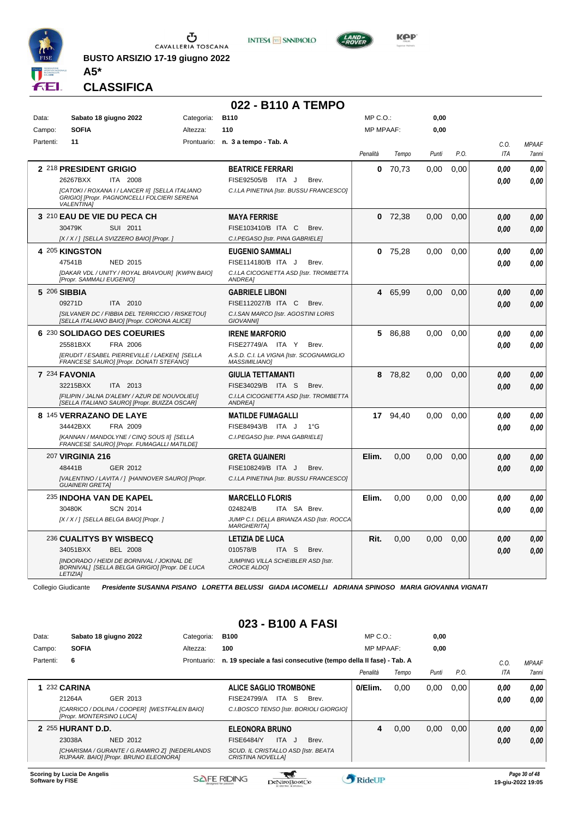

**BUSTO ARSIZIO 17-19 giugno 2022 A5\***





**CLASSIFICA**

|           |                                                                                                                     |            | 022 - B110 A TEMPO                                               |                  |           |       |      |                    |                              |
|-----------|---------------------------------------------------------------------------------------------------------------------|------------|------------------------------------------------------------------|------------------|-----------|-------|------|--------------------|------------------------------|
| Data:     | Sabato 18 giugno 2022                                                                                               | Categoria: | <b>B110</b>                                                      | MP C. O.         |           | 0,00  |      |                    |                              |
| Campo:    | <b>SOFIA</b>                                                                                                        | Altezza:   | 110                                                              | <b>MP MPAAF:</b> |           | 0,00  |      |                    |                              |
| Partenti: | 11                                                                                                                  |            | Prontuario: n. 3 a tempo - Tab. A                                | Penalità         | Tempo     | Punti | P.O. | C.O.<br><b>ITA</b> | <b>MPAAF</b><br><b>7anni</b> |
|           | 2 218 PRESIDENT GRIGIO                                                                                              |            | <b>BEATRICE FERRARI</b>                                          | 0                | 70,73     | 0,00  | 0.00 | 0.00               | 0,00                         |
|           | 26267BXX<br>ITA 2008                                                                                                |            | FISE92505/B ITA J<br>Brev.                                       |                  |           |       |      | 0.00               | 0.00                         |
|           | [CATOKI / ROXANA I / LANCER II] [SELLA ITALIANO<br>GRIGIO] [Propr. PAGNONCELLI FOLCIERI SERENA<br><b>VALENTINA1</b> |            | C.I.LA PINETINA [Istr. BUSSU FRANCESCO]                          |                  |           |       |      |                    |                              |
|           | 3 210 EAU DE VIE DU PECA CH                                                                                         |            | <b>MAYA FERRISE</b>                                              |                  | $0$ 72,38 | 0,00  | 0,00 | 0.00               | 0,00                         |
|           | 30479K<br>SUI 2011                                                                                                  |            | FISE103410/B ITA C<br>Brev.                                      |                  |           |       |      | 0.00               | 0,00                         |
|           | [X / X / ] [SELLA SVIZZERO BAIO] [Propr. ]                                                                          |            | C.I.PEGASO [Istr. PINA GABRIELE]                                 |                  |           |       |      |                    |                              |
|           | 4 205 KINGSTON                                                                                                      |            | <b>EUGENIO SAMMALI</b>                                           | 0                | 75,28     | 0.00  | 0.00 | 0.00               | 0.00                         |
|           | 47541B<br>NED 2015                                                                                                  |            | FISE114180/B ITA J<br>Brev.                                      |                  |           |       |      | 0.00               | 0.00                         |
|           | [DAKAR VDL / UNITY / ROYAL BRAVOUR] [KWPN BAIO]<br>[Propr. SAMMALI EUGENIO]                                         |            | C.I.LA CICOGNETTA ASD [Istr. TROMBETTA<br><b>ANDREA1</b>         |                  |           |       |      |                    |                              |
|           | 5 206 SIBBIA                                                                                                        |            | <b>GABRIELE LIBONI</b>                                           |                  | 4 65,99   | 0,00  | 0,00 | 0.00               | 0.00                         |
|           | 09271D<br>ITA 2010                                                                                                  |            | FISE112027/B ITA C<br>Brev.                                      |                  |           |       |      | 0,00               | 0.00                         |
|           | [SILVANER DC / FIBBIA DEL TERRICCIO / RISKETOU]<br>[SELLA ITALIANO BAIO] [Propr. CORONA ALICE]                      |            | C.I.SAN MARCO [Istr. AGOSTINI LORIS<br><b>GIOVANNII</b>          |                  |           |       |      |                    |                              |
|           | 6 230 SOLIDAGO DES COEURIES                                                                                         |            | <b>IRENE MARFORIO</b>                                            | 5                | 86,88     | 0,00  | 0,00 | 0.00               | 0,00                         |
|           | FRA 2006<br>25581BXX                                                                                                |            | FISE27749/A ITA Y<br>Brev.                                       |                  |           |       |      | 0.00               | 0.00                         |
|           | [ERUDIT / ESABEL PIERREVILLE / LAEKEN] [SELLA<br>FRANCESE SAURO] [Propr. DONATI STEFANO]                            |            | A.S.D. C.I. LA VIGNA [Istr. SCOGNAMIGLIO<br><b>MASSIMILIANOI</b> |                  |           |       |      |                    |                              |
|           | 7 234 FAVONIA                                                                                                       |            | <b>GIULIA TETTAMANTI</b>                                         |                  | 8 78,82   | 0,00  | 0,00 | 0.00               | 0,00                         |
|           | 32215BXX<br>ITA 2013                                                                                                |            | FISE34029/B ITA S<br>Brev.                                       |                  |           |       |      | 0.00               | 0,00                         |
|           | [FILIPIN / JALNA D'ALEMY / AZUR DE NOUVOLIEU]<br>[SELLA ITALIANO SAURO] [Propr. BUIZZA OSCAR]                       |            | C.I.LA CICOGNETTA ASD [Istr. TROMBETTA<br>ANDREA]                |                  |           |       |      |                    |                              |
|           | 8 145 VERRAZANO DE LAYE                                                                                             |            | <b>MATILDE FUMAGALLI</b>                                         |                  | 17 94,40  | 0,00  | 0,00 | 0.00               | 0,00                         |
|           | 34442BXX<br>FRA 2009                                                                                                |            | FISE84943/B ITA J<br>$1^{\circ}$ G                               |                  |           |       |      | 0.00               | 0.00                         |
|           | <b>IKANNAN / MANDOLYNE / CINQ SOUS III ISELLA</b><br>FRANCESE SAURO] [Propr. FUMAGALLI MATILDE]                     |            | C.I.PEGASO [Istr. PINA GABRIELE]                                 |                  |           |       |      |                    |                              |
|           | 207 <b>VIRGINIA 216</b>                                                                                             |            | <b>GRETA GUAINERI</b>                                            | Elim.            | 0,00      | 0,00  | 0,00 | 0.00               | 0,00                         |
|           | 48441B<br>GER 2012                                                                                                  |            | FISE108249/B ITA J<br>Brev.                                      |                  |           |       |      | 0.00               | 0.00                         |
|           | [VALENTINO / LAVITA / ] [HANNOVER SAURO] [Propr.<br><b>GUAINERI GRETAI</b>                                          |            | C.I.LA PINETINA [Istr. BUSSU FRANCESCO]                          |                  |           |       |      |                    |                              |
|           | 235 INDOHA VAN DE KAPEL                                                                                             |            | <b>MARCELLO FLORIS</b>                                           | Elim.            | 0,00      | 0,00  | 0,00 | 0.00               | 0,00                         |
|           | 30480K<br><b>SCN 2014</b>                                                                                           |            | 024824/B<br>ITA SA Brev.                                         |                  |           |       |      | 0.00               | 0.00                         |
|           | [X / X / ] [SELLA BELGA BAIO] [Propr. ]                                                                             |            | JUMP C.I. DELLA BRIANZA ASD [Istr. ROCCA<br><b>MARGHERITAI</b>   |                  |           |       |      |                    |                              |
|           | <b>236 CUALITYS BY WISBECQ</b>                                                                                      |            | <b>LETIZIA DE LUCA</b>                                           | Rit.             | 0,00      | 0,00  | 0,00 | 0,00               | 0,00                         |
|           | 34051BXX<br><b>BEL 2008</b>                                                                                         |            | 010578/B<br>ITA <sub>S</sub><br>Brev.                            |                  |           |       |      | 0.00               | 0.00                         |
|           | [INDORADO / HEIDI DE BORNIVAL / JOKINAL DE<br>BORNIVAL] [SELLA BELGA GRIGIO] [Propr. DE LUCA<br><b>LETIZIA1</b>     |            | JUMPING VILLA SCHEIBLER ASD [Istr.<br>CROCE ALDOI                |                  |           |       |      |                    |                              |

Collegio Giudicante *Presidente SUSANNA PISANO LORETTA BELUSSI GIADA IACOMELLI ADRIANA SPINOSO MARIA GIOVANNA VIGNATI*

## **023 - B100 A FASI**

| Data:     |                                 | Sabato 18 giugno 2022                                                                   | Categoria:  | <b>B100</b>                                                                 |              | $MP C. O.$ :     |       | 0,00  |      |            |               |
|-----------|---------------------------------|-----------------------------------------------------------------------------------------|-------------|-----------------------------------------------------------------------------|--------------|------------------|-------|-------|------|------------|---------------|
| Campo:    | <b>SOFIA</b>                    |                                                                                         | Altezza:    | 100                                                                         |              | <b>MP MPAAF:</b> |       | 0,00  |      |            |               |
| Partenti: | 6                               |                                                                                         | Prontuario: | n. 19 speciale a fasi consecutive (tempo della II fase) - Tab. A            |              |                  |       |       |      | C.0        | <b>MPAAF</b>  |
|           |                                 |                                                                                         |             |                                                                             |              | Penalità         | Tempo | Punti | P.O. | <b>ITA</b> | 7anni         |
|           | <b>232 CARINA</b>               |                                                                                         |             | <b>ALICE SAGLIO TROMBONE</b>                                                |              | 0/Elim.          | 0,00  | 0,00  | 0,00 | 0,00       | 0.00          |
|           | 21264A                          | GER 2013                                                                                |             | ITA S<br>FISE24799/A                                                        | Brev.        |                  |       |       |      | 0,00       | 0.00          |
|           | <b>IPropr. MONTERSINO LUCA1</b> | [CARRICO / DOLINA / COOPER]  [WESTFALEN BAIO]                                           |             | C.I.BOSCO TENSO [Istr. BORIOLI GIORGIO]                                     |              |                  |       |       |      |            |               |
|           | 2 255 HURANT D.D.               |                                                                                         |             | <b>ELEONORA BRUNO</b>                                                       |              | 4                | 0.00  | 0,00  | 0.00 | 0,00       | 0,00          |
|           | 23038A                          | NED 2012                                                                                |             | ITA.<br><b>FISE6484/Y</b><br>- J                                            | Brev.        |                  |       |       |      | 0,00       | 0.00          |
|           |                                 | [CHARISMA / GURANTE / G.RAMIRO Z] [NEDERLANDS<br>RIJPAAR. BAIO] [Propr. BRUNO ELEONORA] |             | SCUD. IL CRISTALLO ASD [Istr. BEATA<br><b>CRISTINA NOVELLAI</b>             |              |                  |       |       |      |            |               |
|           | Scoring by Lucia De Angelis     |                                                                                         |             | the property of the company's company's property of the company's company's | <b>Allen</b> |                  |       |       |      |            | Page 30 of 48 |

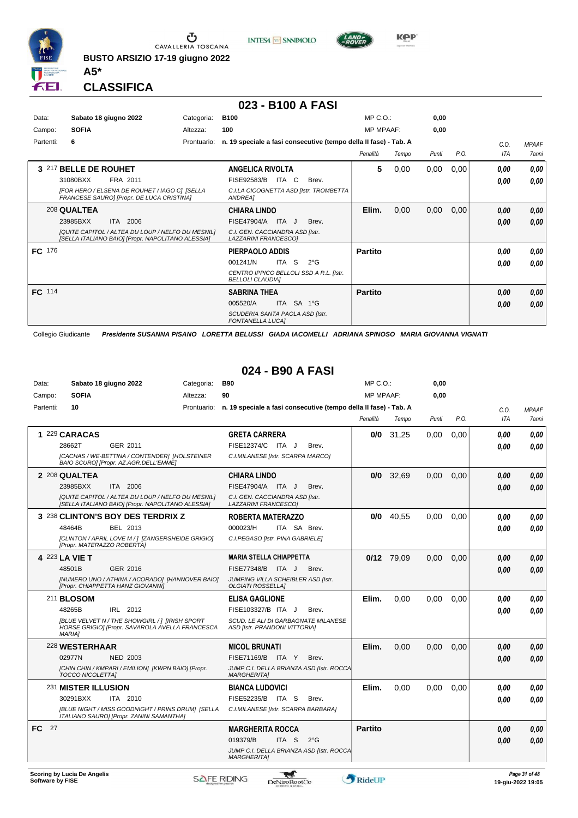

**INTESA** M SANPAOLO



**Kep** 

#### **CLASSIFICA**

**A5\***

#### **023 - B100 A FASI**

| Data:<br>Campo: | <b>SOFIA</b>          | Sabato 18 giugno 2022                                                                                  | Categoria:<br>Altezza: | <b>B100</b><br>100                                                 |               | MP C. O.<br><b>MP MPAAF:</b> |       | 0,00<br>0,00 |      |      |              |
|-----------------|-----------------------|--------------------------------------------------------------------------------------------------------|------------------------|--------------------------------------------------------------------|---------------|------------------------------|-------|--------------|------|------|--------------|
| Partenti:       | 6                     |                                                                                                        | Prontuario:            | n. 19 speciale a fasi consecutive (tempo della II fase) - Tab. A   |               |                              |       |              |      | C.0. | <b>MPAAF</b> |
|                 |                       |                                                                                                        |                        |                                                                    |               | Penalità                     | Tempo | Punti        | P.O. | ITA  | 7anni        |
|                 | 3 217 BELLE DE ROUHET |                                                                                                        |                        | ANGELICA RIVOLTA                                                   |               | 5                            | 0,00  | 0,00         | 0,00 | 0.00 | 0.00         |
|                 | 31080BXX              | FRA 2011                                                                                               |                        | FISE92583/B<br>ITA C                                               | Brev.         |                              |       |              |      | 0,00 | 0.00         |
|                 |                       | [FOR HERO / ELSENA DE ROUHET / IAGO C] [SELLA<br>FRANCESE SAURO] [Propr. DE LUCA CRISTINA]             |                        | C.I.LA CICOGNETTA ASD [Istr. TROMBETTA<br>ANDREA1                  |               |                              |       |              |      |      |              |
|                 | 208 QUALTEA           |                                                                                                        |                        | <b>CHIARA LINDO</b>                                                |               | Elim.                        | 0,00  | 0,00         | 0,00 | 0.00 | 0.00         |
|                 | 23985BXX              | ITA 2006                                                                                               |                        | FISE47904/A ITA J                                                  | Brev.         |                              |       |              |      | 0,00 | 0,00         |
|                 |                       | [QUITE CAPITOL / ALTEA DU LOUP / NELFO DU MESNIL]<br>[SELLA ITALIANO BAIO] [Propr. NAPOLITANO ALESSIA] |                        | C.I. GEN. CACCIANDRA ASD [Istr.<br>LAZZARINI FRANCESCOI            |               |                              |       |              |      |      |              |
| FC 176          |                       |                                                                                                        |                        | PIERPAOLO ADDIS                                                    |               | <b>Partito</b>               |       |              |      | 0.00 | 0.00         |
|                 |                       |                                                                                                        |                        | 001241/N<br>ITA S                                                  | $2^{\circ}$ G |                              |       |              |      | 0.00 | 0.00         |
|                 |                       |                                                                                                        |                        | CENTRO IPPICO BELLOLI SSD A R.L. [Istr.<br><b>BELLOLI CLAUDIAI</b> |               |                              |       |              |      |      |              |
| FC 114          |                       |                                                                                                        |                        | <b>SABRINA THEA</b>                                                |               | <b>Partito</b>               |       |              |      | 0.00 | 0.00         |
|                 |                       |                                                                                                        |                        | 005520/A                                                           | ITA SA 1°G    |                              |       |              |      | 0.00 | 0,00         |
|                 |                       |                                                                                                        |                        | SCUDERIA SANTA PAOLA ASD [Istr.<br><b>FONTANELLA LUCAI</b>         |               |                              |       |              |      |      |              |

Collegio Giudicante *Presidente SUSANNA PISANO LORETTA BELUSSI GIADA IACOMELLI ADRIANA SPINOSO MARIA GIOVANNA VIGNATI*

#### **024 - B90 A FASI**

| Data:            |                                    | Sabato 18 giugno 2022                                                                                    | Categoria:  | <b>B90</b>                                                                  |               | MP C.O.:         |             | 0,00  |      |            |                                    |
|------------------|------------------------------------|----------------------------------------------------------------------------------------------------------|-------------|-----------------------------------------------------------------------------|---------------|------------------|-------------|-------|------|------------|------------------------------------|
| Campo:           | <b>SOFIA</b>                       |                                                                                                          | Altezza:    | 90                                                                          |               | <b>MP MPAAF:</b> |             | 0,00  |      |            |                                    |
| Partenti:        | 10                                 |                                                                                                          | Prontuario: | n. 19 speciale a fasi consecutive (tempo della II fase) - Tab. A            |               |                  |             |       |      | C.O.       | <b>MPAAF</b>                       |
|                  |                                    |                                                                                                          |             |                                                                             |               | Penalità         | Tempo       | Punti | P.O. | <b>ITA</b> | 7anni                              |
|                  | 1 229 CARACAS                      |                                                                                                          |             | <b>GRETA CARRERA</b>                                                        |               | 0/0              | 31,25       | 0,00  | 0,00 | 0.00       | 0.00                               |
|                  | 28662T                             | GER 2011                                                                                                 |             | FISE12374/C ITA J                                                           | Brev.         |                  |             |       |      | 0.00       | 0.00                               |
|                  |                                    | [CACHAS / WE-BETTINA / CONTENDER] [HOLSTEINER<br>BAIO SCURO] [Propr. AZ.AGR.DELL'EMME]                   |             | C.I.MILANESE [Istr. SCARPA MARCO]                                           |               |                  |             |       |      |            |                                    |
|                  | 2 208 QUALTEA                      |                                                                                                          |             | <b>CHIARA LINDO</b>                                                         |               |                  | $0/0$ 32,69 | 0.00  | 0.00 | 0.00       | 0,00                               |
|                  | 23985BXX                           | ITA 2006                                                                                                 |             | FISE47904/A ITA J                                                           | Brev.         |                  |             |       |      | 0.00       | 0.00                               |
|                  |                                    | [QUITE CAPITOL / ALTEA DU LOUP / NELFO DU MESNIL]<br>[SELLA ITALIANO BAIO] [Propr. NAPOLITANO ALESSIA]   |             | C.I. GEN. CACCIANDRA ASD [Istr.<br>LAZZARINI FRANCESCOI                     |               |                  |             |       |      |            |                                    |
|                  |                                    | 3 238 CLINTON'S BOY DES TERDRIX Z                                                                        |             | <b>ROBERTA MATERAZZO</b>                                                    |               | 0/0              | 40.55       | 0.00  | 0.00 | 0.00       | 0.00                               |
|                  | 48464B                             | BEL 2013                                                                                                 |             | 000023/H<br>ITA SA Brev.                                                    |               |                  |             |       |      | 0.00       | 0.00                               |
|                  | [Propr. MATERAZZO ROBERTA]         | [CLINTON / APRIL LOVE M / ] [ZANGERSHEIDE GRIGIO]                                                        |             | C.I.PEGASO [Istr. PINA GABRIELE]                                            |               |                  |             |       |      |            |                                    |
|                  | 4 223 LA VIE T                     |                                                                                                          |             | <b>MARIA STELLA CHIAPPETTA</b>                                              |               |                  | 0/12 79.09  | 0,00  | 0,00 | 0.00       | 0,00                               |
|                  | 48501B                             | GER 2016                                                                                                 |             | FISE77348/B ITA J                                                           | Brev.         |                  |             |       |      | 0.00       | 0.00                               |
|                  |                                    | [NUMERO UNO / ATHINA / ACORADO] [HANNOVER BAIO]<br>[Propr. CHIAPPETTA HANZ GIOVANNI]                     |             | JUMPING VILLA SCHEIBLER ASD [Istr.<br><b>OLGIATI ROSSELLAI</b>              |               |                  |             |       |      |            |                                    |
|                  | 211 <b>BLOSOM</b>                  |                                                                                                          |             | <b>ELISA GAGLIONE</b>                                                       |               | Elim.            | 0.00        | 0.00  | 0.00 | 0.00       | 0.00                               |
|                  | 48265B                             | IRL 2012                                                                                                 |             | FISE103327/B ITA J                                                          | Brev.         |                  |             |       |      | 0.00       | 0.00                               |
|                  | <b>MARIA1</b>                      | <b>IBLUE VELVET N / THE SHOWGIRL /   IIRISH SPORT</b><br>HORSE GRIGIO] [Propr. SAVAROLA AVELLA FRANCESCA |             | <b>SCUD. LE ALI DI GARBAGNATE MILANESE</b><br>ASD [Istr. PRANDONI VITTORIA] |               |                  |             |       |      |            |                                    |
|                  | <b>228 WESTERHAAR</b>              |                                                                                                          |             | <b>MICOL BRUNATI</b>                                                        |               | Elim.            | 0.00        | 0.00  | 0,00 | 0.00       | 0,00                               |
|                  | 02977N                             | <b>NED 2003</b>                                                                                          |             | FISE71169/B ITA Y                                                           | Brev.         |                  |             |       |      | 0.00       | 0.00                               |
|                  | <b>TOCCO NICOLETTA]</b>            | [CHIN CHIN / KMPARI / EMILION] [KWPN BAIO] [Propr.                                                       |             | JUMP C.I. DELLA BRIANZA ASD [Istr. ROCCA<br><b>MARGHERITA1</b>              |               |                  |             |       |      |            |                                    |
|                  | 231 MISTER ILLUSION                |                                                                                                          |             | <b>BIANCA LUDOVICI</b>                                                      |               | Elim.            | 0.00        | 0.00  | 0.00 | 0.00       | 0.00                               |
|                  | 30291BXX                           | ITA 2010                                                                                                 |             | FISE52235/B ITA S                                                           | Brev.         |                  |             |       |      | 0.00       | 0.00                               |
|                  |                                    | [BLUE NIGHT / MISS GOODNIGHT / PRINS DRUM] [SELLA<br>ITALIANO SAUROI [Propr. ZANINI SAMANTHA]            |             | C.I.MILANESE [Istr. SCARPA BARBARA]                                         |               |                  |             |       |      |            |                                    |
| 27<br>FC.        |                                    |                                                                                                          |             | <b>MARGHERITA ROCCA</b>                                                     |               | <b>Partito</b>   |             |       |      | 0.00       | 0,00                               |
|                  |                                    |                                                                                                          |             | 019379/B<br>ITA S                                                           | $2^{\circ}$ G |                  |             |       |      | 0.00       | 0.00                               |
|                  |                                    |                                                                                                          |             | JUMP C.I. DELLA BRIANZA ASD [Istr. ROCCA<br><b>MARGHERITA1</b>              |               |                  |             |       |      |            |                                    |
| Software by FISE | <b>Scoring by Lucia De Angelis</b> |                                                                                                          |             | <b>SAFE RIDING</b><br>DeNiroBootCo                                          |               | RideUP           |             |       |      |            | Page 31 of 48<br>19-giu-2022 19:05 |



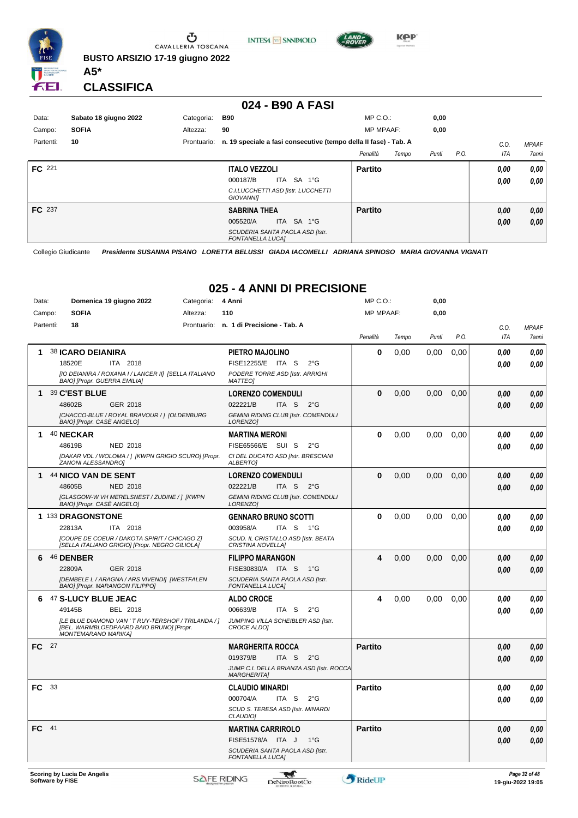

**INTESA M** SANPAOLO



**Kep** 

#### **CLASSIFICA**

**A5\***

#### **024 - B90 A FASI**

| Data:<br>Campo: | Sabato 18 giugno 2022<br><b>SOFIA</b> | Categoria:<br>Altezza: | B90<br>90                                                                                                   | $MP C. O.$ :<br><b>MP MPAAF:</b> | 0,00<br>0,00 |      |              |                              |
|-----------------|---------------------------------------|------------------------|-------------------------------------------------------------------------------------------------------------|----------------------------------|--------------|------|--------------|------------------------------|
| Partenti:       | 10                                    | Prontuario:            | n. 19 speciale a fasi consecutive (tempo della II fase) - Tab. A                                            | Penalità<br>Tempo                | Punti        | P.O. | C.0<br>ITA   | <b>MPAAF</b><br><b>7anni</b> |
| <b>FC</b> 221   |                                       |                        | <b>ITALO VEZZOLI</b><br>ITA<br>000187/B<br>SA 1°G<br>C.I.LUCCHETTI ASD [Istr. LUCCHETTI<br><b>GIOVANNII</b> | <b>Partito</b>                   |              |      | 0.00<br>0.00 | 0,00<br>0,00                 |
| FC 237          |                                       |                        | <b>SABRINA THEA</b><br>ITA SA 1°G<br>005520/A<br>SCUDERIA SANTA PAOLA ASD [Istr.<br><b>FONTANELLA LUCAI</b> | <b>Partito</b>                   |              |      | 0,00<br>0,00 | 0,00<br>0,00                 |

Collegio Giudicante *Presidente SUSANNA PISANO LORETTA BELUSSI GIADA IACOMELLI ADRIANA SPINOSO MARIA GIOVANNA VIGNATI*

## **025 - 4 ANNI DI PRECISIONE**

| Data:     |      | Domenica 19 giugno 2022                                                                                                       | Categoria: | 4 Anni                                                         | MP C.O.:         |       | 0,00  |      |      |              |
|-----------|------|-------------------------------------------------------------------------------------------------------------------------------|------------|----------------------------------------------------------------|------------------|-------|-------|------|------|--------------|
| Campo:    |      | <b>SOFIA</b>                                                                                                                  | Altezza:   | 110                                                            | <b>MP MPAAF:</b> |       | 0.00  |      |      |              |
| Partenti: |      | 18                                                                                                                            |            | Prontuario: n. 1 di Precisione - Tab. A                        |                  |       |       |      | C.0. | <b>MPAAF</b> |
|           |      |                                                                                                                               |            |                                                                | Penalità         | Tempo | Punti | P.O. | ITA  | 7anni        |
| 1         |      | <b>38 ICARO DEIANIRA</b>                                                                                                      |            | PIETRO MAJOLINO                                                | $\bf{0}$         | 0.00  | 0.00  | 0.00 | 0.00 | 0,00         |
|           |      | 18520E<br>ITA 2018                                                                                                            |            | FISE12255/E ITA S<br>$2^{\circ}G$                              |                  |       |       |      | 0.00 | 0.00         |
|           |      | [IO DEIANIRA / ROXANA I / LANCER II] [SELLA ITALIANO<br>BAIO] [Propr. GUERRA EMILIA]                                          |            | PODERE TORRE ASD [Istr. ARRIGHI<br><b>MATTEO1</b>              |                  |       |       |      |      |              |
| 1         |      | 39 C'EST BLUE                                                                                                                 |            | <b>LORENZO COMENDULI</b>                                       | $\bf{0}$         | 0,00  | 0,00  | 0,00 | 0.00 | 0.00         |
|           |      | 48602B<br>GER 2018                                                                                                            |            | 022221/B<br>ITA S<br>$2^{\circ}G$                              |                  |       |       |      | 0,00 | 0.00         |
|           |      | [CHACCO-BLUE / ROYAL BRAVOUR / ] [OLDENBURG<br>BAIO] [Propr. CASE ANGELO]                                                     |            | <b>GEMINI RIDING CLUB [Istr. COMENDULI</b><br>LORENZO1         |                  |       |       |      |      |              |
| 1         |      | 40 NECKAR                                                                                                                     |            | <b>MARTINA MERONI</b>                                          | 0                | 0,00  | 0.00  | 0.00 | 0.00 | 0.00         |
|           |      | 48619B<br><b>NED 2018</b>                                                                                                     |            | FISE65566/E SUI S<br>$2^{\circ}G$                              |                  |       |       |      | 0.00 | 0.00         |
|           |      | [DAKAR VDL / WOLOMA / ] [KWPN GRIGIO SCURO] [Propr.<br>ZANONI ALESSANDRO]                                                     |            | CI DEL DUCATO ASD [Istr. BRESCIANI<br><b>ALBERTOI</b>          |                  |       |       |      |      |              |
| 1         |      | 44 NICO VAN DE SENT                                                                                                           |            | <b>LORENZO COMENDULI</b>                                       | $\bf{0}$         | 0,00  | 0,00  | 0,00 | 0,00 | 0,00         |
|           |      | 48605B<br><b>NED 2018</b>                                                                                                     |            | 022221/B<br>ITA S<br>$2^{\circ}G$                              |                  |       |       |      | 0,00 | 0,00         |
|           |      | [GLASGOW-W VH MERELSNEST / ZUDINE / ] [KWPN<br>BAIO] [Propr. CASE ANGELO]                                                     |            | <b>GEMINI RIDING CLUB [Istr. COMENDULI</b><br>LORENZO1         |                  |       |       |      |      |              |
|           |      | 1 133 DRAGONSTONE                                                                                                             |            | <b>GENNARO BRUNO SCOTTI</b>                                    | $\bf{0}$         | 0,00  | 0,00  | 0,00 | 0.00 | 0,00         |
|           |      | ITA 2018<br>22813A                                                                                                            |            | 003958/A<br>ITA <sub>S</sub><br>$1^{\circ}G$                   |                  |       |       |      | 0.00 | 0.00         |
|           |      | [COUPE DE COEUR / DAKOTA SPIRIT / CHICAGO Z]<br>[SELLA ITALIANO GRIGIO] [Propr. NEGRO GILIOLA]                                |            | SCUD. IL CRISTALLO ASD [Istr. BEATA<br>CRISTINA NOVELLA)       |                  |       |       |      |      |              |
| 6.        |      | 46 DENBER                                                                                                                     |            | <b>FILIPPO MARANGON</b>                                        | 4                | 0,00  | 0.00  | 0,00 | 0,00 | 0,00         |
|           |      | 22809A<br>GER 2018                                                                                                            |            | FISE30830/A ITA S<br>1°G                                       |                  |       |       |      | 0.00 | 0.00         |
|           |      | [DEMBELE L / ARAGNA / ARS VIVENDI] [WESTFALEN                                                                                 |            | SCUDERIA SANTA PAOLA ASD [Istr.                                |                  |       |       |      |      |              |
|           |      | BAIO] [Propr. MARANGON FILIPPO]                                                                                               |            | <b>FONTANELLA LUCA]</b>                                        |                  |       |       |      |      |              |
| 6         |      | 47 S-LUCY BLUE JEAC                                                                                                           |            | <b>ALDO CROCE</b>                                              | 4                | 0,00  | 0.00  | 0,00 | 0.00 | 0,00         |
|           |      | 49145B<br><b>BEL 2018</b>                                                                                                     |            | 006639/B<br>ITA S<br>$2^{\circ}$ G                             |                  |       |       |      | 0.00 | 0.00         |
|           |      | [LE BLUE DIAMOND VAN ' T RUY-TERSHOF / TRILANDA / ]<br>[BEL. WARMBLOEDPAARD BAIO BRUNO] [Propr.<br><b>MONTEMARANO MARIKA]</b> |            | JUMPING VILLA SCHEIBLER ASD [Istr.<br><b>CROCE ALDOI</b>       |                  |       |       |      |      |              |
| FC.       | - 27 |                                                                                                                               |            | <b>MARGHERITA ROCCA</b>                                        | <b>Partito</b>   |       |       |      | 0.00 | 0,00         |
|           |      |                                                                                                                               |            | 019379/B<br>ITA S<br>$2^{\circ}G$                              |                  |       |       |      | 0.00 | 0.00         |
|           |      |                                                                                                                               |            | JUMP C.I. DELLA BRIANZA ASD [Istr. ROCCA<br><b>MARGHERITA1</b> |                  |       |       |      |      |              |
| FC.       | 33   |                                                                                                                               |            | <b>CLAUDIO MINARDI</b>                                         | <b>Partito</b>   |       |       |      | 0.00 | 0.00         |
|           |      |                                                                                                                               |            | 000704/A<br>ITA S<br>$2^{\circ}$ G                             |                  |       |       |      | 0.00 | 0.00         |
|           |      |                                                                                                                               |            | SCUD S. TERESA ASD [Istr. MINARDI<br><b>CLAUDIO]</b>           |                  |       |       |      |      |              |
| FC.       | 41   |                                                                                                                               |            | <b>MARTINA CARRIROLO</b>                                       | <b>Partito</b>   |       |       |      | 0.00 | 0,00         |
|           |      |                                                                                                                               |            | FISE51578/A ITA J<br>1°G                                       |                  |       |       |      | 0.00 | 0.00         |
|           |      |                                                                                                                               |            | SCUDERIA SANTA PAOLA ASD [Istr.<br><b>FONTANELLA LUCA]</b>     |                  |       |       |      |      |              |
|           |      |                                                                                                                               |            |                                                                |                  |       |       |      |      |              |

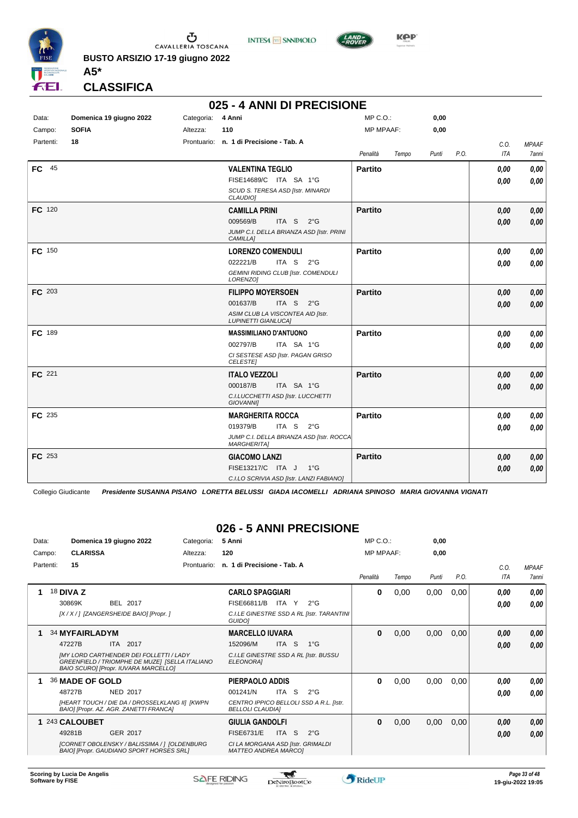

**INTESA** M SANPAOLO



**Kep** 

**CLASSIFICA**

**A5\***

#### **025 - 4 ANNI DI PRECISIONE**

| Data:<br>Campo: | Domenica 19 giugno 2022<br><b>SOFIA</b> | Categoria: 4 Anni<br>Altezza: | 110                                                                                                                                         | $MP C. O.$ :<br><b>MP MPAAF:</b> | 0,00<br>0,00 |      |              |                       |
|-----------------|-----------------------------------------|-------------------------------|---------------------------------------------------------------------------------------------------------------------------------------------|----------------------------------|--------------|------|--------------|-----------------------|
| Partenti:       | 18                                      |                               | Prontuario: n. 1 di Precisione - Tab. A                                                                                                     | Penalità<br>Tempo                | Punti        | P.O. | C.O.<br>ITA  | <b>MPAAF</b><br>7anni |
| $FC$ 45         |                                         |                               | <b>VALENTINA TEGLIO</b><br>FISE14689/C ITA SA 1°G<br>SCUD S. TERESA ASD [Istr. MINARDI<br>CLAUDIO]                                          | <b>Partito</b>                   |              |      | 0.00<br>0,00 | 0,00<br>0,00          |
| FC 120          |                                         |                               | <b>CAMILLA PRINI</b><br>009569/B<br>ITA S<br>$2^{\circ}$ G<br>JUMP C.I. DELLA BRIANZA ASD [Istr. PRINI<br>CAMILLA]                          | <b>Partito</b>                   |              |      | 0.00<br>0.00 | 0,00<br>0,00          |
| FC 150          |                                         |                               | <b>LORENZO COMENDULI</b><br>022221/B<br>ITA S<br>$2^{\circ}$ G<br><b>GEMINI RIDING CLUB [Istr. COMENDULI</b><br>LORENZO]                    | <b>Partito</b>                   |              |      | 0.00<br>0,00 | 0,00<br>0,00          |
| FC 203          |                                         |                               | <b>FILIPPO MOYERSOEN</b><br>001637/B<br>ITA <sub>S</sub><br>$2^{\circ}G$<br>ASIM CLUB LA VISCONTEA AID [Istr.<br><b>LUPINETTI GIANLUCA]</b> | <b>Partito</b>                   |              |      | 0.00<br>0,00 | 0,00<br>0,00          |
| FC 189          |                                         |                               | <b>MASSIMILIANO D'ANTUONO</b><br>002797/B<br>ITA SA 1°G<br>CI SESTESE ASD [Istr. PAGAN GRISO<br><b>CELESTE</b>                              | <b>Partito</b>                   |              |      | 0,00<br>0.00 | 0,00<br>0.00          |
| FC 221          |                                         |                               | <b>ITALO VEZZOLI</b><br>000187/B<br>ITA SA 1°G<br>C.I.LUCCHETTI ASD [Istr. LUCCHETTI<br><b>GIOVANNII</b>                                    | <b>Partito</b>                   |              |      | 0.00<br>0.00 | 0,00<br>0.00          |
| FC 235          |                                         |                               | <b>MARGHERITA ROCCA</b><br>019379/B<br>ITA S<br>$2^{\circ}G$<br>JUMP C.I. DELLA BRIANZA ASD [Istr. ROCCA<br><b>MARGHERITA]</b>              | <b>Partito</b>                   |              |      | 0.00<br>0.00 | 0,00<br>0,00          |
| FC 253          |                                         |                               | <b>GIACOMO LANZI</b><br>FISE13217/C ITA J<br>$1^{\circ}G$<br>C.I.LO SCRIVIA ASD [Istr. LANZI FABIANO]                                       | <b>Partito</b>                   |              |      | 0.00<br>0.00 | 0,00<br>0,00          |

Collegio Giudicante *Presidente SUSANNA PISANO LORETTA BELUSSI GIADA IACOMELLI ADRIANA SPINOSO MARIA GIOVANNA VIGNATI*

## **026 - 5 ANNI PRECISIONE**

| Data:     | Domenica 19 giugno 2022                                                                                                                  | Categoria:  | 5 Anni                                                             | $MP C. O.$ :     |       | 0,00  |      |      |              |
|-----------|------------------------------------------------------------------------------------------------------------------------------------------|-------------|--------------------------------------------------------------------|------------------|-------|-------|------|------|--------------|
| Campo:    | <b>CLARISSA</b>                                                                                                                          | Altezza:    | 120                                                                | <b>MP MPAAF:</b> |       | 0,00  |      |      |              |
| Partenti: | 15                                                                                                                                       | Prontuario: | n. 1 di Precisione - Tab. A                                        |                  |       |       |      | C.0. | <b>MPAAF</b> |
|           |                                                                                                                                          |             |                                                                    | Penalità         | Tempo | Punti | P.O. | ITA  | 7anni        |
|           | 18 <b>DIVA Z</b>                                                                                                                         |             | <b>CARLO SPAGGIARI</b>                                             | 0                | 0,00  | 0,00  | 0,00 | 0.00 | 0.00         |
|           | 30869K<br>BEL 2017                                                                                                                       |             | FISE66811/B<br>ITA Y<br>$2^{\circ}G$                               |                  |       |       |      | 0.00 | 0.00         |
|           | [X / X / ] [ZANGERSHEIDE BAIO] [Propr. ]                                                                                                 |             | C.I.LE GINESTRE SSD A RL [Istr. TARANTINI<br>GUIDO]                |                  |       |       |      |      |              |
|           | <b>34 MYFAIRLADYM</b>                                                                                                                    |             | <b>MARCELLO IUVARA</b>                                             | $\bf{0}$         | 0,00  | 0,00  | 0,00 | 0,00 | 0,00         |
|           | 2017<br>47227B<br><b>ITA</b>                                                                                                             |             | 152096/M<br>ITA S<br>$1^{\circ}$ G                                 |                  |       |       |      | 0,00 | 0,00         |
|           | <b>IMY LORD CARTHENDER DEI FOLLETTI / LADY</b><br>GREENFIELD / TRIOMPHE DE MUZE] [SELLA ITALIANO<br>BAIO SCUROI [Propr. IUVARA MARCELLO] |             | C.I.LE GINESTRE SSD A RL [Istr. BUSSU<br><b>ELEONORAI</b>          |                  |       |       |      |      |              |
|           | 36 MADE OF GOLD                                                                                                                          |             | PIERPAOLO ADDIS                                                    | 0                | 0,00  | 0.00  | 0,00 | 0.00 | 0,00         |
|           | 48727B<br><b>NED 2017</b>                                                                                                                |             | ITA S<br>$2^{\circ}G$<br>001241/N                                  |                  |       |       |      | 0.00 | 0.00         |
|           | [HEART TOUCH / DIE DA / DROSSELKLANG II] [KWPN<br>BAIO] [Propr. AZ. AGR. ZANETTI FRANCA]                                                 |             | CENTRO IPPICO BELLOLI SSD A R.L. [Istr.<br><b>BELLOLI CLAUDIAI</b> |                  |       |       |      |      |              |
|           | 1 243 CALOUBET                                                                                                                           |             | <b>GIULIA GANDOLFI</b>                                             | 0                | 0,00  | 0,00  | 0,00 | 0,00 | 0,00         |
|           | 49281B<br>GER 2017                                                                                                                       |             | FISE6731/E<br>ITA S<br>$2^{\circ}G$                                |                  |       |       |      | 0.00 | 0,00         |
|           | [CORNET OBOLENSKY / BALISSIMA / 1 [OLDENBURG<br><b>BAIO] [Propr. GAUDIANO SPORT HORSES SRL]</b>                                          |             | CI LA MORGANA ASD [Istr. GRIMALDI<br><b>MATTEO ANDREA MARCOI</b>   |                  |       |       |      |      |              |

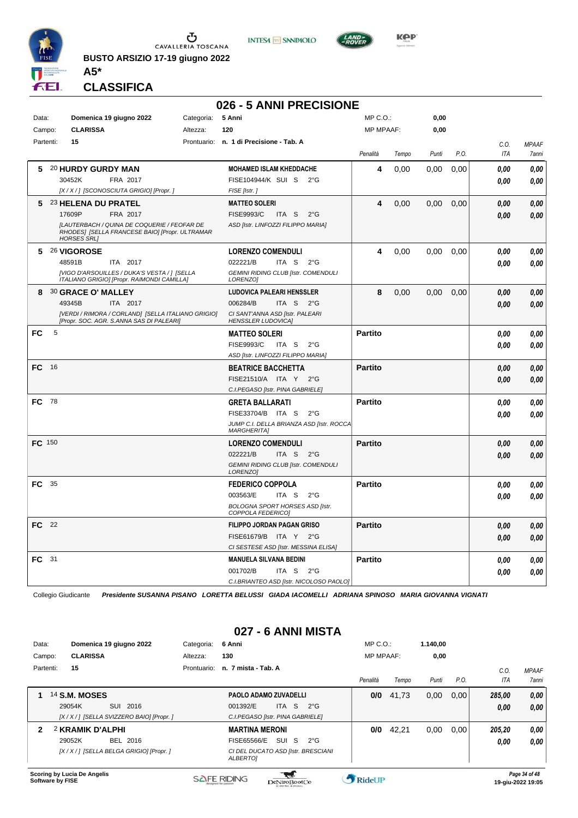

CAVALLERIA TOSCANA **BUSTO ARSIZIO 17-19 giugno 2022** **INTESA** M SANPAOLO



KOP

#### **CLASSIFICA**

**A5\***

#### **026 - 5 ANNI PRECISIONE** Data: **Domenica 19 giugno 2022** Categoria: 5 Anni Prontuario: **n. 1 di Precisione - Tab. A** Campo: **CLARISSA** Partenti: **15** Altezza: **120** MP C.O.: MP MPAAF: **0,00 0,00** *Penalità Tempo Punti P.O. C.O. ITA MPAAF 7anni* **5** 20 **HURDY GURDY MAN** FRA 2017 **MOHAMED ISLAM KHEDDACHE** *[X / X / ] [SCONOSCIUTA GRIGIO] [Propr. ] FISE [Istr. ]* 30452K FRA 2017 FISE104944/K SUI S 2°G **0,00 0,00 4** 0,00 0,00 0,00 *0,00 0,00 0,00* **5** 23 **HELENA DU PRATEL** FRA 2017 **MATTEO SOLERI** *[LAUTERBACH / QUINA DE COQUERIE / FEOFAR DE RHODES] [SELLA FRANCESE BAIO] [Propr. ULTRAMAR HORSES SRL] ASD [Istr. LINFOZZI FILIPPO MARIA]* ITA S 2°G 17609P FISE9993/C *0,00* **4** 0,00 0,00 0,00 *0,00 0,00 0,00* **5** 26 **VIGOROSE** ITA 2017 **LORENZO COMENDULI** *[VIGO D'ARSOUILLES / DUKA'S VESTA / ] [SELLA ITALIANO GRIGIO] [Propr. RAIMONDI CAMILLA] GEMINI RIDING CLUB [Istr. COMENDULI LORENZO]* ITA S 2°G **4** 0,00 0,00 0,00 *0,00 0,00 0,00* 48591B 022221/B *0,00* **8** 30 **GRACE O' MALLEY** ITA 2017 **LUDOVICA PALEARI HENSSLER** *[VERDI / RIMORA / CORLAND] [SELLA ITALIANO GRIGIO] [Propr. SOC. AGR. S.ANNA SAS DI PALEARI] CI SANT'ANNA ASD [Istr. PALEARI HENSSLER LUDOVICA]* ITA S 2°G **8** 0,00 0,00 0,00 *0,00 0,00 0,00* 49345B 006284/B *0,00* **FC** 5 **MATTEO SOLERI** *ASD [Istr. LINFOZZI FILIPPO MARIA]* ITA S 2°G FISE9993/C *0,00* **Partito** *0,00 0,00 0,00* **FC** 16 **BEATRICE BACCHETTA** *C.I.PEGASO [Istr. PINA GABRIELE]* ITA Y 2°G FISE21510/A *0,00* **Partito** *0,00 0,00 0,00* **FC** 78 **GRETA BALLARATI** *JUMP C.I. DELLA BRIANZA ASD [Istr. ROCCA MARGHERITA]* FISE33704/B ITA S 2°G <mark>0,00 0,00</mark> **Partito** *0,00 0,00 0,00* **FC** 150 **LORENZO COMENDULI** *GEMINI RIDING CLUB [Istr. COMENDULI LORENZO]* ITA S 2°G **Partito** *0,00 0,00 0,00* 022221/B *0,00* **FC** 35 **FEDERICO COPPOLA** *BOLOGNA SPORT HORSES ASD [Istr. COPPOLA FEDERICO]* ITA S 2°G **Partito** *0,00 0,00 0,00* 003563/E *0,00* **FC** 22 **FILIPPO JORDAN PAGAN GRISO** *CI SESTESE ASD [Istr. MESSINA ELISA]* ITA Y 2°G FISE61679/B *0,00* **Partito** *0,00 0,00 0,00* **FC** 31 **MANUELA SILVANA BEDINI** *C.I.BRIANTEO ASD [Istr. NICOLOSO PAOLO]* ITA S 2°G **Partito** *0,00 0,00 0,00* 001702/B *0,00*

Collegio Giudicante *Presidente SUSANNA PISANO LORETTA BELUSSI GIADA IACOMELLI ADRIANA SPINOSO MARIA GIOVANNA VIGNATI*

## **027 - 6 ANNI MISTA**

| Data:     |                             | Domenica 19 giugno 2022                    | Categoria:  | 6 Anni                                                | $MP C. O.$ :     |       | 1.140.00 |      |        |              |
|-----------|-----------------------------|--------------------------------------------|-------------|-------------------------------------------------------|------------------|-------|----------|------|--------|--------------|
| Campo:    | <b>CLARISSA</b>             |                                            | Altezza:    | 130                                                   | <b>MP MPAAF:</b> |       | 0,00     |      |        |              |
| Partenti: | 15                          |                                            | Prontuario: | n. 7 mista - Tab. A                                   |                  |       |          |      | C.0    | <b>MPAAF</b> |
|           |                             |                                            |             |                                                       | Penalità         | Tempo | Punti    | P.O. | ITA    | 7anni        |
|           | <b>14 S.M. MOSES</b>        |                                            |             | <b>PAOLO ADAMO ZUVADELLI</b>                          | 0/0              | 41,73 | 0,00     | 0.00 | 285,00 | 0.00         |
|           | 29054K                      | SUI 2016                                   |             | 001392/E<br>ITA S<br>$2^{\circ}G$                     |                  |       |          |      | 0,00   | 0.00         |
|           |                             | [X / X / ] [SELLA SVIZZERO BAIO] [Propr. ] |             | C.I.PEGASO [Istr. PINA GABRIELE]                      |                  |       |          |      |        |              |
| 2         | 2 KRAMIK D'ALPHI            |                                            |             | <b>MARTINA MERONI</b>                                 | 0/0              | 42,21 | 0,00     | 0.00 | 205,20 | 0,00         |
|           | 29052K                      | <b>BEL 2016</b>                            |             | SUI S<br>FISE65566/E<br>$2^{\circ}$ G                 |                  |       |          |      | 0,00   | 0.00         |
|           |                             | [X / X / ] [SELLA BELGA GRIGIO] [Propr. ]  |             | CI DEL DUCATO ASD [Istr. BRESCIANI<br><b>ALBERTOI</b> |                  |       |          |      |        |              |
|           | Scoring by Lucia De Angelie |                                            |             |                                                       |                  |       |          |      |        | Dao 2A of A9 |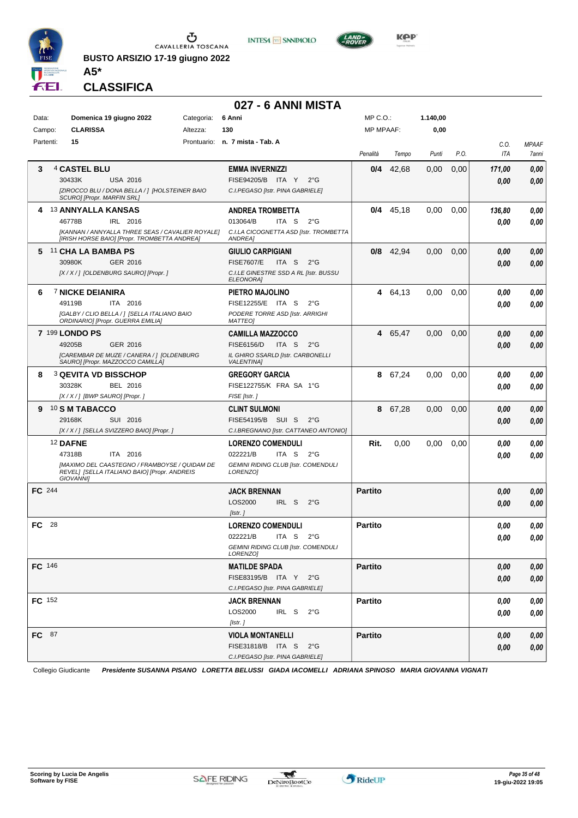

**INTESA** M SANPAOLO



**KPP** 

**CLASSIFICA**

**A5\***

## **027 - 6 ANNI MISTA**

| Data:         | Domenica 19 giugno 2022                                                                                           | Categoria: | 6 Anni                                                    | MP C.O.:         |             | 1.140,00 |      |        |              |
|---------------|-------------------------------------------------------------------------------------------------------------------|------------|-----------------------------------------------------------|------------------|-------------|----------|------|--------|--------------|
| Campo:        | <b>CLARISSA</b>                                                                                                   | Altezza:   | 130                                                       | <b>MP MPAAF:</b> |             | 0,00     |      |        |              |
| Partenti:     | 15                                                                                                                |            | Prontuario: n. 7 mista - Tab. A                           |                  |             |          |      | C.O.   | <b>MPAAF</b> |
|               |                                                                                                                   |            |                                                           | Penalità         | Tempo       | Punti    | P.O. | ITA    | 7anni        |
| 3             | 4 CASTEL BLU                                                                                                      |            | <b>EMMA INVERNIZZI</b>                                    | 0/4              | 42,68       | 0,00     | 0,00 | 171,00 | 0,00         |
|               | 30433K<br><b>USA 2016</b>                                                                                         |            | FISE94205/B ITA Y<br>$2^{\circ}$ G                        |                  |             |          |      | 0.00   | 0,00         |
|               | [ZIROCCO BLU / DONA BELLA / ] [HOLSTEINER BAIO<br>SCURO] [Propr. MARFIN SRL]                                      |            | C.I.PEGASO [Istr. PINA GABRIELE]                          |                  |             |          |      |        |              |
| 4             | <b>13 ANNYALLA KANSAS</b>                                                                                         |            | <b>ANDREA TROMBETTA</b>                                   | 0/4              | 45,18       | 0,00     | 0,00 | 136,80 | 0,00         |
|               | 46778B<br>IRL 2016                                                                                                |            | 013064/B<br>ITA S<br>$2^{\circ}$ G                        |                  |             |          |      | 0.00   | 0,00         |
|               | [KANNAN / ANNYALLA THREE SEAS / CAVALIER ROYALE]<br>[IRISH HORSE BAIO] [Propr. TROMBETTA ANDREA]                  |            | C.I.LA CICOGNETTA ASD [Istr. TROMBETTA<br>ANDREA]         |                  |             |          |      |        |              |
| 5             | <sup>11</sup> CHA LA BAMBA PS                                                                                     |            | <b>GIULIO CARPIGIANI</b>                                  |                  | $0/8$ 42,94 | 0,00     | 0,00 | 0,00   | 0,00         |
|               | 30980K<br>GER 2016                                                                                                |            | <b>FISE7607/E</b><br>ITA S<br>$2^{\circ}$ G               |                  |             |          |      | 0,00   | 0,00         |
|               | [X / X / ] [OLDENBURG SAURO] [Propr. ]                                                                            |            | C.I.LE GINESTRE SSD A RL [Istr. BUSSU<br><b>ELEONORAI</b> |                  |             |          |      |        |              |
| 6             | <b>7 NICKE DEIANIRA</b>                                                                                           |            | PIETRO MAJOLINO                                           |                  | 4 64,13     | 0,00     | 0,00 | 0.00   | 0,00         |
|               | 49119B<br>ITA 2016                                                                                                |            | FISE12255/E ITA S<br>$2^{\circ}$ G                        |                  |             |          |      | 0.00   | $\it 0,00$   |
|               | [GALBY / CLIO BELLA / ] [SELLA ITALIANO BAIO<br>ORDINARIO] [Propr. GUERRA EMILIA]                                 |            | PODERE TORRE ASD [Istr. ARRIGHI<br><b>MATTEO1</b>         |                  |             |          |      |        |              |
|               | 7 199 LONDO PS                                                                                                    |            | <b>CAMILLA MAZZOCCO</b>                                   | 4                | 65,47       | 0,00     | 0,00 | 0,00   | 0,00         |
|               | 49205B<br>GER 2016                                                                                                |            | <b>FISE6156/D</b><br>ITA S<br>$2^{\circ}$ G               |                  |             |          |      | 0.00   | 0,00         |
|               | [CAREMBAR DE MUZE / CANERA / ] [OLDENBURG<br>SAURO] [Propr. MAZZOCCO CAMILLA]                                     |            | IL GHIRO SSARLD [Istr. CARBONELLI<br><b>VALENTINA]</b>    |                  |             |          |      |        |              |
| 8             | <b>3 QEVITA VD BISSCHOP</b>                                                                                       |            | <b>GREGORY GARCIA</b>                                     |                  | 8 67,24     | 0,00     | 0,00 | 0,00   | 0,00         |
|               | 30328K<br>BEL 2016                                                                                                |            | FISE122755/K FRA SA 1°G                                   |                  |             |          |      | 0.00   | 0.00         |
|               | [X / X / ] [BWP SAURO] [Propr. ]                                                                                  |            | FISE [Istr.]                                              |                  |             |          |      |        |              |
| 9             | <b>10 S M TABACCO</b>                                                                                             |            | <b>CLINT SULMONI</b>                                      | 8                | 67,28       | 0,00     | 0,00 | 0,00   | 0,00         |
|               | 29168K<br>SUI 2016                                                                                                |            | FISE54195/B SUI S<br>$2^{\circ}$ G                        |                  |             |          |      | 0.00   | 0.00         |
|               | [X / X / ] [SELLA SVIZZERO BAIO] [Propr. ]                                                                        |            | C.I.BREGNANO [Istr. CATTANEO ANTONIO]                     |                  |             |          |      |        |              |
|               | 12 DAFNE                                                                                                          |            | <b>LORENZO COMENDULI</b>                                  | Rit.             | 0,00        | 0,00     | 0,00 | 0.00   | 0,00         |
|               | ITA 2016<br>47318B                                                                                                |            | 022221/B<br>ITA <sub>S</sub><br>$2^{\circ}$ G             |                  |             |          |      | 0.00   | 0,00         |
|               | [MAXIMO DEL CAASTEGNO / FRAMBOYSE / QUIDAM DE<br>REVEL] [SELLA ITALIANO BAIO] [Propr. ANDREIS<br><b>GIOVANNII</b> |            | <b>GEMINI RIDING CLUB [Istr. COMENDULI</b><br>LORENZO]    |                  |             |          |      |        |              |
| <b>FC</b> 244 |                                                                                                                   |            | <b>JACK BRENNAN</b>                                       | <b>Partito</b>   |             |          |      | 0,00   | 0,00         |
|               |                                                                                                                   |            | LOS2000<br>IRL S<br>$2^{\circ}$ G                         |                  |             |          |      |        |              |
|               |                                                                                                                   |            | $I$ <i>Istr.</i> $I$                                      |                  |             |          |      | 0.00   | 0.00         |
| 28<br>FC      |                                                                                                                   |            | <b>LORENZO COMENDULI</b>                                  | <b>Partito</b>   |             |          |      | 0.00   | 0,00         |
|               |                                                                                                                   |            | 022221/B<br>ITA <sub>S</sub><br>$2^{\circ}$ G             |                  |             |          |      |        | 0.00         |
|               |                                                                                                                   |            | <b>GEMINI RIDING CLUB [Istr. COMENDULI</b>                |                  |             |          |      | 0.00   |              |
|               |                                                                                                                   |            | LORENZO]                                                  |                  |             |          |      |        |              |
| FC 146        |                                                                                                                   |            | <b>MATILDE SPADA</b>                                      | <b>Partito</b>   |             |          |      | 0,00   | 0,00         |
|               |                                                                                                                   |            | FISE83195/B ITA Y<br>$2^{\circ}$ G                        |                  |             |          |      | 0,00   | 0,00         |
|               |                                                                                                                   |            | C.I.PEGASO [Istr. PINA GABRIELE]                          |                  |             |          |      |        |              |
| FC 152        |                                                                                                                   |            | <b>JACK BRENNAN</b>                                       | <b>Partito</b>   |             |          |      | 0,00   | 0,00         |
|               |                                                                                                                   |            | LOS2000<br>IRL S<br>$2^{\circ}$ G                         |                  |             |          |      | 0,00   | 0,00         |
|               |                                                                                                                   |            | [ $\lfloor$ str.]                                         |                  |             |          |      |        |              |
| FC 87         |                                                                                                                   |            | <b>VIOLA MONTANELLI</b>                                   | <b>Partito</b>   |             |          |      | 0,00   | 0,00         |
|               |                                                                                                                   |            | FISE31818/B ITA S<br>$2^{\circ}$ G                        |                  |             |          |      | 0,00   | 0,00         |
|               |                                                                                                                   |            | C.I.PEGASO [Istr. PINA GABRIELE]                          |                  |             |          |      |        |              |
|               |                                                                                                                   |            |                                                           |                  |             |          |      |        |              |

Collegio Giudicante *Presidente SUSANNA PISANO LORETTA BELUSSI GIADA IACOMELLI ADRIANA SPINOSO MARIA GIOVANNA VIGNATI*

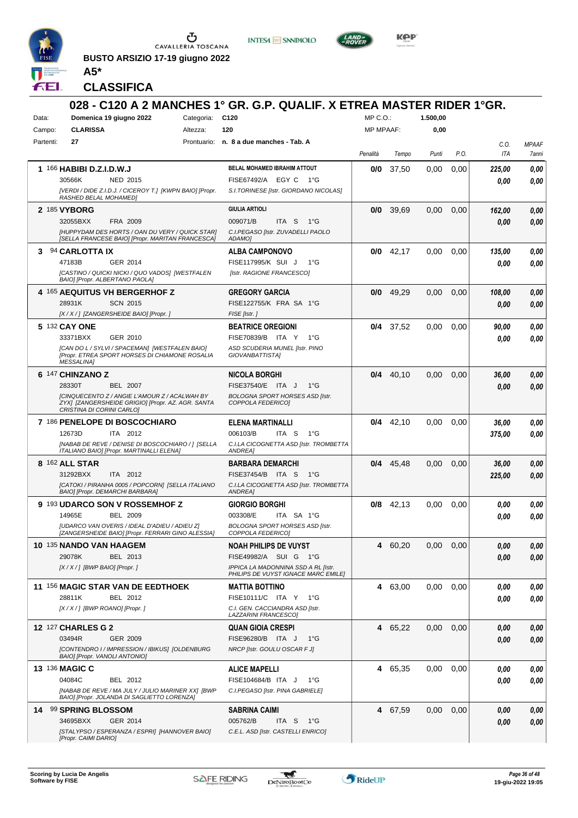

**BUSTO ARSIZIO 17-19 giugno 2022 A5\***





**CLASSIFICA**

| Data:     | Domenica 19 giugno 2022                                                                                                                                                          | Categoria: C120 | 028 - C120 A 2 MANCHES 1° GR. G.P. QUALIF. X ETREA MASTER RIDER 1°GR.                                                               | MP C.O.:         |             | 1.500,00 |      |                 |                       |
|-----------|----------------------------------------------------------------------------------------------------------------------------------------------------------------------------------|-----------------|-------------------------------------------------------------------------------------------------------------------------------------|------------------|-------------|----------|------|-----------------|-----------------------|
| Campo:    | <b>CLARISSA</b>                                                                                                                                                                  | Altezza:        | 120                                                                                                                                 | <b>MP MPAAF:</b> |             | 0,00     |      |                 |                       |
| Partenti: | 27                                                                                                                                                                               |                 | Prontuario: n. 8 a due manches - Tab. A                                                                                             | Penalità         | Tempo       | Punti    | P.O. | C.O.<br>ITA     | <b>MPAAF</b><br>7anni |
|           | 1 166 HABIBI D.Z.I.D.W.J<br>30566K<br><b>NED 2015</b><br>[VERDI / DIDE Z.I.D.J. / CICEROY T.] [KWPN BAIO] [Propr.<br>RASHED BELAL MOHAMED]                                       |                 | BELAL MOHAMED IBRAHIM ATTOUT<br>FISE67492/A EGY C<br>− 1°G<br>S.I.TORINESE [Istr. GIORDANO NICOLAS]                                 | 0/0              | 37,50       | 0.00     | 0,00 | 225,00<br>0.00  | 0,00<br>0,00          |
|           | 2 185 VYBORG<br>32055BXX<br>FRA 2009<br><b>IHUPPYDAM DES HORTS / OAN DU VERY / QUICK STARI</b><br>[SELLA FRANCESE BAIO] [Propr. MARITAN FRANCESCA]                               |                 | <b>GIULIA ARTIOLI</b><br>009071/B<br>ITA S<br>1°G<br>C.I.PEGASO [Istr. ZUVADELLI PAOLO<br>ADAMO]                                    | 0/0              | 39,69       | 0,00     | 0,00 | 162,00<br>0.00  | 0,00<br>0.00          |
|           | 3 94 CARLOTTA IX<br>47183B<br>GER 2014<br>[CASTINO / QUICKI NICKI / QUO VADOS] [WESTFALEN<br>BAIO] [Propr. ALBERTANO PAOLA]                                                      |                 | <b>ALBA CAMPONOVO</b><br>FISE117995/K SUI J<br>$1^{\circ}G$<br>[Istr. RAGIONE FRANCESCO]                                            | 0/0              | 42,17       | 0,00     | 0.00 | 135,00<br>0.00  | 0,00<br>0.00          |
|           | 4 165 AEQUITUS VH BERGERHOF Z<br>28931K<br><b>SCN 2015</b><br>[X / X / ] [ZANGERSHEIDE BAIO] [Propr. ]                                                                           |                 | <b>GREGORY GARCIA</b><br>FISE122755/K FRA SA 1°G<br>FISE [Istr.]                                                                    | 0/0              | 49,29       | 0,00     | 0,00 | 108,00<br>0,00  | 0,00<br>0,00          |
|           | 5 132 CAY ONE<br>33371BXX<br>GER 2010<br>[CAN DO L / SYLVI / SPACEMAN] [WESTFALEN BAIO]<br><b>IPropr. ETREA SPORT HORSES DI CHIAMONE ROSALIA</b><br><b>MESSALINA1</b>            |                 | <b>BEATRICE OREGIONI</b><br>FISE70839/B ITA Y<br>1°G<br>ASD SCUDERIA MUNEL [Istr. PINO<br>GIOVANBATTISTA]                           |                  | $0/4$ 37,52 | 0,00     | 0,00 | 90,00<br>0.00   | 0,00<br>0.00          |
|           | 6 147 CHINZANO Z<br>28330T<br><b>BEL 2007</b><br>[CINQUECENTO Z / ANGIE L'AMOUR Z / ACALWAH BY<br>ZYX] [ZANGERSHEIDE GRIGIO] [Propr. AZ. AGR. SANTA<br>CRISTINA DI CORINI CARLO] |                 | <b>NICOLA BORGHI</b><br>FISE37540/E ITA J<br>$1^{\circ}G$<br><b>BOLOGNA SPORT HORSES ASD [Istr.</b><br>COPPOLA FEDERICO1            | 0/4              | 40,10       | 0,00     | 0,00 | 36,00<br>0.00   | 0,00<br>0,00          |
|           | 7 186 PENELOPE DI BOSCOCHIARO<br>12673D<br>ITA 2012<br>[NABAB DE REVE / DENISE DI BOSCOCHIARO / ] [SELLA<br>ITALIANO BAIO] [Propr. MARTINALLI ELENA]                             |                 | ELENA MARTINALLI<br>006103/B<br>ITA S<br>$1^{\circ}G$<br>C.I.LA CICOGNETTA ASD [Istr. TROMBETTA<br><b>ANDREA1</b>                   | 0/4              | 42,10       | 0.00     | 0,00 | 36,00<br>375,00 | 0,00<br>0,00          |
|           | 8 162 ALL STAR<br>31292BXX<br>ITA 2012<br>[CATOKI / PIRANHA 0005 / POPCORN] [SELLA ITALIANO<br>BAIO] [Propr. DEMARCHI BARBARA]                                                   |                 | <b>BARBARA DEMARCHI</b><br>FISE37454/B ITA S<br>1°G<br>C.I.LA CICOGNETTA ASD [Istr. TROMBETTA<br>ANDREA]                            | 0/4              | 45,48       | 0,00     | 0,00 | 36,00<br>225,00 | 0,00<br>0.00          |
|           | 9 193 UDARCO SON V ROSSEMHOF Z<br>BEL 2009<br>14965E<br>[UDARCO VAN OVERIS / IDEAL D'ADIEU / ADIEU Z]<br>[ZANGERSHEIDE BAIO] [Propr. FERRARI GINO ALESSIA]                       |                 | <b>GIORGIO BORGHI</b><br>003308/E<br>ITA SA 1°G<br><b>BOLOGNA SPORT HORSES ASD [Istr.</b><br>COPPOLA FEDERICO]                      | 0/8              | 42,13       | 0.00     | 0,00 | 0,00<br>0.00    | 0,00<br>0,00          |
|           | 10 135 NANDO VAN HAAGEM<br>29078K<br>BEL 2013<br>[X / X / ] [BWP BAIO] [Propr. ]                                                                                                 |                 | <b>NOAH PHILIPS DE VUYST</b><br>FISE49982/A SUI G 1°G<br>IPPICA LA MADONNINA SSD A RL [Istr.<br>PHILIPS DE VUYST IGNACE MARC EMILE] | 4                | 60,20       | 0,00     | 0,00 | 0,00<br>0,00    | 0,00<br>0,00          |
|           | 11 156 MAGIC STAR VAN DE EEDTHOEK<br>28811K<br>BEL 2012<br>[X / X / ] [BWP ROANO] [Propr. ]                                                                                      |                 | <b>MATTIA BOTTINO</b><br>FISE10111/C ITA Y 1°G<br>C.I. GEN. CACCIANDRA ASD [Istr.<br>LAZZARINI FRANCESCO]                           | 4                | 63,00       | 0,00     | 0,00 | 0,00<br>0,00    | 0,00<br>0,00          |
|           | 12 127 CHARLES G 2<br>03494R<br><b>GER 2009</b><br>[CONTENDRO I / IMPRESSION / IBIKUS] [OLDENBURG<br>BAIO] [Propr. VANOLI ANTONIO]                                               |                 | <b>QUAN GIOIA CRESPI</b><br>FISE96280/B ITA J<br>$1^{\circ}G$<br>NRCP [Istr. GOULU OSCAR F J]                                       |                  | 4 65,22     | 0,00     | 0,00 | 0,00<br>0,00    | 0,00<br>0,00          |
|           | <b>13 136 MAGIC C</b><br>04084C<br>BEL 2012<br>[NABAB DE REVE / MA JULY / JULIO MARINER XX] [BWP<br>BAIO] [Propr. JOLANDA DI SAGLIETTO LORENZA]                                  |                 | <b>ALICE MAPELLI</b><br>FISE104684/B ITA J<br>$1^{\circ}G$<br>C.I.PEGASO [Istr. PINA GABRIELE]                                      |                  | 4 65,35     | 0,00     | 0,00 | 0,00<br>0,00    | 0,00<br>0,00          |
|           | 14 99 SPRING BLOSSOM<br>34695BXX<br>GER 2014<br>[STALYPSO / ESPERANZA / ESPRI] [HANNOVER BAIO]<br>[Propr. CAIMI DARIO]                                                           |                 | <b>SABRINA CAIMI</b><br>005762/B<br>ITA S<br>1°G<br>C.E.L. ASD [Istr. CASTELLI ENRICO]                                              |                  | 4 67,59     | 0,00     | 0,00 | 0,00<br>0,00    | 0,00<br>0,00          |

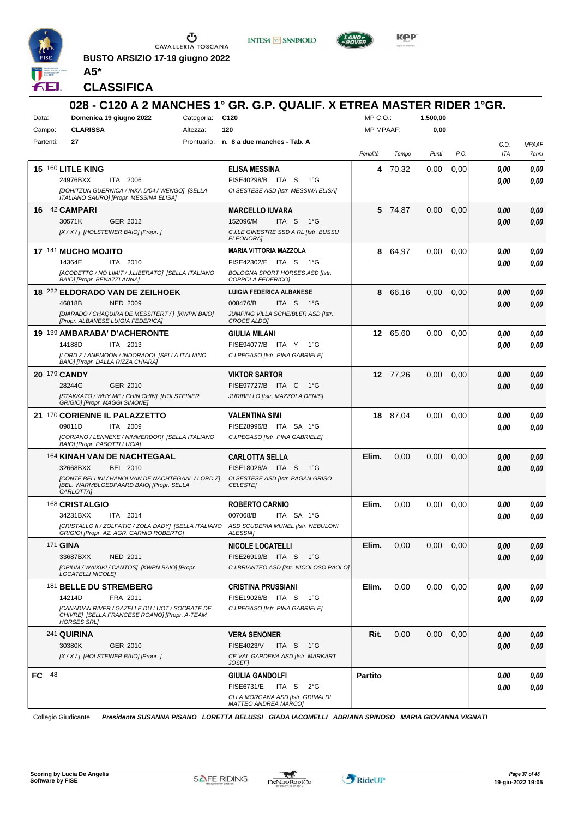

**BUSTO ARSIZIO 17-19 giugno 2022 A5\***





**CLASSIFICA**

| Data:        | Domenica 19 giugno 2022                                                                                               | Categoria: C120 | 028 - C120 A 2 MANCHES 1° GR. G.P. QUALIF. X ETREA MASTER RIDER 1°GR.                                | $MP C. O.$ :     |          | 1.500,00 |      |      |              |
|--------------|-----------------------------------------------------------------------------------------------------------------------|-----------------|------------------------------------------------------------------------------------------------------|------------------|----------|----------|------|------|--------------|
| Campo:       | <b>CLARISSA</b>                                                                                                       | Altezza:        | 120                                                                                                  | <b>MP MPAAF:</b> |          | 0,00     |      |      |              |
| Partenti:    | 27                                                                                                                    |                 | Prontuario: n. 8 a due manches - Tab. A                                                              |                  |          |          |      | C.O. | <b>MPAAF</b> |
|              |                                                                                                                       |                 |                                                                                                      | Penalità         | Tempo    | Punti    | P.O. | ITA  | 7anni        |
|              | 15 160 LITLE KING<br>24976BXX<br>ITA 2006                                                                             |                 | <b>ELISA MESSINA</b><br>FISE40298/B ITA S<br>$1^{\circ}G$                                            | 4                | 70.32    | 0,00     | 0,00 | 0.00 | 0,00         |
|              | [DOHITZUN GUERNICA / INKA D'04 / WENGO] [SELLA<br>ITALIANO SAURO] [Propr. MESSINA ELISA]                              |                 | CI SESTESE ASD [Istr. MESSINA ELISA]                                                                 |                  |          |          |      | 0.00 | 0.00         |
| 16.          | 42 CAMPARI                                                                                                            |                 | <b>MARCELLO IUVARA</b>                                                                               |                  | 5 74,87  | 0,00     | 0,00 | 0,00 | 0,00         |
|              | 30571K<br>GER 2012                                                                                                    |                 | 152096/M<br>ITA <sub>S</sub><br>$1^{\circ}G$                                                         |                  |          |          |      | 0.00 | 0.00         |
|              | [X/X/] [HOLSTEINER BAIO] [Propr. ]                                                                                    |                 | C.I.LE GINESTRE SSD A RL [Istr. BUSSU<br><b>ELEONORA1</b>                                            |                  |          |          |      |      |              |
|              | 17 141 MUCHO MOJITO                                                                                                   |                 | <b>MARIA VITTORIA MAZZOLA</b>                                                                        | 8                | 64,97    | 0,00     | 0,00 | 0.00 | 0,00         |
|              | 14364E<br>ITA 2010                                                                                                    |                 | FISE42302/E ITA S<br>$1^{\circ}G$                                                                    |                  |          |          |      | 0.00 | 0.00         |
|              | [ACODETTO / NO LIMIT / J.LIBERATO] [SELLA ITALIANO<br>BAIO] [Propr. BENAZZI ANNA]                                     |                 | <b>BOLOGNA SPORT HORSES ASD [Istr.</b><br>COPPOLA FEDERICO]                                          |                  |          |          |      |      |              |
|              | 18 222 ELDORADO VAN DE ZEILHOEK                                                                                       |                 | <b>LUIGIA FEDERICA ALBANESE</b>                                                                      | 8                | 66,16    | 0,00     | 0,00 | 0,00 | 0,00         |
|              | <b>NED 2009</b><br>46818B                                                                                             |                 | 008476/B<br>ITA S 1°G                                                                                |                  |          |          |      | 0.00 | 0.00         |
|              | [DIARADO / CHAQUIRA DE MESSITERT / ] [KWPN BAIO]<br>[Propr. ALBANESE LUIGIA FEDERICA]                                 |                 | JUMPING VILLA SCHEIBLER ASD [Istr.<br><b>CROCE ALDOI</b>                                             |                  |          |          |      |      |              |
|              | 19 139 AMBARABA' D'ACHERONTE                                                                                          |                 | GIULIA MILANI                                                                                        |                  | 12 65,60 | 0,00     | 0,00 | 0.00 | 0,00         |
|              | ITA 2013<br>14188D                                                                                                    |                 | FISE94077/B ITA Y<br>1°G                                                                             |                  |          |          |      | 0.00 | 0.00         |
|              | [LORD Z / ANEMOON / INDORADO] [SELLA ITALIANO<br>BAIO] [Propr. DALLA RIZZA CHIARA]                                    |                 | C.I.PEGASO [Istr. PINA GABRIELE]                                                                     |                  |          |          |      |      |              |
| 20 179 CANDY |                                                                                                                       |                 | <b>VIKTOR SARTOR</b>                                                                                 |                  | 12 77,26 | 0,00     | 0,00 | 0.00 | 0,00         |
|              | 28244G<br>GER 2010                                                                                                    |                 | FISE97727/B ITA C<br>1°G                                                                             |                  |          |          |      | 0.00 | 0.00         |
|              | [STAKKATO / WHY ME / CHIN CHIN] [HOLSTEINER<br>GRIGIO] [Propr. MAGGI SIMONE]                                          |                 | JURIBELLO [Istr. MAZZOLA DENIS]                                                                      |                  |          |          |      |      |              |
|              | 21 170 CORIENNE IL PALAZZETTO                                                                                         |                 | <b>VALENTINA SIMI</b>                                                                                |                  | 18 87,04 | 0,00     | 0,00 | 0.00 | 0,00         |
|              | 09011D<br>ITA 2009                                                                                                    |                 | FISE28996/B ITA SA 1°G                                                                               |                  |          |          |      | 0.00 | 0.00         |
|              | [CORIANO / LENNEKE / NIMMERDOR] [SELLA ITALIANO<br>BAIO] [Propr. PASOTTI LUCIA]                                       |                 | C.I.PEGASO [Istr. PINA GABRIELE]                                                                     |                  |          |          |      |      |              |
|              | 164 KINAH VAN DE NACHTEGAAL                                                                                           |                 | <b>CARLOTTA SELLA</b>                                                                                | Elim.            | 0.00     | 0,00     | 0,00 | 0.00 | 0,00         |
|              | 32668BXX<br>BEL 2010                                                                                                  |                 | FISE18026/A ITA S<br>$1^{\circ}G$                                                                    |                  |          |          |      | 0.00 | 0.00         |
|              | [CONTE BELLINI / HANOI VAN DE NACHTEGAAL / LORD Z]<br>IBEL. WARMBLOEDPAARD BAIO] [Propr. SELLA<br>CARLOTTA]           |                 | CI SESTESE ASD [Istr. PAGAN GRISO<br><b>CELESTE</b>                                                  |                  |          |          |      |      |              |
|              | 168 CRISTALGIO                                                                                                        |                 | <b>ROBERTO CARNIO</b>                                                                                | Elim.            | 0,00     | 0,00     | 0,00 | 0,00 | 0,00         |
|              | 34231BXX<br>ITA 2014                                                                                                  |                 | 007068/B<br>ITA SA 1°G                                                                               |                  |          |          |      | 0.00 | 0.00         |
|              | GRIGIO] [Propr. AZ. AGR. CARNIO ROBERTO]                                                                              |                 | [CRISTALLO II / ZOLFATIC / ZOLA DADY] [SELLA ITALIANO ASD SCUDERIA MUNEL [Istr. NEBULONI<br>ALESSIA] |                  |          |          |      |      |              |
|              | 171 <b>GINA</b>                                                                                                       |                 | <b>NICOLE LOCATELLI</b>                                                                              | Elim.            | 0,00     | 0,00     | 0,00 | 0,00 | 0,00         |
|              | NED 2011<br>33687BXX                                                                                                  |                 | FISE26919/B ITA S 1°G                                                                                |                  |          |          |      | 0,00 | 0,00         |
|              | [OPIUM / WAIKIKI / CANTOS] [KWPN BAIO] [Propr.<br>LOCATELLI NICOLE]                                                   |                 | C.I.BRIANTEO ASD [Istr. NICOLOSO PAOLO]                                                              |                  |          |          |      |      |              |
|              | 181 BELLE DU STREMBERG                                                                                                |                 | <b>CRISTINA PRUSSIANI</b>                                                                            | Elim.            | 0,00     | 0,00     | 0,00 | 0,00 | 0,00         |
|              | 14214D<br>FRA 2011                                                                                                    |                 | FISE19026/B ITA S<br>1°G                                                                             |                  |          |          |      | 0,00 | 0,00         |
|              | [CANADIAN RIVER / GAZELLE DU LUOT / SOCRATE DE<br>CHIVRE] [SELLA FRANCESE ROANO] [Propr. A-TEAM<br><b>HORSES SRLI</b> |                 | C.I.PEGASO [Istr. PINA GABRIELE]                                                                     |                  |          |          |      |      |              |
|              | 241 QUIRINA                                                                                                           |                 | <b>VERA SENONER</b>                                                                                  | Rit.             | 0,00     | 0,00     | 0,00 | 0,00 | 0,00         |
|              | 30380K<br>GER 2010                                                                                                    |                 | FISE4023/V<br>ITA S<br>1°G                                                                           |                  |          |          |      | 0,00 | 0,00         |
|              | [X / X / ] [HOLSTEINER BAIO] [Propr. ]                                                                                |                 | CE VAL GARDENA ASD [Istr. MARKART<br><b>JOSEF1</b>                                                   |                  |          |          |      |      |              |
| FC 48        |                                                                                                                       |                 | <b>GIULIA GANDOLFI</b>                                                                               | <b>Partito</b>   |          |          |      | 0.00 | 0,00         |
|              |                                                                                                                       |                 | <b>FISE6731/E</b><br>ITA S 2°G                                                                       |                  |          |          |      | 0.00 | 0,00         |
|              |                                                                                                                       |                 | CI LA MORGANA ASD [Istr. GRIMALDI<br><b>MATTEO ANDREA MARCO]</b>                                     |                  |          |          |      |      |              |

Collegio Giudicante *Presidente SUSANNA PISANO LORETTA BELUSSI GIADA IACOMELLI ADRIANA SPINOSO MARIA GIOVANNA VIGNATI*

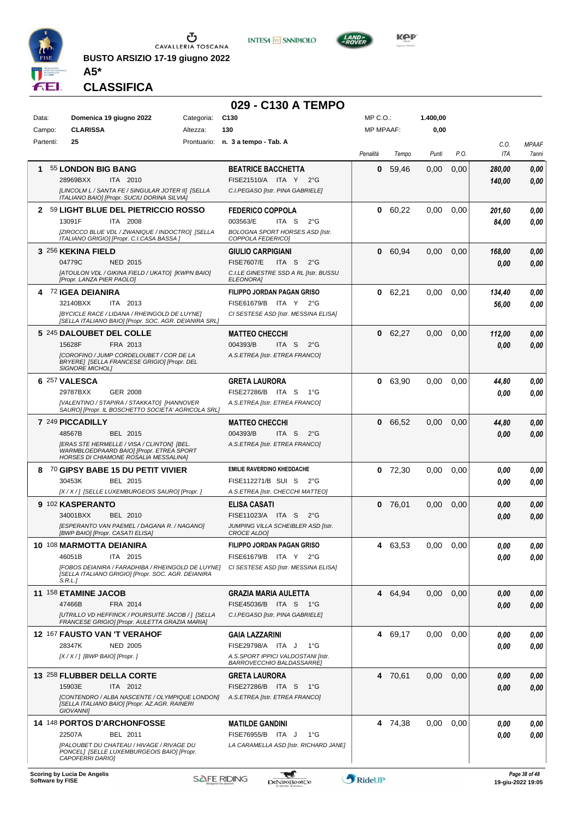

**BUSTO ARSIZIO 17-19 giugno 2022 A5\***





**KOP** 

## **CLASSIFICA**

| Domenica 19 giugno 2022<br>C <sub>130</sub><br>MP C.O.:<br>1.400,00<br>Data:<br>Categoria:<br><b>CLARISSA</b><br>130<br><b>MP MPAAF:</b><br>0,00<br>Campo:<br>Altezza:<br>Partenti:<br>25<br>Prontuario: n. 3 a tempo - Tab. A<br>C.O.<br><b>MPAAF</b><br>P.O.<br>ITA<br>Penalità<br>Tempo<br>Punti<br>7anni<br>55 LONDON BIG BANG<br>59,46<br>0,00<br>1<br><b>BEATRICE BACCHETTA</b><br>0<br>0,00<br>0,00<br>280,00<br>28969BXX<br>FISE21510/A ITA Y 2°G<br><b>ITA 2010</b><br>140,00<br>0.00<br>[LINCOLM L / SANTA FE / SINGULAR JOTER II] [SELLA<br>C.I.PEGASO [Istr. PINA GABRIELE]<br>ITALIANO BAIO] [Propr. SUCIU DORINA SILVIA]<br>2 59 LIGHT BLUE DEL PIETRICCIO ROSSO<br>60,22<br>$0.00\,$<br>0,00<br><b>FEDERICO COPPOLA</b><br>0<br>201,60<br><b>ITA 2008</b><br>003563/E<br>ITA <sub>S</sub><br>$2^{\circ}$ G<br>13091F<br>84,00<br>[ZIROCCO BLUE VDL / ZWANIQUE / INDOCTRO] [SELLA<br><b>BOLOGNA SPORT HORSES ASD [Istr.</b><br>ITALIANO GRIGIO] [Propr. C.I.CASA BASSA]<br>COPPOLA FEDERICO]<br>3 256 KEKINA FIELD<br>60,94<br>0,00<br><b>GIULIO CARPIGIANI</b><br>0<br>0,00<br>0,00<br>168,00<br>04779C<br>NED 2015<br><b>FISE7607/E</b><br>ITA S<br>$2^{\circ}$ G<br>0,00<br>0.00<br>[ATOULON VDL / GIKINA FIELD / UKATO] [KWPN BAIO]<br>C.I.LE GINESTRE SSD A RL [Istr. BUSSU<br>[Propr. LANZA PIER PAOLO]<br><b>ELEONORA]</b><br><b>FILIPPO JORDAN PAGAN GRISO</b><br>4 72 IGEA DEIANIRA<br>0 62,21<br>$0.00\,$<br>134,40<br>0,00<br>32140BXX<br>FISE61679/B ITA Y 2°G<br><b>ITA 2013</b><br>56,00<br><b>IBYCICLE RACE / LIDANA / RHEINGOLD DE LUYNET</b><br>CI SESTESE ASD [Istr. MESSINA ELISA]<br>[SELLA ITALIANO BAIO] [Propr. SOC. AGR. DEIANIRA SRL]<br>5 245 DALOUBET DEL COLLE<br>62,27<br>0,00<br><b>MATTEO CHECCHI</b><br>0<br>0,00<br>0,00<br>112,00<br>15628F<br>FRA 2013<br>004393/B<br>ITA S<br>$2^{\circ}$ G<br>0.00<br>0,00<br>[COROFINO / JUMP CORDELOUBET / COR DE LA<br>A.S.ETREA [Istr. ETREA FRANCO]<br>BRYERE] [SELLA FRANCESE GRIGIO] [Propr. DEL<br><b>SIGNORE MICHOLI</b><br>6 257 VALESCA<br><b>GRETA LAURORA</b><br>0 63,90<br>0.00<br>0,00<br>44.80<br><b>GER 2008</b><br>FISE27286/B ITA S<br>29787BXX<br>1°G<br>0.00<br>[VALENTINO / STAPIRA / STAKKATO] [HANNOVER<br>A.S.ETREA [Istr. ETREA FRANCO]<br>SAURO] [Propr. IL BOSCHETTO SOCIETA' AGRICOLA SRL]<br>7 249 PICCADILLY<br><b>MATTEO CHECCHI</b><br>0 66,52<br>0,00<br>0,00<br>44,80<br>48567B<br>BEL 2015<br>004393/B<br>ITA S<br>$2^{\circ}$ G<br>0.00<br>[ERAS STE HERMELLE / VISA / CLINTON] [BEL.<br>A.S.ETREA [Istr. ETREA FRANCO]<br>WARMBLOEDPAARD BAIO] [Propr. ETREA SPORT<br>HORSES DI CHIAMONE ROSALIA MESSALINA]<br><b>EMILIE RAVERDINO KHEDDACHE</b><br>8 70 GIPSY BABE 15 DU PETIT VIVIER<br>$0$ 72,30<br>0.00<br>0,00<br>0,00<br>30453K<br>BEL 2015<br>FISE112271/B SUI S<br>$2^{\circ}G$<br>0.00<br>[X / X / ] [SELLE LUXEMBURGEOIS SAURO] [Propr. ]<br>A.S.ETREA [Istr. CHECCHI MATTEO]<br>9 102 KASPERANTO<br>$0$ 76,01<br><b>ELISA CASATI</b><br>0.00<br>0,00<br>0,00<br>0,00<br>34001BXX<br>FISE11023/A ITA S<br>BEL 2010<br>$2^{\circ}$ G<br>0.00<br>0,00<br>[ESPERANTO VAN PAEMEL / DAGANA R. / NAGANO]<br>JUMPING VILLA SCHEIBLER ASD [Istr.<br>[BWP BAIO] [Propr. CASATI ELISA]<br>CROCE ALDO]<br>FILIPPO JORDAN PAGAN GRISO<br>10 108 MARMOTTA DEIANIRA<br>4 63,53<br>$0.00 \quad 0.00$<br>0,00<br>0,00<br>46051B<br>ITA 2015<br>FISE61679/B ITA Y 2°G<br>0,00<br>0.00<br>[FOBOS DEIANIRA / FARADHIBA / RHEINGOLD DE LUYNE]<br>CI SESTESE ASD [Istr. MESSINA ELISA]<br>[SELLA ITALIANO GRIGIO] [Propr. SOC. AGR. DEIANIRA<br>S.R.L.<br>11 158 ETAMINE JACOB<br>4 64,94<br>$0.00\,$<br>0,00<br><b>GRAZIA MARIA AULETTA</b><br>0,00<br>47466B<br>FISE45036/B ITA S<br>FRA 2014<br>− 1°G<br>0.00<br>[UTRILLO VD HEFFINCK / POURSUITE JACOB / ] [SELLA<br>C.I.PEGASO [Istr. PINA GABRIELE]<br>FRANCESE GRIGIO] [Propr. AULETTA GRAZIA MARIA]<br><b>12 167 FAUSTO VAN 'T VERAHOF</b><br>4 69,17<br>0,00<br>0,00<br><b>GAIA LAZZARINI</b><br>0,00<br>28347K<br><b>NED 2005</b><br>FISE29798/A ITA J<br>1°G<br>0.00<br>[ $X/X$ /] [BWP BAIO] [Propr.]<br>A.S.SPORT IPPICI VALDOSTANI [Istr.<br>BARROVECCHIO BALDASSARRE]<br>13 258 FLUBBER DELLA CORTE<br>4 70,61<br><b>GRETA LAURORA</b><br>$0.00\,$<br>0,00<br>0.00<br>15903E<br>ITA 2012<br>FISE27286/B ITA S<br>− 1°G<br>0.00<br>[CONTENDRO / ALBA NASCENTE / OLYMPIQUE LONDON]<br>A.S.ETREA [Istr. ETREA FRANCO]<br>[SELLA ITALIANO BAIO] [Propr. AZ.AGR. RAINERI<br><b>GIOVANNI</b><br><b>14 148 PORTOS D'ARCHONFOSSE</b><br>0.00<br>0,00<br><b>MATILDE GANDINI</b><br>4 74,38<br>0,00<br>22507A<br>BEL 2011<br>FISE76955/B ITA J<br>$1^{\circ}G$<br>0.00<br>[PALOUBET DU CHATEAU / HIVAGE / RIVAGE DU<br>LA CARAMELLA ASD [Istr. RICHARD JANE]<br>PONCEL] [SELLE LUXEMBURGEOIS BAIO] [Propr. |  | 029 - C130 A TEMPO |  |  |      |
|-------------------------------------------------------------------------------------------------------------------------------------------------------------------------------------------------------------------------------------------------------------------------------------------------------------------------------------------------------------------------------------------------------------------------------------------------------------------------------------------------------------------------------------------------------------------------------------------------------------------------------------------------------------------------------------------------------------------------------------------------------------------------------------------------------------------------------------------------------------------------------------------------------------------------------------------------------------------------------------------------------------------------------------------------------------------------------------------------------------------------------------------------------------------------------------------------------------------------------------------------------------------------------------------------------------------------------------------------------------------------------------------------------------------------------------------------------------------------------------------------------------------------------------------------------------------------------------------------------------------------------------------------------------------------------------------------------------------------------------------------------------------------------------------------------------------------------------------------------------------------------------------------------------------------------------------------------------------------------------------------------------------------------------------------------------------------------------------------------------------------------------------------------------------------------------------------------------------------------------------------------------------------------------------------------------------------------------------------------------------------------------------------------------------------------------------------------------------------------------------------------------------------------------------------------------------------------------------------------------------------------------------------------------------------------------------------------------------------------------------------------------------------------------------------------------------------------------------------------------------------------------------------------------------------------------------------------------------------------------------------------------------------------------------------------------------------------------------------------------------------------------------------------------------------------------------------------------------------------------------------------------------------------------------------------------------------------------------------------------------------------------------------------------------------------------------------------------------------------------------------------------------------------------------------------------------------------------------------------------------------------------------------------------------------------------------------------------------------------------------------------------------------------------------------------------------------------------------------------------------------------------------------------------------------------------------------------------------------------------------------------------------------------------------------------------------------------------------------------------------------------------------------------------------------------------------------------------------------------------------------------------------------------------------------------------------------------------------------------------------------------------------------------------------------------------------------------------------------------------------------------------------------------------------------------------------------------------------------------------------------------------------------------------------------------------------------------------------------------------------------------------------------------|--|--------------------|--|--|------|
|                                                                                                                                                                                                                                                                                                                                                                                                                                                                                                                                                                                                                                                                                                                                                                                                                                                                                                                                                                                                                                                                                                                                                                                                                                                                                                                                                                                                                                                                                                                                                                                                                                                                                                                                                                                                                                                                                                                                                                                                                                                                                                                                                                                                                                                                                                                                                                                                                                                                                                                                                                                                                                                                                                                                                                                                                                                                                                                                                                                                                                                                                                                                                                                                                                                                                                                                                                                                                                                                                                                                                                                                                                                                                                                                                                                                                                                                                                                                                                                                                                                                                                                                                                                                                                                                                                                                                                                                                                                                                                                                                                                                                                                                                                                                                                               |  |                    |  |  |      |
|                                                                                                                                                                                                                                                                                                                                                                                                                                                                                                                                                                                                                                                                                                                                                                                                                                                                                                                                                                                                                                                                                                                                                                                                                                                                                                                                                                                                                                                                                                                                                                                                                                                                                                                                                                                                                                                                                                                                                                                                                                                                                                                                                                                                                                                                                                                                                                                                                                                                                                                                                                                                                                                                                                                                                                                                                                                                                                                                                                                                                                                                                                                                                                                                                                                                                                                                                                                                                                                                                                                                                                                                                                                                                                                                                                                                                                                                                                                                                                                                                                                                                                                                                                                                                                                                                                                                                                                                                                                                                                                                                                                                                                                                                                                                                                               |  |                    |  |  |      |
|                                                                                                                                                                                                                                                                                                                                                                                                                                                                                                                                                                                                                                                                                                                                                                                                                                                                                                                                                                                                                                                                                                                                                                                                                                                                                                                                                                                                                                                                                                                                                                                                                                                                                                                                                                                                                                                                                                                                                                                                                                                                                                                                                                                                                                                                                                                                                                                                                                                                                                                                                                                                                                                                                                                                                                                                                                                                                                                                                                                                                                                                                                                                                                                                                                                                                                                                                                                                                                                                                                                                                                                                                                                                                                                                                                                                                                                                                                                                                                                                                                                                                                                                                                                                                                                                                                                                                                                                                                                                                                                                                                                                                                                                                                                                                                               |  |                    |  |  |      |
|                                                                                                                                                                                                                                                                                                                                                                                                                                                                                                                                                                                                                                                                                                                                                                                                                                                                                                                                                                                                                                                                                                                                                                                                                                                                                                                                                                                                                                                                                                                                                                                                                                                                                                                                                                                                                                                                                                                                                                                                                                                                                                                                                                                                                                                                                                                                                                                                                                                                                                                                                                                                                                                                                                                                                                                                                                                                                                                                                                                                                                                                                                                                                                                                                                                                                                                                                                                                                                                                                                                                                                                                                                                                                                                                                                                                                                                                                                                                                                                                                                                                                                                                                                                                                                                                                                                                                                                                                                                                                                                                                                                                                                                                                                                                                                               |  |                    |  |  |      |
|                                                                                                                                                                                                                                                                                                                                                                                                                                                                                                                                                                                                                                                                                                                                                                                                                                                                                                                                                                                                                                                                                                                                                                                                                                                                                                                                                                                                                                                                                                                                                                                                                                                                                                                                                                                                                                                                                                                                                                                                                                                                                                                                                                                                                                                                                                                                                                                                                                                                                                                                                                                                                                                                                                                                                                                                                                                                                                                                                                                                                                                                                                                                                                                                                                                                                                                                                                                                                                                                                                                                                                                                                                                                                                                                                                                                                                                                                                                                                                                                                                                                                                                                                                                                                                                                                                                                                                                                                                                                                                                                                                                                                                                                                                                                                                               |  |                    |  |  |      |
|                                                                                                                                                                                                                                                                                                                                                                                                                                                                                                                                                                                                                                                                                                                                                                                                                                                                                                                                                                                                                                                                                                                                                                                                                                                                                                                                                                                                                                                                                                                                                                                                                                                                                                                                                                                                                                                                                                                                                                                                                                                                                                                                                                                                                                                                                                                                                                                                                                                                                                                                                                                                                                                                                                                                                                                                                                                                                                                                                                                                                                                                                                                                                                                                                                                                                                                                                                                                                                                                                                                                                                                                                                                                                                                                                                                                                                                                                                                                                                                                                                                                                                                                                                                                                                                                                                                                                                                                                                                                                                                                                                                                                                                                                                                                                                               |  |                    |  |  |      |
|                                                                                                                                                                                                                                                                                                                                                                                                                                                                                                                                                                                                                                                                                                                                                                                                                                                                                                                                                                                                                                                                                                                                                                                                                                                                                                                                                                                                                                                                                                                                                                                                                                                                                                                                                                                                                                                                                                                                                                                                                                                                                                                                                                                                                                                                                                                                                                                                                                                                                                                                                                                                                                                                                                                                                                                                                                                                                                                                                                                                                                                                                                                                                                                                                                                                                                                                                                                                                                                                                                                                                                                                                                                                                                                                                                                                                                                                                                                                                                                                                                                                                                                                                                                                                                                                                                                                                                                                                                                                                                                                                                                                                                                                                                                                                                               |  |                    |  |  | 0,00 |
|                                                                                                                                                                                                                                                                                                                                                                                                                                                                                                                                                                                                                                                                                                                                                                                                                                                                                                                                                                                                                                                                                                                                                                                                                                                                                                                                                                                                                                                                                                                                                                                                                                                                                                                                                                                                                                                                                                                                                                                                                                                                                                                                                                                                                                                                                                                                                                                                                                                                                                                                                                                                                                                                                                                                                                                                                                                                                                                                                                                                                                                                                                                                                                                                                                                                                                                                                                                                                                                                                                                                                                                                                                                                                                                                                                                                                                                                                                                                                                                                                                                                                                                                                                                                                                                                                                                                                                                                                                                                                                                                                                                                                                                                                                                                                                               |  |                    |  |  | 0,00 |
|                                                                                                                                                                                                                                                                                                                                                                                                                                                                                                                                                                                                                                                                                                                                                                                                                                                                                                                                                                                                                                                                                                                                                                                                                                                                                                                                                                                                                                                                                                                                                                                                                                                                                                                                                                                                                                                                                                                                                                                                                                                                                                                                                                                                                                                                                                                                                                                                                                                                                                                                                                                                                                                                                                                                                                                                                                                                                                                                                                                                                                                                                                                                                                                                                                                                                                                                                                                                                                                                                                                                                                                                                                                                                                                                                                                                                                                                                                                                                                                                                                                                                                                                                                                                                                                                                                                                                                                                                                                                                                                                                                                                                                                                                                                                                                               |  |                    |  |  |      |
|                                                                                                                                                                                                                                                                                                                                                                                                                                                                                                                                                                                                                                                                                                                                                                                                                                                                                                                                                                                                                                                                                                                                                                                                                                                                                                                                                                                                                                                                                                                                                                                                                                                                                                                                                                                                                                                                                                                                                                                                                                                                                                                                                                                                                                                                                                                                                                                                                                                                                                                                                                                                                                                                                                                                                                                                                                                                                                                                                                                                                                                                                                                                                                                                                                                                                                                                                                                                                                                                                                                                                                                                                                                                                                                                                                                                                                                                                                                                                                                                                                                                                                                                                                                                                                                                                                                                                                                                                                                                                                                                                                                                                                                                                                                                                                               |  |                    |  |  |      |
|                                                                                                                                                                                                                                                                                                                                                                                                                                                                                                                                                                                                                                                                                                                                                                                                                                                                                                                                                                                                                                                                                                                                                                                                                                                                                                                                                                                                                                                                                                                                                                                                                                                                                                                                                                                                                                                                                                                                                                                                                                                                                                                                                                                                                                                                                                                                                                                                                                                                                                                                                                                                                                                                                                                                                                                                                                                                                                                                                                                                                                                                                                                                                                                                                                                                                                                                                                                                                                                                                                                                                                                                                                                                                                                                                                                                                                                                                                                                                                                                                                                                                                                                                                                                                                                                                                                                                                                                                                                                                                                                                                                                                                                                                                                                                                               |  |                    |  |  |      |
|                                                                                                                                                                                                                                                                                                                                                                                                                                                                                                                                                                                                                                                                                                                                                                                                                                                                                                                                                                                                                                                                                                                                                                                                                                                                                                                                                                                                                                                                                                                                                                                                                                                                                                                                                                                                                                                                                                                                                                                                                                                                                                                                                                                                                                                                                                                                                                                                                                                                                                                                                                                                                                                                                                                                                                                                                                                                                                                                                                                                                                                                                                                                                                                                                                                                                                                                                                                                                                                                                                                                                                                                                                                                                                                                                                                                                                                                                                                                                                                                                                                                                                                                                                                                                                                                                                                                                                                                                                                                                                                                                                                                                                                                                                                                                                               |  |                    |  |  |      |
|                                                                                                                                                                                                                                                                                                                                                                                                                                                                                                                                                                                                                                                                                                                                                                                                                                                                                                                                                                                                                                                                                                                                                                                                                                                                                                                                                                                                                                                                                                                                                                                                                                                                                                                                                                                                                                                                                                                                                                                                                                                                                                                                                                                                                                                                                                                                                                                                                                                                                                                                                                                                                                                                                                                                                                                                                                                                                                                                                                                                                                                                                                                                                                                                                                                                                                                                                                                                                                                                                                                                                                                                                                                                                                                                                                                                                                                                                                                                                                                                                                                                                                                                                                                                                                                                                                                                                                                                                                                                                                                                                                                                                                                                                                                                                                               |  |                    |  |  | 0,00 |
|                                                                                                                                                                                                                                                                                                                                                                                                                                                                                                                                                                                                                                                                                                                                                                                                                                                                                                                                                                                                                                                                                                                                                                                                                                                                                                                                                                                                                                                                                                                                                                                                                                                                                                                                                                                                                                                                                                                                                                                                                                                                                                                                                                                                                                                                                                                                                                                                                                                                                                                                                                                                                                                                                                                                                                                                                                                                                                                                                                                                                                                                                                                                                                                                                                                                                                                                                                                                                                                                                                                                                                                                                                                                                                                                                                                                                                                                                                                                                                                                                                                                                                                                                                                                                                                                                                                                                                                                                                                                                                                                                                                                                                                                                                                                                                               |  |                    |  |  | 0,00 |
|                                                                                                                                                                                                                                                                                                                                                                                                                                                                                                                                                                                                                                                                                                                                                                                                                                                                                                                                                                                                                                                                                                                                                                                                                                                                                                                                                                                                                                                                                                                                                                                                                                                                                                                                                                                                                                                                                                                                                                                                                                                                                                                                                                                                                                                                                                                                                                                                                                                                                                                                                                                                                                                                                                                                                                                                                                                                                                                                                                                                                                                                                                                                                                                                                                                                                                                                                                                                                                                                                                                                                                                                                                                                                                                                                                                                                                                                                                                                                                                                                                                                                                                                                                                                                                                                                                                                                                                                                                                                                                                                                                                                                                                                                                                                                                               |  |                    |  |  |      |
|                                                                                                                                                                                                                                                                                                                                                                                                                                                                                                                                                                                                                                                                                                                                                                                                                                                                                                                                                                                                                                                                                                                                                                                                                                                                                                                                                                                                                                                                                                                                                                                                                                                                                                                                                                                                                                                                                                                                                                                                                                                                                                                                                                                                                                                                                                                                                                                                                                                                                                                                                                                                                                                                                                                                                                                                                                                                                                                                                                                                                                                                                                                                                                                                                                                                                                                                                                                                                                                                                                                                                                                                                                                                                                                                                                                                                                                                                                                                                                                                                                                                                                                                                                                                                                                                                                                                                                                                                                                                                                                                                                                                                                                                                                                                                                               |  |                    |  |  |      |
|                                                                                                                                                                                                                                                                                                                                                                                                                                                                                                                                                                                                                                                                                                                                                                                                                                                                                                                                                                                                                                                                                                                                                                                                                                                                                                                                                                                                                                                                                                                                                                                                                                                                                                                                                                                                                                                                                                                                                                                                                                                                                                                                                                                                                                                                                                                                                                                                                                                                                                                                                                                                                                                                                                                                                                                                                                                                                                                                                                                                                                                                                                                                                                                                                                                                                                                                                                                                                                                                                                                                                                                                                                                                                                                                                                                                                                                                                                                                                                                                                                                                                                                                                                                                                                                                                                                                                                                                                                                                                                                                                                                                                                                                                                                                                                               |  |                    |  |  |      |
|                                                                                                                                                                                                                                                                                                                                                                                                                                                                                                                                                                                                                                                                                                                                                                                                                                                                                                                                                                                                                                                                                                                                                                                                                                                                                                                                                                                                                                                                                                                                                                                                                                                                                                                                                                                                                                                                                                                                                                                                                                                                                                                                                                                                                                                                                                                                                                                                                                                                                                                                                                                                                                                                                                                                                                                                                                                                                                                                                                                                                                                                                                                                                                                                                                                                                                                                                                                                                                                                                                                                                                                                                                                                                                                                                                                                                                                                                                                                                                                                                                                                                                                                                                                                                                                                                                                                                                                                                                                                                                                                                                                                                                                                                                                                                                               |  |                    |  |  |      |
|                                                                                                                                                                                                                                                                                                                                                                                                                                                                                                                                                                                                                                                                                                                                                                                                                                                                                                                                                                                                                                                                                                                                                                                                                                                                                                                                                                                                                                                                                                                                                                                                                                                                                                                                                                                                                                                                                                                                                                                                                                                                                                                                                                                                                                                                                                                                                                                                                                                                                                                                                                                                                                                                                                                                                                                                                                                                                                                                                                                                                                                                                                                                                                                                                                                                                                                                                                                                                                                                                                                                                                                                                                                                                                                                                                                                                                                                                                                                                                                                                                                                                                                                                                                                                                                                                                                                                                                                                                                                                                                                                                                                                                                                                                                                                                               |  |                    |  |  | 0,00 |
|                                                                                                                                                                                                                                                                                                                                                                                                                                                                                                                                                                                                                                                                                                                                                                                                                                                                                                                                                                                                                                                                                                                                                                                                                                                                                                                                                                                                                                                                                                                                                                                                                                                                                                                                                                                                                                                                                                                                                                                                                                                                                                                                                                                                                                                                                                                                                                                                                                                                                                                                                                                                                                                                                                                                                                                                                                                                                                                                                                                                                                                                                                                                                                                                                                                                                                                                                                                                                                                                                                                                                                                                                                                                                                                                                                                                                                                                                                                                                                                                                                                                                                                                                                                                                                                                                                                                                                                                                                                                                                                                                                                                                                                                                                                                                                               |  |                    |  |  | 0,00 |
|                                                                                                                                                                                                                                                                                                                                                                                                                                                                                                                                                                                                                                                                                                                                                                                                                                                                                                                                                                                                                                                                                                                                                                                                                                                                                                                                                                                                                                                                                                                                                                                                                                                                                                                                                                                                                                                                                                                                                                                                                                                                                                                                                                                                                                                                                                                                                                                                                                                                                                                                                                                                                                                                                                                                                                                                                                                                                                                                                                                                                                                                                                                                                                                                                                                                                                                                                                                                                                                                                                                                                                                                                                                                                                                                                                                                                                                                                                                                                                                                                                                                                                                                                                                                                                                                                                                                                                                                                                                                                                                                                                                                                                                                                                                                                                               |  |                    |  |  |      |
|                                                                                                                                                                                                                                                                                                                                                                                                                                                                                                                                                                                                                                                                                                                                                                                                                                                                                                                                                                                                                                                                                                                                                                                                                                                                                                                                                                                                                                                                                                                                                                                                                                                                                                                                                                                                                                                                                                                                                                                                                                                                                                                                                                                                                                                                                                                                                                                                                                                                                                                                                                                                                                                                                                                                                                                                                                                                                                                                                                                                                                                                                                                                                                                                                                                                                                                                                                                                                                                                                                                                                                                                                                                                                                                                                                                                                                                                                                                                                                                                                                                                                                                                                                                                                                                                                                                                                                                                                                                                                                                                                                                                                                                                                                                                                                               |  |                    |  |  | 0,00 |
|                                                                                                                                                                                                                                                                                                                                                                                                                                                                                                                                                                                                                                                                                                                                                                                                                                                                                                                                                                                                                                                                                                                                                                                                                                                                                                                                                                                                                                                                                                                                                                                                                                                                                                                                                                                                                                                                                                                                                                                                                                                                                                                                                                                                                                                                                                                                                                                                                                                                                                                                                                                                                                                                                                                                                                                                                                                                                                                                                                                                                                                                                                                                                                                                                                                                                                                                                                                                                                                                                                                                                                                                                                                                                                                                                                                                                                                                                                                                                                                                                                                                                                                                                                                                                                                                                                                                                                                                                                                                                                                                                                                                                                                                                                                                                                               |  |                    |  |  | 0,00 |
|                                                                                                                                                                                                                                                                                                                                                                                                                                                                                                                                                                                                                                                                                                                                                                                                                                                                                                                                                                                                                                                                                                                                                                                                                                                                                                                                                                                                                                                                                                                                                                                                                                                                                                                                                                                                                                                                                                                                                                                                                                                                                                                                                                                                                                                                                                                                                                                                                                                                                                                                                                                                                                                                                                                                                                                                                                                                                                                                                                                                                                                                                                                                                                                                                                                                                                                                                                                                                                                                                                                                                                                                                                                                                                                                                                                                                                                                                                                                                                                                                                                                                                                                                                                                                                                                                                                                                                                                                                                                                                                                                                                                                                                                                                                                                                               |  |                    |  |  |      |
|                                                                                                                                                                                                                                                                                                                                                                                                                                                                                                                                                                                                                                                                                                                                                                                                                                                                                                                                                                                                                                                                                                                                                                                                                                                                                                                                                                                                                                                                                                                                                                                                                                                                                                                                                                                                                                                                                                                                                                                                                                                                                                                                                                                                                                                                                                                                                                                                                                                                                                                                                                                                                                                                                                                                                                                                                                                                                                                                                                                                                                                                                                                                                                                                                                                                                                                                                                                                                                                                                                                                                                                                                                                                                                                                                                                                                                                                                                                                                                                                                                                                                                                                                                                                                                                                                                                                                                                                                                                                                                                                                                                                                                                                                                                                                                               |  |                    |  |  | 0,00 |
|                                                                                                                                                                                                                                                                                                                                                                                                                                                                                                                                                                                                                                                                                                                                                                                                                                                                                                                                                                                                                                                                                                                                                                                                                                                                                                                                                                                                                                                                                                                                                                                                                                                                                                                                                                                                                                                                                                                                                                                                                                                                                                                                                                                                                                                                                                                                                                                                                                                                                                                                                                                                                                                                                                                                                                                                                                                                                                                                                                                                                                                                                                                                                                                                                                                                                                                                                                                                                                                                                                                                                                                                                                                                                                                                                                                                                                                                                                                                                                                                                                                                                                                                                                                                                                                                                                                                                                                                                                                                                                                                                                                                                                                                                                                                                                               |  |                    |  |  | 0,00 |
|                                                                                                                                                                                                                                                                                                                                                                                                                                                                                                                                                                                                                                                                                                                                                                                                                                                                                                                                                                                                                                                                                                                                                                                                                                                                                                                                                                                                                                                                                                                                                                                                                                                                                                                                                                                                                                                                                                                                                                                                                                                                                                                                                                                                                                                                                                                                                                                                                                                                                                                                                                                                                                                                                                                                                                                                                                                                                                                                                                                                                                                                                                                                                                                                                                                                                                                                                                                                                                                                                                                                                                                                                                                                                                                                                                                                                                                                                                                                                                                                                                                                                                                                                                                                                                                                                                                                                                                                                                                                                                                                                                                                                                                                                                                                                                               |  |                    |  |  |      |
|                                                                                                                                                                                                                                                                                                                                                                                                                                                                                                                                                                                                                                                                                                                                                                                                                                                                                                                                                                                                                                                                                                                                                                                                                                                                                                                                                                                                                                                                                                                                                                                                                                                                                                                                                                                                                                                                                                                                                                                                                                                                                                                                                                                                                                                                                                                                                                                                                                                                                                                                                                                                                                                                                                                                                                                                                                                                                                                                                                                                                                                                                                                                                                                                                                                                                                                                                                                                                                                                                                                                                                                                                                                                                                                                                                                                                                                                                                                                                                                                                                                                                                                                                                                                                                                                                                                                                                                                                                                                                                                                                                                                                                                                                                                                                                               |  |                    |  |  |      |
|                                                                                                                                                                                                                                                                                                                                                                                                                                                                                                                                                                                                                                                                                                                                                                                                                                                                                                                                                                                                                                                                                                                                                                                                                                                                                                                                                                                                                                                                                                                                                                                                                                                                                                                                                                                                                                                                                                                                                                                                                                                                                                                                                                                                                                                                                                                                                                                                                                                                                                                                                                                                                                                                                                                                                                                                                                                                                                                                                                                                                                                                                                                                                                                                                                                                                                                                                                                                                                                                                                                                                                                                                                                                                                                                                                                                                                                                                                                                                                                                                                                                                                                                                                                                                                                                                                                                                                                                                                                                                                                                                                                                                                                                                                                                                                               |  |                    |  |  |      |
|                                                                                                                                                                                                                                                                                                                                                                                                                                                                                                                                                                                                                                                                                                                                                                                                                                                                                                                                                                                                                                                                                                                                                                                                                                                                                                                                                                                                                                                                                                                                                                                                                                                                                                                                                                                                                                                                                                                                                                                                                                                                                                                                                                                                                                                                                                                                                                                                                                                                                                                                                                                                                                                                                                                                                                                                                                                                                                                                                                                                                                                                                                                                                                                                                                                                                                                                                                                                                                                                                                                                                                                                                                                                                                                                                                                                                                                                                                                                                                                                                                                                                                                                                                                                                                                                                                                                                                                                                                                                                                                                                                                                                                                                                                                                                                               |  |                    |  |  |      |
|                                                                                                                                                                                                                                                                                                                                                                                                                                                                                                                                                                                                                                                                                                                                                                                                                                                                                                                                                                                                                                                                                                                                                                                                                                                                                                                                                                                                                                                                                                                                                                                                                                                                                                                                                                                                                                                                                                                                                                                                                                                                                                                                                                                                                                                                                                                                                                                                                                                                                                                                                                                                                                                                                                                                                                                                                                                                                                                                                                                                                                                                                                                                                                                                                                                                                                                                                                                                                                                                                                                                                                                                                                                                                                                                                                                                                                                                                                                                                                                                                                                                                                                                                                                                                                                                                                                                                                                                                                                                                                                                                                                                                                                                                                                                                                               |  |                    |  |  |      |
|                                                                                                                                                                                                                                                                                                                                                                                                                                                                                                                                                                                                                                                                                                                                                                                                                                                                                                                                                                                                                                                                                                                                                                                                                                                                                                                                                                                                                                                                                                                                                                                                                                                                                                                                                                                                                                                                                                                                                                                                                                                                                                                                                                                                                                                                                                                                                                                                                                                                                                                                                                                                                                                                                                                                                                                                                                                                                                                                                                                                                                                                                                                                                                                                                                                                                                                                                                                                                                                                                                                                                                                                                                                                                                                                                                                                                                                                                                                                                                                                                                                                                                                                                                                                                                                                                                                                                                                                                                                                                                                                                                                                                                                                                                                                                                               |  |                    |  |  |      |
|                                                                                                                                                                                                                                                                                                                                                                                                                                                                                                                                                                                                                                                                                                                                                                                                                                                                                                                                                                                                                                                                                                                                                                                                                                                                                                                                                                                                                                                                                                                                                                                                                                                                                                                                                                                                                                                                                                                                                                                                                                                                                                                                                                                                                                                                                                                                                                                                                                                                                                                                                                                                                                                                                                                                                                                                                                                                                                                                                                                                                                                                                                                                                                                                                                                                                                                                                                                                                                                                                                                                                                                                                                                                                                                                                                                                                                                                                                                                                                                                                                                                                                                                                                                                                                                                                                                                                                                                                                                                                                                                                                                                                                                                                                                                                                               |  |                    |  |  |      |
|                                                                                                                                                                                                                                                                                                                                                                                                                                                                                                                                                                                                                                                                                                                                                                                                                                                                                                                                                                                                                                                                                                                                                                                                                                                                                                                                                                                                                                                                                                                                                                                                                                                                                                                                                                                                                                                                                                                                                                                                                                                                                                                                                                                                                                                                                                                                                                                                                                                                                                                                                                                                                                                                                                                                                                                                                                                                                                                                                                                                                                                                                                                                                                                                                                                                                                                                                                                                                                                                                                                                                                                                                                                                                                                                                                                                                                                                                                                                                                                                                                                                                                                                                                                                                                                                                                                                                                                                                                                                                                                                                                                                                                                                                                                                                                               |  |                    |  |  | 0,00 |
|                                                                                                                                                                                                                                                                                                                                                                                                                                                                                                                                                                                                                                                                                                                                                                                                                                                                                                                                                                                                                                                                                                                                                                                                                                                                                                                                                                                                                                                                                                                                                                                                                                                                                                                                                                                                                                                                                                                                                                                                                                                                                                                                                                                                                                                                                                                                                                                                                                                                                                                                                                                                                                                                                                                                                                                                                                                                                                                                                                                                                                                                                                                                                                                                                                                                                                                                                                                                                                                                                                                                                                                                                                                                                                                                                                                                                                                                                                                                                                                                                                                                                                                                                                                                                                                                                                                                                                                                                                                                                                                                                                                                                                                                                                                                                                               |  |                    |  |  | 0,00 |
|                                                                                                                                                                                                                                                                                                                                                                                                                                                                                                                                                                                                                                                                                                                                                                                                                                                                                                                                                                                                                                                                                                                                                                                                                                                                                                                                                                                                                                                                                                                                                                                                                                                                                                                                                                                                                                                                                                                                                                                                                                                                                                                                                                                                                                                                                                                                                                                                                                                                                                                                                                                                                                                                                                                                                                                                                                                                                                                                                                                                                                                                                                                                                                                                                                                                                                                                                                                                                                                                                                                                                                                                                                                                                                                                                                                                                                                                                                                                                                                                                                                                                                                                                                                                                                                                                                                                                                                                                                                                                                                                                                                                                                                                                                                                                                               |  |                    |  |  |      |
|                                                                                                                                                                                                                                                                                                                                                                                                                                                                                                                                                                                                                                                                                                                                                                                                                                                                                                                                                                                                                                                                                                                                                                                                                                                                                                                                                                                                                                                                                                                                                                                                                                                                                                                                                                                                                                                                                                                                                                                                                                                                                                                                                                                                                                                                                                                                                                                                                                                                                                                                                                                                                                                                                                                                                                                                                                                                                                                                                                                                                                                                                                                                                                                                                                                                                                                                                                                                                                                                                                                                                                                                                                                                                                                                                                                                                                                                                                                                                                                                                                                                                                                                                                                                                                                                                                                                                                                                                                                                                                                                                                                                                                                                                                                                                                               |  |                    |  |  | 0,00 |
|                                                                                                                                                                                                                                                                                                                                                                                                                                                                                                                                                                                                                                                                                                                                                                                                                                                                                                                                                                                                                                                                                                                                                                                                                                                                                                                                                                                                                                                                                                                                                                                                                                                                                                                                                                                                                                                                                                                                                                                                                                                                                                                                                                                                                                                                                                                                                                                                                                                                                                                                                                                                                                                                                                                                                                                                                                                                                                                                                                                                                                                                                                                                                                                                                                                                                                                                                                                                                                                                                                                                                                                                                                                                                                                                                                                                                                                                                                                                                                                                                                                                                                                                                                                                                                                                                                                                                                                                                                                                                                                                                                                                                                                                                                                                                                               |  |                    |  |  | 0,00 |
|                                                                                                                                                                                                                                                                                                                                                                                                                                                                                                                                                                                                                                                                                                                                                                                                                                                                                                                                                                                                                                                                                                                                                                                                                                                                                                                                                                                                                                                                                                                                                                                                                                                                                                                                                                                                                                                                                                                                                                                                                                                                                                                                                                                                                                                                                                                                                                                                                                                                                                                                                                                                                                                                                                                                                                                                                                                                                                                                                                                                                                                                                                                                                                                                                                                                                                                                                                                                                                                                                                                                                                                                                                                                                                                                                                                                                                                                                                                                                                                                                                                                                                                                                                                                                                                                                                                                                                                                                                                                                                                                                                                                                                                                                                                                                                               |  |                    |  |  |      |
|                                                                                                                                                                                                                                                                                                                                                                                                                                                                                                                                                                                                                                                                                                                                                                                                                                                                                                                                                                                                                                                                                                                                                                                                                                                                                                                                                                                                                                                                                                                                                                                                                                                                                                                                                                                                                                                                                                                                                                                                                                                                                                                                                                                                                                                                                                                                                                                                                                                                                                                                                                                                                                                                                                                                                                                                                                                                                                                                                                                                                                                                                                                                                                                                                                                                                                                                                                                                                                                                                                                                                                                                                                                                                                                                                                                                                                                                                                                                                                                                                                                                                                                                                                                                                                                                                                                                                                                                                                                                                                                                                                                                                                                                                                                                                                               |  |                    |  |  | 0,00 |
|                                                                                                                                                                                                                                                                                                                                                                                                                                                                                                                                                                                                                                                                                                                                                                                                                                                                                                                                                                                                                                                                                                                                                                                                                                                                                                                                                                                                                                                                                                                                                                                                                                                                                                                                                                                                                                                                                                                                                                                                                                                                                                                                                                                                                                                                                                                                                                                                                                                                                                                                                                                                                                                                                                                                                                                                                                                                                                                                                                                                                                                                                                                                                                                                                                                                                                                                                                                                                                                                                                                                                                                                                                                                                                                                                                                                                                                                                                                                                                                                                                                                                                                                                                                                                                                                                                                                                                                                                                                                                                                                                                                                                                                                                                                                                                               |  |                    |  |  | 0,00 |
|                                                                                                                                                                                                                                                                                                                                                                                                                                                                                                                                                                                                                                                                                                                                                                                                                                                                                                                                                                                                                                                                                                                                                                                                                                                                                                                                                                                                                                                                                                                                                                                                                                                                                                                                                                                                                                                                                                                                                                                                                                                                                                                                                                                                                                                                                                                                                                                                                                                                                                                                                                                                                                                                                                                                                                                                                                                                                                                                                                                                                                                                                                                                                                                                                                                                                                                                                                                                                                                                                                                                                                                                                                                                                                                                                                                                                                                                                                                                                                                                                                                                                                                                                                                                                                                                                                                                                                                                                                                                                                                                                                                                                                                                                                                                                                               |  |                    |  |  |      |
|                                                                                                                                                                                                                                                                                                                                                                                                                                                                                                                                                                                                                                                                                                                                                                                                                                                                                                                                                                                                                                                                                                                                                                                                                                                                                                                                                                                                                                                                                                                                                                                                                                                                                                                                                                                                                                                                                                                                                                                                                                                                                                                                                                                                                                                                                                                                                                                                                                                                                                                                                                                                                                                                                                                                                                                                                                                                                                                                                                                                                                                                                                                                                                                                                                                                                                                                                                                                                                                                                                                                                                                                                                                                                                                                                                                                                                                                                                                                                                                                                                                                                                                                                                                                                                                                                                                                                                                                                                                                                                                                                                                                                                                                                                                                                                               |  |                    |  |  | 0,00 |
|                                                                                                                                                                                                                                                                                                                                                                                                                                                                                                                                                                                                                                                                                                                                                                                                                                                                                                                                                                                                                                                                                                                                                                                                                                                                                                                                                                                                                                                                                                                                                                                                                                                                                                                                                                                                                                                                                                                                                                                                                                                                                                                                                                                                                                                                                                                                                                                                                                                                                                                                                                                                                                                                                                                                                                                                                                                                                                                                                                                                                                                                                                                                                                                                                                                                                                                                                                                                                                                                                                                                                                                                                                                                                                                                                                                                                                                                                                                                                                                                                                                                                                                                                                                                                                                                                                                                                                                                                                                                                                                                                                                                                                                                                                                                                                               |  |                    |  |  | 0,00 |
| CAPOFERRI DARIO]                                                                                                                                                                                                                                                                                                                                                                                                                                                                                                                                                                                                                                                                                                                                                                                                                                                                                                                                                                                                                                                                                                                                                                                                                                                                                                                                                                                                                                                                                                                                                                                                                                                                                                                                                                                                                                                                                                                                                                                                                                                                                                                                                                                                                                                                                                                                                                                                                                                                                                                                                                                                                                                                                                                                                                                                                                                                                                                                                                                                                                                                                                                                                                                                                                                                                                                                                                                                                                                                                                                                                                                                                                                                                                                                                                                                                                                                                                                                                                                                                                                                                                                                                                                                                                                                                                                                                                                                                                                                                                                                                                                                                                                                                                                                                              |  |                    |  |  |      |

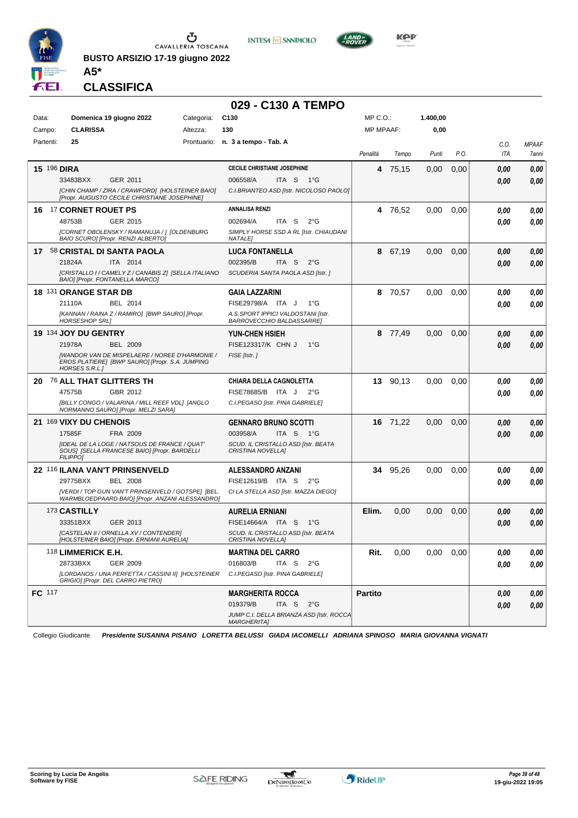

**BUSTO ARSIZIO 17-19 giugno 2022 A5\***





**CLASSIFICA**

#### **029 - C130 A TEMPO**

| <b>CLARISSA</b><br>130<br>0,00<br>Campo:<br>Altezza:<br><b>MP MPAAF:</b><br>25<br>Partenti:<br>Prontuario:<br>n. 3 a tempo - Tab. A<br>C.O.<br><b>MPAAF</b><br>Penalità<br>P.O.<br>ITA<br>Tempo<br>Punti<br>7anni<br><b>CECILE CHRISTIANE JOSEPHINE</b><br><b>15 196 DIRA</b><br>75,15<br>0,00<br>0,00<br>0,00<br>4<br>0.00<br>33483BXX<br>GER 2011<br>006558/A<br>ITA S<br>− 1°G<br>0.00<br>0.00<br>[CHIN CHAMP / ZIRA / CRAWFORD] [HOLSTEINER BAIO]<br>C.I.BRIANTEO ASD [Istr. NICOLOSO PAOLO]<br>[Propr. AUGUSTO CECILE CHRISTIANE JOSEPHINE]<br><b>ANNALISA RENZI</b><br>17 CORNET ROUET PS<br>0,00<br>4 76.52<br>0,00<br>0.00<br>0,00<br>16<br>48753B<br>GER 2015<br>002694/A<br>ITA S<br>$2^{\circ}$ G<br>0.00<br>0.00<br>[CORNET OBOLENSKY / RAMANUJA / ] [OLDENBURG<br>SIMPLY HORSE SSD A RL [Istr. CHIAUDANI<br>BAIO SCURO] [Propr. RENZI ALBERTO]<br><b>NATALEI</b><br>58 CRISTAL DI SANTA PAOLA<br><b>LUCA FONTANELLA</b><br>67,19<br>0,00<br>0,00<br>17<br>8<br>0,00<br>0,00<br>ITA 2014<br>002395/B<br>ITA S<br>21824A<br>$2^{\circ}$ G<br>0,00<br>0.00<br>[CRISTALLO I / CAMELY Z / CANABIS Z] [SELLA ITALIANO<br>SCUDERIA SANTA PAOLA ASD [Istr. ]<br>BAIO] [Propr. FONTANELLA MARCO]<br>18 131 ORANGE STAR DB<br><b>GAIA LAZZARINI</b><br>70,57<br>0,00<br>0.00<br>0,00<br>8<br>0,00<br>21110A<br>BEL 2014<br>FISE29798/A ITA J<br>$1^{\circ}G$<br>0.00<br>0.00<br>A.S.SPORT IPPICI VALDOSTANI [Istr.<br>[KANNAN / RAINA Z / RAMIRO] [BWP SAURO] [Propr.<br><b>HORSESHOP SRLI</b><br>BARROVECCHIO BALDASSARREJ<br>19 134 JOY DU GENTRY<br>77,49<br>0,00<br>0,00<br><b>YUN-CHEN HSIEH</b><br>8<br>0.00<br>0,00<br>21978A<br>FISE123317/K CHN J<br><b>BEL 2009</b><br>$1^{\circ}G$<br>0.00<br>0.00<br>[WANDOR VAN DE MISPELAERE / NOREE D'HARMONIE /<br>FISE [Istr.]<br>EROS PLATIERE] [BWP SAURO] [Propr. S.A. JUMPING<br><b>HORSES S.R.L.]</b><br><sup>76</sup> ALL THAT GLITTERS TH<br><b>CHIARA DELLA CAGNOLETTA</b><br>13 90,13<br>0,00<br>0,00<br>0,00<br>0.00<br>20<br>GBR 2012<br>FISE78685/B ITA J<br>47575B<br>$2^{\circ}$ G<br>0,00<br>0.00<br>[BILLY CONGO / VALARINA / MILL REEF VDL] [ANGLO<br>C.I.PEGASO [Istr. PINA GABRIELE]<br>NORMANNO SAURO] [Propr. MELZI SARA]<br>21 169 VIXY DU CHENOIS<br><b>GENNARO BRUNO SCOTTI</b><br>16 71,22<br>0,00<br>0,00<br>0,00<br>0,00<br>FRA 2009<br>003958/A<br>ITA S<br>17585F<br>− 1°G<br>0.00<br>0.00<br>[IDEAL DE LA LOGE / NATSOUS DE FRANCE / QUAT'<br>SCUD. IL CRISTALLO ASD [Istr. BEATA<br>SOUS] [SELLA FRANCESE BAIO] [Propr. BARDELLI<br>CRISTINA NOVELLA]<br><b>FILIPPO]</b><br>22 116 ILANA VAN'T PRINSENVELD<br>ALESSANDRO ANZANI<br>95,26<br>0,00<br>0.00<br>0,00<br>34<br>0,00<br>29775BXX<br>BEL 2008<br>FISE12619/B ITA S<br>$2^{\circ}G$<br>0.00<br>0.00<br>[VERDI / TOP GUN VAN'T PRINSENVELD / GOTSPE] [BEL.<br>CI LA STELLA ASD [Istr. MAZZA DIEGO]<br>WARMBLOEDPAARD BAIO] [Propr. ANZANI ALESSANDRO]<br>173 CASTILLY<br><b>AURELIA ERNIANI</b><br>Elim.<br>0,00<br>0,00<br>0,00<br>0,00<br>0.00<br>33351BXX<br>GER 2013<br>FISE14664/A ITA S<br>1°G<br>0,00<br>0.00<br>[CASTELAN II / ORNELLA XV / CONTENDER]<br>SCUD. IL CRISTALLO ASD [Istr. BEATA<br>[HOLSTEINER BAIO] [Propr. ERNIANI AURELIA]<br>CRISTINA NOVELLA]<br>118 LIMMERICK E.H.<br>Rit.<br>0,00<br>$0,00$ $0,00$<br><b>MARTINA DEL CARRO</b><br>0,00<br>0,00<br>28733BXX<br>GER 2009<br>016803/B<br>ITA S<br>$2^{\circ}$ G<br>0,00<br>0,00<br>[LORDANOS / UNA PERFETTA / CASSINI II] [HOLSTEINER<br>C.I.PEGASO [Istr. PINA GABRIELE]<br>GRIGIO] [Propr. DEL CARRO PIETRO]<br><b>Partito</b><br><b>FC</b> 117<br><b>MARGHERITA ROCCA</b><br>0,00<br>0,00<br>019379/B<br>ITA S<br>$2^{\circ}G$<br>0,00<br>0,00<br>JUMP C.I. DELLA BRIANZA ASD [Istr. ROCCA<br><b>MARGHERITA]</b> | Data: | Domenica 19 giugno 2022 | Categoria: | C <sub>130</sub> | MP C.O.: | 1.400,00 |  |  |
|-----------------------------------------------------------------------------------------------------------------------------------------------------------------------------------------------------------------------------------------------------------------------------------------------------------------------------------------------------------------------------------------------------------------------------------------------------------------------------------------------------------------------------------------------------------------------------------------------------------------------------------------------------------------------------------------------------------------------------------------------------------------------------------------------------------------------------------------------------------------------------------------------------------------------------------------------------------------------------------------------------------------------------------------------------------------------------------------------------------------------------------------------------------------------------------------------------------------------------------------------------------------------------------------------------------------------------------------------------------------------------------------------------------------------------------------------------------------------------------------------------------------------------------------------------------------------------------------------------------------------------------------------------------------------------------------------------------------------------------------------------------------------------------------------------------------------------------------------------------------------------------------------------------------------------------------------------------------------------------------------------------------------------------------------------------------------------------------------------------------------------------------------------------------------------------------------------------------------------------------------------------------------------------------------------------------------------------------------------------------------------------------------------------------------------------------------------------------------------------------------------------------------------------------------------------------------------------------------------------------------------------------------------------------------------------------------------------------------------------------------------------------------------------------------------------------------------------------------------------------------------------------------------------------------------------------------------------------------------------------------------------------------------------------------------------------------------------------------------------------------------------------------------------------------------------------------------------------------------------------------------------------------------------------------------------------------------------------------------------------------------------------------------------------------------------------------------------------------------------------------------------------------------------------------------------------------------------------------------------------------------------------------------------------------------------------------------------------------------------------|-------|-------------------------|------------|------------------|----------|----------|--|--|
|                                                                                                                                                                                                                                                                                                                                                                                                                                                                                                                                                                                                                                                                                                                                                                                                                                                                                                                                                                                                                                                                                                                                                                                                                                                                                                                                                                                                                                                                                                                                                                                                                                                                                                                                                                                                                                                                                                                                                                                                                                                                                                                                                                                                                                                                                                                                                                                                                                                                                                                                                                                                                                                                                                                                                                                                                                                                                                                                                                                                                                                                                                                                                                                                                                                                                                                                                                                                                                                                                                                                                                                                                                                                                                                                         |       |                         |            |                  |          |          |  |  |
|                                                                                                                                                                                                                                                                                                                                                                                                                                                                                                                                                                                                                                                                                                                                                                                                                                                                                                                                                                                                                                                                                                                                                                                                                                                                                                                                                                                                                                                                                                                                                                                                                                                                                                                                                                                                                                                                                                                                                                                                                                                                                                                                                                                                                                                                                                                                                                                                                                                                                                                                                                                                                                                                                                                                                                                                                                                                                                                                                                                                                                                                                                                                                                                                                                                                                                                                                                                                                                                                                                                                                                                                                                                                                                                                         |       |                         |            |                  |          |          |  |  |
|                                                                                                                                                                                                                                                                                                                                                                                                                                                                                                                                                                                                                                                                                                                                                                                                                                                                                                                                                                                                                                                                                                                                                                                                                                                                                                                                                                                                                                                                                                                                                                                                                                                                                                                                                                                                                                                                                                                                                                                                                                                                                                                                                                                                                                                                                                                                                                                                                                                                                                                                                                                                                                                                                                                                                                                                                                                                                                                                                                                                                                                                                                                                                                                                                                                                                                                                                                                                                                                                                                                                                                                                                                                                                                                                         |       |                         |            |                  |          |          |  |  |
|                                                                                                                                                                                                                                                                                                                                                                                                                                                                                                                                                                                                                                                                                                                                                                                                                                                                                                                                                                                                                                                                                                                                                                                                                                                                                                                                                                                                                                                                                                                                                                                                                                                                                                                                                                                                                                                                                                                                                                                                                                                                                                                                                                                                                                                                                                                                                                                                                                                                                                                                                                                                                                                                                                                                                                                                                                                                                                                                                                                                                                                                                                                                                                                                                                                                                                                                                                                                                                                                                                                                                                                                                                                                                                                                         |       |                         |            |                  |          |          |  |  |
|                                                                                                                                                                                                                                                                                                                                                                                                                                                                                                                                                                                                                                                                                                                                                                                                                                                                                                                                                                                                                                                                                                                                                                                                                                                                                                                                                                                                                                                                                                                                                                                                                                                                                                                                                                                                                                                                                                                                                                                                                                                                                                                                                                                                                                                                                                                                                                                                                                                                                                                                                                                                                                                                                                                                                                                                                                                                                                                                                                                                                                                                                                                                                                                                                                                                                                                                                                                                                                                                                                                                                                                                                                                                                                                                         |       |                         |            |                  |          |          |  |  |
|                                                                                                                                                                                                                                                                                                                                                                                                                                                                                                                                                                                                                                                                                                                                                                                                                                                                                                                                                                                                                                                                                                                                                                                                                                                                                                                                                                                                                                                                                                                                                                                                                                                                                                                                                                                                                                                                                                                                                                                                                                                                                                                                                                                                                                                                                                                                                                                                                                                                                                                                                                                                                                                                                                                                                                                                                                                                                                                                                                                                                                                                                                                                                                                                                                                                                                                                                                                                                                                                                                                                                                                                                                                                                                                                         |       |                         |            |                  |          |          |  |  |
|                                                                                                                                                                                                                                                                                                                                                                                                                                                                                                                                                                                                                                                                                                                                                                                                                                                                                                                                                                                                                                                                                                                                                                                                                                                                                                                                                                                                                                                                                                                                                                                                                                                                                                                                                                                                                                                                                                                                                                                                                                                                                                                                                                                                                                                                                                                                                                                                                                                                                                                                                                                                                                                                                                                                                                                                                                                                                                                                                                                                                                                                                                                                                                                                                                                                                                                                                                                                                                                                                                                                                                                                                                                                                                                                         |       |                         |            |                  |          |          |  |  |
|                                                                                                                                                                                                                                                                                                                                                                                                                                                                                                                                                                                                                                                                                                                                                                                                                                                                                                                                                                                                                                                                                                                                                                                                                                                                                                                                                                                                                                                                                                                                                                                                                                                                                                                                                                                                                                                                                                                                                                                                                                                                                                                                                                                                                                                                                                                                                                                                                                                                                                                                                                                                                                                                                                                                                                                                                                                                                                                                                                                                                                                                                                                                                                                                                                                                                                                                                                                                                                                                                                                                                                                                                                                                                                                                         |       |                         |            |                  |          |          |  |  |
|                                                                                                                                                                                                                                                                                                                                                                                                                                                                                                                                                                                                                                                                                                                                                                                                                                                                                                                                                                                                                                                                                                                                                                                                                                                                                                                                                                                                                                                                                                                                                                                                                                                                                                                                                                                                                                                                                                                                                                                                                                                                                                                                                                                                                                                                                                                                                                                                                                                                                                                                                                                                                                                                                                                                                                                                                                                                                                                                                                                                                                                                                                                                                                                                                                                                                                                                                                                                                                                                                                                                                                                                                                                                                                                                         |       |                         |            |                  |          |          |  |  |
|                                                                                                                                                                                                                                                                                                                                                                                                                                                                                                                                                                                                                                                                                                                                                                                                                                                                                                                                                                                                                                                                                                                                                                                                                                                                                                                                                                                                                                                                                                                                                                                                                                                                                                                                                                                                                                                                                                                                                                                                                                                                                                                                                                                                                                                                                                                                                                                                                                                                                                                                                                                                                                                                                                                                                                                                                                                                                                                                                                                                                                                                                                                                                                                                                                                                                                                                                                                                                                                                                                                                                                                                                                                                                                                                         |       |                         |            |                  |          |          |  |  |
|                                                                                                                                                                                                                                                                                                                                                                                                                                                                                                                                                                                                                                                                                                                                                                                                                                                                                                                                                                                                                                                                                                                                                                                                                                                                                                                                                                                                                                                                                                                                                                                                                                                                                                                                                                                                                                                                                                                                                                                                                                                                                                                                                                                                                                                                                                                                                                                                                                                                                                                                                                                                                                                                                                                                                                                                                                                                                                                                                                                                                                                                                                                                                                                                                                                                                                                                                                                                                                                                                                                                                                                                                                                                                                                                         |       |                         |            |                  |          |          |  |  |
|                                                                                                                                                                                                                                                                                                                                                                                                                                                                                                                                                                                                                                                                                                                                                                                                                                                                                                                                                                                                                                                                                                                                                                                                                                                                                                                                                                                                                                                                                                                                                                                                                                                                                                                                                                                                                                                                                                                                                                                                                                                                                                                                                                                                                                                                                                                                                                                                                                                                                                                                                                                                                                                                                                                                                                                                                                                                                                                                                                                                                                                                                                                                                                                                                                                                                                                                                                                                                                                                                                                                                                                                                                                                                                                                         |       |                         |            |                  |          |          |  |  |
|                                                                                                                                                                                                                                                                                                                                                                                                                                                                                                                                                                                                                                                                                                                                                                                                                                                                                                                                                                                                                                                                                                                                                                                                                                                                                                                                                                                                                                                                                                                                                                                                                                                                                                                                                                                                                                                                                                                                                                                                                                                                                                                                                                                                                                                                                                                                                                                                                                                                                                                                                                                                                                                                                                                                                                                                                                                                                                                                                                                                                                                                                                                                                                                                                                                                                                                                                                                                                                                                                                                                                                                                                                                                                                                                         |       |                         |            |                  |          |          |  |  |
|                                                                                                                                                                                                                                                                                                                                                                                                                                                                                                                                                                                                                                                                                                                                                                                                                                                                                                                                                                                                                                                                                                                                                                                                                                                                                                                                                                                                                                                                                                                                                                                                                                                                                                                                                                                                                                                                                                                                                                                                                                                                                                                                                                                                                                                                                                                                                                                                                                                                                                                                                                                                                                                                                                                                                                                                                                                                                                                                                                                                                                                                                                                                                                                                                                                                                                                                                                                                                                                                                                                                                                                                                                                                                                                                         |       |                         |            |                  |          |          |  |  |
|                                                                                                                                                                                                                                                                                                                                                                                                                                                                                                                                                                                                                                                                                                                                                                                                                                                                                                                                                                                                                                                                                                                                                                                                                                                                                                                                                                                                                                                                                                                                                                                                                                                                                                                                                                                                                                                                                                                                                                                                                                                                                                                                                                                                                                                                                                                                                                                                                                                                                                                                                                                                                                                                                                                                                                                                                                                                                                                                                                                                                                                                                                                                                                                                                                                                                                                                                                                                                                                                                                                                                                                                                                                                                                                                         |       |                         |            |                  |          |          |  |  |
|                                                                                                                                                                                                                                                                                                                                                                                                                                                                                                                                                                                                                                                                                                                                                                                                                                                                                                                                                                                                                                                                                                                                                                                                                                                                                                                                                                                                                                                                                                                                                                                                                                                                                                                                                                                                                                                                                                                                                                                                                                                                                                                                                                                                                                                                                                                                                                                                                                                                                                                                                                                                                                                                                                                                                                                                                                                                                                                                                                                                                                                                                                                                                                                                                                                                                                                                                                                                                                                                                                                                                                                                                                                                                                                                         |       |                         |            |                  |          |          |  |  |
|                                                                                                                                                                                                                                                                                                                                                                                                                                                                                                                                                                                                                                                                                                                                                                                                                                                                                                                                                                                                                                                                                                                                                                                                                                                                                                                                                                                                                                                                                                                                                                                                                                                                                                                                                                                                                                                                                                                                                                                                                                                                                                                                                                                                                                                                                                                                                                                                                                                                                                                                                                                                                                                                                                                                                                                                                                                                                                                                                                                                                                                                                                                                                                                                                                                                                                                                                                                                                                                                                                                                                                                                                                                                                                                                         |       |                         |            |                  |          |          |  |  |
|                                                                                                                                                                                                                                                                                                                                                                                                                                                                                                                                                                                                                                                                                                                                                                                                                                                                                                                                                                                                                                                                                                                                                                                                                                                                                                                                                                                                                                                                                                                                                                                                                                                                                                                                                                                                                                                                                                                                                                                                                                                                                                                                                                                                                                                                                                                                                                                                                                                                                                                                                                                                                                                                                                                                                                                                                                                                                                                                                                                                                                                                                                                                                                                                                                                                                                                                                                                                                                                                                                                                                                                                                                                                                                                                         |       |                         |            |                  |          |          |  |  |
|                                                                                                                                                                                                                                                                                                                                                                                                                                                                                                                                                                                                                                                                                                                                                                                                                                                                                                                                                                                                                                                                                                                                                                                                                                                                                                                                                                                                                                                                                                                                                                                                                                                                                                                                                                                                                                                                                                                                                                                                                                                                                                                                                                                                                                                                                                                                                                                                                                                                                                                                                                                                                                                                                                                                                                                                                                                                                                                                                                                                                                                                                                                                                                                                                                                                                                                                                                                                                                                                                                                                                                                                                                                                                                                                         |       |                         |            |                  |          |          |  |  |
|                                                                                                                                                                                                                                                                                                                                                                                                                                                                                                                                                                                                                                                                                                                                                                                                                                                                                                                                                                                                                                                                                                                                                                                                                                                                                                                                                                                                                                                                                                                                                                                                                                                                                                                                                                                                                                                                                                                                                                                                                                                                                                                                                                                                                                                                                                                                                                                                                                                                                                                                                                                                                                                                                                                                                                                                                                                                                                                                                                                                                                                                                                                                                                                                                                                                                                                                                                                                                                                                                                                                                                                                                                                                                                                                         |       |                         |            |                  |          |          |  |  |
|                                                                                                                                                                                                                                                                                                                                                                                                                                                                                                                                                                                                                                                                                                                                                                                                                                                                                                                                                                                                                                                                                                                                                                                                                                                                                                                                                                                                                                                                                                                                                                                                                                                                                                                                                                                                                                                                                                                                                                                                                                                                                                                                                                                                                                                                                                                                                                                                                                                                                                                                                                                                                                                                                                                                                                                                                                                                                                                                                                                                                                                                                                                                                                                                                                                                                                                                                                                                                                                                                                                                                                                                                                                                                                                                         |       |                         |            |                  |          |          |  |  |
|                                                                                                                                                                                                                                                                                                                                                                                                                                                                                                                                                                                                                                                                                                                                                                                                                                                                                                                                                                                                                                                                                                                                                                                                                                                                                                                                                                                                                                                                                                                                                                                                                                                                                                                                                                                                                                                                                                                                                                                                                                                                                                                                                                                                                                                                                                                                                                                                                                                                                                                                                                                                                                                                                                                                                                                                                                                                                                                                                                                                                                                                                                                                                                                                                                                                                                                                                                                                                                                                                                                                                                                                                                                                                                                                         |       |                         |            |                  |          |          |  |  |
|                                                                                                                                                                                                                                                                                                                                                                                                                                                                                                                                                                                                                                                                                                                                                                                                                                                                                                                                                                                                                                                                                                                                                                                                                                                                                                                                                                                                                                                                                                                                                                                                                                                                                                                                                                                                                                                                                                                                                                                                                                                                                                                                                                                                                                                                                                                                                                                                                                                                                                                                                                                                                                                                                                                                                                                                                                                                                                                                                                                                                                                                                                                                                                                                                                                                                                                                                                                                                                                                                                                                                                                                                                                                                                                                         |       |                         |            |                  |          |          |  |  |
|                                                                                                                                                                                                                                                                                                                                                                                                                                                                                                                                                                                                                                                                                                                                                                                                                                                                                                                                                                                                                                                                                                                                                                                                                                                                                                                                                                                                                                                                                                                                                                                                                                                                                                                                                                                                                                                                                                                                                                                                                                                                                                                                                                                                                                                                                                                                                                                                                                                                                                                                                                                                                                                                                                                                                                                                                                                                                                                                                                                                                                                                                                                                                                                                                                                                                                                                                                                                                                                                                                                                                                                                                                                                                                                                         |       |                         |            |                  |          |          |  |  |
|                                                                                                                                                                                                                                                                                                                                                                                                                                                                                                                                                                                                                                                                                                                                                                                                                                                                                                                                                                                                                                                                                                                                                                                                                                                                                                                                                                                                                                                                                                                                                                                                                                                                                                                                                                                                                                                                                                                                                                                                                                                                                                                                                                                                                                                                                                                                                                                                                                                                                                                                                                                                                                                                                                                                                                                                                                                                                                                                                                                                                                                                                                                                                                                                                                                                                                                                                                                                                                                                                                                                                                                                                                                                                                                                         |       |                         |            |                  |          |          |  |  |
|                                                                                                                                                                                                                                                                                                                                                                                                                                                                                                                                                                                                                                                                                                                                                                                                                                                                                                                                                                                                                                                                                                                                                                                                                                                                                                                                                                                                                                                                                                                                                                                                                                                                                                                                                                                                                                                                                                                                                                                                                                                                                                                                                                                                                                                                                                                                                                                                                                                                                                                                                                                                                                                                                                                                                                                                                                                                                                                                                                                                                                                                                                                                                                                                                                                                                                                                                                                                                                                                                                                                                                                                                                                                                                                                         |       |                         |            |                  |          |          |  |  |
|                                                                                                                                                                                                                                                                                                                                                                                                                                                                                                                                                                                                                                                                                                                                                                                                                                                                                                                                                                                                                                                                                                                                                                                                                                                                                                                                                                                                                                                                                                                                                                                                                                                                                                                                                                                                                                                                                                                                                                                                                                                                                                                                                                                                                                                                                                                                                                                                                                                                                                                                                                                                                                                                                                                                                                                                                                                                                                                                                                                                                                                                                                                                                                                                                                                                                                                                                                                                                                                                                                                                                                                                                                                                                                                                         |       |                         |            |                  |          |          |  |  |
|                                                                                                                                                                                                                                                                                                                                                                                                                                                                                                                                                                                                                                                                                                                                                                                                                                                                                                                                                                                                                                                                                                                                                                                                                                                                                                                                                                                                                                                                                                                                                                                                                                                                                                                                                                                                                                                                                                                                                                                                                                                                                                                                                                                                                                                                                                                                                                                                                                                                                                                                                                                                                                                                                                                                                                                                                                                                                                                                                                                                                                                                                                                                                                                                                                                                                                                                                                                                                                                                                                                                                                                                                                                                                                                                         |       |                         |            |                  |          |          |  |  |
|                                                                                                                                                                                                                                                                                                                                                                                                                                                                                                                                                                                                                                                                                                                                                                                                                                                                                                                                                                                                                                                                                                                                                                                                                                                                                                                                                                                                                                                                                                                                                                                                                                                                                                                                                                                                                                                                                                                                                                                                                                                                                                                                                                                                                                                                                                                                                                                                                                                                                                                                                                                                                                                                                                                                                                                                                                                                                                                                                                                                                                                                                                                                                                                                                                                                                                                                                                                                                                                                                                                                                                                                                                                                                                                                         |       |                         |            |                  |          |          |  |  |
|                                                                                                                                                                                                                                                                                                                                                                                                                                                                                                                                                                                                                                                                                                                                                                                                                                                                                                                                                                                                                                                                                                                                                                                                                                                                                                                                                                                                                                                                                                                                                                                                                                                                                                                                                                                                                                                                                                                                                                                                                                                                                                                                                                                                                                                                                                                                                                                                                                                                                                                                                                                                                                                                                                                                                                                                                                                                                                                                                                                                                                                                                                                                                                                                                                                                                                                                                                                                                                                                                                                                                                                                                                                                                                                                         |       |                         |            |                  |          |          |  |  |
|                                                                                                                                                                                                                                                                                                                                                                                                                                                                                                                                                                                                                                                                                                                                                                                                                                                                                                                                                                                                                                                                                                                                                                                                                                                                                                                                                                                                                                                                                                                                                                                                                                                                                                                                                                                                                                                                                                                                                                                                                                                                                                                                                                                                                                                                                                                                                                                                                                                                                                                                                                                                                                                                                                                                                                                                                                                                                                                                                                                                                                                                                                                                                                                                                                                                                                                                                                                                                                                                                                                                                                                                                                                                                                                                         |       |                         |            |                  |          |          |  |  |
|                                                                                                                                                                                                                                                                                                                                                                                                                                                                                                                                                                                                                                                                                                                                                                                                                                                                                                                                                                                                                                                                                                                                                                                                                                                                                                                                                                                                                                                                                                                                                                                                                                                                                                                                                                                                                                                                                                                                                                                                                                                                                                                                                                                                                                                                                                                                                                                                                                                                                                                                                                                                                                                                                                                                                                                                                                                                                                                                                                                                                                                                                                                                                                                                                                                                                                                                                                                                                                                                                                                                                                                                                                                                                                                                         |       |                         |            |                  |          |          |  |  |
|                                                                                                                                                                                                                                                                                                                                                                                                                                                                                                                                                                                                                                                                                                                                                                                                                                                                                                                                                                                                                                                                                                                                                                                                                                                                                                                                                                                                                                                                                                                                                                                                                                                                                                                                                                                                                                                                                                                                                                                                                                                                                                                                                                                                                                                                                                                                                                                                                                                                                                                                                                                                                                                                                                                                                                                                                                                                                                                                                                                                                                                                                                                                                                                                                                                                                                                                                                                                                                                                                                                                                                                                                                                                                                                                         |       |                         |            |                  |          |          |  |  |
|                                                                                                                                                                                                                                                                                                                                                                                                                                                                                                                                                                                                                                                                                                                                                                                                                                                                                                                                                                                                                                                                                                                                                                                                                                                                                                                                                                                                                                                                                                                                                                                                                                                                                                                                                                                                                                                                                                                                                                                                                                                                                                                                                                                                                                                                                                                                                                                                                                                                                                                                                                                                                                                                                                                                                                                                                                                                                                                                                                                                                                                                                                                                                                                                                                                                                                                                                                                                                                                                                                                                                                                                                                                                                                                                         |       |                         |            |                  |          |          |  |  |
|                                                                                                                                                                                                                                                                                                                                                                                                                                                                                                                                                                                                                                                                                                                                                                                                                                                                                                                                                                                                                                                                                                                                                                                                                                                                                                                                                                                                                                                                                                                                                                                                                                                                                                                                                                                                                                                                                                                                                                                                                                                                                                                                                                                                                                                                                                                                                                                                                                                                                                                                                                                                                                                                                                                                                                                                                                                                                                                                                                                                                                                                                                                                                                                                                                                                                                                                                                                                                                                                                                                                                                                                                                                                                                                                         |       |                         |            |                  |          |          |  |  |
|                                                                                                                                                                                                                                                                                                                                                                                                                                                                                                                                                                                                                                                                                                                                                                                                                                                                                                                                                                                                                                                                                                                                                                                                                                                                                                                                                                                                                                                                                                                                                                                                                                                                                                                                                                                                                                                                                                                                                                                                                                                                                                                                                                                                                                                                                                                                                                                                                                                                                                                                                                                                                                                                                                                                                                                                                                                                                                                                                                                                                                                                                                                                                                                                                                                                                                                                                                                                                                                                                                                                                                                                                                                                                                                                         |       |                         |            |                  |          |          |  |  |

Collegio Giudicante *Presidente SUSANNA PISANO LORETTA BELUSSI GIADA IACOMELLI ADRIANA SPINOSO MARIA GIOVANNA VIGNATI*

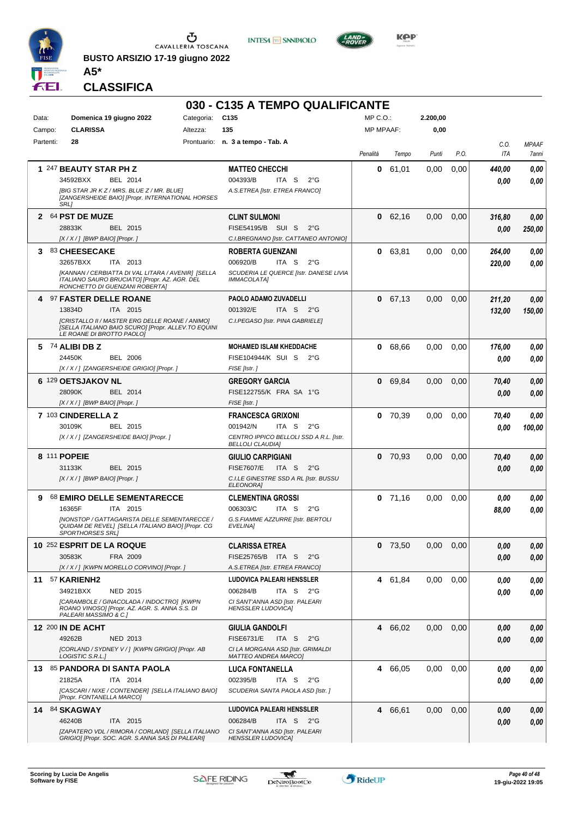

**BUSTO ARSIZIO 17-19 giugno 2022 A5\***





**CLASSIFICA**

| $MP C. O.$ :<br>Data:<br>Domenica 19 giugno 2022<br>Categoria:<br>C135<br>2.200,00<br><b>CLARISSA</b><br>Altezza:<br>135<br><b>MP MPAAF:</b><br>0,00<br>Campo:<br>Prontuario: n. 3 a tempo - Tab. A<br>Partenti:<br>28<br>C.O.<br><b>MPAAF</b><br>P.O.<br>ITA<br>Penalità<br>Punti<br>Tempo<br>7anni<br>61,01<br>1 247 BEAUTY STAR PH Z<br>0,00<br>0,00<br><b>MATTEO CHECCHI</b><br>0<br>440,00<br>0.00<br>34592BXX<br>004393/B<br>$2^{\circ}$ G<br>BEL 2014<br>ITA S<br>0.00<br>0.00<br>[BIG STAR JR K Z / MRS. BLUE Z / MR. BLUE]<br>A.S.ETREA [Istr. ETREA FRANCO]<br>[ZANGERSHEIDE BAIO] [Propr. INTERNATIONAL HORSES<br>SRL]<br>64 PST DE MUZE<br>62,16<br>0,00<br>0.00<br>0<br>$\mathbf{2}$<br><b>CLINT SULMONI</b><br>316,80<br>0.00<br>FISE54195/B SUI S<br>28833K<br>BEL 2015<br>$2^{\circ}G$<br>250,00<br>0,00<br>$[X/X/]$ [BWP BAIO] [Propr.]<br>C.I.BREGNANO [Istr. CATTANEO ANTONIO]<br>0,00<br>3 83 CHEESECAKE<br><b>ROBERTA GUENZANI</b><br>63,81<br>0.00<br>0,00<br>0<br>264,00<br>32657BXX<br>006920/B<br>ITA 2013<br>ITA S<br>$2^{\circ}G$<br>0.00<br>220,00<br>[KANNAN / CERBIATTA DI VAL LITARA / AVENIR] [SELLA<br>SCUDERIA LE QUERCE [Istr. DANESE LIVIA<br>ITALIANO SAURO BRUCIATO] [Propr. AZ. AGR. DEL<br>IMMACOLATA]<br>RONCHETTO DI GUENZANI ROBERTA]<br>97 FASTER DELLE ROANE<br>PAOLO ADAMO ZUVADELLI<br>0 67,13<br>0,00<br>0,00<br>4<br>211,20<br>0,00<br>001392/E<br>13834D<br>ITA 2015<br>ITA S<br>$2^{\circ}G$<br>150,00<br>132,00<br>[CRISTALLO II / MASTER ERG DELLE ROANE / ANIMO]<br>C.I.PEGASO [Istr. PINA GABRIELE]<br>ISELLA ITALIANO BAIO SCURO] [Propr. ALLEV.TO EQUINI<br>LE ROANE DI BROTTO PAOLOJ<br><b>MOHAMED ISLAM KHEDDACHE</b><br>5 74 ALIBI DB Z<br>0,00<br>0 68,66<br>0,00<br>176,00<br>0.00<br>24450K<br><b>BEL 2006</b><br>FISE104944/K SUI S<br>$2^{\circ}G$<br>0.00<br>0.00<br>[X / X / ] [ZANGERSHEIDE GRIGIO] [Propr.]<br>FISE [Istr.]<br>6 129 OETSJAKOV NL<br><b>GREGORY GARCIA</b><br>0,00<br>69.84<br>0,00<br>0,00<br>0<br>70,40<br>28090K<br>BEL 2014<br>FISE122755/K FRA SA 1°G<br>0.00<br>0.00<br>[X / X / ] [BWP BAIO] [Propr. ]<br>FISE [Istr.]<br>7 103 CINDERELLA Z<br>0,00<br><b>FRANCESCA GRIXONI</b><br>0, 70, 39<br>0,00<br>70,40<br>0,00<br>30109K<br>BEL 2015<br>001942/N<br>ITA S<br>$2^{\circ}G$<br>100,00<br>0.00<br>[X / X / ] [ZANGERSHEIDE BAIO] [Propr. ]<br>CENTRO IPPICO BELLOLI SSD A R.L. [Istr.<br><b>BELLOLI CLAUDIA]</b><br>8 111 POPEIE<br>$0$ 70,93<br>0,00<br>0,00<br><b>GIULIO CARPIGIANI</b><br>70,40<br>0,00<br><b>FISE7607/E</b><br>31133K<br>BEL 2015<br>ITA S<br>$2^{\circ}G$<br>0,00<br>0.00<br>C.I.LE GINESTRE SSD A RL [Istr. BUSSU<br>$[X/X/]$ [BWP BAIO] [Propr.]<br><b>ELEONORA]</b><br>68 EMIRO DELLE SEMENTARECCE<br><b>CLEMENTINA GROSSI</b><br>0,00<br>$0$ 71,16<br>0,00<br>0,00<br>0,00<br>9<br>006303/C<br>ITA S<br>16365F<br>ITA 2015<br>$2^{\circ}G$<br>88.00<br>0.00<br><b>INONSTOP / GATTAGARISTA DELLE SEMENTARECCE /</b><br>G.S.FIAMME AZZURRE [Istr. BERTOLI<br>QUIDAM DE REVEL] [SELLA ITALIANO BAIO] [Propr. CG<br>EVELINA]<br><b>SPORTHORSES SRLI</b><br>10 252 ESPRIT DE LA ROQUE<br>0,00<br><b>CLARISSA ETREA</b><br>0<br>73,50<br>0,00<br>0,00<br>0,00<br>FISE25765/B ITA S<br>30583K<br>FRA 2009<br>$2^{\circ}G$<br>0,00<br>0,00<br>[X / X / ] [KWPN MORELLO CORVINO] [Propr. ]<br>A.S.ETREA [Istr. ETREA FRANCO]<br>4 61,84<br>0,00<br>0,00<br><b>11 57 KARIENH2</b><br>LUDOVICA PALEARI HENSSLER<br>0,00<br>0,00<br>34921BXX<br>006284/B<br>ITA S<br><b>NED 2015</b><br>$2^{\circ}$ G<br>0,00<br>0.00<br>[CARAMBOLE / GINACOLADA / INDOCTRO] [KWPN<br>CI SANT'ANNA ASD [Istr. PALEARI<br>ROANO VINOSO] [Propr. AZ. AGR. S. ANNA S.S. DI<br><b>HENSSLER LUDOVICA]</b><br>PALEARI MASSIMO & C.]<br><b>12 200 IN DE ACHT</b><br>66,02<br>0,00<br>0,00<br>0,00<br>0,00<br><b>GIULIA GANDOLFI</b><br>4<br>49262B<br>NED 2013<br><b>FISE6731/E</b><br>ITA S<br>$2^{\circ}$ G<br>0,00<br>0,00<br>[CORLAND / SYDNEY V / ] [KWPN GRIGIO] [Propr. AB<br>CI LA MORGANA ASD [Istr. GRIMALDI<br>LOGISTIC S.R.L.1<br><b>MATTEO ANDREA MARCO]</b><br>13 85 PANDORA DI SANTA PAOLA<br>4 66,05<br>0,00<br>0,00<br><b>LUCA FONTANELLA</b><br>0,00<br>0,00<br>21825A<br>ITA 2014<br>002395/B<br>ITA S<br>$2^{\circ}$ G<br>0,00<br>0,00<br>[CASCARI / NIXE / CONTENDER] [SELLA ITALIANO BAIO]<br>SCUDERIA SANTA PAOLA ASD [Istr. ]<br>[Propr. FONTANELLA MARCO]<br><b>LUDOVICA PALEARI HENSSLER</b><br>14 84 SKAGWAY<br>4 66,61<br>0,00<br>0,00<br>0,00<br>0,00<br>46240B<br>ITA 2015<br>006284/B<br>ITA S<br>$2^{\circ}$ G<br>0,00<br>0,00<br>[ZAPATERO VDL / RIMORA / CORLAND] [SELLA ITALIANO<br>CI SANT'ANNA ASD [Istr. PALEARI<br>GRIGIO] [Propr. SOC. AGR. S.ANNA SAS DI PALEARI] |  | 030 - C135 A TEMPO QUALIFICANTE |  |  |  |
|---------------------------------------------------------------------------------------------------------------------------------------------------------------------------------------------------------------------------------------------------------------------------------------------------------------------------------------------------------------------------------------------------------------------------------------------------------------------------------------------------------------------------------------------------------------------------------------------------------------------------------------------------------------------------------------------------------------------------------------------------------------------------------------------------------------------------------------------------------------------------------------------------------------------------------------------------------------------------------------------------------------------------------------------------------------------------------------------------------------------------------------------------------------------------------------------------------------------------------------------------------------------------------------------------------------------------------------------------------------------------------------------------------------------------------------------------------------------------------------------------------------------------------------------------------------------------------------------------------------------------------------------------------------------------------------------------------------------------------------------------------------------------------------------------------------------------------------------------------------------------------------------------------------------------------------------------------------------------------------------------------------------------------------------------------------------------------------------------------------------------------------------------------------------------------------------------------------------------------------------------------------------------------------------------------------------------------------------------------------------------------------------------------------------------------------------------------------------------------------------------------------------------------------------------------------------------------------------------------------------------------------------------------------------------------------------------------------------------------------------------------------------------------------------------------------------------------------------------------------------------------------------------------------------------------------------------------------------------------------------------------------------------------------------------------------------------------------------------------------------------------------------------------------------------------------------------------------------------------------------------------------------------------------------------------------------------------------------------------------------------------------------------------------------------------------------------------------------------------------------------------------------------------------------------------------------------------------------------------------------------------------------------------------------------------------------------------------------------------------------------------------------------------------------------------------------------------------------------------------------------------------------------------------------------------------------------------------------------------------------------------------------------------------------------------------------------------------------------------------------------------------------------------------------------------------------------------------------------------------------------------------------------------------------------------------------------------------------------------------------------------------------------------------------------------------------------------------------------------------------------------------------------------------------------------------------------------------------------------------------------------------------------------------------------------------------------|--|---------------------------------|--|--|--|
|                                                                                                                                                                                                                                                                                                                                                                                                                                                                                                                                                                                                                                                                                                                                                                                                                                                                                                                                                                                                                                                                                                                                                                                                                                                                                                                                                                                                                                                                                                                                                                                                                                                                                                                                                                                                                                                                                                                                                                                                                                                                                                                                                                                                                                                                                                                                                                                                                                                                                                                                                                                                                                                                                                                                                                                                                                                                                                                                                                                                                                                                                                                                                                                                                                                                                                                                                                                                                                                                                                                                                                                                                                                                                                                                                                                                                                                                                                                                                                                                                                                                                                                                                                                                                                                                                                                                                                                                                                                                                                                                                                                                                                                                                                   |  |                                 |  |  |  |
|                                                                                                                                                                                                                                                                                                                                                                                                                                                                                                                                                                                                                                                                                                                                                                                                                                                                                                                                                                                                                                                                                                                                                                                                                                                                                                                                                                                                                                                                                                                                                                                                                                                                                                                                                                                                                                                                                                                                                                                                                                                                                                                                                                                                                                                                                                                                                                                                                                                                                                                                                                                                                                                                                                                                                                                                                                                                                                                                                                                                                                                                                                                                                                                                                                                                                                                                                                                                                                                                                                                                                                                                                                                                                                                                                                                                                                                                                                                                                                                                                                                                                                                                                                                                                                                                                                                                                                                                                                                                                                                                                                                                                                                                                                   |  |                                 |  |  |  |
|                                                                                                                                                                                                                                                                                                                                                                                                                                                                                                                                                                                                                                                                                                                                                                                                                                                                                                                                                                                                                                                                                                                                                                                                                                                                                                                                                                                                                                                                                                                                                                                                                                                                                                                                                                                                                                                                                                                                                                                                                                                                                                                                                                                                                                                                                                                                                                                                                                                                                                                                                                                                                                                                                                                                                                                                                                                                                                                                                                                                                                                                                                                                                                                                                                                                                                                                                                                                                                                                                                                                                                                                                                                                                                                                                                                                                                                                                                                                                                                                                                                                                                                                                                                                                                                                                                                                                                                                                                                                                                                                                                                                                                                                                                   |  |                                 |  |  |  |
|                                                                                                                                                                                                                                                                                                                                                                                                                                                                                                                                                                                                                                                                                                                                                                                                                                                                                                                                                                                                                                                                                                                                                                                                                                                                                                                                                                                                                                                                                                                                                                                                                                                                                                                                                                                                                                                                                                                                                                                                                                                                                                                                                                                                                                                                                                                                                                                                                                                                                                                                                                                                                                                                                                                                                                                                                                                                                                                                                                                                                                                                                                                                                                                                                                                                                                                                                                                                                                                                                                                                                                                                                                                                                                                                                                                                                                                                                                                                                                                                                                                                                                                                                                                                                                                                                                                                                                                                                                                                                                                                                                                                                                                                                                   |  |                                 |  |  |  |
|                                                                                                                                                                                                                                                                                                                                                                                                                                                                                                                                                                                                                                                                                                                                                                                                                                                                                                                                                                                                                                                                                                                                                                                                                                                                                                                                                                                                                                                                                                                                                                                                                                                                                                                                                                                                                                                                                                                                                                                                                                                                                                                                                                                                                                                                                                                                                                                                                                                                                                                                                                                                                                                                                                                                                                                                                                                                                                                                                                                                                                                                                                                                                                                                                                                                                                                                                                                                                                                                                                                                                                                                                                                                                                                                                                                                                                                                                                                                                                                                                                                                                                                                                                                                                                                                                                                                                                                                                                                                                                                                                                                                                                                                                                   |  |                                 |  |  |  |
|                                                                                                                                                                                                                                                                                                                                                                                                                                                                                                                                                                                                                                                                                                                                                                                                                                                                                                                                                                                                                                                                                                                                                                                                                                                                                                                                                                                                                                                                                                                                                                                                                                                                                                                                                                                                                                                                                                                                                                                                                                                                                                                                                                                                                                                                                                                                                                                                                                                                                                                                                                                                                                                                                                                                                                                                                                                                                                                                                                                                                                                                                                                                                                                                                                                                                                                                                                                                                                                                                                                                                                                                                                                                                                                                                                                                                                                                                                                                                                                                                                                                                                                                                                                                                                                                                                                                                                                                                                                                                                                                                                                                                                                                                                   |  |                                 |  |  |  |
|                                                                                                                                                                                                                                                                                                                                                                                                                                                                                                                                                                                                                                                                                                                                                                                                                                                                                                                                                                                                                                                                                                                                                                                                                                                                                                                                                                                                                                                                                                                                                                                                                                                                                                                                                                                                                                                                                                                                                                                                                                                                                                                                                                                                                                                                                                                                                                                                                                                                                                                                                                                                                                                                                                                                                                                                                                                                                                                                                                                                                                                                                                                                                                                                                                                                                                                                                                                                                                                                                                                                                                                                                                                                                                                                                                                                                                                                                                                                                                                                                                                                                                                                                                                                                                                                                                                                                                                                                                                                                                                                                                                                                                                                                                   |  |                                 |  |  |  |
|                                                                                                                                                                                                                                                                                                                                                                                                                                                                                                                                                                                                                                                                                                                                                                                                                                                                                                                                                                                                                                                                                                                                                                                                                                                                                                                                                                                                                                                                                                                                                                                                                                                                                                                                                                                                                                                                                                                                                                                                                                                                                                                                                                                                                                                                                                                                                                                                                                                                                                                                                                                                                                                                                                                                                                                                                                                                                                                                                                                                                                                                                                                                                                                                                                                                                                                                                                                                                                                                                                                                                                                                                                                                                                                                                                                                                                                                                                                                                                                                                                                                                                                                                                                                                                                                                                                                                                                                                                                                                                                                                                                                                                                                                                   |  |                                 |  |  |  |
|                                                                                                                                                                                                                                                                                                                                                                                                                                                                                                                                                                                                                                                                                                                                                                                                                                                                                                                                                                                                                                                                                                                                                                                                                                                                                                                                                                                                                                                                                                                                                                                                                                                                                                                                                                                                                                                                                                                                                                                                                                                                                                                                                                                                                                                                                                                                                                                                                                                                                                                                                                                                                                                                                                                                                                                                                                                                                                                                                                                                                                                                                                                                                                                                                                                                                                                                                                                                                                                                                                                                                                                                                                                                                                                                                                                                                                                                                                                                                                                                                                                                                                                                                                                                                                                                                                                                                                                                                                                                                                                                                                                                                                                                                                   |  |                                 |  |  |  |
|                                                                                                                                                                                                                                                                                                                                                                                                                                                                                                                                                                                                                                                                                                                                                                                                                                                                                                                                                                                                                                                                                                                                                                                                                                                                                                                                                                                                                                                                                                                                                                                                                                                                                                                                                                                                                                                                                                                                                                                                                                                                                                                                                                                                                                                                                                                                                                                                                                                                                                                                                                                                                                                                                                                                                                                                                                                                                                                                                                                                                                                                                                                                                                                                                                                                                                                                                                                                                                                                                                                                                                                                                                                                                                                                                                                                                                                                                                                                                                                                                                                                                                                                                                                                                                                                                                                                                                                                                                                                                                                                                                                                                                                                                                   |  |                                 |  |  |  |
|                                                                                                                                                                                                                                                                                                                                                                                                                                                                                                                                                                                                                                                                                                                                                                                                                                                                                                                                                                                                                                                                                                                                                                                                                                                                                                                                                                                                                                                                                                                                                                                                                                                                                                                                                                                                                                                                                                                                                                                                                                                                                                                                                                                                                                                                                                                                                                                                                                                                                                                                                                                                                                                                                                                                                                                                                                                                                                                                                                                                                                                                                                                                                                                                                                                                                                                                                                                                                                                                                                                                                                                                                                                                                                                                                                                                                                                                                                                                                                                                                                                                                                                                                                                                                                                                                                                                                                                                                                                                                                                                                                                                                                                                                                   |  |                                 |  |  |  |
|                                                                                                                                                                                                                                                                                                                                                                                                                                                                                                                                                                                                                                                                                                                                                                                                                                                                                                                                                                                                                                                                                                                                                                                                                                                                                                                                                                                                                                                                                                                                                                                                                                                                                                                                                                                                                                                                                                                                                                                                                                                                                                                                                                                                                                                                                                                                                                                                                                                                                                                                                                                                                                                                                                                                                                                                                                                                                                                                                                                                                                                                                                                                                                                                                                                                                                                                                                                                                                                                                                                                                                                                                                                                                                                                                                                                                                                                                                                                                                                                                                                                                                                                                                                                                                                                                                                                                                                                                                                                                                                                                                                                                                                                                                   |  |                                 |  |  |  |
|                                                                                                                                                                                                                                                                                                                                                                                                                                                                                                                                                                                                                                                                                                                                                                                                                                                                                                                                                                                                                                                                                                                                                                                                                                                                                                                                                                                                                                                                                                                                                                                                                                                                                                                                                                                                                                                                                                                                                                                                                                                                                                                                                                                                                                                                                                                                                                                                                                                                                                                                                                                                                                                                                                                                                                                                                                                                                                                                                                                                                                                                                                                                                                                                                                                                                                                                                                                                                                                                                                                                                                                                                                                                                                                                                                                                                                                                                                                                                                                                                                                                                                                                                                                                                                                                                                                                                                                                                                                                                                                                                                                                                                                                                                   |  |                                 |  |  |  |
|                                                                                                                                                                                                                                                                                                                                                                                                                                                                                                                                                                                                                                                                                                                                                                                                                                                                                                                                                                                                                                                                                                                                                                                                                                                                                                                                                                                                                                                                                                                                                                                                                                                                                                                                                                                                                                                                                                                                                                                                                                                                                                                                                                                                                                                                                                                                                                                                                                                                                                                                                                                                                                                                                                                                                                                                                                                                                                                                                                                                                                                                                                                                                                                                                                                                                                                                                                                                                                                                                                                                                                                                                                                                                                                                                                                                                                                                                                                                                                                                                                                                                                                                                                                                                                                                                                                                                                                                                                                                                                                                                                                                                                                                                                   |  |                                 |  |  |  |
|                                                                                                                                                                                                                                                                                                                                                                                                                                                                                                                                                                                                                                                                                                                                                                                                                                                                                                                                                                                                                                                                                                                                                                                                                                                                                                                                                                                                                                                                                                                                                                                                                                                                                                                                                                                                                                                                                                                                                                                                                                                                                                                                                                                                                                                                                                                                                                                                                                                                                                                                                                                                                                                                                                                                                                                                                                                                                                                                                                                                                                                                                                                                                                                                                                                                                                                                                                                                                                                                                                                                                                                                                                                                                                                                                                                                                                                                                                                                                                                                                                                                                                                                                                                                                                                                                                                                                                                                                                                                                                                                                                                                                                                                                                   |  |                                 |  |  |  |
|                                                                                                                                                                                                                                                                                                                                                                                                                                                                                                                                                                                                                                                                                                                                                                                                                                                                                                                                                                                                                                                                                                                                                                                                                                                                                                                                                                                                                                                                                                                                                                                                                                                                                                                                                                                                                                                                                                                                                                                                                                                                                                                                                                                                                                                                                                                                                                                                                                                                                                                                                                                                                                                                                                                                                                                                                                                                                                                                                                                                                                                                                                                                                                                                                                                                                                                                                                                                                                                                                                                                                                                                                                                                                                                                                                                                                                                                                                                                                                                                                                                                                                                                                                                                                                                                                                                                                                                                                                                                                                                                                                                                                                                                                                   |  |                                 |  |  |  |
|                                                                                                                                                                                                                                                                                                                                                                                                                                                                                                                                                                                                                                                                                                                                                                                                                                                                                                                                                                                                                                                                                                                                                                                                                                                                                                                                                                                                                                                                                                                                                                                                                                                                                                                                                                                                                                                                                                                                                                                                                                                                                                                                                                                                                                                                                                                                                                                                                                                                                                                                                                                                                                                                                                                                                                                                                                                                                                                                                                                                                                                                                                                                                                                                                                                                                                                                                                                                                                                                                                                                                                                                                                                                                                                                                                                                                                                                                                                                                                                                                                                                                                                                                                                                                                                                                                                                                                                                                                                                                                                                                                                                                                                                                                   |  |                                 |  |  |  |
|                                                                                                                                                                                                                                                                                                                                                                                                                                                                                                                                                                                                                                                                                                                                                                                                                                                                                                                                                                                                                                                                                                                                                                                                                                                                                                                                                                                                                                                                                                                                                                                                                                                                                                                                                                                                                                                                                                                                                                                                                                                                                                                                                                                                                                                                                                                                                                                                                                                                                                                                                                                                                                                                                                                                                                                                                                                                                                                                                                                                                                                                                                                                                                                                                                                                                                                                                                                                                                                                                                                                                                                                                                                                                                                                                                                                                                                                                                                                                                                                                                                                                                                                                                                                                                                                                                                                                                                                                                                                                                                                                                                                                                                                                                   |  |                                 |  |  |  |
|                                                                                                                                                                                                                                                                                                                                                                                                                                                                                                                                                                                                                                                                                                                                                                                                                                                                                                                                                                                                                                                                                                                                                                                                                                                                                                                                                                                                                                                                                                                                                                                                                                                                                                                                                                                                                                                                                                                                                                                                                                                                                                                                                                                                                                                                                                                                                                                                                                                                                                                                                                                                                                                                                                                                                                                                                                                                                                                                                                                                                                                                                                                                                                                                                                                                                                                                                                                                                                                                                                                                                                                                                                                                                                                                                                                                                                                                                                                                                                                                                                                                                                                                                                                                                                                                                                                                                                                                                                                                                                                                                                                                                                                                                                   |  |                                 |  |  |  |
|                                                                                                                                                                                                                                                                                                                                                                                                                                                                                                                                                                                                                                                                                                                                                                                                                                                                                                                                                                                                                                                                                                                                                                                                                                                                                                                                                                                                                                                                                                                                                                                                                                                                                                                                                                                                                                                                                                                                                                                                                                                                                                                                                                                                                                                                                                                                                                                                                                                                                                                                                                                                                                                                                                                                                                                                                                                                                                                                                                                                                                                                                                                                                                                                                                                                                                                                                                                                                                                                                                                                                                                                                                                                                                                                                                                                                                                                                                                                                                                                                                                                                                                                                                                                                                                                                                                                                                                                                                                                                                                                                                                                                                                                                                   |  |                                 |  |  |  |
|                                                                                                                                                                                                                                                                                                                                                                                                                                                                                                                                                                                                                                                                                                                                                                                                                                                                                                                                                                                                                                                                                                                                                                                                                                                                                                                                                                                                                                                                                                                                                                                                                                                                                                                                                                                                                                                                                                                                                                                                                                                                                                                                                                                                                                                                                                                                                                                                                                                                                                                                                                                                                                                                                                                                                                                                                                                                                                                                                                                                                                                                                                                                                                                                                                                                                                                                                                                                                                                                                                                                                                                                                                                                                                                                                                                                                                                                                                                                                                                                                                                                                                                                                                                                                                                                                                                                                                                                                                                                                                                                                                                                                                                                                                   |  |                                 |  |  |  |
|                                                                                                                                                                                                                                                                                                                                                                                                                                                                                                                                                                                                                                                                                                                                                                                                                                                                                                                                                                                                                                                                                                                                                                                                                                                                                                                                                                                                                                                                                                                                                                                                                                                                                                                                                                                                                                                                                                                                                                                                                                                                                                                                                                                                                                                                                                                                                                                                                                                                                                                                                                                                                                                                                                                                                                                                                                                                                                                                                                                                                                                                                                                                                                                                                                                                                                                                                                                                                                                                                                                                                                                                                                                                                                                                                                                                                                                                                                                                                                                                                                                                                                                                                                                                                                                                                                                                                                                                                                                                                                                                                                                                                                                                                                   |  |                                 |  |  |  |
|                                                                                                                                                                                                                                                                                                                                                                                                                                                                                                                                                                                                                                                                                                                                                                                                                                                                                                                                                                                                                                                                                                                                                                                                                                                                                                                                                                                                                                                                                                                                                                                                                                                                                                                                                                                                                                                                                                                                                                                                                                                                                                                                                                                                                                                                                                                                                                                                                                                                                                                                                                                                                                                                                                                                                                                                                                                                                                                                                                                                                                                                                                                                                                                                                                                                                                                                                                                                                                                                                                                                                                                                                                                                                                                                                                                                                                                                                                                                                                                                                                                                                                                                                                                                                                                                                                                                                                                                                                                                                                                                                                                                                                                                                                   |  |                                 |  |  |  |
|                                                                                                                                                                                                                                                                                                                                                                                                                                                                                                                                                                                                                                                                                                                                                                                                                                                                                                                                                                                                                                                                                                                                                                                                                                                                                                                                                                                                                                                                                                                                                                                                                                                                                                                                                                                                                                                                                                                                                                                                                                                                                                                                                                                                                                                                                                                                                                                                                                                                                                                                                                                                                                                                                                                                                                                                                                                                                                                                                                                                                                                                                                                                                                                                                                                                                                                                                                                                                                                                                                                                                                                                                                                                                                                                                                                                                                                                                                                                                                                                                                                                                                                                                                                                                                                                                                                                                                                                                                                                                                                                                                                                                                                                                                   |  |                                 |  |  |  |
|                                                                                                                                                                                                                                                                                                                                                                                                                                                                                                                                                                                                                                                                                                                                                                                                                                                                                                                                                                                                                                                                                                                                                                                                                                                                                                                                                                                                                                                                                                                                                                                                                                                                                                                                                                                                                                                                                                                                                                                                                                                                                                                                                                                                                                                                                                                                                                                                                                                                                                                                                                                                                                                                                                                                                                                                                                                                                                                                                                                                                                                                                                                                                                                                                                                                                                                                                                                                                                                                                                                                                                                                                                                                                                                                                                                                                                                                                                                                                                                                                                                                                                                                                                                                                                                                                                                                                                                                                                                                                                                                                                                                                                                                                                   |  |                                 |  |  |  |
|                                                                                                                                                                                                                                                                                                                                                                                                                                                                                                                                                                                                                                                                                                                                                                                                                                                                                                                                                                                                                                                                                                                                                                                                                                                                                                                                                                                                                                                                                                                                                                                                                                                                                                                                                                                                                                                                                                                                                                                                                                                                                                                                                                                                                                                                                                                                                                                                                                                                                                                                                                                                                                                                                                                                                                                                                                                                                                                                                                                                                                                                                                                                                                                                                                                                                                                                                                                                                                                                                                                                                                                                                                                                                                                                                                                                                                                                                                                                                                                                                                                                                                                                                                                                                                                                                                                                                                                                                                                                                                                                                                                                                                                                                                   |  |                                 |  |  |  |
|                                                                                                                                                                                                                                                                                                                                                                                                                                                                                                                                                                                                                                                                                                                                                                                                                                                                                                                                                                                                                                                                                                                                                                                                                                                                                                                                                                                                                                                                                                                                                                                                                                                                                                                                                                                                                                                                                                                                                                                                                                                                                                                                                                                                                                                                                                                                                                                                                                                                                                                                                                                                                                                                                                                                                                                                                                                                                                                                                                                                                                                                                                                                                                                                                                                                                                                                                                                                                                                                                                                                                                                                                                                                                                                                                                                                                                                                                                                                                                                                                                                                                                                                                                                                                                                                                                                                                                                                                                                                                                                                                                                                                                                                                                   |  |                                 |  |  |  |
|                                                                                                                                                                                                                                                                                                                                                                                                                                                                                                                                                                                                                                                                                                                                                                                                                                                                                                                                                                                                                                                                                                                                                                                                                                                                                                                                                                                                                                                                                                                                                                                                                                                                                                                                                                                                                                                                                                                                                                                                                                                                                                                                                                                                                                                                                                                                                                                                                                                                                                                                                                                                                                                                                                                                                                                                                                                                                                                                                                                                                                                                                                                                                                                                                                                                                                                                                                                                                                                                                                                                                                                                                                                                                                                                                                                                                                                                                                                                                                                                                                                                                                                                                                                                                                                                                                                                                                                                                                                                                                                                                                                                                                                                                                   |  |                                 |  |  |  |
|                                                                                                                                                                                                                                                                                                                                                                                                                                                                                                                                                                                                                                                                                                                                                                                                                                                                                                                                                                                                                                                                                                                                                                                                                                                                                                                                                                                                                                                                                                                                                                                                                                                                                                                                                                                                                                                                                                                                                                                                                                                                                                                                                                                                                                                                                                                                                                                                                                                                                                                                                                                                                                                                                                                                                                                                                                                                                                                                                                                                                                                                                                                                                                                                                                                                                                                                                                                                                                                                                                                                                                                                                                                                                                                                                                                                                                                                                                                                                                                                                                                                                                                                                                                                                                                                                                                                                                                                                                                                                                                                                                                                                                                                                                   |  |                                 |  |  |  |
|                                                                                                                                                                                                                                                                                                                                                                                                                                                                                                                                                                                                                                                                                                                                                                                                                                                                                                                                                                                                                                                                                                                                                                                                                                                                                                                                                                                                                                                                                                                                                                                                                                                                                                                                                                                                                                                                                                                                                                                                                                                                                                                                                                                                                                                                                                                                                                                                                                                                                                                                                                                                                                                                                                                                                                                                                                                                                                                                                                                                                                                                                                                                                                                                                                                                                                                                                                                                                                                                                                                                                                                                                                                                                                                                                                                                                                                                                                                                                                                                                                                                                                                                                                                                                                                                                                                                                                                                                                                                                                                                                                                                                                                                                                   |  |                                 |  |  |  |
|                                                                                                                                                                                                                                                                                                                                                                                                                                                                                                                                                                                                                                                                                                                                                                                                                                                                                                                                                                                                                                                                                                                                                                                                                                                                                                                                                                                                                                                                                                                                                                                                                                                                                                                                                                                                                                                                                                                                                                                                                                                                                                                                                                                                                                                                                                                                                                                                                                                                                                                                                                                                                                                                                                                                                                                                                                                                                                                                                                                                                                                                                                                                                                                                                                                                                                                                                                                                                                                                                                                                                                                                                                                                                                                                                                                                                                                                                                                                                                                                                                                                                                                                                                                                                                                                                                                                                                                                                                                                                                                                                                                                                                                                                                   |  |                                 |  |  |  |
|                                                                                                                                                                                                                                                                                                                                                                                                                                                                                                                                                                                                                                                                                                                                                                                                                                                                                                                                                                                                                                                                                                                                                                                                                                                                                                                                                                                                                                                                                                                                                                                                                                                                                                                                                                                                                                                                                                                                                                                                                                                                                                                                                                                                                                                                                                                                                                                                                                                                                                                                                                                                                                                                                                                                                                                                                                                                                                                                                                                                                                                                                                                                                                                                                                                                                                                                                                                                                                                                                                                                                                                                                                                                                                                                                                                                                                                                                                                                                                                                                                                                                                                                                                                                                                                                                                                                                                                                                                                                                                                                                                                                                                                                                                   |  |                                 |  |  |  |
|                                                                                                                                                                                                                                                                                                                                                                                                                                                                                                                                                                                                                                                                                                                                                                                                                                                                                                                                                                                                                                                                                                                                                                                                                                                                                                                                                                                                                                                                                                                                                                                                                                                                                                                                                                                                                                                                                                                                                                                                                                                                                                                                                                                                                                                                                                                                                                                                                                                                                                                                                                                                                                                                                                                                                                                                                                                                                                                                                                                                                                                                                                                                                                                                                                                                                                                                                                                                                                                                                                                                                                                                                                                                                                                                                                                                                                                                                                                                                                                                                                                                                                                                                                                                                                                                                                                                                                                                                                                                                                                                                                                                                                                                                                   |  |                                 |  |  |  |
|                                                                                                                                                                                                                                                                                                                                                                                                                                                                                                                                                                                                                                                                                                                                                                                                                                                                                                                                                                                                                                                                                                                                                                                                                                                                                                                                                                                                                                                                                                                                                                                                                                                                                                                                                                                                                                                                                                                                                                                                                                                                                                                                                                                                                                                                                                                                                                                                                                                                                                                                                                                                                                                                                                                                                                                                                                                                                                                                                                                                                                                                                                                                                                                                                                                                                                                                                                                                                                                                                                                                                                                                                                                                                                                                                                                                                                                                                                                                                                                                                                                                                                                                                                                                                                                                                                                                                                                                                                                                                                                                                                                                                                                                                                   |  |                                 |  |  |  |
|                                                                                                                                                                                                                                                                                                                                                                                                                                                                                                                                                                                                                                                                                                                                                                                                                                                                                                                                                                                                                                                                                                                                                                                                                                                                                                                                                                                                                                                                                                                                                                                                                                                                                                                                                                                                                                                                                                                                                                                                                                                                                                                                                                                                                                                                                                                                                                                                                                                                                                                                                                                                                                                                                                                                                                                                                                                                                                                                                                                                                                                                                                                                                                                                                                                                                                                                                                                                                                                                                                                                                                                                                                                                                                                                                                                                                                                                                                                                                                                                                                                                                                                                                                                                                                                                                                                                                                                                                                                                                                                                                                                                                                                                                                   |  |                                 |  |  |  |
|                                                                                                                                                                                                                                                                                                                                                                                                                                                                                                                                                                                                                                                                                                                                                                                                                                                                                                                                                                                                                                                                                                                                                                                                                                                                                                                                                                                                                                                                                                                                                                                                                                                                                                                                                                                                                                                                                                                                                                                                                                                                                                                                                                                                                                                                                                                                                                                                                                                                                                                                                                                                                                                                                                                                                                                                                                                                                                                                                                                                                                                                                                                                                                                                                                                                                                                                                                                                                                                                                                                                                                                                                                                                                                                                                                                                                                                                                                                                                                                                                                                                                                                                                                                                                                                                                                                                                                                                                                                                                                                                                                                                                                                                                                   |  |                                 |  |  |  |
|                                                                                                                                                                                                                                                                                                                                                                                                                                                                                                                                                                                                                                                                                                                                                                                                                                                                                                                                                                                                                                                                                                                                                                                                                                                                                                                                                                                                                                                                                                                                                                                                                                                                                                                                                                                                                                                                                                                                                                                                                                                                                                                                                                                                                                                                                                                                                                                                                                                                                                                                                                                                                                                                                                                                                                                                                                                                                                                                                                                                                                                                                                                                                                                                                                                                                                                                                                                                                                                                                                                                                                                                                                                                                                                                                                                                                                                                                                                                                                                                                                                                                                                                                                                                                                                                                                                                                                                                                                                                                                                                                                                                                                                                                                   |  |                                 |  |  |  |
|                                                                                                                                                                                                                                                                                                                                                                                                                                                                                                                                                                                                                                                                                                                                                                                                                                                                                                                                                                                                                                                                                                                                                                                                                                                                                                                                                                                                                                                                                                                                                                                                                                                                                                                                                                                                                                                                                                                                                                                                                                                                                                                                                                                                                                                                                                                                                                                                                                                                                                                                                                                                                                                                                                                                                                                                                                                                                                                                                                                                                                                                                                                                                                                                                                                                                                                                                                                                                                                                                                                                                                                                                                                                                                                                                                                                                                                                                                                                                                                                                                                                                                                                                                                                                                                                                                                                                                                                                                                                                                                                                                                                                                                                                                   |  |                                 |  |  |  |
|                                                                                                                                                                                                                                                                                                                                                                                                                                                                                                                                                                                                                                                                                                                                                                                                                                                                                                                                                                                                                                                                                                                                                                                                                                                                                                                                                                                                                                                                                                                                                                                                                                                                                                                                                                                                                                                                                                                                                                                                                                                                                                                                                                                                                                                                                                                                                                                                                                                                                                                                                                                                                                                                                                                                                                                                                                                                                                                                                                                                                                                                                                                                                                                                                                                                                                                                                                                                                                                                                                                                                                                                                                                                                                                                                                                                                                                                                                                                                                                                                                                                                                                                                                                                                                                                                                                                                                                                                                                                                                                                                                                                                                                                                                   |  |                                 |  |  |  |
|                                                                                                                                                                                                                                                                                                                                                                                                                                                                                                                                                                                                                                                                                                                                                                                                                                                                                                                                                                                                                                                                                                                                                                                                                                                                                                                                                                                                                                                                                                                                                                                                                                                                                                                                                                                                                                                                                                                                                                                                                                                                                                                                                                                                                                                                                                                                                                                                                                                                                                                                                                                                                                                                                                                                                                                                                                                                                                                                                                                                                                                                                                                                                                                                                                                                                                                                                                                                                                                                                                                                                                                                                                                                                                                                                                                                                                                                                                                                                                                                                                                                                                                                                                                                                                                                                                                                                                                                                                                                                                                                                                                                                                                                                                   |  |                                 |  |  |  |
|                                                                                                                                                                                                                                                                                                                                                                                                                                                                                                                                                                                                                                                                                                                                                                                                                                                                                                                                                                                                                                                                                                                                                                                                                                                                                                                                                                                                                                                                                                                                                                                                                                                                                                                                                                                                                                                                                                                                                                                                                                                                                                                                                                                                                                                                                                                                                                                                                                                                                                                                                                                                                                                                                                                                                                                                                                                                                                                                                                                                                                                                                                                                                                                                                                                                                                                                                                                                                                                                                                                                                                                                                                                                                                                                                                                                                                                                                                                                                                                                                                                                                                                                                                                                                                                                                                                                                                                                                                                                                                                                                                                                                                                                                                   |  |                                 |  |  |  |
|                                                                                                                                                                                                                                                                                                                                                                                                                                                                                                                                                                                                                                                                                                                                                                                                                                                                                                                                                                                                                                                                                                                                                                                                                                                                                                                                                                                                                                                                                                                                                                                                                                                                                                                                                                                                                                                                                                                                                                                                                                                                                                                                                                                                                                                                                                                                                                                                                                                                                                                                                                                                                                                                                                                                                                                                                                                                                                                                                                                                                                                                                                                                                                                                                                                                                                                                                                                                                                                                                                                                                                                                                                                                                                                                                                                                                                                                                                                                                                                                                                                                                                                                                                                                                                                                                                                                                                                                                                                                                                                                                                                                                                                                                                   |  |                                 |  |  |  |
|                                                                                                                                                                                                                                                                                                                                                                                                                                                                                                                                                                                                                                                                                                                                                                                                                                                                                                                                                                                                                                                                                                                                                                                                                                                                                                                                                                                                                                                                                                                                                                                                                                                                                                                                                                                                                                                                                                                                                                                                                                                                                                                                                                                                                                                                                                                                                                                                                                                                                                                                                                                                                                                                                                                                                                                                                                                                                                                                                                                                                                                                                                                                                                                                                                                                                                                                                                                                                                                                                                                                                                                                                                                                                                                                                                                                                                                                                                                                                                                                                                                                                                                                                                                                                                                                                                                                                                                                                                                                                                                                                                                                                                                                                                   |  |                                 |  |  |  |
|                                                                                                                                                                                                                                                                                                                                                                                                                                                                                                                                                                                                                                                                                                                                                                                                                                                                                                                                                                                                                                                                                                                                                                                                                                                                                                                                                                                                                                                                                                                                                                                                                                                                                                                                                                                                                                                                                                                                                                                                                                                                                                                                                                                                                                                                                                                                                                                                                                                                                                                                                                                                                                                                                                                                                                                                                                                                                                                                                                                                                                                                                                                                                                                                                                                                                                                                                                                                                                                                                                                                                                                                                                                                                                                                                                                                                                                                                                                                                                                                                                                                                                                                                                                                                                                                                                                                                                                                                                                                                                                                                                                                                                                                                                   |  |                                 |  |  |  |
|                                                                                                                                                                                                                                                                                                                                                                                                                                                                                                                                                                                                                                                                                                                                                                                                                                                                                                                                                                                                                                                                                                                                                                                                                                                                                                                                                                                                                                                                                                                                                                                                                                                                                                                                                                                                                                                                                                                                                                                                                                                                                                                                                                                                                                                                                                                                                                                                                                                                                                                                                                                                                                                                                                                                                                                                                                                                                                                                                                                                                                                                                                                                                                                                                                                                                                                                                                                                                                                                                                                                                                                                                                                                                                                                                                                                                                                                                                                                                                                                                                                                                                                                                                                                                                                                                                                                                                                                                                                                                                                                                                                                                                                                                                   |  |                                 |  |  |  |
|                                                                                                                                                                                                                                                                                                                                                                                                                                                                                                                                                                                                                                                                                                                                                                                                                                                                                                                                                                                                                                                                                                                                                                                                                                                                                                                                                                                                                                                                                                                                                                                                                                                                                                                                                                                                                                                                                                                                                                                                                                                                                                                                                                                                                                                                                                                                                                                                                                                                                                                                                                                                                                                                                                                                                                                                                                                                                                                                                                                                                                                                                                                                                                                                                                                                                                                                                                                                                                                                                                                                                                                                                                                                                                                                                                                                                                                                                                                                                                                                                                                                                                                                                                                                                                                                                                                                                                                                                                                                                                                                                                                                                                                                                                   |  | <b>HENSSLER LUDOVICA]</b>       |  |  |  |

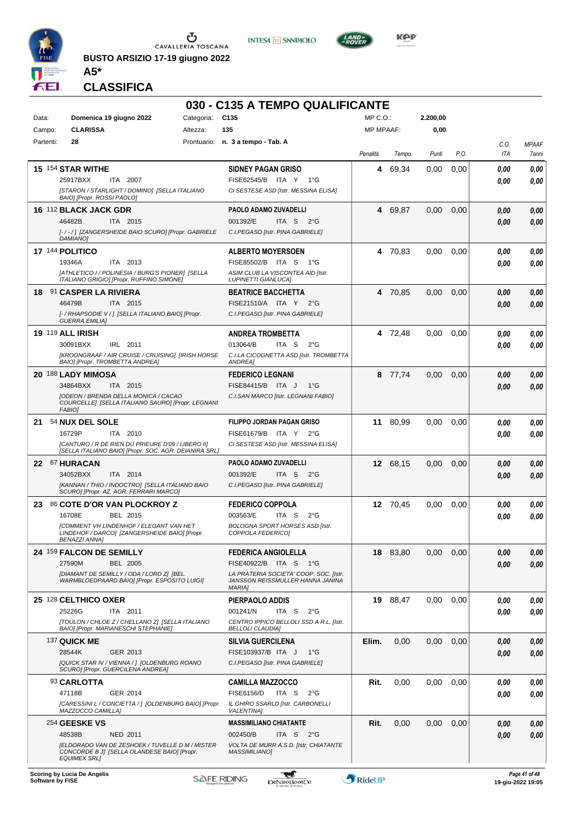

**BUSTO ARSIZIO 17-19 giugno 2022 A5\***





**KOP** 

**CLASSIFICA**

|                  |                                                                                                            |            | 030 - C135 A TEMPO QUALIFICANTE                                        |                  |          |          |      |              |                                    |
|------------------|------------------------------------------------------------------------------------------------------------|------------|------------------------------------------------------------------------|------------------|----------|----------|------|--------------|------------------------------------|
| Data:            | Domenica 19 giugno 2022                                                                                    | Categoria: | C <sub>135</sub>                                                       | $MP C. O.$ :     |          | 2.200,00 |      |              |                                    |
| Campo:           | <b>CLARISSA</b>                                                                                            | Altezza:   | 135                                                                    | <b>MP MPAAF:</b> |          | 0,00     |      |              |                                    |
| Partenti:        | 28                                                                                                         |            | Prontuario: n. 3 a tempo - Tab. A                                      |                  |          |          |      | C.O.         | <b>MPAAF</b>                       |
|                  |                                                                                                            |            |                                                                        | Penalità         | Tempo    | Punti    | P.O. | ITA          | 7anni                              |
|                  | 15 154 STAR WITHE                                                                                          |            | <b>SIDNEY PAGAN GRISO</b>                                              | 4                | 69,34    | 0.00     | 0,00 | 0.00         | 0,00                               |
|                  | 25917BXX<br>ITA 2007                                                                                       |            | FISE62545/B ITA Y<br>1°G                                               |                  |          |          |      | 0.00         | 0.00                               |
|                  | ISTARON / STARLIGHT / DOMINO] [SELLA ITALIANO<br>BAIO] [Propr. ROSSI PAOLO]                                |            | CI SESTESE ASD [Istr. MESSINA ELISA]                                   |                  |          |          |      |              |                                    |
|                  | <b>16 112 BLACK JACK GDR</b>                                                                               |            | PAOLO ADAMO ZUVADELLI                                                  |                  | 4 69,87  | 0.00     | 0,00 |              |                                    |
|                  | 46482B<br>ITA 2015                                                                                         |            | 001392/E<br>ITA S<br>$2^{\circ}G$                                      |                  |          |          |      | 0,00<br>0.00 | 0,00<br>0.00                       |
|                  | [-/-/] [ZANGERSHEIDE BAIO SCURO] [Propr. GABRIELE                                                          |            | C.I.PEGASO [Istr. PINA GABRIELE]                                       |                  |          |          |      |              |                                    |
|                  | <b>DAMIANO</b>                                                                                             |            |                                                                        |                  |          |          |      |              |                                    |
|                  | 17 144 POLITICO                                                                                            |            | <b>ALBERTO MOYERSOEN</b>                                               |                  | 4 70,83  | 0,00     | 0.00 | 0.00         | 0,00                               |
|                  | 19346A<br>ITA 2013                                                                                         |            | FISE85502/B ITA S 1°G                                                  |                  |          |          |      | 0.00         | 0.00                               |
|                  | [ATHLETICO I / POLINESIA / BURG'S PIONER] [SELLA<br>ITALIANO GRIGIO] [Propr. RUFFINO SIMONE]               |            | ASIM CLUB LA VISCONTEA AID [Istr.<br><b>LUPINETTI GIANLUCA]</b>        |                  |          |          |      |              |                                    |
| 18               | <b>91 CASPER LA RIVIERA</b>                                                                                |            | <b>BEATRICE BACCHETTA</b>                                              |                  | 4 70,85  | 0,00     | 0,00 | 0.00         | 0,00                               |
|                  | 46479B<br>ITA 2015                                                                                         |            | FISE21510/A ITA Y 2°G                                                  |                  |          |          |      | 0.00         | 0.00                               |
|                  | [- / RHAPSODIE V / ] [SELLA ITALIANO BAIO] [Propr.                                                         |            | C.I.PEGASO [Istr. PINA GABRIELE]                                       |                  |          |          |      |              |                                    |
|                  | <b>GUERRA EMILIA]</b>                                                                                      |            |                                                                        |                  |          |          |      |              |                                    |
|                  | <b>19 119 ALL IRISH</b><br>30091BXX<br>IRL 2011                                                            |            | <b>ANDREA TROMBETTA</b><br>013064/B<br>ITA S<br>$2^{\circ}G$           |                  | 4 72,48  | 0.00     | 0.00 | 0.00         | 0,00                               |
|                  | [KROONGRAAF / AIR CRUISE / CRUISING] [IRISH HORSE                                                          |            | C.I.LA CICOGNETTA ASD [Istr. TROMBETTA                                 |                  |          |          |      | 0.00         | 0.00                               |
|                  | BAIO] [Propr. TROMBETTA ANDREA]                                                                            |            | <b>ANDREA]</b>                                                         |                  |          |          |      |              |                                    |
|                  | 20 188 LADY MIMOSA                                                                                         |            | <b>FEDERICO LEGNANI</b>                                                |                  | 8 77,74  | 0,00     | 0,00 | 0,00         | 0,00                               |
|                  | 34864BXX<br>ITA 2015                                                                                       |            | FISE84415/B ITA J<br>1°G                                               |                  |          |          |      | 0.00         | 0,00                               |
|                  | [ODEON / BRENDA DELLA MONICA / CACAO<br>COURCELLE] [SELLA ITALIANO SAURO] [Propr. LEGNANI                  |            | C.I.SAN MARCO [Istr. LEGNANI FABIO]                                    |                  |          |          |      |              |                                    |
|                  | <b>FABIO]</b>                                                                                              |            |                                                                        |                  |          |          |      |              |                                    |
| 21               | 54 NUX DEL SOLE                                                                                            |            | FILIPPO JORDAN PAGAN GRISO                                             |                  | 11 80,99 | 0,00     | 0,00 | 0.00         | 0,00                               |
|                  | 16729P<br>ITA 2010                                                                                         |            | FISE61679/B ITA Y 2°G                                                  |                  |          |          |      | 0.00         | 0.00                               |
|                  | [CANTURO / R DE RIEN DU PRIEURE D'09 / LIBERO II]<br>[SELLA ITALIANO BAIO] [Propr. SOC. AGR. DEIANIRA SRL] |            | CI SESTESE ASD [Istr. MESSINA ELISA]                                   |                  |          |          |      |              |                                    |
|                  | 22 67 HURACAN                                                                                              |            | <b>PAOLO ADAMO ZUVADELLI</b>                                           |                  | 12 68,15 | 0,00     | 0,00 | 0.00         | 0,00                               |
|                  | 34052BXX<br>ITA 2014                                                                                       |            | 001392/E<br>ITA S<br>$2^{\circ}G$                                      |                  |          |          |      | 0.00         | 0.00                               |
|                  | [KANNAN / THIO / INDOCTRO] [SELLA ITALIANO BAIO                                                            |            | C.I.PEGASO [Istr. PINA GABRIELE]                                       |                  |          |          |      |              |                                    |
|                  | SCURO] [Propr. AZ. AGR. FERRARI MARCO]                                                                     |            |                                                                        |                  |          |          |      |              |                                    |
| 23.              | 86 COTE D'OR VAN PLOCKROY Z<br>16708E<br>BEL 2015                                                          |            | <b>FEDERICO COPPOLA</b><br>003563/E<br>ITA S<br>$2^{\circ}G$           |                  | 12 70,45 | 0.00     | 0,00 | 0.00         | 0,00                               |
|                  | [COMMENT VH LINDENHOF / ELEGANT VAN HET                                                                    |            | <b>BOLOGNA SPORT HORSES ASD [Istr.</b>                                 |                  |          |          |      | 0.00         | 0.00                               |
|                  | LINDEHOF / DARCO] [ZANGERSHEIDE BAIO] [Propr.<br><b>BENAZZI ANNAI</b>                                      |            | COPPOLA FEDERICOJ                                                      |                  |          |          |      |              |                                    |
|                  | 24 159 FALCON DE SEMILLY                                                                                   |            | <b>FEDERICA ANGIOLELLA</b>                                             |                  | 18 83.80 | 0,00     | 0,00 |              | 0,00                               |
|                  | 27590M<br><b>BEL 2005</b>                                                                                  |            | FISE40922/B ITA S 1°G                                                  |                  |          |          |      | 0,00<br>0,00 | 0,00                               |
|                  | [DIAMANT DE SEMILLY / ODA / LORD Z] [BEL.                                                                  |            | LA PRATERIA SOCIETA' COOP. SOC. [Istr.                                 |                  |          |          |      |              |                                    |
|                  | WARMBLOEDPAARD BAIO] [Propr. ESPOSITO LUIGI]                                                               |            | JANSSON REISSMULLER HANNA JANINA<br><b>MARIA]</b>                      |                  |          |          |      |              |                                    |
|                  | 25 128 CELTHICO OXER                                                                                       |            | PIERPAOLO ADDIS                                                        |                  | 19 88.47 | 0,00     | 0,00 | 0,00         | 0,00                               |
|                  | 25226G<br>ITA 2011                                                                                         |            | 001241/N<br>ITA S<br>$2^{\circ}$ G                                     |                  |          |          |      | 0.00         | 0.00                               |
|                  | [TOULON / CHLOE Z / CHELLANO Z] [SELLA ITALIANO                                                            |            | CENTRO IPPICO BELLOLI SSD A R.L. [Istr.                                |                  |          |          |      |              |                                    |
|                  | BAIO] [Propr. MARIANESCHI STEPHANIE]                                                                       |            | <b>BELLOLI CLAUDIA]</b>                                                |                  |          |          |      |              |                                    |
|                  | 137 QUICK ME                                                                                               |            | <b>SILVIA GUERCILENA</b>                                               | Elim.            | 0,00     | 0.00     | 0,00 | 0,00         | 0,00                               |
|                  | 28544K<br>GER 2013<br>[QUICK STAR IV / VIENNA / ] [OLDENBURG ROANO                                         |            | FISE103937/B ITA J<br>$1^{\circ}G$<br>C.I.PEGASO [Istr. PINA GABRIELE] |                  |          |          |      | 0.00         | 0.00                               |
|                  | SCURO] [Propr. GUERCILENA ANDREA]                                                                          |            |                                                                        |                  |          |          |      |              |                                    |
|                  | 93 CARLOTTA                                                                                                |            | <b>CAMILLA MAZZOCCO</b>                                                | Rit.             | 0,00     | 0,00     | 0,00 | 0.00         | 0,00                               |
|                  | 47118B<br>GER 2014                                                                                         |            | <b>FISE6156/D</b><br>ITA S<br>$2^{\circ}$ G                            |                  |          |          |      | 0.00         | 0.00                               |
|                  | [CARESSINI L / CONCIETTA / ] [OLDENBURG BAIO] [Propr.<br>MAZZOCCO CAMILLA]                                 |            | IL GHIRO SSARLD [Istr. CARBONELLI<br><b>VALENTINAI</b>                 |                  |          |          |      |              |                                    |
|                  | 254 GEESKE VS                                                                                              |            | <b>MASSIMILIANO CHIATANTE</b>                                          | Rit.             | 0,00     | 0,00     | 0,00 | 0,00         | 0,00                               |
|                  | 48538B<br>NED 2011                                                                                         |            | ITA S<br>002450/B<br>$2^{\circ}$ G                                     |                  |          |          |      | 0.00         | 0,00                               |
|                  | IELDORADO VAN DE ZESHOEK / TUVELLE D M / MISTER                                                            |            | VOLTA DE MURR A.S.D. [Istr. CHIATANTE                                  |                  |          |          |      |              |                                    |
|                  | CONCORDE B J] [SELLA OLANDESE BAIO] [Propr.<br><b>EQUIMEX SRLI</b>                                         |            | <b>MASSIMILIANO]</b>                                                   |                  |          |          |      |              |                                    |
|                  |                                                                                                            |            |                                                                        |                  |          |          |      |              |                                    |
| Software by FISE | Scoring by Lucia De Angelis                                                                                |            | لي<br><b>SAFE RIDING</b><br><b>DeNiroBootCo</b>                        | RideUP           |          |          |      |              | Page 41 of 48<br>19-giu-2022 19:05 |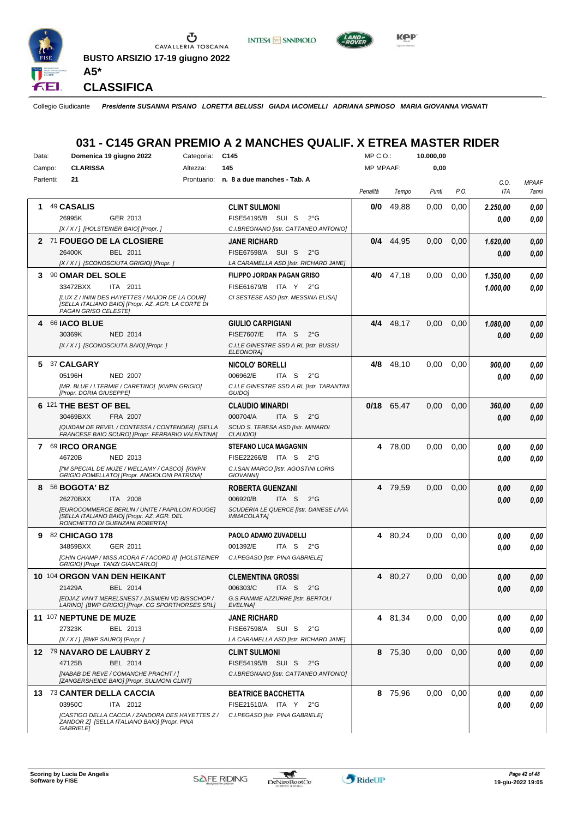

**INTESA M** SANPAOLO



**CLASSIFICA**

Collegio Giudicante *Presidente SUSANNA PISANO LORETTA BELUSSI GIADA IACOMELLI ADRIANA SPINOSO MARIA GIOVANNA VIGNATI*

# **031 - C145 GRAN PREMIO A 2 MANCHES QUALIF. X ETREA MASTER RIDER**

| Data:        | Domenica 19 giugno 2022<br>Categoria:                                                                                          | C <sub>145</sub>                                        | MP C.O.:         |              | 10.000,00 |      |          |              |
|--------------|--------------------------------------------------------------------------------------------------------------------------------|---------------------------------------------------------|------------------|--------------|-----------|------|----------|--------------|
| Campo:       | <b>CLARISSA</b><br>Altezza:                                                                                                    | 145                                                     | <b>MP MPAAF:</b> |              | 0,00      |      |          |              |
| Partenti:    | 21                                                                                                                             | Prontuario: n. 8 a due manches - Tab. A                 |                  |              |           |      | C.O.     | <b>MPAAF</b> |
|              |                                                                                                                                |                                                         | Penalità         | Tempo        | Punti     | P.O. | ITA      | 7anni        |
| 1            | 49 CASALIS                                                                                                                     | <b>CLINT SULMONI</b>                                    | 0/0              | 49,88        | 0,00      | 0,00 | 2.250,00 | 0,00         |
|              | 26995K<br>GER 2013                                                                                                             | FISE54195/B SUI S<br>$2^{\circ}$ G                      |                  |              |           |      | 0.00     | 0.00         |
|              | [X / X / ] [HOLSTEINER BAIO] [Propr.]                                                                                          | C.I.BREGNANO [Istr. CATTANEO ANTONIO]                   |                  |              |           |      |          |              |
|              | 2 71 FOUEGO DE LA CLOSIERE                                                                                                     | <b>JANE RICHARD</b>                                     |                  | $0/4$ 44,95  | 0,00      | 0,00 | 1.620,00 | 0,00         |
|              | 26400K<br>BEL 2011                                                                                                             | FISE67598/A SUI S<br>$2^{\circ}$ G                      |                  |              |           |      | 0.00     | 0.00         |
|              | [X / X / ] [SCONOSCIUTA GRIGIO] [Propr. ]                                                                                      | LA CARAMELLA ASD [Istr. RICHARD JANE]                   |                  |              |           |      |          |              |
| 3            | 90 OMAR DEL SOLE                                                                                                               | FILIPPO JORDAN PAGAN GRISO                              | 4/0              | 47,18        | 0,00      | 0,00 | 1.350,00 | 0,00         |
|              | 33472BXX<br>ITA 2011                                                                                                           | FISE61679/B ITA Y 2°G                                   |                  |              |           |      | 1.000,00 | 0.00         |
|              | ILUX Z / ININI DES HAYETTES / MAJOR DE LA COURI<br>[SELLA ITALIANO BAIO] [Propr. AZ. AGR. LA CORTE DI<br>PAGAN GRISO CELESTE]  | CI SESTESE ASD [Istr. MESSINA ELISA]                    |                  |              |           |      |          |              |
| 4            | 66 <b>IACO BLUE</b>                                                                                                            | <b>GIULIO CARPIGIANI</b>                                | 4/4              | 48,17        | 0,00      | 0,00 | 1.080,00 | 0,00         |
|              | 30369K<br><b>NED 2014</b>                                                                                                      | <b>FISE7607/E</b><br>ITA S<br>$2^{\circ}$ G             |                  |              |           |      | 0,00     | 0,00         |
|              | [X / X / ] [SCONOSCIUTA BAIO] [Propr.]                                                                                         | C.I.LE GINESTRE SSD A RL [Istr. BUSSU<br>ELEONORA]      |                  |              |           |      |          |              |
| 5            | 37 CALGARY                                                                                                                     | NICOLO' BORELLI                                         | 4/8              | 48,10        | 0,00      | 0,00 | 900,00   | 0,00         |
|              | 05196H<br><b>NED 2007</b>                                                                                                      | 006962/E<br>ITA S<br>$2^{\circ}$ G                      |                  |              |           |      | 0.00     | 0.00         |
|              | [MR. BLUE / I.TERMIE / CARETINO] [KWPN GRIGIO]<br>[Propr. DORIA GIUSEPPE]                                                      | C.I.LE GINESTRE SSD A RL [Istr. TARANTINI<br>GUIDO]     |                  |              |           |      |          |              |
|              | 6 121 THE BEST OF BEL                                                                                                          | <b>CLAUDIO MINARDI</b>                                  |                  | $0/18$ 65,47 | 0,00      | 0,00 | 360,00   | 0.00         |
|              | 30469BXX<br>FRA 2007                                                                                                           | 000704/A<br>ITA S<br>$2^{\circ}$ G                      |                  |              |           |      | 0.00     | 0.00         |
|              | [QUIDAM DE REVEL / CONTESSA / CONTENDER] [SELLA<br>FRANCESE BAIO SCURO] [Propr. FERRARIO VALENTINA]                            | SCUD S. TERESA ASD [Istr. MINARDI<br>CLAUDIO]           |                  |              |           |      |          |              |
| $\mathbf{7}$ | <b>69 IRCO ORANGE</b>                                                                                                          | <b>STEFANO LUCA MAGAGNIN</b>                            |                  | 4 78,00      | 0,00      | 0,00 | 0,00     | 0.00         |
|              | 46720B<br>NED 2013                                                                                                             | FISE22266/B ITA S 2°G                                   |                  |              |           |      | 0.00     | 0.00         |
|              | [I'M SPECIAL DE MUZE / WELLAMY / CASCO] [KWPN<br>GRIGIO POMELLATO] [Propr. ANGIOLONI PATRIZIA]                                 | C.I.SAN MARCO [Istr. AGOSTINI LORIS<br><b>GIOVANNII</b> |                  |              |           |      |          |              |
| 8            | 56 BOGOTA' BZ                                                                                                                  | <b>ROBERTA GUENZANI</b>                                 |                  | 4 79,59      | 0,00      | 0,00 | 0,00     | 0,00         |
|              | 26270BXX<br>2008<br>ITA I                                                                                                      | 006920/B<br>ITA <sub>S</sub><br>$2^{\circ}$ G           |                  |              |           |      | 0.00     | 0,00         |
|              | [EUROCOMMERCE BERLIN / UNITE / PAPILLON ROUGE]<br>[SELLA ITALIANO BAIO] [Propr. AZ. AGR. DEL<br>RONCHETTO DI GUENZANI ROBERTA] | SCUDERIA LE QUERCE [Istr. DANESE LIVIA<br>IMMACOLATA]   |                  |              |           |      |          |              |
| 9            | 82 CHICAGO 178                                                                                                                 | PAOLO ADAMO ZUVADELLI                                   |                  | 4 80,24      | 0,00      | 0,00 | 0.00     | 0,00         |
|              | 34859BXX<br>GER 2011                                                                                                           | 001392/E<br>ITA S<br>$2^{\circ}G$                       |                  |              |           |      | 0,00     | 0.00         |
|              | [CHIN CHAMP / MISS ACORA F / ACORD II] [HOLSTEINER<br>GRIGIO] [Propr. TANZI GIANCARLO]                                         | C.I.PEGASO [Istr. PINA GABRIELE]                        |                  |              |           |      |          |              |
|              | 10 104 ORGON VAN DEN HEIKANT                                                                                                   | <b>CLEMENTINA GROSSI</b>                                |                  | 4 80,27      | 0,00      | 0,00 | 0.00     | 0.00         |
|              | 21429A<br>BEL 2014                                                                                                             | 006303/C<br>ITA S $2^{\circ}G$                          |                  |              |           |      | 0,00     | 0,00         |
|              | IEDJAZ VAN'T MERELSNEST / JASMIEN VD BISSCHOP /<br>LARINO] [BWP GRIGIO] [Propr. CG SPORTHORSES SRL]                            | G.S.FIAMME AZZURRE [Istr. BERTOLI<br>EVELINA]           |                  |              |           |      |          |              |
|              | 11 107 NEPTUNE DE MUZE                                                                                                         | <b>JANE RICHARD</b>                                     |                  | 4 81,34      | 0,00      | 0,00 | 0,00     | 0,00         |
|              | 27323K<br>BEL 2013                                                                                                             | FISE67598/A SUI S 2°G                                   |                  |              |           |      | 0,00     | 0,00         |
|              | [X / X / ] [BWP SAURO] [Propr. ]                                                                                               | LA CARAMELLA ASD [Istr. RICHARD JANE]                   |                  |              |           |      |          |              |
|              | 12 79 NAVARO DE LAUBRY Z                                                                                                       | <b>CLINT SULMONI</b>                                    |                  | 8 75,30      | 0,00      | 0,00 | 0,00     | 0,00         |
|              | 47125B<br>BEL 2014                                                                                                             | FISE54195/B SUI S<br>$2^{\circ}$ G                      |                  |              |           |      | 0,00     | 0,00         |
|              | [NABAB DE REVE / COMANCHE PRACHT / ]<br>[ZANGERSHEIDE BAIO] [Propr. SULMONI CLINT]                                             | C.I.BREGNANO [Istr. CATTANEO ANTONIO]                   |                  |              |           |      |          |              |
|              | 13 73 CANTER DELLA CACCIA                                                                                                      | <b>BEATRICE BACCHETTA</b>                               |                  | 8 75,96      | 0,00      | 0.00 | 0,00     | 0,00         |
|              | 03950C<br>ITA 2012                                                                                                             | FISE21510/A ITA Y 2°G                                   |                  |              |           |      | 0,00     | 0,00         |
|              | [CASTIGO DELLA CACCIA / ZANDORA DES HAYETTES Z /<br>ZANDOR Z] [SELLA ITALIANO BAIO] [Propr. PINA<br><b>GABRIELE]</b>           | C.I.PEGASO [Istr. PINA GABRIELE]                        |                  |              |           |      |          |              |

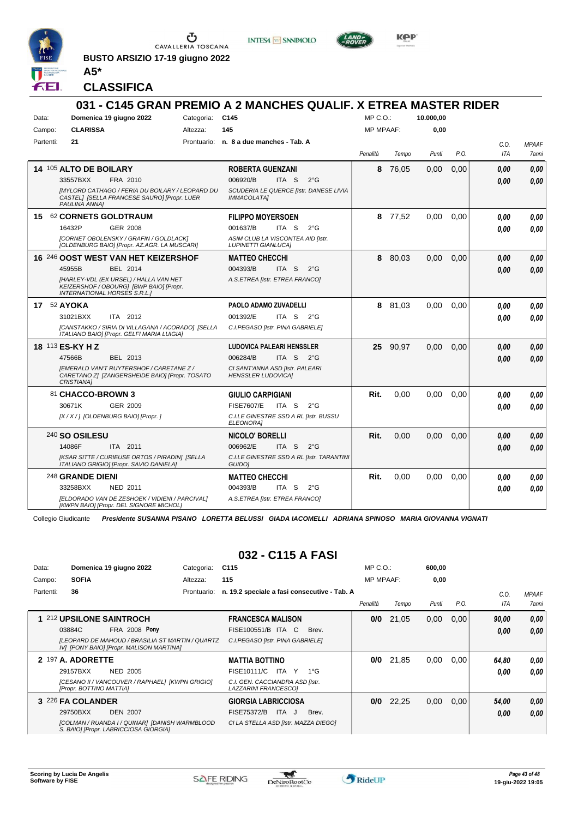

**BUSTO ARSIZIO 17-19 giugno 2022 A5\***





**CLASSIFICA**

|             |                                                                                                                          |            | 031 - C145 GRAN PREMIO A 2 MANCHES QUALIF. X ETREA MASTER RIDER |                  |         |           |      |            |              |
|-------------|--------------------------------------------------------------------------------------------------------------------------|------------|-----------------------------------------------------------------|------------------|---------|-----------|------|------------|--------------|
| Data:       | Domenica 19 giugno 2022                                                                                                  | Categoria: | C145                                                            | MP C.O.          |         | 10.000.00 |      |            |              |
| Campo:      | <b>CLARISSA</b>                                                                                                          | Altezza:   | 145                                                             | <b>MP MPAAF:</b> |         | 0,00      |      |            |              |
| Partenti:   | 21                                                                                                                       |            | Prontuario: n. 8 a due manches - Tab. A                         |                  |         |           |      | C.0.       | <b>MPAAF</b> |
|             |                                                                                                                          |            |                                                                 | Penalità         | Tempo   | Punti     | P.O. | <b>ITA</b> | 7anni        |
|             | <b>14 105 ALTO DE BOILARY</b>                                                                                            |            | <b>ROBERTA GUENZANI</b>                                         | 8                | 76,05   | 0,00      | 0,00 | 0.00       | 0,00         |
|             | 33557BXX<br>FRA 2010                                                                                                     |            | 006920/B<br>ITA S<br>$2^{\circ}$ G                              |                  |         |           |      | 0.00       | 0.00         |
|             | <b>IMYLORD CATHAGO / FERIA DU BOILARY / LEOPARD DU</b><br>CASTEL] [SELLA FRANCESE SAURO] [Propr. LUER<br>PAULINA ANNAI   |            | SCUDERIA LE QUERCE [Istr. DANESE LIVIA<br><b>IMMACOLATA1</b>    |                  |         |           |      |            |              |
| 15          | 62 CORNETS GOLDTRAUM                                                                                                     |            | <b>FILIPPO MOYERSOEN</b>                                        |                  | 8 77,52 | 0,00      | 0.00 | 0.00       | 0.00         |
|             | <b>GER 2008</b><br>16432P                                                                                                |            | 001637/B<br>ITA <sub>S</sub><br>$2^{\circ}$ G                   |                  |         |           |      | 0.00       | 0.00         |
|             | [CORNET OBOLENSKY / GRAFIN / GOLDLACK]<br>[OLDENBURG BAIO] [Propr. AZ.AGR. LA MUSCARI]                                   |            | ASIM CLUB LA VISCONTEA AID [Istr.<br><b>LUPINETTI GIANLUCA]</b> |                  |         |           |      |            |              |
|             | <b>16 246 OOST WEST VAN HET KEIZERSHOF</b>                                                                               |            | <b>MATTEO CHECCHI</b>                                           | 8                | 80,03   | 0.00      | 0.00 | 0.00       | 0.00         |
|             | 45955B<br>BEL 2014                                                                                                       |            | 004393/B<br>ITA <sub>S</sub><br>$2^{\circ}G$                    |                  |         |           |      | 0.00       | 0.00         |
|             | [HARLEY-VDL (EX URSEL) / HALLA VAN HET<br>KEIZERSHOF / OBOURG] [BWP BAIO] [Propr.<br><b>INTERNATIONAL HORSES S.R.L.]</b> |            | A.S.ETREA [Istr. ETREA FRANCO]                                  |                  |         |           |      |            |              |
| 17 52 AYOKA |                                                                                                                          |            | PAOLO ADAMO ZUVADELLI                                           | 8                | 81,03   | 0.00      | 0.00 | 0.00       | 0.00         |
|             | 31021BXX<br>ITA 2012                                                                                                     |            | 001392/E<br>ITA S $2^{\circ}$ G                                 |                  |         |           |      | 0.00       | 0.00         |
|             | [CANSTAKKO / SIRIA DI VILLAGANA / ACORADO] [SELLA<br>ITALIANO BAIO] [Propr. GELFI MARIA LUIGIA]                          |            | C.I.PEGASO [Istr. PINA GABRIELE]                                |                  |         |           |      |            |              |
|             | 18 113 ES-KY H Z                                                                                                         |            | <b>LUDOVICA PALEARI HENSSLER</b>                                | 25               | 90.97   | 0.00      | 0.00 | 0.00       | 0.00         |
|             | 47566B<br>BEL 2013                                                                                                       |            | 006284/B<br>ITA S $2^{\circ}G$                                  |                  |         |           |      | 0.00       | 0,00         |
|             | <b>IEMERALD VAN'T RUYTERSHOF / CARETANE Z /</b><br>CARETANO Z] [ZANGERSHEIDE BAIO] [Propr. TOSATO<br><b>CRISTIANA1</b>   |            | CI SANT'ANNA ASD [Istr. PALEARI<br><b>HENSSLER LUDOVICA1</b>    |                  |         |           |      |            |              |
|             | 81 CHACCO-BROWN 3                                                                                                        |            | <b>GIULIO CARPIGIANI</b>                                        | Rit.             | 0,00    | 0.00      | 0.00 | 0.00       | 0.00         |
|             | GER 2009<br>30671K                                                                                                       |            | <b>FISE7607/E</b><br>ITA S<br>$2^{\circ}G$                      |                  |         |           |      | 0.00       | 0,00         |
|             | [X / X / ] [OLDENBURG BAIO] [Propr. ]                                                                                    |            | C.I.LE GINESTRE SSD A RL [Istr. BUSSU<br><b>ELEONORAI</b>       |                  |         |           |      |            |              |
|             | 240 SO OSILESU                                                                                                           |            | NICOLO' BORELLI                                                 | Rit.             | 0.00    | 0.00      | 0.00 | 0.00       | 0.00         |
|             | 14086F<br>ITA 2011                                                                                                       |            | 006962/E<br>ITA <sub>S</sub><br>$2^{\circ}G$                    |                  |         |           |      | 0.00       | 0.00         |
|             | [KSAR SITTE / CURIEUSE ORTOS / PIRADIN] [SELLA<br>ITALIANO GRIGIO] [Propr. SAVIO DANIELA]                                |            | C.I.LE GINESTRE SSD A RL [Istr. TARANTINI<br>GUIDO]             |                  |         |           |      |            |              |
|             | 248 GRANDE DIENI                                                                                                         |            | <b>MATTEO CHECCHI</b>                                           | Rit.             | 0,00    | 0,00      | 0,00 | 0.00       | 0.00         |
|             | 33258BXX<br><b>NED 2011</b>                                                                                              |            | 004393/B<br>ITA S<br>$2^{\circ}$ G                              |                  |         |           |      | 0.00       | 0,00         |
|             | [ELDORADO VAN DE ZESHOEK / VIDIENI / PARCIVAL]<br>[KWPN BAIO] [Propr. DEL SIGNORE MICHOL]                                |            | A.S.ETREA [Istr. ETREA FRANCO]                                  |                  |         |           |      |            |              |

Collegio Giudicante *Presidente SUSANNA PISANO LORETTA BELUSSI GIADA IACOMELLI ADRIANA SPINOSO MARIA GIOVANNA VIGNATI*

#### **032 - C115 A FASI**

| Data:     | Domenica 19 giugno 2022                                                                      | Categoria:  | C <sub>115</sub>                                        | $MP C. O.$ :     |       | 600,00 |      |       |                     |
|-----------|----------------------------------------------------------------------------------------------|-------------|---------------------------------------------------------|------------------|-------|--------|------|-------|---------------------|
| Campo:    | <b>SOFIA</b>                                                                                 | Altezza:    | 115                                                     | <b>MP MPAAF:</b> |       | 0,00   |      |       |                     |
| Partenti: | 36                                                                                           | Prontuario: | n. 19.2 speciale a fasi consecutive - Tab. A            |                  |       |        |      | C.0   | <b>MPAAF</b>        |
|           |                                                                                              |             |                                                         | Penalità         | Tempo | Punti  | P.O. | ITA   | <i><b>7anni</b></i> |
|           | 212 UPSILONE SAINTROCH                                                                       |             | <b>FRANCESCA MALISON</b>                                | 0/0              | 21,05 | 0,00   | 0,00 | 90.00 | 0,00                |
|           | <b>FRA 2008 Pony</b><br>03884C                                                               |             | FISE100551/B ITA C<br>Brev.                             |                  |       |        |      | 0,00  | 0,00                |
|           | [LEOPARD DE MAHOUD / BRASILIA ST MARTIN / QUARTZ<br>IV] [PONY BAIO] [Propr. MALISON MARTINA] |             | C.I.PEGASO [Istr. PINA GABRIELE]                        |                  |       |        |      |       |                     |
|           | 2 197 A. ADORETTE                                                                            |             | <b>MATTIA BOTTINO</b>                                   | 0/0              | 21,85 | 0,00   | 0,00 | 64.80 | 0.00                |
|           | 29157BXX<br>NED 2005                                                                         |             | FISE10111/C<br>ITA Y<br>$1^{\circ}G$                    |                  |       |        |      | 0.00  | 0.00                |
|           | [CESANO II / VANCOUVER / RAPHAEL] [KWPN GRIGIO]<br>[Propr. BOTTINO MATTIA]                   |             | C.I. GEN. CACCIANDRA ASD [Istr.<br>LAZZARINI FRANCESCO] |                  |       |        |      |       |                     |
|           | 3 226 FA COLANDER                                                                            |             | <b>GIORGIA LABRICCIOSA</b>                              | 0/0              | 22,25 | 0,00   | 0,00 | 54,00 | 0,00                |
|           | 29750BXX<br><b>DEN 2007</b>                                                                  |             | <b>FISE75372/B</b><br>ITA J<br>Brev.                    |                  |       |        |      | 0,00  | 0.00                |
|           | [COLMAN / RUANDA I / QUINAR] [DANISH WARMBLOOD<br>S. BAIO] [Propr. LABRICCIOSA GIORGIA]      |             | CI LA STELLA ASD [Istr. MAZZA DIEGO]                    |                  |       |        |      |       |                     |

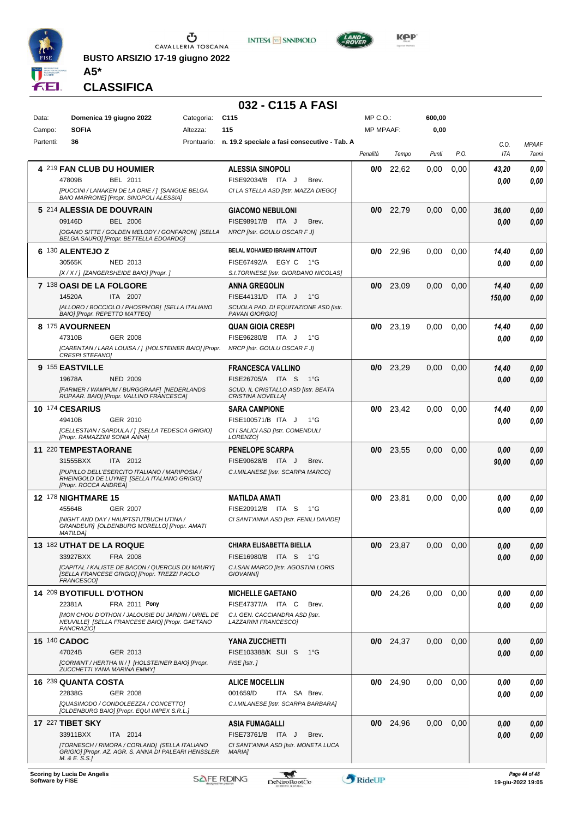

**BUSTO ARSIZIO 17-19 giugno 2022**





**KOP** 

**CLASSIFICA**

**A5\***

### **032 - C115 A FASI**

| Data:  |           | Domenica 19 giugno 2022                                                                                            | Categoria: | C <sub>115</sub>                                                   | MP C.O.:         |             | 600,00   |      |          |                     |
|--------|-----------|--------------------------------------------------------------------------------------------------------------------|------------|--------------------------------------------------------------------|------------------|-------------|----------|------|----------|---------------------|
| Campo: |           | <b>SOFIA</b>                                                                                                       | Altezza:   | 115                                                                | <b>MP MPAAF:</b> |             | 0,00     |      |          |                     |
|        | Partenti: | 36                                                                                                                 |            | Prontuario: n. 19.2 speciale a fasi consecutive - Tab. A           |                  |             |          |      | C.O.     | <b>MPAAF</b>        |
|        |           |                                                                                                                    |            |                                                                    | Penalità         | Tempo       | Punti    | P.O. | ITA      | <i><b>7anni</b></i> |
|        |           | <b>4 219 FAN CLUB DU HOUMIER</b>                                                                                   |            | <b>ALESSIA SINOPOLI</b>                                            | 0/0              | 22,62       | 0,00     | 0,00 | 43,20    | 0,00                |
|        |           | 47809B<br>BEL 2011                                                                                                 |            | FISE92034/B ITA J<br>Brev.                                         |                  |             |          |      | 0.00     | 0.00                |
|        |           | [PUCCINI / LANAKEN DE LA DRIE / ] [SANGUE BELGA<br>BAIO MARRONE] [Propr. SINOPOLI ALESSIA]                         |            | CI LA STELLA ASD [Istr. MAZZA DIEGO]                               |                  |             |          |      |          |                     |
|        |           | 5 214 ALESSIA DE DOUVRAIN                                                                                          |            | <b>GIACOMO NEBULONI</b>                                            | 0/0              | 22,79       | 0,00     | 0,00 | 36,00    | 0,00                |
|        |           | <b>BEL 2006</b><br>09146D                                                                                          |            | FISE98917/B ITA J<br>Brev.                                         |                  |             |          |      | 0.00     | 0.00                |
|        |           | [OGANO SITTE / GOLDEN MELODY / GONFARON] [SELLA<br>BELGA SAURO] [Propr. BETTELLA EDOARDO]                          |            | NRCP [Istr. GOULU OSCAR F J]                                       |                  |             |          |      |          |                     |
|        |           | 6 130 ALENTEJO Z                                                                                                   |            | <b>BELAL MOHAMED IBRAHIM ATTOUT</b>                                | 0/0              | 22,96       | 0,00     | 0,00 | 14,40    | 0,00                |
|        |           | 30565K<br>NED 2013                                                                                                 |            | FISE67492/A EGY C<br>1°G                                           |                  |             |          |      | 0.00     | 0.00                |
|        |           | [X / X / ] [ZANGERSHEIDE BAIO] [Propr. ]                                                                           |            | S.I.TORINESE [Istr. GIORDANO NICOLAS]                              |                  |             |          |      |          |                     |
|        |           | 7 138 OASI DE LA FOLGORE                                                                                           |            | <b>ANNA GREGOLIN</b>                                               |                  | $0/0$ 23,09 | 0,00     | 0,00 | 14,40    | 0,00                |
|        |           | 14520A<br>ITA 2007                                                                                                 |            | FISE44131/D ITA J<br>$1^{\circ}$ G                                 |                  |             |          |      | 150,00   | 0.00                |
|        |           | [ALLORO / BOCCIOLO / PHOSPH'OR] [SELLA ITALIANO<br>BAIO] [Propr. REPETTO MATTEO]                                   |            | SCUOLA PAD. DI EQUITAZIONE ASD [Istr.<br>PAVAN GIORGIOJ            |                  |             |          |      |          |                     |
|        |           | 8 175 AVOURNEEN                                                                                                    |            | <b>QUAN GIOIA CRESPI</b>                                           |                  | $0/0$ 23,19 | 0.00     | 0,00 | 14,40    | 0,00                |
|        |           | 47310B<br>GER 2008                                                                                                 |            | FISE96280/B ITA J<br>1°G                                           |                  |             |          |      | 0.00     | 0.00                |
|        |           | [CARENTAN / LARA LOUISA /   [HOLSTEINER BAIO] [Propr.<br><b>CRESPI STEFANO]</b>                                    |            | <b>NRCP [Istr. GOULU OSCAR F J]</b>                                |                  |             |          |      |          |                     |
|        |           | 9 155 EASTVILLE                                                                                                    |            | <b>FRANCESCA VALLINO</b>                                           | 0/0              | 23,29       | 0,00     | 0,00 | 14,40    | 0,00                |
|        |           | 19678A<br><b>NED 2009</b>                                                                                          |            | FISE26705/A ITA S<br>1°G                                           |                  |             |          |      | 0.00     | 0,00                |
|        |           | <b>IFARMER / WAMPUM / BURGGRAAFI INEDERLANDS</b>                                                                   |            | SCUD. IL CRISTALLO ASD [Istr. BEATA                                |                  |             |          |      |          |                     |
|        |           | RIJPAAR. BAIO] [Propr. VALLINO FRANCESCA]<br>10 174 CESARIUS                                                       |            | CRISTINA NOVELLA]<br><b>SARA CAMPIONE</b>                          |                  | $0/0$ 23,42 | 0,00     | 0,00 | 14,40    | 0,00                |
|        |           | 49410B<br>GER 2010                                                                                                 |            | FISE100571/B ITA J<br>1°G                                          |                  |             |          |      | 0.00     | 0.00                |
|        |           | [CELLESTIAN / SARDULA / ] [SELLA TEDESCA GRIGIO]                                                                   |            | CI I SALICI ASD [Istr. COMENDULI                                   |                  |             |          |      |          |                     |
|        |           | [Propr. RAMAZZINI SONIA ANNA]                                                                                      |            | LORENZO]                                                           |                  |             |          |      |          |                     |
|        |           | 11 220 TEMPESTAORANE                                                                                               |            | <b>PENELOPE SCARPA</b>                                             |                  | $0/0$ 23,55 | 0,00     | 0,00 | 0,00     | 0,00                |
|        |           | 31555BXX<br>ITA 2012                                                                                               |            | FISE90628/B ITA J<br>Brev.                                         |                  |             |          |      | 90,00    | 0.00                |
|        |           | [PUPILLO DELL'ESERCITO ITALIANO / MARIPOSIA /<br>RHEINGOLD DE LUYNE] [SELLA ITALIANO GRIGIO]                       |            | C.I.MILANESE [Istr. SCARPA MARCO]                                  |                  |             |          |      |          |                     |
|        |           | [Propr. ROCCA ANDREA]                                                                                              |            |                                                                    |                  |             |          |      |          |                     |
|        |           | <b>12 178 NIGHTMARE 15</b>                                                                                         |            | <b>MATILDA AMATI</b>                                               |                  | $0/0$ 23,81 | 0,00     | 0,00 | 0.00     | 0,00                |
|        |           | 45564B<br><b>GER 2007</b><br>[NIGHT AND DAY / HAUPTSTUTBUCH UTINA /                                                |            | FISE20912/B ITA S<br>1°G<br>CI SANT'ANNA ASD [Istr. FENILI DAVIDE] |                  |             |          |      | 0.00     | 0.00                |
|        |           | GRANDEUR] [OLDENBURG MORELLO] [Propr. AMATI<br><b>MATILDAI</b>                                                     |            |                                                                    |                  |             |          |      |          |                     |
|        |           | 13 182 UTHAT DE LA ROQUE                                                                                           |            | CHIARA ELISABETTA BIELLA                                           | 0/0              | 23,87       | 0,00     | 0,00 | $0,\!00$ | 0,00                |
|        |           | 33927BXX<br>FRA 2008                                                                                               |            | FISE16980/B ITA S<br>− 1°G                                         |                  |             |          |      | 0.00     | 0,00                |
|        |           | [CAPITAL / KALISTE DE BACON / QUERCUS DU MAURY]<br>[SELLA FRANCESE GRIGIO] [Propr. TREZZI PAOLO<br>FRANCESCO]      |            | C.I.SAN MARCO [Istr. AGOSTINI LORIS<br><b>GIOVANNII</b>            |                  |             |          |      |          |                     |
|        |           | 14 209 BYOTIFULL D'OTHON                                                                                           |            | <b>MICHELLE GAETANO</b>                                            |                  | $0/0$ 24,26 | $0.00\,$ | 0,00 | 0,00     | 0,00                |
|        |           | FRA 2011 Pony<br>22381A                                                                                            |            | FISE47377/A ITA C<br>Brev.                                         |                  |             |          |      | 0.00     | 0,00                |
|        |           | [MON CHOU D'OTHON / JALOUSIE DU JARDIN / URIEL DE<br>NEUVILLE] [SELLA FRANCESE BAIO] [Propr. GAETANO<br>PANCRAZIO] |            | C.I. GEN. CACCIANDRA ASD [Istr.<br>LAZZARINI FRANCESCO]            |                  |             |          |      |          |                     |
|        |           | 15 140 CADOC                                                                                                       |            | YANA ZUCCHETTI                                                     |                  | $0/0$ 24,37 | $0.00\,$ | 0,00 | 0.00     | 0,00                |
|        |           | 47024B<br>GER 2013                                                                                                 |            | FISE103388/K SUI S<br>1°G                                          |                  |             |          |      | 0.00     | 0.00                |
|        |           | [CORMINT / HERTHA III / ] [HOLSTEINER BAIO] [Propr.                                                                |            | FISE [Istr.]                                                       |                  |             |          |      |          |                     |
|        |           | ZUCCHETTI YANA MARINA EMMY]<br>16 239 QUANTA COSTA                                                                 |            | <b>ALICE MOCELLIN</b>                                              |                  | $0/0$ 24,90 | $0.00\,$ | 0.00 | 0.00     | 0,00                |
|        |           | 22838G<br>GER 2008                                                                                                 |            | 001659/D<br>ITA SA Brev.                                           |                  |             |          |      | 0.00     | 0.00                |
|        |           | [QUASIMODO / CONDOLEEZZA / CONCETTO]                                                                               |            | C.I.MILANESE [Istr. SCARPA BARBARA]                                |                  |             |          |      |          |                     |
|        |           | [OLDENBURG BAIO] [Propr. EQUI IMPEX S.R.L.]                                                                        |            |                                                                    |                  |             |          |      |          |                     |
|        |           | 17 227 TIBET SKY                                                                                                   |            | ASIA FUMAGALLI                                                     |                  | $0/0$ 24,96 | 0,00     | 0,00 | 0.00     | 0,00                |
|        |           | 33911BXX<br>ITA 2014                                                                                               |            | FISE73761/B ITA J<br>Brev.                                         |                  |             |          |      | 0.00     | 0,00                |
|        |           | [TORNESCH / RIMORA / CORLAND] [SELLA ITALIANO<br>GRIGIO] [Propr. AZ. AGR. S. ANNA DI PALEARI HENSSLER              |            | CI SANT'ANNA ASD [Istr. MONETA LUCA<br>MARIA]                      |                  |             |          |      |          |                     |
|        |           | M. & E. S.S.]                                                                                                      |            |                                                                    |                  |             |          |      |          |                     |

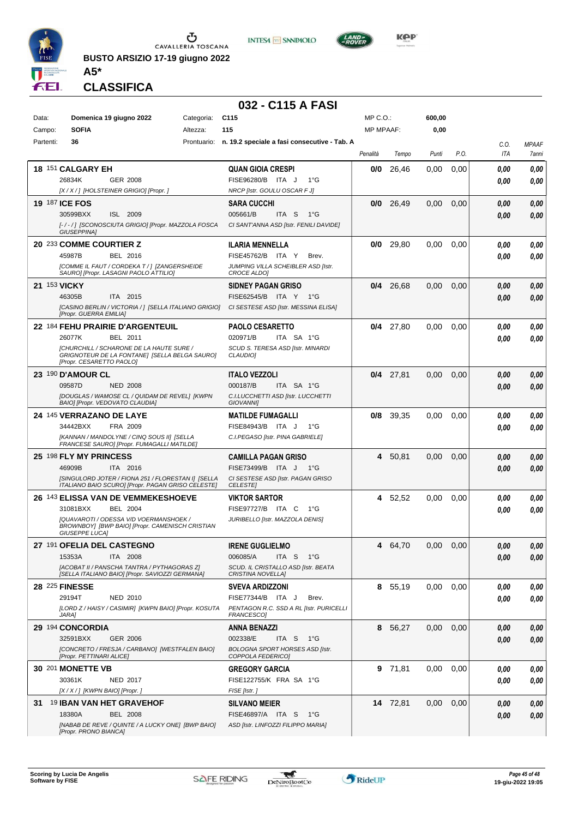

**BUSTO ARSIZIO 17-19 giugno 2022**





**KOP** 

## **CLASSIFICA**

**A5\***

## **032 - C115 A FASI**

| Data:     | Domenica 19 giugno 2022                                                                                                                                                         | Categoria: | C <sub>115</sub>                                                                                                                          | MP C.O.:         |             | 600,00 |      |              |                       |
|-----------|---------------------------------------------------------------------------------------------------------------------------------------------------------------------------------|------------|-------------------------------------------------------------------------------------------------------------------------------------------|------------------|-------------|--------|------|--------------|-----------------------|
| Campo:    | <b>SOFIA</b>                                                                                                                                                                    | Altezza:   | 115                                                                                                                                       | <b>MP MPAAF:</b> |             | 0,00   |      |              |                       |
| Partenti: | 36                                                                                                                                                                              |            | Prontuario: n. 19.2 speciale a fasi consecutive - Tab. A                                                                                  | Penalità         | Tempo       | Punti  | P.O. | C.O.<br>ITA  | <b>MPAAF</b><br>7anni |
|           | 18 151 CALGARY EH<br>26834K<br><b>GER 2008</b>                                                                                                                                  |            | <b>QUAN GIOIA CRESPI</b><br>FISE96280/B ITA J<br>$1^{\circ}G$                                                                             | 0/0              | 26,46       | 0.00   | 0,00 | 0,00<br>0,00 | 0,00<br>0,00          |
|           | [X/X/] [HOLSTEINER GRIGIO] [Propr. ]<br><b>19 187 ICE FOS</b><br>30599BXX<br>ISL 2009<br>[-/-/] [SCONOSCIUTA GRIGIO] [Propr. MAZZOLA FOSCA<br>GIUSEPPINA]                       |            | NRCP [Istr. GOULU OSCAR F J]<br>SARA CUCCHI<br>005661/B<br>ITA S<br>1°G<br>CI SANT'ANNA ASD [Istr. FENILI DAVIDE]                         | 0/0              | 26,49       | 0,00   | 0,00 | 0.00<br>0,00 | 0,00<br>0,00          |
|           | 20 233 COMME COURTIER Z<br>45987B<br>BEL 2016<br>[COMME IL FAUT / CORDEKA T / ] [ZANGERSHEIDE<br>SAURO] [Propr. LASAGNI PAOLO ATTILIO]                                          |            | ILARIA MENNELLA<br>FISE45762/B ITA Y<br>Brev.<br>JUMPING VILLA SCHEIBLER ASD [Istr.<br><b>CROCE ALDO]</b>                                 | 0/0              | 29,80       | 0,00   | 0,00 | 0,00<br>0.00 | 0,00<br>0,00          |
|           | 21 153 VICKY<br>ITA 2015<br>46305B<br>[Propr. GUERRA EMILIA]                                                                                                                    |            | SIDNEY PAGAN GRISO<br>FISE62545/B ITA Y 1°G<br>[CASINO BERLIN / VICTORIA / ] [SELLA ITALIANO GRIGIO] CI SESTESE ASD [Istr. MESSINA ELISA] | 0/4              | 26,68       | 0,00   | 0,00 | 0,00<br>0.00 | 0,00<br>0,00          |
|           | 22 184 FEHU PRAIRIE D'ARGENTEUIL<br>26077K<br>BEL 2011<br>[CHURCHILL / SCHARONE DE LA HAUTE SURE /<br>GRIGNOTEUR DE LA FONTANE] [SELLA BELGA SAURO]<br>[Propr. CESARETTO PAOLO] |            | <b>PAOLO CESARETTO</b><br>020971/B<br>ITA SA 1°G<br>SCUD S. TERESA ASD [Istr. MINARDI<br>CLAUDIO]                                         |                  | 0/4 27.80   | 0,00   | 0,00 | 0.00<br>0.00 | 0,00<br>0,00          |
|           | 23 190 D'AMOUR CL<br>09587D<br><b>NED 2008</b><br>[DOUGLAS / WAMOSE CL / QUIDAM DE REVEL] [KWPN<br>BAIO] [Propr. VEDOVATO CLAUDIA]                                              |            | <b>ITALO VEZZOLI</b><br>000187/B<br>ITA SA 1°G<br>C.I.LUCCHETTI ASD [Istr. LUCCHETTI<br><b>GIOVANNII</b>                                  |                  | $0/4$ 27,81 | 0,00   | 0,00 | 0,00<br>0.00 | 0,00<br>0,00          |
|           | 24 145 VERRAZANO DE LAYE<br>34442BXX<br>FRA 2009<br>[KANNAN / MANDOLYNE / CINQ SOUS II] [SELLA<br>FRANCESE SAURO] [Propr. FUMAGALLI MATILDE]                                    |            | <b>MATILDE FUMAGALLI</b><br>FISE84943/B ITA J<br>$1^{\circ}G$<br>C.I.PEGASO [Istr. PINA GABRIELE]                                         | 0/8              | 39,35       | 0,00   | 0.00 | 0.00<br>0.00 | 0,00<br>0,00          |
|           | 25 198 FLY MY PRINCESS<br>46909B<br>ITA 2016<br>[SINGULORD JOTER / FIONA 251 / FLORESTAN I] [SELLA<br>ITALIANO BAIO SCURO] [Propr. PAGAN GRISO CELESTE]                         |            | CAMILLA PAGAN GRISO<br>FISE73499/B ITA J<br>1°G<br>CI SESTESE ASD [Istr. PAGAN GRISO<br><b>CELESTE</b>                                    | 4                | 50,81       | 0,00   | 0,00 | 0,00<br>0.00 | 0,00<br>0,00          |
|           | 26 143 ELISSA VAN DE VEMMEKESHOEVE<br>BEL 2004<br>31081BXX<br>[QUAVAROTI / ODESSA V/D VOERMANSHOEK /<br>BROWNBOY] [BWP BAIO] [Propr. CAMENISCH CRISTIAN<br>GIUSEPPE LUCA]       |            | <b>VIKTOR SARTOR</b><br>FISE97727/B ITA C<br>1°G<br>JURIBELLO [Istr. MAZZOLA DENIS]                                                       |                  | 4 52,52     | 0,00   | 0,00 | 0,00<br>0.00 | 0,00<br>0,00          |
|           | 27 191 OFELIA DEL CASTEGNO<br>15353A<br>ITA 2008<br>[ACOBAT II / PANSCHA TANTRA / PYTHAGORAS Z]<br>[SELLA ITALIANO BAIO] [Propr. SAVIOZZI GERMANA]                              |            | <b>IRENE GUGLIELMO</b><br>006085/A<br>ITA S<br>1°G<br>SCUD. IL CRISTALLO ASD [Istr. BEATA<br>CRISTINA NOVELLAJ                            | 4                | 64.70       | 0.00   | 0.00 | 0.00<br>0,00 | 0.00<br>0,00          |
|           | 28 225 FINESSE<br>29194T<br>NED 2010<br>[LORD Z / HAISY / CASIMIR] [KWPN BAIO] [Propr. KOSUTA<br>JARA1                                                                          |            | SVEVA ARDIZZONI<br>FISE77344/B ITA J<br>Brev.<br>PENTAGON R.C. SSD A RL [Istr. PURICELLI<br><i>FRANCESCO]</i>                             |                  | 8 55,19     | 0,00   | 0,00 | 0.00<br>0.00 | 0,00<br>0,00          |
|           | 29 194 CONCORDIA<br>32591BXX<br><b>GER 2006</b><br>[CONCRETO / FRESJA / CARBANO] [WESTFALEN BAIO]<br>[Propr. PETTINARI ALICE]                                                   |            | <b>ANNA BENAZZI</b><br>002338/E<br>ITA <sub>S</sub><br>1°G<br><b>BOLOGNA SPORT HORSES ASD [Istr.</b><br>COPPOLA FEDERICO]                 |                  | 8 56,27     | 0,00   | 0,00 | 0,00<br>0.00 | 0,00<br>0,00          |
|           | <b>30 201 MONETTE VB</b><br>30361K<br>NED 2017<br>[X / X / ] [KWPN BAIO] [Propr. ]                                                                                              |            | GREGORY GARCIA<br>FISE122755/K FRA SA 1°G<br>FISE [Istr.]                                                                                 |                  | 9 71,81     | 0,00   | 0,00 | 0.00<br>0,00 | 0,00<br>0,00          |
| 31        | <sup>19</sup> IBAN VAN HET GRAVEHOF<br>18380A<br>BEL 2008<br>[NABAB DE REVE / QUINTE / A LUCKY ONE] [BWP BAIO]<br>[Propr. PRONO BIANCA]                                         |            | <b>SILVANO MEIER</b><br>FISE46897/A ITA S<br>1°G<br>ASD [Istr. LINFOZZI FILIPPO MARIA]                                                    |                  | 14 72,81    | 0,00   | 0,00 | 0,00<br>0,00 | 0,00<br>0,00          |

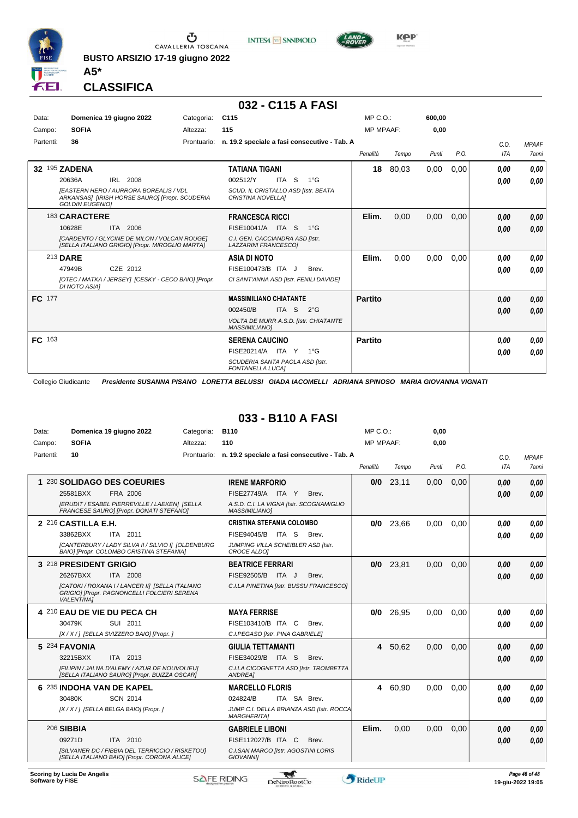

**BUSTO ARSIZIO 17-19 giugno 2022**



## **032 - C115 A FASI**

**INTESA** M SANPAOLO

| Data:     | Domenica 19 giugno 2022                                                                                                   | Categoria:  | C115                                                            | MP C. O.         |       | 600.00 |      |      |              |
|-----------|---------------------------------------------------------------------------------------------------------------------------|-------------|-----------------------------------------------------------------|------------------|-------|--------|------|------|--------------|
| Campo:    | <b>SOFIA</b>                                                                                                              | Altezza:    | 115                                                             | <b>MP MPAAF:</b> |       | 0,00   |      |      |              |
| Partenti: | 36                                                                                                                        | Prontuario: | n. 19.2 speciale a fasi consecutive - Tab. A                    |                  |       |        |      | C.O. | <b>MPAAF</b> |
|           |                                                                                                                           |             |                                                                 | Penalità         | Tempo | Punti  | P.O. | ITA  | <b>7anni</b> |
|           | 32 195 ZADENA                                                                                                             |             | TATIANA TIGANI                                                  | 18               | 80,03 | 0,00   | 0,00 | 0.00 | 0,00         |
|           | 20636A<br>IRL 2008                                                                                                        |             | 002512/Y<br>ITA S<br>$1^{\circ}G$                               |                  |       |        |      | 0,00 | 0,00         |
|           | <b>IEASTERN HERO / AURRORA BOREALIS / VDL</b><br>ARKANSAS] [IRISH HORSE SAURO] [Propr. SCUDERIA<br><b>GOLDIN EUGENIO1</b> |             | SCUD. IL CRISTALLO ASD [Istr. BEATA<br><b>CRISTINA NOVELLAI</b> |                  |       |        |      |      |              |
|           | 183 CARACTERE                                                                                                             |             | <b>FRANCESCA RICCI</b>                                          | Elim.            | 0,00  | 0,00   | 0,00 | 0,00 | 0,00         |
|           | 10628E<br>ITA 2006                                                                                                        |             | FISE10041/A<br>ITA S<br>$1^{\circ}G$                            |                  |       |        |      | 0,00 | 0,00         |
|           | [CARDENTO / GLYCINE DE MILON / VOLCAN ROUGE]<br>[SELLA ITALIANO GRIGIO] [Propr. MIROGLIO MARTA]                           |             | C.I. GEN. CACCIANDRA ASD [Istr.<br>LAZZARINI FRANCESCOI         |                  |       |        |      |      |              |
|           | 213 DARE                                                                                                                  |             | ASIA DI NOTO                                                    | Elim.            | 0,00  | 0,00   | 0,00 | 0,00 | 0,00         |
|           | CZE 2012<br>47949B                                                                                                        |             | FISE100473/B ITA J<br>Brev.                                     |                  |       |        |      | 0,00 | 0,00         |
|           | [OTEC / MATKA / JERSEY] [CESKY - CECO BAIO] [Propr.<br><b>DI NOTO ASIAI</b>                                               |             | CI SANT'ANNA ASD [Istr. FENILI DAVIDE]                          |                  |       |        |      |      |              |
| FC 177    |                                                                                                                           |             | <b>MASSIMILIANO CHIATANTE</b>                                   | <b>Partito</b>   |       |        |      | 0,00 | 0,00         |
|           |                                                                                                                           |             | ITA S<br>002450/B<br>$2^{\circ}$ G                              |                  |       |        |      | 0,00 | 0,00         |
|           |                                                                                                                           |             | VOLTA DE MURR A.S.D. [Istr. CHIATANTE<br><b>MASSIMILIANO1</b>   |                  |       |        |      |      |              |
| FC 163    |                                                                                                                           |             | <b>SERENA CAUCINO</b>                                           | <b>Partito</b>   |       |        |      | 0,00 | 0,00         |
|           |                                                                                                                           |             | FISE20214/A ITA Y<br>$1^{\circ}G$                               |                  |       |        |      | 0,00 | 0,00         |
|           |                                                                                                                           |             | SCUDERIA SANTA PAOLA ASD [Istr.<br><b>FONTANELLA LUCAI</b>      |                  |       |        |      |      |              |

Collegio Giudicante *Presidente SUSANNA PISANO LORETTA BELUSSI GIADA IACOMELLI ADRIANA SPINOSO MARIA GIOVANNA VIGNATI*

#### **033 - B110 A FASI**

| Data:     | Domenica 19 giugno 2022                                                                                             | Categoria:  | <b>B110</b>                                                      | $MP C. O.$ :     |         | 0.00  |      |            |              |
|-----------|---------------------------------------------------------------------------------------------------------------------|-------------|------------------------------------------------------------------|------------------|---------|-------|------|------------|--------------|
| Campo:    | <b>SOFIA</b>                                                                                                        | Altezza:    | 110                                                              | <b>MP MPAAF:</b> |         | 0,00  |      |            |              |
| Partenti: | 10                                                                                                                  | Prontuario: | n. 19.2 speciale a fasi consecutive - Tab. A                     |                  |         |       |      | C.O.       | <b>MPAAF</b> |
|           |                                                                                                                     |             |                                                                  | Penalità         | Tempo   | Punti | P.O. | <b>ITA</b> | 7anni        |
|           | 1 230 SOLIDAGO DES COEURIES                                                                                         |             | <b>IRENE MARFORIO</b>                                            | 0/0              | 23,11   | 0,00  | 0,00 | 0.00       | 0.00         |
|           | 25581BXX<br>FRA 2006                                                                                                |             | FISE27749/A ITA Y<br>Brev.                                       |                  |         |       |      | 0.00       | 0.00         |
|           | [ERUDIT / ESABEL PIERREVILLE / LAEKEN] [SELLA<br>FRANCESE SAUROI [Propr. DONATI STEFANO]                            |             | A.S.D. C.I. LA VIGNA [Istr. SCOGNAMIGLIO<br><b>MASSIMILIANOI</b> |                  |         |       |      |            |              |
|           | 2 216 CASTILLA E.H.                                                                                                 |             | <b>CRISTINA STEFANIA COLOMBO</b>                                 | 0/0              | 23,66   | 0.00  | 0.00 | 0.00       | 0.00         |
|           | 33862BXX<br>ITA 2011                                                                                                |             | FISE94045/B<br>ITA S<br>Brev.                                    |                  |         |       |      | 0.00       | 0.00         |
|           | [CANTERBURY / LADY SILVA II / SILVIO I] [OLDENBURG<br>BAIO] [Propr. COLOMBO CRISTINA STEFANIA]                      |             | JUMPING VILLA SCHEIBLER ASD [Istr.<br>CROCE ALDOI                |                  |         |       |      |            |              |
|           | 3 218 PRESIDENT GRIGIO                                                                                              |             | <b>BEATRICE FERRARI</b>                                          | 0/0              | 23,81   | 0,00  | 0,00 | 0.00       | 0.00         |
|           | 26267BXX<br>ITA 2008                                                                                                |             | FISE92505/B<br>ITA J<br>Brev.                                    |                  |         |       |      | 0.00       | 0.00         |
|           | [CATOKI / ROXANA I / LANCER II] [SELLA ITALIANO<br>GRIGIO] [Propr. PAGNONCELLI FOLCIERI SERENA<br><b>VALENTINA1</b> |             | C.I.LA PINETINA [Istr. BUSSU FRANCESCO]                          |                  |         |       |      |            |              |
|           | 4 210 EAU DE VIE DU PECA CH                                                                                         |             | <b>MAYA FERRISE</b>                                              | 0/0              | 26,95   | 0.00  | 0.00 | 0.00       | 0.00         |
|           | 30479K<br>SUI 2011                                                                                                  |             | FISE103410/B ITA C<br>Brev.                                      |                  |         |       |      | 0.00       | 0.00         |
|           | [X / X / ] [SELLA SVIZZERO BAIO] [Propr. ]                                                                          |             | C.I.PEGASO [Istr. PINA GABRIELE]                                 |                  |         |       |      |            |              |
|           | 5 234 FAVONIA                                                                                                       |             | <b>GIULIA TETTAMANTI</b>                                         |                  | 4 50,62 | 0.00  | 0.00 | 0.00       | 0.00         |
|           | ITA 2013<br>32215BXX                                                                                                |             | FISE34029/B ITA S<br>Brev.                                       |                  |         |       |      | 0,00       | 0.00         |
|           | [FILIPIN / JALNA D'ALEMY / AZUR DE NOUVOLIEU]<br>[SELLA ITALIANO SAURO] [Propr. BUIZZA OSCAR]                       |             | C.I.LA CICOGNETTA ASD [Istr. TROMBETTA<br>ANDREA]                |                  |         |       |      |            |              |
|           | 6 235 INDOHA VAN DE KAPEL                                                                                           |             | <b>MARCELLO FLORIS</b>                                           | 4                | 60,90   | 0.00  | 0.00 | 0.00       | 0,00         |
|           | 30480K<br><b>SCN 2014</b>                                                                                           |             | 024824/B<br>ITA SA Brev.                                         |                  |         |       |      | 0.00       | 0.00         |
|           | [X / X / ] [SELLA BELGA BAIO] [Propr. ]                                                                             |             | JUMP C.I. DELLA BRIANZA ASD [Istr. ROCCA<br><b>MARGHERITA1</b>   |                  |         |       |      |            |              |
|           | <b>206 SIBBIA</b>                                                                                                   |             | <b>GABRIELE LIBONI</b>                                           | Elim.            | 0.00    | 0.00  | 0.00 | 0.00       | 0.00         |
|           | 09271D<br>ITA 2010                                                                                                  |             | FISE112027/B ITA C<br>Brev.                                      |                  |         |       |      | 0.00       | 0.00         |
|           | [SILVANER DC / FIBBIA DEL TERRICCIO / RISKETOU]<br>[SELLA ITALIANO BAIO] [Propr. CORONA ALICE]                      |             | C.I.SAN MARCO [Istr. AGOSTINI LORIS<br><b>GIOVANNII</b>          |                  |         |       |      |            |              |
|           |                                                                                                                     |             |                                                                  |                  |         |       |      |            |              |



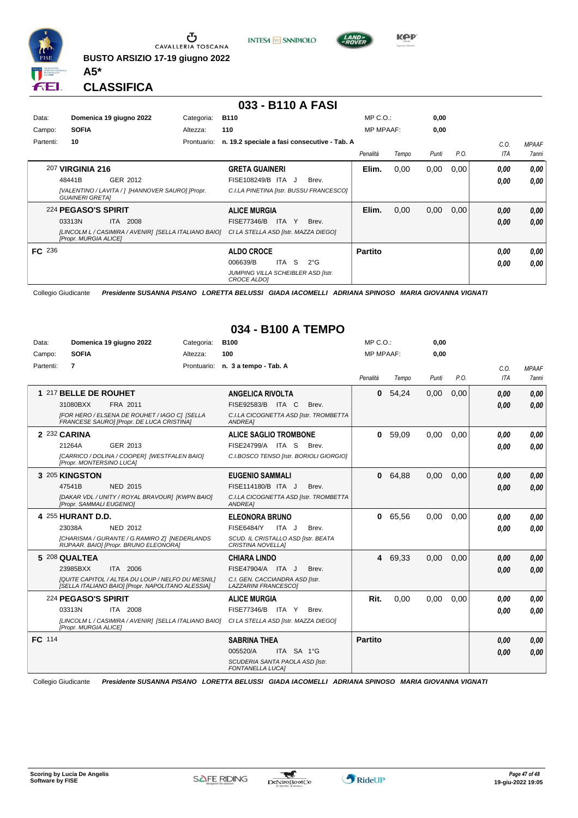

**BUSTO ARSIZIO 17-19 giugno 2022**

**INTESA** M SANPAOLO



**Kep** 

**CLASSIFICA**

**A5\***

#### **033 - B110 A FASI**

| Data:<br>Campo: | Domenica 19 giugno 2022<br><b>SOFIA</b>                                                                                            | Categoria:<br>Altezza: | <b>B110</b><br>110                                                                                                            | $MP C. O.$ :<br><b>MP MPAAF:</b> |       | 0,00<br>0,00 |      |                    |                                     |
|-----------------|------------------------------------------------------------------------------------------------------------------------------------|------------------------|-------------------------------------------------------------------------------------------------------------------------------|----------------------------------|-------|--------------|------|--------------------|-------------------------------------|
| Partenti:       | 10                                                                                                                                 | Prontuario:            | n. 19.2 speciale a fasi consecutive - Tab. A                                                                                  | Penalità                         | Tempo | Punti        | P.O. | C.O.<br><b>ITA</b> | <b>MPAAF</b><br><i><b>7anni</b></i> |
|                 | 207 VIRGINIA 216<br>GER 2012<br>48441B<br>[VALENTINO / LAVITA / ] [HANNOVER SAURO] [Propr.<br><b>GUAINERI GRETAI</b>               |                        | <b>GRETA GUAINERI</b><br>FISE108249/B ITA J<br>Brev.<br>C.I.LA PINETINA [Istr. BUSSU FRANCESCO]                               | Elim.                            | 0,00  | 0,00         | 0.00 | 0.00<br>0.00       | 0.00<br>0.00                        |
|                 | 224 PEGASO'S SPIRIT<br><b>ITA 2008</b><br>03313N<br>[LINCOLM L / CASIMIRA / AVENIR] [SELLA ITALIANO BAIO]<br>[Propr. MURGIA ALICE] |                        | <b>ALICE MURGIA</b><br><b>FISE77346/B</b><br>ITA Y<br>Brev.<br>CI LA STELLA ASD [Istr. MAZZA DIEGO]                           | Elim.                            | 0,00  | 0,00         | 0,00 | 0,00<br>0,00       | 0.00<br>0,00                        |
| <b>FC</b> 236   |                                                                                                                                    |                        | <b>ALDO CROCE</b><br><b>ITA</b><br>-S<br>006639/B<br>$2^{\circ}G$<br><b>JUMPING VILLA SCHEIBLER ASD [Istr.</b><br>CROCE ALDOI | <b>Partito</b>                   |       |              |      | 0.00<br>0.00       | 0.00<br>0.00                        |

Collegio Giudicante *Presidente SUSANNA PISANO LORETTA BELUSSI GIADA IACOMELLI ADRIANA SPINOSO MARIA GIOVANNA VIGNATI*

#### **034 - B100 A TEMPO**

| Data:     |                          | Domenica 19 giugno 2022                                                                                | Categoria:  | <b>B100</b>                                                     | MP C. O.         |         | 0.00  |      |            |              |
|-----------|--------------------------|--------------------------------------------------------------------------------------------------------|-------------|-----------------------------------------------------------------|------------------|---------|-------|------|------------|--------------|
| Campo:    | <b>SOFIA</b>             |                                                                                                        | Altezza:    | 100                                                             | <b>MP MPAAF:</b> |         | 0,00  |      |            |              |
| Partenti: | $\overline{7}$           |                                                                                                        | Prontuario: | n. 3 a tempo - Tab. A                                           |                  |         |       |      | C.O.       | <b>MPAAF</b> |
|           |                          |                                                                                                        |             |                                                                 | Penalità         | Tempo   | Punti | P.O. | <b>ITA</b> | 7anni        |
|           | 1 217 BELLE DE ROUHET    |                                                                                                        |             | <b>ANGELICA RIVOLTA</b>                                         | 0                | 54,24   | 0,00  | 0,00 | 0,00       | 0.00         |
|           | 31080BXX                 | FRA 2011                                                                                               |             | FISE92583/B ITA C<br>Brev.                                      |                  |         |       |      | 0.00       | 0.00         |
|           |                          | [FOR HERO / ELSENA DE ROUHET / IAGO C] [SELLA<br>FRANCESE SAURO] [Propr. DE LUCA CRISTINA]             |             | C.I.LA CICOGNETTA ASD [Istr. TROMBETTA<br><b>ANDREA1</b>        |                  |         |       |      |            |              |
|           | 2 232 CARINA             |                                                                                                        |             | <b>ALICE SAGLIO TROMBONE</b>                                    | $\mathbf{0}$     | 59,09   | 0,00  | 0.00 | 0,00       | 0.00         |
|           | 21264A                   | GER 2013                                                                                               |             | FISE24799/A ITA S<br>Brev.                                      |                  |         |       |      | 0.00       | 0.00         |
|           | [Propr. MONTERSINO LUCA] | [CARRICO / DOLINA / COOPER] [WESTFALEN BAIO]                                                           |             | C.I.BOSCO TENSO [Istr. BORIOLI GIORGIO]                         |                  |         |       |      |            |              |
|           | 3 205 KINGSTON           |                                                                                                        |             | <b>EUGENIO SAMMALI</b>                                          | 0                | 64,88   | 0,00  | 0,00 | 0,00       | 0.00         |
|           | 47541B                   | NED 2015                                                                                               |             | FISE114180/B ITA J<br>Brev.                                     |                  |         |       |      | 0.00       | 0.00         |
|           | [Propr. SAMMALI EUGENIO] | [DAKAR VDL / UNITY / ROYAL BRAVOUR] [KWPN BAIO]                                                        |             | C.I.LA CICOGNETTA ASD [Istr. TROMBETTA<br><b>ANDREA1</b>        |                  |         |       |      |            |              |
|           | 4 255 HURANT D.D.        |                                                                                                        |             | <b>ELEONORA BRUNO</b>                                           | 0                | 65.56   | 0.00  | 0.00 | 0.00       | 0.00         |
|           | 23038A                   | <b>NED 2012</b>                                                                                        |             | <b>FISE6484/Y</b><br>ITA J<br>Brev.                             |                  |         |       |      | 0.00       | 0.00         |
|           |                          | [CHARISMA / GURANTE / G.RAMIRO Z] [NEDERLANDS<br>RIJPAAR. BAIO] [Propr. BRUNO ELEONORA]                |             | SCUD. IL CRISTALLO ASD [Istr. BEATA<br><b>CRISTINA NOVELLAI</b> |                  |         |       |      |            |              |
|           | 5 208 QUALTEA            |                                                                                                        |             | <b>CHIARA LINDO</b>                                             |                  | 4 69,33 | 0,00  | 0,00 | 0.00       | 0,00         |
|           | 23985BXX                 | ITA 2006                                                                                               |             | FISE47904/A ITA J<br>Brev.                                      |                  |         |       |      | 0,00       | 0.00         |
|           |                          | [QUITE CAPITOL / ALTEA DU LOUP / NELFO DU MESNIL]<br>[SELLA ITALIANO BAIO] [Propr. NAPOLITANO ALESSIA] |             | C.I. GEN. CACCIANDRA ASD [Istr.<br>LAZZARINI FRANCESCOI         |                  |         |       |      |            |              |
|           | 224 PEGASO'S SPIRIT      |                                                                                                        |             | <b>ALICE MURGIA</b>                                             | Rit.             | 0.00    | 0,00  | 0,00 | 0.00       | 0.00         |
|           | 03313N                   | ITA 2008                                                                                               |             | FISE77346/B ITA Y<br>Brev.                                      |                  |         |       |      | 0.00       | 0.00         |
|           | [Propr. MURGIA ALICE]    | [LINCOLM L / CASIMIRA / AVENIR] [SELLA ITALIANO BAIO]                                                  |             | CI LA STELLA ASD [Istr. MAZZA DIEGO]                            |                  |         |       |      |            |              |
| FC 114    |                          |                                                                                                        |             | <b>SABRINA THEA</b>                                             | <b>Partito</b>   |         |       |      | 0,00       | 0,00         |
|           |                          |                                                                                                        |             | 005520/A<br>ITA SA 1°G                                          |                  |         |       |      | 0.00       | 0,00         |
|           |                          |                                                                                                        |             | SCUDERIA SANTA PAOLA ASD [Istr.<br><b>FONTANELLA LUCA]</b>      |                  |         |       |      |            |              |

Collegio Giudicante *Presidente SUSANNA PISANO LORETTA BELUSSI GIADA IACOMELLI ADRIANA SPINOSO MARIA GIOVANNA VIGNATI*